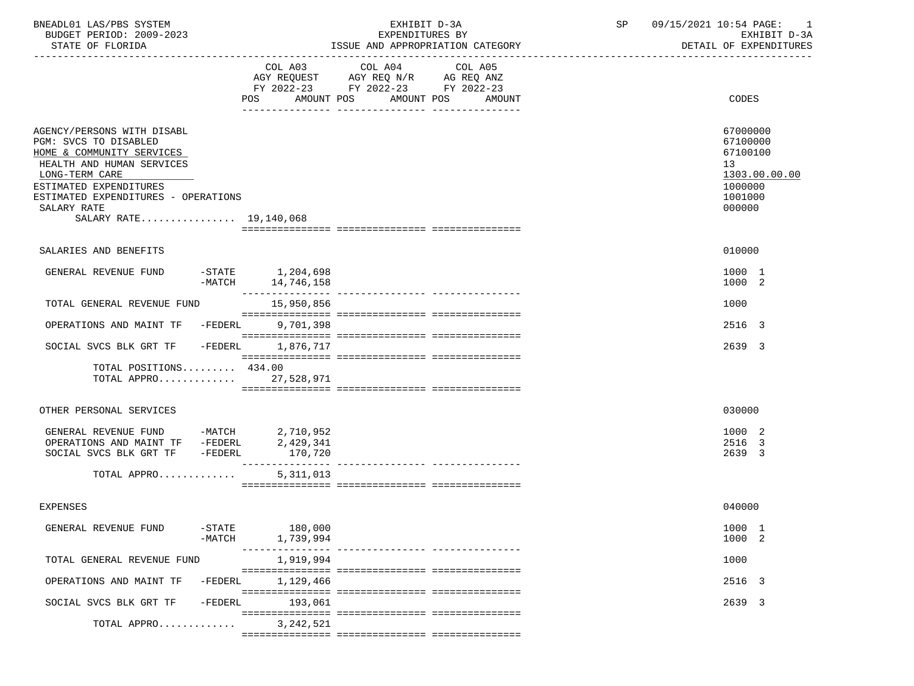| BNEADL01 LAS/PBS SYSTEM<br>BUDGET PERIOD: 2009-2023                                                                                                                                                                                       |                       | EXHIBIT D-3A<br>EXPENDITURES BY                            |                                                                                   |                                             |  | 09/15/2021 10:54 PAGE: 1<br>SP<br>EXHIBIT D-3A                                                       |
|-------------------------------------------------------------------------------------------------------------------------------------------------------------------------------------------------------------------------------------------|-----------------------|------------------------------------------------------------|-----------------------------------------------------------------------------------|---------------------------------------------|--|------------------------------------------------------------------------------------------------------|
| STATE OF FLORIDA                                                                                                                                                                                                                          |                       |                                                            |                                                                                   | ISSUE AND APPROPRIATION CATEGORY            |  | DETAIL OF EXPENDITURES                                                                               |
|                                                                                                                                                                                                                                           |                       | COL A03                                                    | COL A04<br>AGY REQUEST AGY REQ N/R AG REQ ANZ<br>FY 2022-23 FY 2022-23 FY 2022-23 | COL A05<br>POS AMOUNT POS AMOUNT POS AMOUNT |  | CODES                                                                                                |
|                                                                                                                                                                                                                                           |                       |                                                            |                                                                                   |                                             |  |                                                                                                      |
| AGENCY/PERSONS WITH DISABL<br>PGM: SVCS TO DISABLED<br>HOME & COMMUNITY SERVICES<br>HEALTH AND HUMAN SERVICES<br>LONG-TERM CARE<br>ESTIMATED EXPENDITURES<br>ESTIMATED EXPENDITURES - OPERATIONS<br>SALARY RATE<br>SALARY RATE 19,140,068 |                       |                                                            |                                                                                   |                                             |  | 67000000<br>67100000<br>67100100<br>13 <sup>°</sup><br>1303.00.00.00<br>1000000<br>1001000<br>000000 |
|                                                                                                                                                                                                                                           |                       |                                                            |                                                                                   |                                             |  |                                                                                                      |
| SALARIES AND BENEFITS                                                                                                                                                                                                                     |                       |                                                            |                                                                                   |                                             |  | 010000                                                                                               |
| GENERAL REVENUE FUND                                                                                                                                                                                                                      |                       | -STATE 1,204,698<br>$-MATCH$ 14,746,158<br>_______________ |                                                                                   |                                             |  | 1000 1<br>1000 2                                                                                     |
| TOTAL GENERAL REVENUE FUND                                                                                                                                                                                                                |                       | 15,950,856                                                 |                                                                                   |                                             |  | 1000                                                                                                 |
| OPERATIONS AND MAINT TF -FEDERL 9,701,398                                                                                                                                                                                                 |                       |                                                            |                                                                                   |                                             |  | 2516 3                                                                                               |
| SOCIAL SVCS BLK GRT TF                                                                                                                                                                                                                    | $-FEDERL$             | 1,876,717                                                  |                                                                                   |                                             |  | 2639 3                                                                                               |
| TOTAL POSITIONS 434.00<br>TOTAL APPRO 27,528,971                                                                                                                                                                                          |                       |                                                            |                                                                                   |                                             |  |                                                                                                      |
| OTHER PERSONAL SERVICES                                                                                                                                                                                                                   |                       |                                                            |                                                                                   |                                             |  | 030000                                                                                               |
| GENERAL REVENUE FUND -MATCH $2,710,952$<br>OPERATIONS AND MAINT TF -FEDERL $2,429,341$<br>SOCIAL SVCS BLK GRT TF -FEDERL                                                                                                                  |                       | 170,720                                                    |                                                                                   |                                             |  | 1000 2<br>2516 3<br>2639 3                                                                           |
| TOTAL APPRO                                                                                                                                                                                                                               |                       | 5,311,013                                                  |                                                                                   |                                             |  |                                                                                                      |
| <b>EXPENSES</b>                                                                                                                                                                                                                           |                       |                                                            |                                                                                   |                                             |  | 040000                                                                                               |
| GENERAL REVENUE FUND                                                                                                                                                                                                                      | $-$ STATE<br>$-MATCH$ | 180,000<br>1,739,994                                       |                                                                                   |                                             |  | 1000 1<br>1000 2                                                                                     |
| TOTAL GENERAL REVENUE FUND                                                                                                                                                                                                                |                       | 1,919,994                                                  |                                                                                   |                                             |  | 1000                                                                                                 |
| OPERATIONS AND MAINT TF                                                                                                                                                                                                                   | $-FEDERL$             | 1,129,466                                                  |                                                                                   |                                             |  | 2516 3                                                                                               |
| SOCIAL SVCS BLK GRT TF                                                                                                                                                                                                                    | $-FEDERL$             | 193,061                                                    |                                                                                   |                                             |  | 2639 3                                                                                               |
| TOTAL APPRO                                                                                                                                                                                                                               |                       | 3, 242, 521                                                |                                                                                   |                                             |  |                                                                                                      |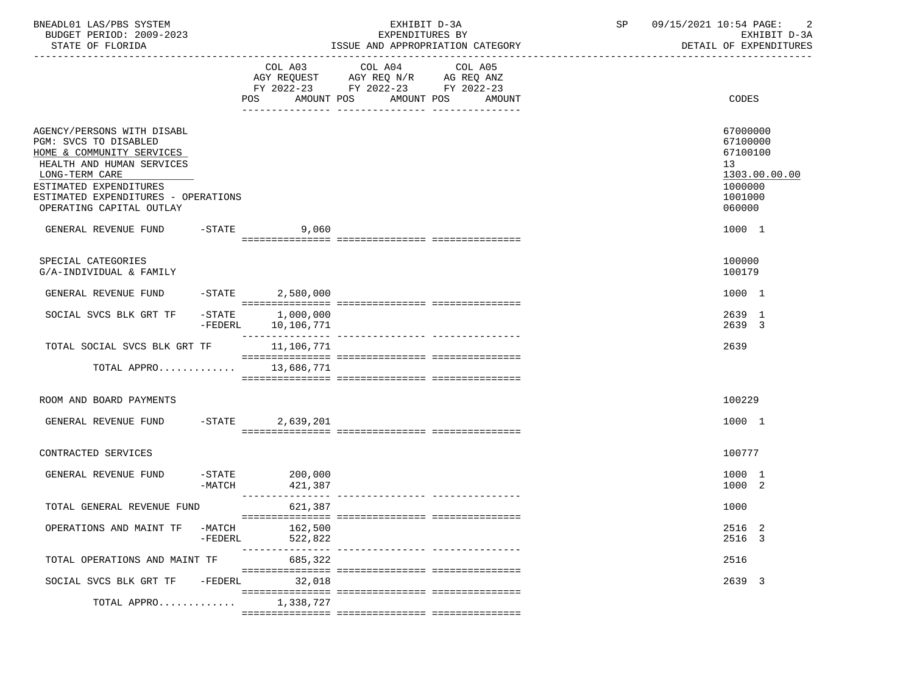| BNEADL01 LAS/PBS SYSTEM |                  |                          | EXHIBIT D-3A                     |  |
|-------------------------|------------------|--------------------------|----------------------------------|--|
|                         |                  | BUDGET PERIOD: 2009-2023 | EXPENDITURES BY                  |  |
|                         | STATE OF FLORIDA |                          | ISSUE AND APPROPRIATION CATEGORY |  |

BUDGET PERIOD: 2009-2023 EXPENDITURES BY EXHIBIT D-3A

|                                                                                                                                                                                                                              |                       | COL A03                         | COL A04                                                                              | COL A05 |                                                                                         |
|------------------------------------------------------------------------------------------------------------------------------------------------------------------------------------------------------------------------------|-----------------------|---------------------------------|--------------------------------------------------------------------------------------|---------|-----------------------------------------------------------------------------------------|
|                                                                                                                                                                                                                              |                       | AMOUNT POS<br>POS               | AGY REQUEST AGY REQ N/R AG REQ ANZ<br>FY 2022-23 FY 2022-23 FY 2022-23<br>AMOUNT POS | AMOUNT  | CODES                                                                                   |
| AGENCY/PERSONS WITH DISABL<br>PGM: SVCS TO DISABLED<br>HOME & COMMUNITY SERVICES<br>HEALTH AND HUMAN SERVICES<br>LONG-TERM CARE<br>ESTIMATED EXPENDITURES<br>ESTIMATED EXPENDITURES - OPERATIONS<br>OPERATING CAPITAL OUTLAY |                       |                                 |                                                                                      |         | 67000000<br>67100000<br>67100100<br>13<br>1303.00.00.00<br>1000000<br>1001000<br>060000 |
| GENERAL REVENUE FUND                                                                                                                                                                                                         |                       | $-$ STATE<br>9,060              |                                                                                      |         | 1000 1                                                                                  |
| SPECIAL CATEGORIES<br>G/A-INDIVIDUAL & FAMILY                                                                                                                                                                                |                       |                                 |                                                                                      |         | 100000<br>100179                                                                        |
| GENERAL REVENUE FUND                                                                                                                                                                                                         | $-$ STATE             | 2,580,000                       |                                                                                      |         | 1000 1                                                                                  |
| SOCIAL SVCS BLK GRT TF                                                                                                                                                                                                       | $-$ STATE             | 1,000,000<br>-FEDERL 10,106,771 |                                                                                      |         | 2639 1<br>2639 3                                                                        |
| TOTAL SOCIAL SVCS BLK GRT TF                                                                                                                                                                                                 |                       | 11,106,771                      |                                                                                      |         | 2639                                                                                    |
| TOTAL APPRO 13,686,771                                                                                                                                                                                                       |                       |                                 |                                                                                      |         |                                                                                         |
| ROOM AND BOARD PAYMENTS                                                                                                                                                                                                      |                       |                                 |                                                                                      |         | 100229                                                                                  |
| GENERAL REVENUE FUND -STATE                                                                                                                                                                                                  |                       | 2,639,201                       |                                                                                      |         | 1000 1                                                                                  |
| CONTRACTED SERVICES                                                                                                                                                                                                          |                       |                                 |                                                                                      |         | 100777                                                                                  |
| GENERAL REVENUE FUND                                                                                                                                                                                                         | $-$ STATE<br>$-MATCH$ | 200,000<br>421,387              |                                                                                      |         | 1000 1<br>1000 2                                                                        |
| TOTAL GENERAL REVENUE FUND                                                                                                                                                                                                   |                       | 621,387                         |                                                                                      |         | 1000                                                                                    |
| OPERATIONS AND MAINT TF                                                                                                                                                                                                      | $-MATCH$<br>-FEDERL   | 162,500<br>522,822              |                                                                                      |         | 2516 2<br>2516 3                                                                        |
| TOTAL OPERATIONS AND MAINT TF                                                                                                                                                                                                |                       | 685,322                         |                                                                                      |         | 2516                                                                                    |
| SOCIAL SVCS BLK GRT TF -FEDERL                                                                                                                                                                                               |                       | 32,018                          |                                                                                      |         | 2639 3                                                                                  |
| TOTAL APPRO                                                                                                                                                                                                                  |                       | 1,338,727                       |                                                                                      |         |                                                                                         |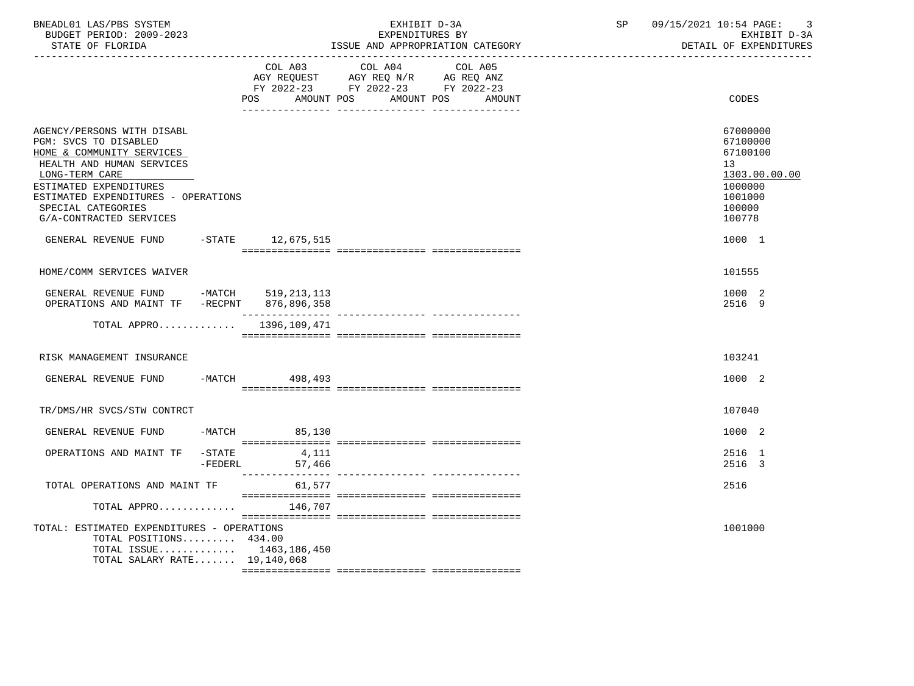| BNEADL01 LAS/PBS SYSTEM<br>BUDGET PERIOD: 2009-2023<br>STATE OF FLORIDA                                                                                                                                                                           | __________________________________ | EXHIBIT D-3A<br>EXPENDITURES BY<br>ISSUE AND APPROPRIATION CATEGORY                                                                        | SP | 09/15/2021 10:54 PAGE:<br>3<br>EXHIBIT D-3A<br>DETAIL OF EXPENDITURES                             |
|---------------------------------------------------------------------------------------------------------------------------------------------------------------------------------------------------------------------------------------------------|------------------------------------|--------------------------------------------------------------------------------------------------------------------------------------------|----|---------------------------------------------------------------------------------------------------|
|                                                                                                                                                                                                                                                   | POS                                | COL A03 COL A04<br>COL A05<br>AGY REQUEST AGY REQ N/R AG REQ ANZ<br>FY 2022-23 FY 2022-23 FY 2022-23<br>AMOUNT POS<br>AMOUNT POS<br>AMOUNT |    | CODES                                                                                             |
| AGENCY/PERSONS WITH DISABL<br>PGM: SVCS TO DISABLED<br>HOME & COMMUNITY SERVICES<br>HEALTH AND HUMAN SERVICES<br>LONG-TERM CARE<br>ESTIMATED EXPENDITURES<br>ESTIMATED EXPENDITURES - OPERATIONS<br>SPECIAL CATEGORIES<br>G/A-CONTRACTED SERVICES |                                    |                                                                                                                                            |    | 67000000<br>67100000<br>67100100<br>13<br>1303.00.00.00<br>1000000<br>1001000<br>100000<br>100778 |
| GENERAL REVENUE FUND -STATE 12,675,515                                                                                                                                                                                                            |                                    |                                                                                                                                            |    | 1000 1                                                                                            |
| HOME/COMM SERVICES WAIVER                                                                                                                                                                                                                         |                                    |                                                                                                                                            |    | 101555                                                                                            |
| GENERAL REVENUE FUND -MATCH 519, 213, 113<br>OPERATIONS AND MAINT TF -RECPNT 876,896,358                                                                                                                                                          |                                    |                                                                                                                                            |    | 1000 2<br>2516 9                                                                                  |
| TOTAL APPRO $1396, 109, 471$                                                                                                                                                                                                                      |                                    |                                                                                                                                            |    |                                                                                                   |
| RISK MANAGEMENT INSURANCE                                                                                                                                                                                                                         |                                    |                                                                                                                                            |    | 103241                                                                                            |
| GENERAL REVENUE FUND                                                                                                                                                                                                                              | -MATCH 498,493                     |                                                                                                                                            |    | 1000 2                                                                                            |
| TR/DMS/HR SVCS/STW CONTRCT                                                                                                                                                                                                                        |                                    |                                                                                                                                            |    | 107040                                                                                            |
| GENERAL REVENUE FUND                                                                                                                                                                                                                              | $-MATCH$ 85,130                    |                                                                                                                                            |    | 1000 2                                                                                            |
| OPERATIONS AND MAINT TF -STATE                                                                                                                                                                                                                    | 4,111<br>$-FEDERL$<br>57,466       |                                                                                                                                            |    | 2516 1<br>2516 3                                                                                  |
| TOTAL OPERATIONS AND MAINT TF                                                                                                                                                                                                                     | 61,577                             |                                                                                                                                            |    | 2516                                                                                              |
| TOTAL APPRO                                                                                                                                                                                                                                       | 146,707                            |                                                                                                                                            |    |                                                                                                   |
| TOTAL: ESTIMATED EXPENDITURES - OPERATIONS<br>TOTAL POSITIONS 434.00<br>TOTAL ISSUE $1463, 186, 450$<br>TOTAL SALARY RATE 19,140,068                                                                                                              |                                    |                                                                                                                                            |    | 1001000                                                                                           |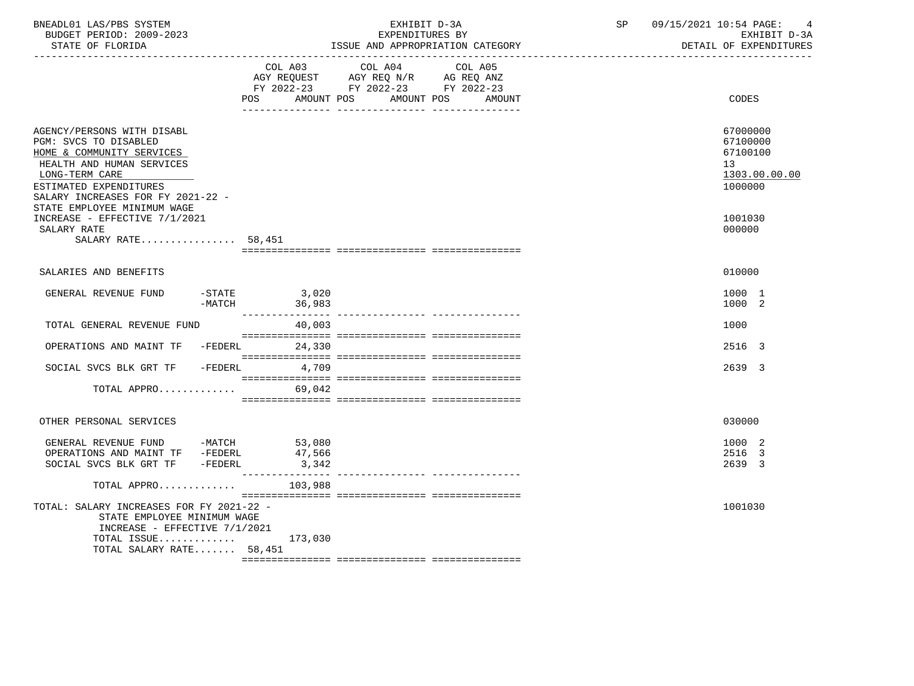| BNEADL01 LAS/PBS SYSTEM<br>BUDGET PERIOD: 2009-2023<br>STATE OF FLORIDA<br>------------------                                                                                                                                 |                                                                                                             | EXHIBIT D-3A<br>EXPENDITURES BY<br>ISSUE AND APPROPRIATION CATEGORY | SP | 09/15/2021 10:54 PAGE:<br>4<br>EXHIBIT D-3A<br>DETAIL OF EXPENDITURES           |
|-------------------------------------------------------------------------------------------------------------------------------------------------------------------------------------------------------------------------------|-------------------------------------------------------------------------------------------------------------|---------------------------------------------------------------------|----|---------------------------------------------------------------------------------|
|                                                                                                                                                                                                                               | COL A03 COL A04<br>AGY REQUEST AGY REQ N/R AG REQ ANZ<br>FY 2022-23 FY 2022-23 FY 2022-23<br>POS AMOUNT POS | COL A05<br>AMOUNT POS<br>AMOUNT                                     |    | CODES                                                                           |
| AGENCY/PERSONS WITH DISABL<br>PGM: SVCS TO DISABLED<br>HOME & COMMUNITY SERVICES<br>HEALTH AND HUMAN SERVICES<br>LONG-TERM CARE<br>ESTIMATED EXPENDITURES<br>SALARY INCREASES FOR FY 2021-22 -<br>STATE EMPLOYEE MINIMUM WAGE |                                                                                                             |                                                                     |    | 67000000<br>67100000<br>67100100<br>13 <sup>°</sup><br>1303.00.00.00<br>1000000 |
| INCREASE - EFFECTIVE 7/1/2021<br>SALARY RATE<br>SALARY RATE $58,451$                                                                                                                                                          |                                                                                                             |                                                                     |    | 1001030<br>000000                                                               |
| SALARIES AND BENEFITS                                                                                                                                                                                                         |                                                                                                             |                                                                     |    | 010000                                                                          |
| GENERAL REVENUE FUND                                                                                                                                                                                                          | -STATE 3,020<br>-MATCH 36,983                                                                               |                                                                     |    | 1000 1<br>1000 2                                                                |
| TOTAL GENERAL REVENUE FUND                                                                                                                                                                                                    | 40,003                                                                                                      |                                                                     |    | 1000                                                                            |
| OPERATIONS AND MAINT TF -FEDERL                                                                                                                                                                                               | 24,330                                                                                                      |                                                                     |    | 2516 3                                                                          |
| SOCIAL SVCS BLK GRT TF                                                                                                                                                                                                        | $-FEDERL$<br>4,709                                                                                          |                                                                     |    | 2639 3                                                                          |
| TOTAL APPRO                                                                                                                                                                                                                   | 69,042                                                                                                      |                                                                     |    |                                                                                 |
| OTHER PERSONAL SERVICES                                                                                                                                                                                                       |                                                                                                             |                                                                     |    | 030000                                                                          |
| GENERAL REVENUE FUND -MATCH 53,080<br>OPERATIONS AND MAINT TF -FEDERL<br>SOCIAL SVCS BLK GRT TF -FEDERL                                                                                                                       | 47,566<br>3,342                                                                                             |                                                                     |    | 1000 2<br>2516 3<br>2639 3                                                      |
| TOTAL APPRO<br>TOTAL: SALARY INCREASES FOR FY 2021-22 -<br>STATE EMPLOYEE MINIMUM WAGE<br>INCREASE - EFFECTIVE 7/1/2021                                                                                                       | 103,988                                                                                                     |                                                                     |    | 1001030                                                                         |
| TOTAL ISSUE $173,030$<br>TOTAL SALARY RATE 58,451                                                                                                                                                                             |                                                                                                             |                                                                     |    |                                                                                 |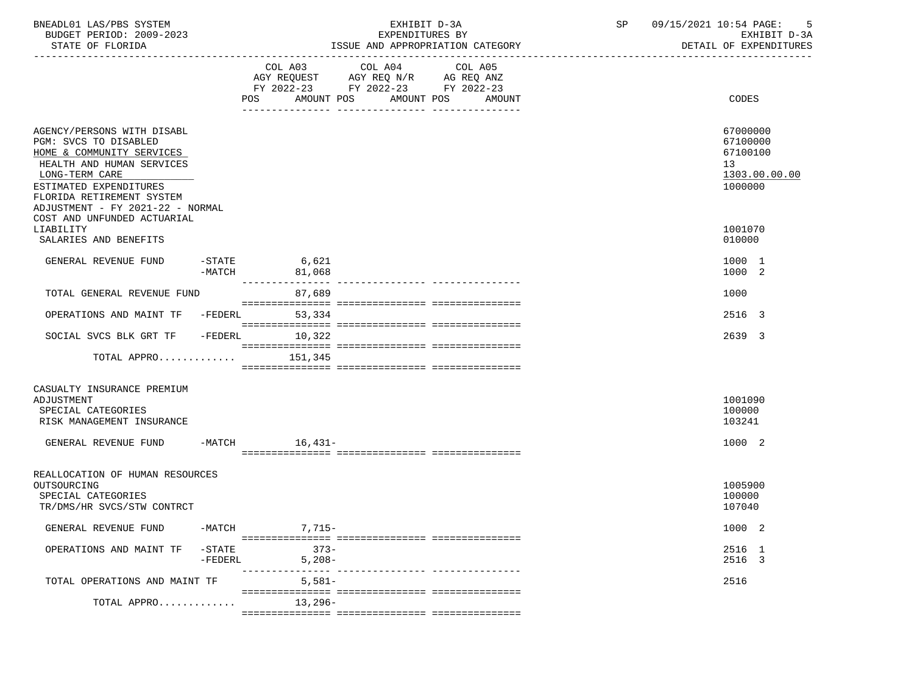| BNEADL01 LAS/PBS SYSTEM<br>BUDGET PERIOD: 2009-2023<br>STATE OF FLORIDA                                                                                                                                                                                   |                     |                                  | EXHIBIT D-3A<br>EXPENDITURES BY<br>ISSUE AND APPROPRIATION CATEGORY                       |         | SP | 09/15/2021 10:54 PAGE:<br>- 5<br>EXHIBIT D-3A<br>DETAIL OF EXPENDITURES         |
|-----------------------------------------------------------------------------------------------------------------------------------------------------------------------------------------------------------------------------------------------------------|---------------------|----------------------------------|-------------------------------------------------------------------------------------------|---------|----|---------------------------------------------------------------------------------|
|                                                                                                                                                                                                                                                           |                     | POS AMOUNT POS AMOUNT POS AMOUNT | COL A03 COL A04<br>AGY REQUEST AGY REQ N/R AG REQ ANZ<br>FY 2022-23 FY 2022-23 FY 2022-23 | COL A05 |    | CODES                                                                           |
| AGENCY/PERSONS WITH DISABL<br>PGM: SVCS TO DISABLED<br>HOME & COMMUNITY SERVICES<br>HEALTH AND HUMAN SERVICES<br>LONG-TERM CARE<br>ESTIMATED EXPENDITURES<br>FLORIDA RETIREMENT SYSTEM<br>ADJUSTMENT - FY 2021-22 - NORMAL<br>COST AND UNFUNDED ACTUARIAL |                     |                                  |                                                                                           |         |    | 67000000<br>67100000<br>67100100<br>13 <sup>°</sup><br>1303.00.00.00<br>1000000 |
| LIABILITY<br>SALARIES AND BENEFITS                                                                                                                                                                                                                        |                     |                                  |                                                                                           |         |    | 1001070<br>010000                                                               |
| GENERAL REVENUE FUND                                                                                                                                                                                                                                      | $-MATCH$            | $-STATE$ 6,621<br>81,068         |                                                                                           |         |    | 1000 1<br>1000 2                                                                |
| TOTAL GENERAL REVENUE FUND                                                                                                                                                                                                                                |                     | 87,689                           |                                                                                           |         |    | 1000                                                                            |
| OPERATIONS AND MAINT TF -FEDERL                                                                                                                                                                                                                           |                     | 53,334                           |                                                                                           |         |    | 2516 3                                                                          |
| SOCIAL SVCS BLK GRT TF -FEDERL 10,322                                                                                                                                                                                                                     |                     |                                  |                                                                                           |         |    | 2639 3                                                                          |
| TOTAL APPRO $151,345$                                                                                                                                                                                                                                     |                     |                                  |                                                                                           |         |    |                                                                                 |
| CASUALTY INSURANCE PREMIUM<br>ADJUSTMENT<br>SPECIAL CATEGORIES<br>RISK MANAGEMENT INSURANCE<br>GENERAL REVENUE FUND -MATCH 16,431-                                                                                                                        |                     |                                  |                                                                                           |         |    | 1001090<br>100000<br>103241<br>1000 2                                           |
| REALLOCATION OF HUMAN RESOURCES<br>OUTSOURCING<br>SPECIAL CATEGORIES<br>TR/DMS/HR SVCS/STW CONTRCT                                                                                                                                                        |                     |                                  |                                                                                           |         |    | 1005900<br>100000<br>107040                                                     |
| GENERAL REVENUE FUND                                                                                                                                                                                                                                      | -MATCH              | $7,715-$                         |                                                                                           |         |    | 1000 2                                                                          |
| OPERATIONS AND MAINT TF                                                                                                                                                                                                                                   | -STATE<br>$-FEDERL$ | $373 -$<br>$5,208-$              |                                                                                           |         |    | 2516 1<br>2516 3                                                                |
| TOTAL OPERATIONS AND MAINT TF                                                                                                                                                                                                                             |                     | $5,581-$                         |                                                                                           |         |    | 2516                                                                            |
| TOTAL APPRO                                                                                                                                                                                                                                               |                     | 13,296-                          |                                                                                           |         |    |                                                                                 |
|                                                                                                                                                                                                                                                           |                     |                                  |                                                                                           |         |    |                                                                                 |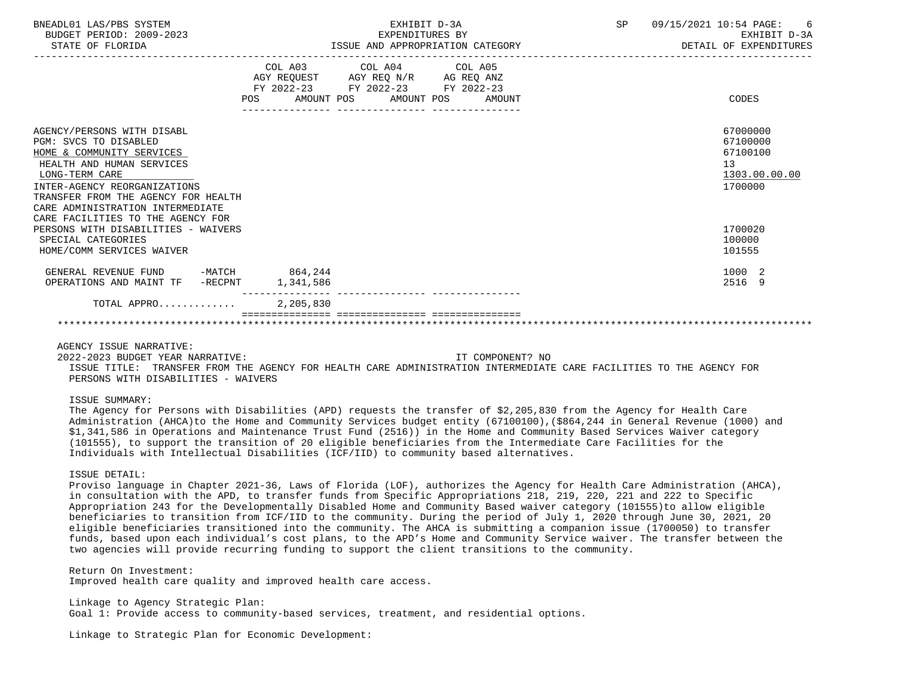| BNEADL01 LAS/PBS SYSTEM<br>BUDGET PERIOD: 2009-2023<br>STATE OF FLORIDA                                                                                                                                                                                                         |           | EXHIBIT D-3A                                                                                                                   | EXPENDITURES BY<br>ISSUE AND APPROPRIATION CATEGORY | SP | 09/15/2021 10:54 PAGE: 6<br>EXHIBIT D-3A<br>DETAIL OF EXPENDITURES |
|---------------------------------------------------------------------------------------------------------------------------------------------------------------------------------------------------------------------------------------------------------------------------------|-----------|--------------------------------------------------------------------------------------------------------------------------------|-----------------------------------------------------|----|--------------------------------------------------------------------|
|                                                                                                                                                                                                                                                                                 |           | COL A03 COL A04 COL A05<br>AGY REQUEST AGY REQ N/R AG REQ ANZ<br>FY 2022-23 FY 2022-23 FY 2022-23<br>POS AMOUNT POS AMOUNT POS | AMOUNT                                              |    | CODES                                                              |
| AGENCY/PERSONS WITH DISABL<br>PGM: SVCS TO DISABLED<br>HOME & COMMUNITY SERVICES<br>HEALTH AND HUMAN SERVICES<br>LONG-TERM CARE<br>INTER-AGENCY REORGANIZATIONS<br>TRANSFER FROM THE AGENCY FOR HEALTH<br>CARE ADMINISTRATION INTERMEDIATE<br>CARE FACILITIES TO THE AGENCY FOR |           |                                                                                                                                |                                                     |    | 67000000<br>67100000<br>67100100<br>13<br>1303.00.00.00<br>1700000 |
| PERSONS WITH DISABILITIES - WAIVERS<br>SPECIAL CATEGORIES<br>HOME/COMM SERVICES WAIVER                                                                                                                                                                                          |           |                                                                                                                                |                                                     |    | 1700020<br>100000<br>101555                                        |
| GENERAL REVENUE FUND -MATCH 864,244<br>OPERATIONS AND MAINT TF -RECPNT                                                                                                                                                                                                          | 1,341,586 |                                                                                                                                |                                                     |    | 1000 2<br>2516 9                                                   |
| TOTAL APPRO                                                                                                                                                                                                                                                                     | 2,205,830 |                                                                                                                                |                                                     |    |                                                                    |

#### \*\*\*\*\*\*\*\*\*\*\*\*\*\*\*\*\*\*\*\*\*\*\*\*\*\*\*\*\*\*\*\*\*\*\*\*\*\*\*\*\*\*\*\*\*\*\*\*\*\*\*\*\*\*\*\*\*\*\*\*\*\*\*\*\*\*\*\*\*\*\*\*\*\*\*\*\*\*\*\*\*\*\*\*\*\*\*\*\*\*\*\*\*\*\*\*\*\*\*\*\*\*\*\*\*\*\*\*\*\*\*\*\*\*\*\*\*\*\*\*\*\*\*\*\*\*\*

## AGENCY ISSUE NARRATIVE:

 2022-2023 BUDGET YEAR NARRATIVE: IT COMPONENT? NO ISSUE TITLE: TRANSFER FROM THE AGENCY FOR HEALTH CARE ADMINISTRATION INTERMEDIATE CARE FACILITIES TO THE AGENCY FOR PERSONS WITH DISABILITIES - WAIVERS

#### ISSUE SUMMARY:

 The Agency for Persons with Disabilities (APD) requests the transfer of \$2,205,830 from the Agency for Health Care Administration (AHCA)to the Home and Community Services budget entity (67100100),(\$864,244 in General Revenue (1000) and \$1,341,586 in Operations and Maintenance Trust Fund (2516)) in the Home and Community Based Services Waiver category (101555), to support the transition of 20 eligible beneficiaries from the Intermediate Care Facilities for the Individuals with Intellectual Disabilities (ICF/IID) to community based alternatives.

## ISSUE DETAIL:

 Proviso language in Chapter 2021-36, Laws of Florida (LOF), authorizes the Agency for Health Care Administration (AHCA), in consultation with the APD, to transfer funds from Specific Appropriations 218, 219, 220, 221 and 222 to Specific Appropriation 243 for the Developmentally Disabled Home and Community Based waiver category (101555)to allow eligible beneficiaries to transition from ICF/IID to the community. During the period of July 1, 2020 through June 30, 2021, 20 eligible beneficiaries transitioned into the community. The AHCA is submitting a companion issue (1700050) to transfer funds, based upon each individual's cost plans, to the APD's Home and Community Service waiver. The transfer between the two agencies will provide recurring funding to support the client transitions to the community.

 Return On Investment: Improved health care quality and improved health care access.

 Linkage to Agency Strategic Plan: Goal 1: Provide access to community-based services, treatment, and residential options.

Linkage to Strategic Plan for Economic Development: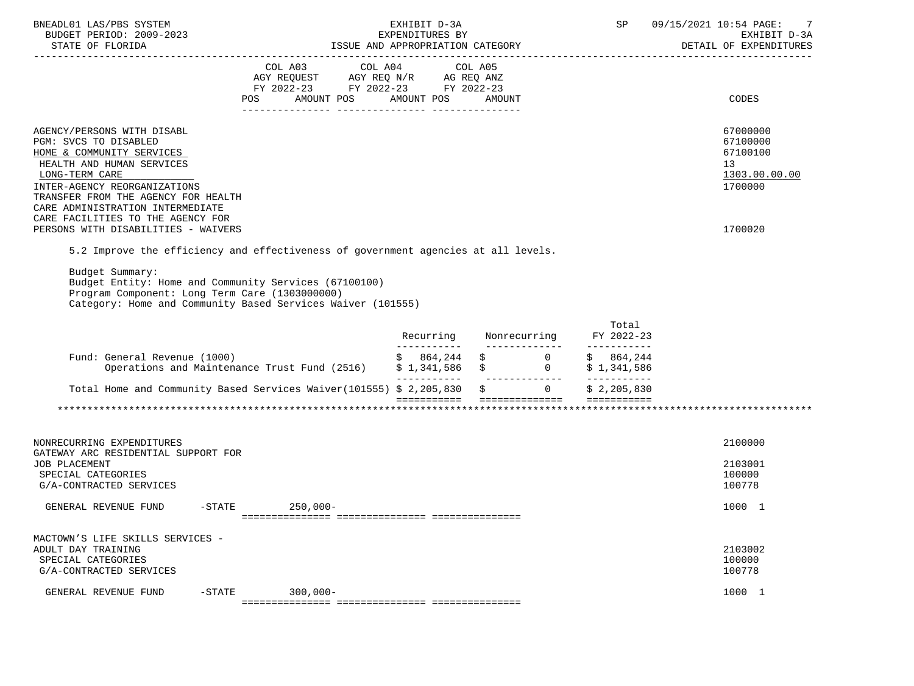| BNEADL01 LAS/PBS SYSTEM<br>BUDGET PERIOD: 2009-2023<br>STATE OF FLORIDA                                                                                                                                |     | EXHIBIT D-3A<br>EXPENDITURES BY<br>ISSUE AND APPROPRIATION CATEGORY                    | <b>SP</b>                                  | 09/15/2021 10:54 PAGE: 7<br>EXHIBIT D-3A<br>DETAIL OF EXPENDITURES |                                                                    |
|--------------------------------------------------------------------------------------------------------------------------------------------------------------------------------------------------------|-----|----------------------------------------------------------------------------------------|--------------------------------------------|--------------------------------------------------------------------|--------------------------------------------------------------------|
|                                                                                                                                                                                                        | POS | COL A03 COL A04 COL A05<br>AGY REOUEST AGY REO N/R AG REO ANZ<br>FY 2022-23 FY 2022-23 | FY 2022-23<br>AMOUNT POS AMOUNT POS AMOUNT |                                                                    | CODES                                                              |
| AGENCY/PERSONS WITH DISABL<br>PGM: SVCS TO DISABLED<br>HOME & COMMUNITY SERVICES<br>HEALTH AND HUMAN SERVICES<br>LONG-TERM CARE<br>INTER-AGENCY REORGANIZATIONS<br>TRANSFER FROM THE AGENCY FOR HEALTH |     |                                                                                        |                                            |                                                                    | 67000000<br>67100000<br>67100100<br>13<br>1303.00.00.00<br>1700000 |
| CARE ADMINISTRATION INTERMEDIATE<br>CARE FACILITIES TO THE AGENCY FOR<br>PERSONS WITH DISABILITIES - WAIVERS<br>5.2 Improve the efficiency and effectiveness of government agencies at all levels.     |     |                                                                                        |                                            |                                                                    | 1700020                                                            |

 Budget Summary: Budget Entity: Home and Community Services (67100100) Program Component: Long Term Care (1303000000) Category: Home and Community Based Services Waiver (101555)

|                                                                     | Recurring   | Nonrecurring | Total<br>FY 2022-23 |
|---------------------------------------------------------------------|-------------|--------------|---------------------|
| Fund: General Revenue (1000)                                        | 864.244     |              | 864,244             |
| Operations and Maintenance Trust Fund (2516)                        | \$1,341,586 |              | \$1,341,586         |
| Total Home and Community Based Services Waiver(101555) \$ 2,205,830 |             |              | \$2,205,830         |
|                                                                     |             |              |                     |

| NONRECURRING EXPENDITURES<br>GATEWAY ARC RESIDENTIAL SUPPORT FOR<br>JOB PLACEMENT<br>SPECIAL CATEGORIES<br>G/A-CONTRACTED SERVICES |           |             | 2100000<br>2103001<br>100000<br>100778 |  |
|------------------------------------------------------------------------------------------------------------------------------------|-----------|-------------|----------------------------------------|--|
| GENERAL REVENUE FUND                                                                                                               | $-$ STATE | $250,000-$  | 1000                                   |  |
| MACTOWN'S LIFE SKILLS SERVICES -<br>ADULT DAY TRAINING<br>SPECIAL CATEGORIES<br>G/A-CONTRACTED SERVICES                            |           |             | 2103002<br>100000<br>100778            |  |
| GENERAL REVENUE FUND                                                                                                               | $-STATE$  | $300,000 -$ | 1000                                   |  |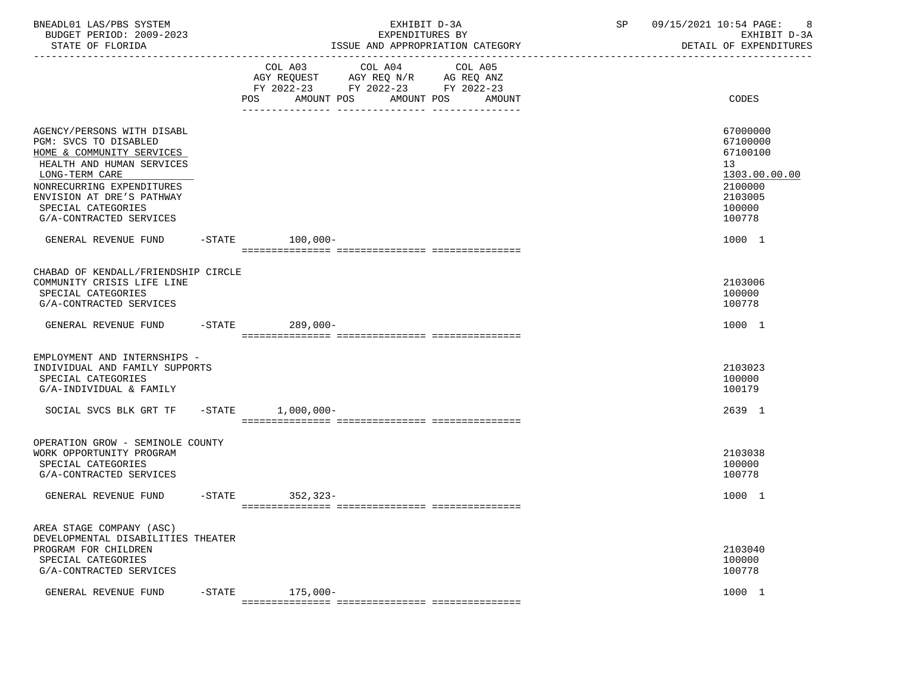| BNEADL01 LAS/PBS SYSTEM<br>BUDGET PERIOD: 2009-2023<br>STATE OF FLORIDA                                                                                                                                         |           |                                                                                                                               | EXHIBIT D-3A<br>EXPENDITURES BY<br>ISSUE AND APPROPRIATION CATEGORY |         | SP | 09/15/2021 10:54 PAGE:<br>- 8<br>EXHIBIT D-3A<br>DETAIL OF EXPENDITURES                 |
|-----------------------------------------------------------------------------------------------------------------------------------------------------------------------------------------------------------------|-----------|-------------------------------------------------------------------------------------------------------------------------------|---------------------------------------------------------------------|---------|----|-----------------------------------------------------------------------------------------|
|                                                                                                                                                                                                                 |           | COL A03 COL A04<br>AGY REQUEST AGY REQ N/R AG REQ ANZ<br>FY 2022-23 FY 2022-23 FY 2022-23<br>POS AMOUNT POS AMOUNT POS AMOUNT |                                                                     | COL A05 |    | CODES                                                                                   |
| AGENCY/PERSONS WITH DISABL<br>PGM: SVCS TO DISABLED<br>HOME & COMMUNITY SERVICES<br>HEALTH AND HUMAN SERVICES<br>LONG-TERM CARE<br>NONRECURRING EXPENDITURES<br>ENVISION AT DRE'S PATHWAY<br>SPECIAL CATEGORIES |           |                                                                                                                               |                                                                     |         |    | 67000000<br>67100000<br>67100100<br>13<br>1303.00.00.00<br>2100000<br>2103005<br>100000 |
| G/A-CONTRACTED SERVICES<br>GENERAL REVENUE FUND -STATE 100,000-                                                                                                                                                 |           |                                                                                                                               |                                                                     |         |    | 100778<br>1000 1                                                                        |
|                                                                                                                                                                                                                 |           |                                                                                                                               |                                                                     |         |    |                                                                                         |
| CHABAD OF KENDALL/FRIENDSHIP CIRCLE<br>COMMUNITY CRISIS LIFE LINE<br>SPECIAL CATEGORIES<br>G/A-CONTRACTED SERVICES                                                                                              |           |                                                                                                                               |                                                                     |         |    | 2103006<br>100000<br>100778                                                             |
| GENERAL REVENUE FUND -STATE 289,000-                                                                                                                                                                            |           |                                                                                                                               |                                                                     |         |    | 1000 1                                                                                  |
| EMPLOYMENT AND INTERNSHIPS -<br>INDIVIDUAL AND FAMILY SUPPORTS<br>SPECIAL CATEGORIES<br>G/A-INDIVIDUAL & FAMILY                                                                                                 |           |                                                                                                                               |                                                                     |         |    | 2103023<br>100000<br>100179                                                             |
| SOCIAL SVCS BLK GRT TF -STATE 1,000,000-                                                                                                                                                                        |           |                                                                                                                               |                                                                     |         |    | 2639 1                                                                                  |
| OPERATION GROW - SEMINOLE COUNTY<br>WORK OPPORTUNITY PROGRAM<br>SPECIAL CATEGORIES<br>G/A-CONTRACTED SERVICES                                                                                                   |           |                                                                                                                               |                                                                     |         |    | 2103038<br>100000<br>100778                                                             |
| GENERAL REVENUE FUND                                                                                                                                                                                            |           | -STATE 352,323-                                                                                                               |                                                                     |         |    | 1000 1                                                                                  |
| AREA STAGE COMPANY (ASC)<br>DEVELOPMENTAL DISABILITIES THEATER<br>PROGRAM FOR CHILDREN<br>SPECIAL CATEGORIES<br>G/A-CONTRACTED SERVICES                                                                         |           |                                                                                                                               |                                                                     |         |    | 2103040<br>100000<br>100778                                                             |
| GENERAL REVENUE FUND                                                                                                                                                                                            | $-$ STATE | $175,000-$                                                                                                                    |                                                                     |         |    | 1000 1                                                                                  |
|                                                                                                                                                                                                                 |           |                                                                                                                               |                                                                     |         |    |                                                                                         |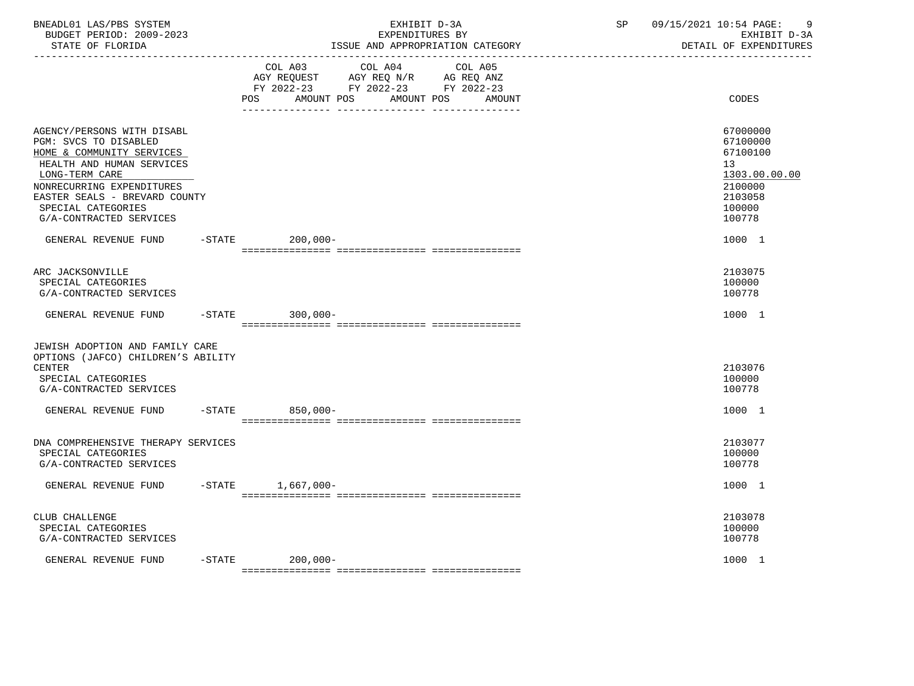| BNEADL01 LAS/PBS SYSTEM<br>BUDGET PERIOD: 2009-2023<br>STATE OF FLORIDA                                                                                                                                                                        |           |                          | EXPENDITURES BY                                                                           | EXHIBIT D-3A<br>ISSUE AND APPROPRIATION CATEGORY | SP | 09/15/2021 10:54 PAGE:<br>-9<br>EXHIBIT D-3A<br>DETAIL OF EXPENDITURES                            |
|------------------------------------------------------------------------------------------------------------------------------------------------------------------------------------------------------------------------------------------------|-----------|--------------------------|-------------------------------------------------------------------------------------------|--------------------------------------------------|----|---------------------------------------------------------------------------------------------------|
|                                                                                                                                                                                                                                                |           | POS<br>AMOUNT POS        | COL A03 COL A04<br>AGY REQUEST AGY REQ N/R AG REQ ANZ<br>FY 2022-23 FY 2022-23 FY 2022-23 | COL A05<br>AMOUNT POS<br>AMOUNT                  |    | CODES                                                                                             |
| AGENCY/PERSONS WITH DISABL<br>PGM: SVCS TO DISABLED<br>HOME & COMMUNITY SERVICES<br>HEALTH AND HUMAN SERVICES<br>LONG-TERM CARE<br>NONRECURRING EXPENDITURES<br>EASTER SEALS - BREVARD COUNTY<br>SPECIAL CATEGORIES<br>G/A-CONTRACTED SERVICES |           |                          |                                                                                           |                                                  |    | 67000000<br>67100000<br>67100100<br>13<br>1303.00.00.00<br>2100000<br>2103058<br>100000<br>100778 |
| GENERAL REVENUE FUND                                                                                                                                                                                                                           |           | $-$ STATE<br>$200,000 -$ |                                                                                           |                                                  |    | 1000 1                                                                                            |
| ARC JACKSONVILLE<br>SPECIAL CATEGORIES<br>G/A-CONTRACTED SERVICES                                                                                                                                                                              |           |                          |                                                                                           |                                                  |    | 2103075<br>100000<br>100778                                                                       |
| GENERAL REVENUE FUND                                                                                                                                                                                                                           |           | $-STATE$ 300,000-        |                                                                                           |                                                  |    | 1000 1                                                                                            |
| JEWISH ADOPTION AND FAMILY CARE<br>OPTIONS (JAFCO) CHILDREN'S ABILITY<br><b>CENTER</b><br>SPECIAL CATEGORIES<br>G/A-CONTRACTED SERVICES                                                                                                        |           |                          |                                                                                           |                                                  |    | 2103076<br>100000<br>100778                                                                       |
| GENERAL REVENUE FUND -STATE 850,000-                                                                                                                                                                                                           |           |                          |                                                                                           |                                                  |    | 1000 1                                                                                            |
| DNA COMPREHENSIVE THERAPY SERVICES<br>SPECIAL CATEGORIES<br>G/A-CONTRACTED SERVICES                                                                                                                                                            |           |                          |                                                                                           |                                                  |    | 2103077<br>100000<br>100778                                                                       |
| GENERAL REVENUE FUND                                                                                                                                                                                                                           |           | -STATE 1,667,000-        |                                                                                           |                                                  |    | 1000 1                                                                                            |
| CLUB CHALLENGE<br>SPECIAL CATEGORIES<br>G/A-CONTRACTED SERVICES                                                                                                                                                                                |           |                          |                                                                                           |                                                  |    | 2103078<br>100000<br>100778                                                                       |
| GENERAL REVENUE FUND                                                                                                                                                                                                                           | $-$ STATE | 200,000-                 |                                                                                           |                                                  |    | 1000 1                                                                                            |
|                                                                                                                                                                                                                                                |           |                          |                                                                                           |                                                  |    |                                                                                                   |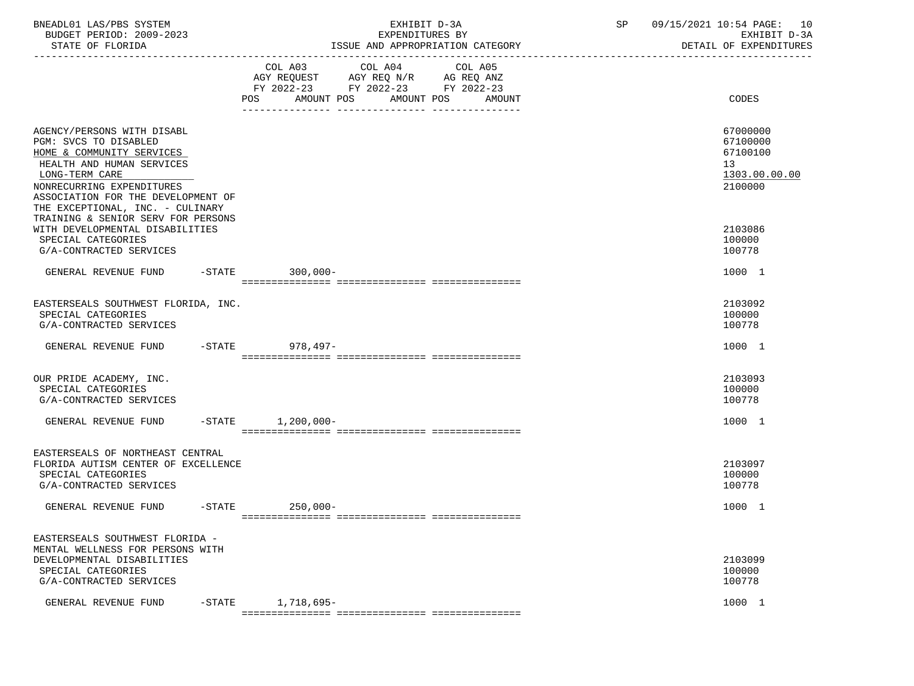| BNEADL01 LAS/PBS SYSTEM |                  |                          | EXHIBIT D-3A                     |
|-------------------------|------------------|--------------------------|----------------------------------|
|                         |                  | BUDGET PERIOD: 2009-2023 | EXPENDITURES BY                  |
|                         | STATE OF FLORIDA |                          | ISSUE AND APPROPRIATION CATEGORY |

BUDGET PERIOD: 2009-2023 EXPENDITURES BY EXHIBIT D-3A

|                                                                                                                                                                                                                                        | COL A03 COL A04<br>COL A05<br>AGY REQUEST AGY REQ N/R AG REQ ANZ<br>FY 2022-23 FY 2022-23 FY 2022-23<br>AMOUNT POS<br>POS<br>AMOUNT POS<br>AMOUNT | CODES                                                              |
|----------------------------------------------------------------------------------------------------------------------------------------------------------------------------------------------------------------------------------------|---------------------------------------------------------------------------------------------------------------------------------------------------|--------------------------------------------------------------------|
| AGENCY/PERSONS WITH DISABL<br>PGM: SVCS TO DISABLED<br>HOME & COMMUNITY SERVICES<br>HEALTH AND HUMAN SERVICES<br>LONG-TERM CARE<br>NONRECURRING EXPENDITURES<br>ASSOCIATION FOR THE DEVELOPMENT OF<br>THE EXCEPTIONAL, INC. - CULINARY |                                                                                                                                                   | 67000000<br>67100000<br>67100100<br>13<br>1303.00.00.00<br>2100000 |
| TRAINING & SENIOR SERV FOR PERSONS<br>WITH DEVELOPMENTAL DISABILITIES<br>SPECIAL CATEGORIES<br>G/A-CONTRACTED SERVICES                                                                                                                 |                                                                                                                                                   | 2103086<br>100000<br>100778                                        |
| GENERAL REVENUE FUND                                                                                                                                                                                                                   | -STATE 300,000-                                                                                                                                   | 1000 1                                                             |
| EASTERSEALS SOUTHWEST FLORIDA, INC.<br>SPECIAL CATEGORIES<br>G/A-CONTRACTED SERVICES                                                                                                                                                   |                                                                                                                                                   | 2103092<br>100000<br>100778                                        |
| GENERAL REVENUE FUND                                                                                                                                                                                                                   | $-STATE$<br>978,497-                                                                                                                              | 1000 1                                                             |
| OUR PRIDE ACADEMY, INC.<br>SPECIAL CATEGORIES<br>G/A-CONTRACTED SERVICES                                                                                                                                                               |                                                                                                                                                   | 2103093<br>100000<br>100778                                        |
| $-$ STATE<br>GENERAL REVENUE FUND                                                                                                                                                                                                      | $1,200,000 -$                                                                                                                                     | 1000 1                                                             |
| EASTERSEALS OF NORTHEAST CENTRAL<br>FLORIDA AUTISM CENTER OF EXCELLENCE<br>SPECIAL CATEGORIES<br>G/A-CONTRACTED SERVICES                                                                                                               |                                                                                                                                                   | 2103097<br>100000<br>100778                                        |
| GENERAL REVENUE FUND                                                                                                                                                                                                                   | -STATE 250,000-                                                                                                                                   | 1000 1                                                             |
| EASTERSEALS SOUTHWEST FLORIDA -<br>MENTAL WELLNESS FOR PERSONS WITH<br>DEVELOPMENTAL DISABILITIES<br>SPECIAL CATEGORIES<br>G/A-CONTRACTED SERVICES                                                                                     |                                                                                                                                                   | 2103099<br>100000<br>100778                                        |
| -STATE<br>GENERAL REVENUE FUND                                                                                                                                                                                                         | 1,718,695-                                                                                                                                        | 1000 1                                                             |

=============== =============== ===============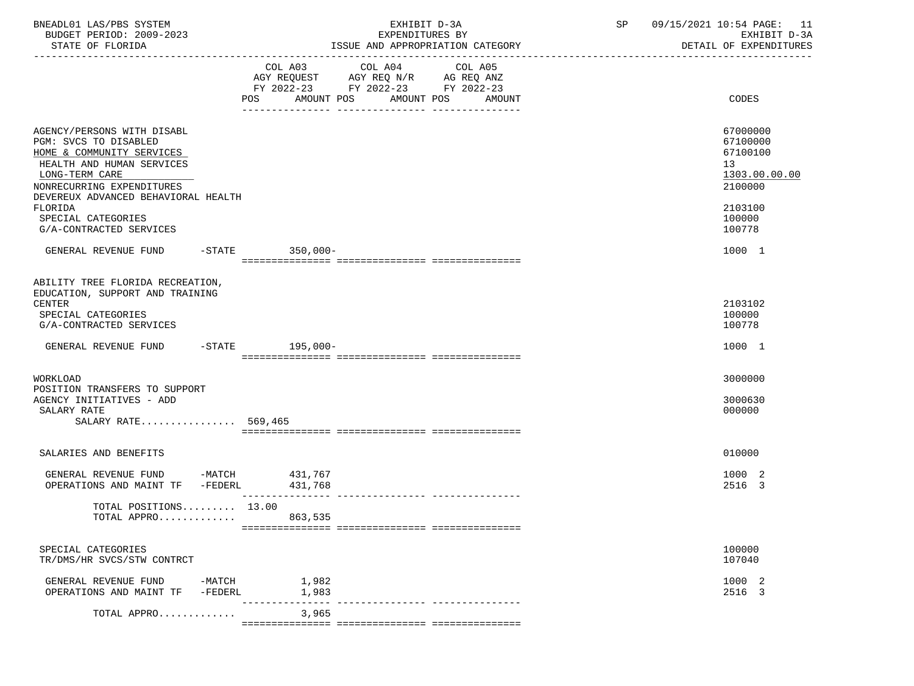| BNEADL01 LAS/PBS SYSTEM<br>BUDGET PERIOD: 2009-2023<br>STATE OF FLORIDA                                                                                                                                        |                                         | EXHIBIT D-3A<br>EXPENDITURES BY<br>ISSUE AND APPROPRIATION CATEGORY                                                                                                | SP and the set of the set of the set of the set of the set of the set of the set of the set of the set of the set of the set of the set of the set of the set of the set of the set of the set of the set of the set of the se | 09/15/2021 10:54 PAGE: 11<br>EXHIBIT D-3A<br>DETAIL OF EXPENDITURES           |
|----------------------------------------------------------------------------------------------------------------------------------------------------------------------------------------------------------------|-----------------------------------------|--------------------------------------------------------------------------------------------------------------------------------------------------------------------|--------------------------------------------------------------------------------------------------------------------------------------------------------------------------------------------------------------------------------|-------------------------------------------------------------------------------|
|                                                                                                                                                                                                                | AMOUNT POS<br>POS                       | COL A03 COL A04<br>COL A05<br>AGY REQUEST AGY REQ N/R AG REQ ANZ<br>FY 2022-23 FY 2022-23 FY 2022-23<br>AMOUNT POS<br>AMOUNT<br>---------------<br>--------------- |                                                                                                                                                                                                                                | CODES                                                                         |
| AGENCY/PERSONS WITH DISABL<br>PGM: SVCS TO DISABLED<br>HOME & COMMUNITY SERVICES<br>HEALTH AND HUMAN SERVICES<br>LONG-TERM CARE<br>NONRECURRING EXPENDITURES<br>DEVEREUX ADVANCED BEHAVIORAL HEALTH<br>FLORIDA |                                         |                                                                                                                                                                    |                                                                                                                                                                                                                                | 67000000<br>67100000<br>67100100<br>13<br>1303.00.00.00<br>2100000<br>2103100 |
| SPECIAL CATEGORIES<br>G/A-CONTRACTED SERVICES                                                                                                                                                                  |                                         |                                                                                                                                                                    |                                                                                                                                                                                                                                | 100000<br>100778                                                              |
| GENERAL REVENUE FUND                                                                                                                                                                                           | -STATE 350,000-                         |                                                                                                                                                                    |                                                                                                                                                                                                                                | 1000 1                                                                        |
| ABILITY TREE FLORIDA RECREATION,<br>EDUCATION, SUPPORT AND TRAINING<br>CENTER<br>SPECIAL CATEGORIES<br>G/A-CONTRACTED SERVICES                                                                                 |                                         |                                                                                                                                                                    |                                                                                                                                                                                                                                | 2103102<br>100000<br>100778                                                   |
| GENERAL REVENUE FUND -STATE 195,000-                                                                                                                                                                           |                                         |                                                                                                                                                                    |                                                                                                                                                                                                                                | 1000 1                                                                        |
| WORKLOAD<br>POSITION TRANSFERS TO SUPPORT<br>AGENCY INITIATIVES - ADD<br>SALARY RATE<br>SALARY RATE 569,465                                                                                                    |                                         |                                                                                                                                                                    |                                                                                                                                                                                                                                | 3000000<br>3000630<br>000000                                                  |
| SALARIES AND BENEFITS                                                                                                                                                                                          |                                         |                                                                                                                                                                    |                                                                                                                                                                                                                                | 010000                                                                        |
| GENERAL REVENUE FUND<br>OPERATIONS AND MAINT TF -FEDERL                                                                                                                                                        | $-MATCH$ 431,767<br>431,768             |                                                                                                                                                                    |                                                                                                                                                                                                                                | 1000 2<br>2516 3                                                              |
| TOTAL POSITIONS 13.00<br>TOTAL APPRO                                                                                                                                                                           | 863,535                                 |                                                                                                                                                                    |                                                                                                                                                                                                                                |                                                                               |
| SPECIAL CATEGORIES<br>TR/DMS/HR SVCS/STW CONTRCT                                                                                                                                                               |                                         |                                                                                                                                                                    |                                                                                                                                                                                                                                | 100000<br>107040                                                              |
| GENERAL REVENUE FUND<br>OPERATIONS AND MAINT TF                                                                                                                                                                | 1,982<br>$-MATCH$<br>1,983<br>$-FEDERL$ |                                                                                                                                                                    |                                                                                                                                                                                                                                | 1000 2<br>2516 3                                                              |
| TOTAL APPRO                                                                                                                                                                                                    | 3,965                                   |                                                                                                                                                                    |                                                                                                                                                                                                                                |                                                                               |

=============== =============== ===============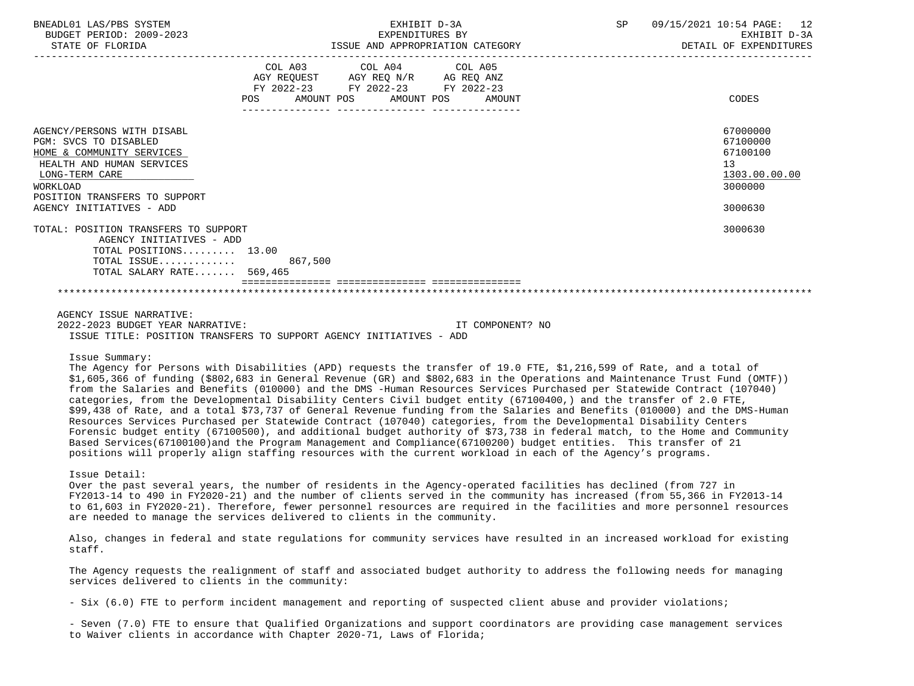| BNEADL01 LAS/PBS SYSTEM<br>BUDGET PERIOD: 2009-2023<br>STATE OF FLORIDA                                                                                                                                  |                                                                                                                                   | EXHIBIT D-3A<br>EXPENDITURES BY<br>ISSUE AND APPROPRIATION CATEGORY | SP | 09/15/2021 10:54 PAGE: 12<br>EXHIBIT D-3A<br>DETAIL OF EXPENDITURES                        |
|----------------------------------------------------------------------------------------------------------------------------------------------------------------------------------------------------------|-----------------------------------------------------------------------------------------------------------------------------------|---------------------------------------------------------------------|----|--------------------------------------------------------------------------------------------|
|                                                                                                                                                                                                          | COL A03 COL A04 COL A05<br>AGY REQUEST AGY REQ N/R AG REQ ANZ<br>FY 2022-23 FY 2022-23 FY 2022-23<br>AMOUNT POS AMOUNT POS<br>POS | AMOUNT                                                              |    | CODES                                                                                      |
| AGENCY/PERSONS WITH DISABL<br>PGM: SVCS TO DISABLED<br>HOME & COMMUNITY SERVICES<br>HEALTH AND HUMAN SERVICES<br>LONG-TERM CARE<br>WORKLOAD<br>POSITION TRANSFERS TO SUPPORT<br>AGENCY INITIATIVES - ADD |                                                                                                                                   |                                                                     |    | 67000000<br>67100000<br>67100100<br>13 <sup>°</sup><br>1303.00.00.00<br>3000000<br>3000630 |
| TOTAL: POSITION TRANSFERS TO SUPPORT<br>AGENCY INITIATIVES - ADD<br>TOTAL POSITIONS $13.00$<br>TOTAL ISSUE 867,500<br>TOTAL SALARY RATE 569,465                                                          |                                                                                                                                   |                                                                     |    | 3000630                                                                                    |
| AGENCY ISSUE NARRATIVE:<br>2022-2023 BUDGET YEAR NARRATIVE:                                                                                                                                              | ISSUE TITLE: POSITION TRANSFERS TO SUPPORT AGENCY INITIATIVES - ADD                                                               | IT COMPONENT? NO                                                    |    |                                                                                            |

### Issue Summary:

 The Agency for Persons with Disabilities (APD) requests the transfer of 19.0 FTE, \$1,216,599 of Rate, and a total of \$1,605,366 of funding (\$802,683 in General Revenue (GR) and \$802,683 in the Operations and Maintenance Trust Fund (OMTF)) from the Salaries and Benefits (010000) and the DMS -Human Resources Services Purchased per Statewide Contract (107040) categories, from the Developmental Disability Centers Civil budget entity (67100400,) and the transfer of 2.0 FTE, \$99,438 of Rate, and a total \$73,737 of General Revenue funding from the Salaries and Benefits (010000) and the DMS-Human Resources Services Purchased per Statewide Contract (107040) categories, from the Developmental Disability Centers Forensic budget entity (67100500), and additional budget authority of \$73,738 in federal match, to the Home and Community Based Services(67100100)and the Program Management and Compliance(67100200) budget entities. This transfer of 21 positions will properly align staffing resources with the current workload in each of the Agency's programs.

## Issue Detail:

 Over the past several years, the number of residents in the Agency-operated facilities has declined (from 727 in FY2013-14 to 490 in FY2020-21) and the number of clients served in the community has increased (from 55,366 in FY2013-14 to 61,603 in FY2020-21). Therefore, fewer personnel resources are required in the facilities and more personnel resources are needed to manage the services delivered to clients in the community.

 Also, changes in federal and state regulations for community services have resulted in an increased workload for existing staff.

 The Agency requests the realignment of staff and associated budget authority to address the following needs for managing services delivered to clients in the community:

- Six (6.0) FTE to perform incident management and reporting of suspected client abuse and provider violations;

 - Seven (7.0) FTE to ensure that Qualified Organizations and support coordinators are providing case management services to Waiver clients in accordance with Chapter 2020-71, Laws of Florida;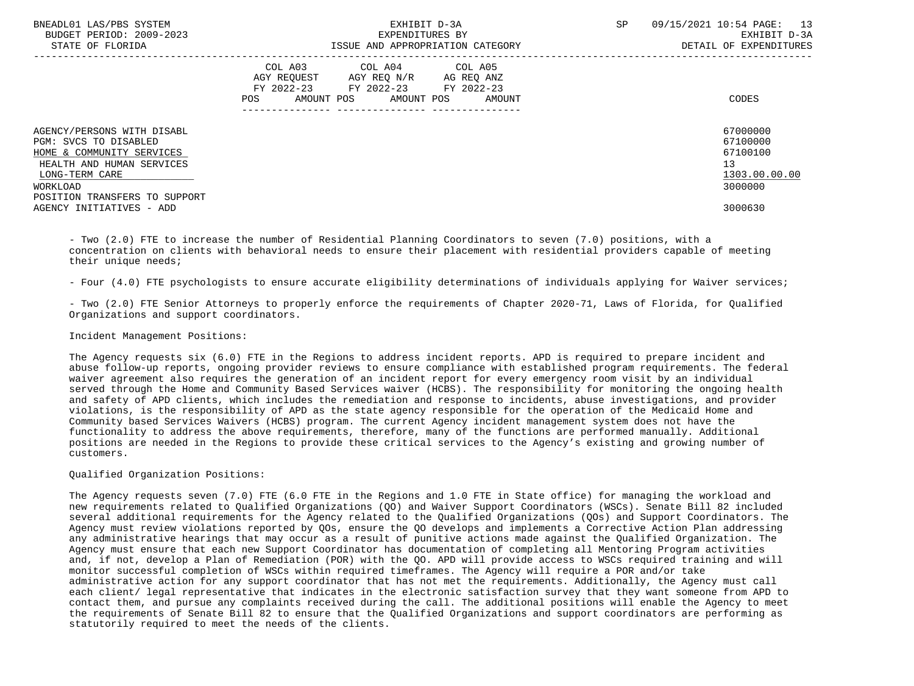| BNEADL01 LAS/PBS SYSTEM<br>BUDGET PERIOD: 2009-2023<br>STATE OF FLORIDA                                                                                                      | EXHIBIT D-3A<br>EXPENDITURES BY<br>ISSUE AND APPROPRIATION CATEGORY                                                                         | 09/15/2021 10:54 PAGE: 13<br>SP.<br>EXHIBIT D-3A<br>DETAIL OF EXPENDITURES |
|------------------------------------------------------------------------------------------------------------------------------------------------------------------------------|---------------------------------------------------------------------------------------------------------------------------------------------|----------------------------------------------------------------------------|
|                                                                                                                                                                              | COL A03 COL A04 COL A05<br>AGY REQUEST AGY REQ N/R AG REQ ANZ<br>FY 2022-23 FY 2022-23 FY 2022-23<br>AMOUNT POS AMOUNT POS<br>POS<br>AMOUNT | CODES                                                                      |
| AGENCY/PERSONS WITH DISABL<br>PGM: SVCS TO DISABLED<br>HOME & COMMUNITY SERVICES<br>HEALTH AND HUMAN SERVICES<br>LONG-TERM CARE<br>WORKLOAD<br>POSITION TRANSFERS TO SUPPORT |                                                                                                                                             | 67000000<br>67100000<br>67100100<br>13<br>1303.00.00.00<br>3000000         |
| AGENCY INITIATIVES - ADD                                                                                                                                                     |                                                                                                                                             | 3000630                                                                    |

 - Two (2.0) FTE to increase the number of Residential Planning Coordinators to seven (7.0) positions, with a concentration on clients with behavioral needs to ensure their placement with residential providers capable of meeting their unique needs;

- Four (4.0) FTE psychologists to ensure accurate eligibility determinations of individuals applying for Waiver services;

 - Two (2.0) FTE Senior Attorneys to properly enforce the requirements of Chapter 2020-71, Laws of Florida, for Qualified Organizations and support coordinators.

Incident Management Positions:

 The Agency requests six (6.0) FTE in the Regions to address incident reports. APD is required to prepare incident and abuse follow-up reports, ongoing provider reviews to ensure compliance with established program requirements. The federal waiver agreement also requires the generation of an incident report for every emergency room visit by an individual served through the Home and Community Based Services waiver (HCBS). The responsibility for monitoring the ongoing health and safety of APD clients, which includes the remediation and response to incidents, abuse investigations, and provider violations, is the responsibility of APD as the state agency responsible for the operation of the Medicaid Home and Community based Services Waivers (HCBS) program. The current Agency incident management system does not have the functionality to address the above requirements, therefore, many of the functions are performed manually. Additional positions are needed in the Regions to provide these critical services to the Agency's existing and growing number of customers.

Qualified Organization Positions:

 The Agency requests seven (7.0) FTE (6.0 FTE in the Regions and 1.0 FTE in State office) for managing the workload and new requirements related to Qualified Organizations (QO) and Waiver Support Coordinators (WSCs). Senate Bill 82 included several additional requirements for the Agency related to the Qualified Organizations (QOs) and Support Coordinators. The Agency must review violations reported by QOs, ensure the QO develops and implements a Corrective Action Plan addressing any administrative hearings that may occur as a result of punitive actions made against the Qualified Organization. The Agency must ensure that each new Support Coordinator has documentation of completing all Mentoring Program activities and, if not, develop a Plan of Remediation (POR) with the QO. APD will provide access to WSCs required training and will monitor successful completion of WSCs within required timeframes. The Agency will require a POR and/or take administrative action for any support coordinator that has not met the requirements. Additionally, the Agency must call each client/ legal representative that indicates in the electronic satisfaction survey that they want someone from APD to contact them, and pursue any complaints received during the call. The additional positions will enable the Agency to meet the requirements of Senate Bill 82 to ensure that the Qualified Organizations and support coordinators are performing as statutorily required to meet the needs of the clients.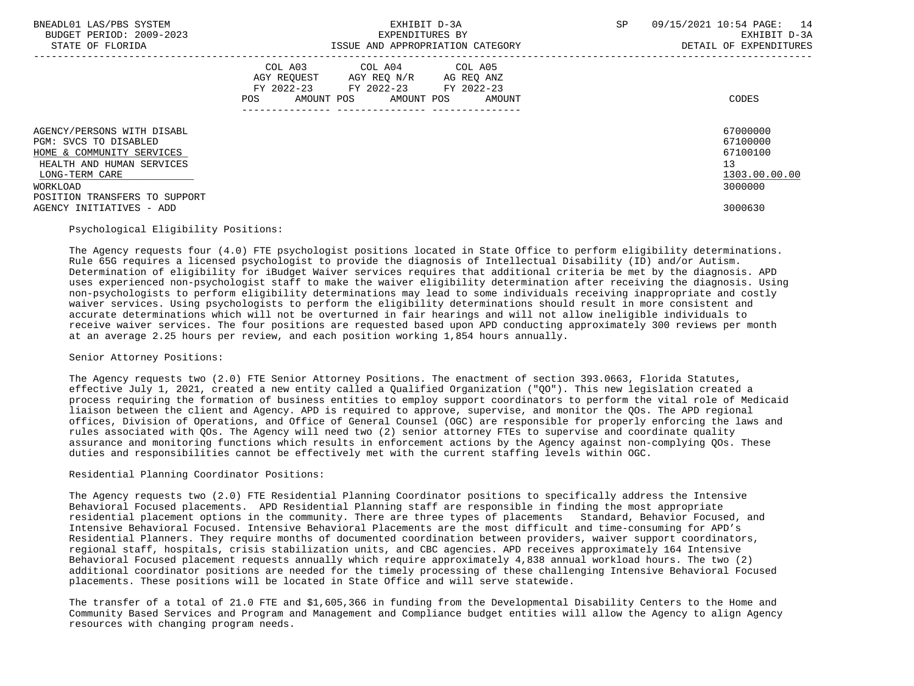| BNEADL01 LAS/PBS SYSTEM<br>BUDGET PERIOD: 2009-2023<br>STATE OF FLORIDA          | EXHIBIT D-3A<br>EXPENDITURES BY<br>ISSUE AND APPROPRIATION CATEGORY                                                                         | 09/15/2021 10:54 PAGE:<br>14<br><b>SP</b><br>EXHIBIT D-3A<br>DETAIL OF EXPENDITURES |
|----------------------------------------------------------------------------------|---------------------------------------------------------------------------------------------------------------------------------------------|-------------------------------------------------------------------------------------|
|                                                                                  | COL A03 COL A04 COL A05<br>AGY REQUEST AGY REQ N/R AG REQ ANZ<br>FY 2022-23 FY 2022-23 FY 2022-23<br>POS<br>AMOUNT POS AMOUNT POS<br>AMOUNT | CODES                                                                               |
| AGENCY/PERSONS WITH DISABL<br>PGM: SVCS TO DISABLED<br>HOME & COMMUNITY SERVICES |                                                                                                                                             | 67000000<br>67100000<br>67100100                                                    |
| HEALTH AND HUMAN SERVICES<br>LONG-TERM CARE<br>WORKLOAD                          |                                                                                                                                             | 13<br>1303.00.00.00<br>3000000                                                      |
| POSITION TRANSFERS TO SUPPORT<br>AGENCY INITIATIVES - ADD                        |                                                                                                                                             | 3000630                                                                             |

## Psychological Eligibility Positions:

 The Agency requests four (4.0) FTE psychologist positions located in State Office to perform eligibility determinations. Rule 65G requires a licensed psychologist to provide the diagnosis of Intellectual Disability (ID) and/or Autism. Determination of eligibility for iBudget Waiver services requires that additional criteria be met by the diagnosis. APD uses experienced non-psychologist staff to make the waiver eligibility determination after receiving the diagnosis. Using non-psychologists to perform eligibility determinations may lead to some individuals receiving inappropriate and costly waiver services. Using psychologists to perform the eligibility determinations should result in more consistent and accurate determinations which will not be overturned in fair hearings and will not allow ineligible individuals to receive waiver services. The four positions are requested based upon APD conducting approximately 300 reviews per month at an average 2.25 hours per review, and each position working 1,854 hours annually.

## Senior Attorney Positions:

 The Agency requests two (2.0) FTE Senior Attorney Positions. The enactment of section 393.0663, Florida Statutes, effective July 1, 2021, created a new entity called a Qualified Organization ("QO"). This new legislation created a process requiring the formation of business entities to employ support coordinators to perform the vital role of Medicaid liaison between the client and Agency. APD is required to approve, supervise, and monitor the QOs. The APD regional offices, Division of Operations, and Office of General Counsel (OGC) are responsible for properly enforcing the laws and rules associated with QOs. The Agency will need two (2) senior attorney FTEs to supervise and coordinate quality assurance and monitoring functions which results in enforcement actions by the Agency against non-complying QOs. These duties and responsibilities cannot be effectively met with the current staffing levels within OGC.

## Residential Planning Coordinator Positions:

 The Agency requests two (2.0) FTE Residential Planning Coordinator positions to specifically address the Intensive Behavioral Focused placements. APD Residential Planning staff are responsible in finding the most appropriate residential placement options in the community. There are three types of placements Standard, Behavior Focused, and Intensive Behavioral Focused. Intensive Behavioral Placements are the most difficult and time-consuming for APD's Residential Planners. They require months of documented coordination between providers, waiver support coordinators, regional staff, hospitals, crisis stabilization units, and CBC agencies. APD receives approximately 164 Intensive Behavioral Focused placement requests annually which require approximately 4,838 annual workload hours. The two (2) additional coordinator positions are needed for the timely processing of these challenging Intensive Behavioral Focused placements. These positions will be located in State Office and will serve statewide.

 The transfer of a total of 21.0 FTE and \$1,605,366 in funding from the Developmental Disability Centers to the Home and Community Based Services and Program and Management and Compliance budget entities will allow the Agency to align Agency resources with changing program needs.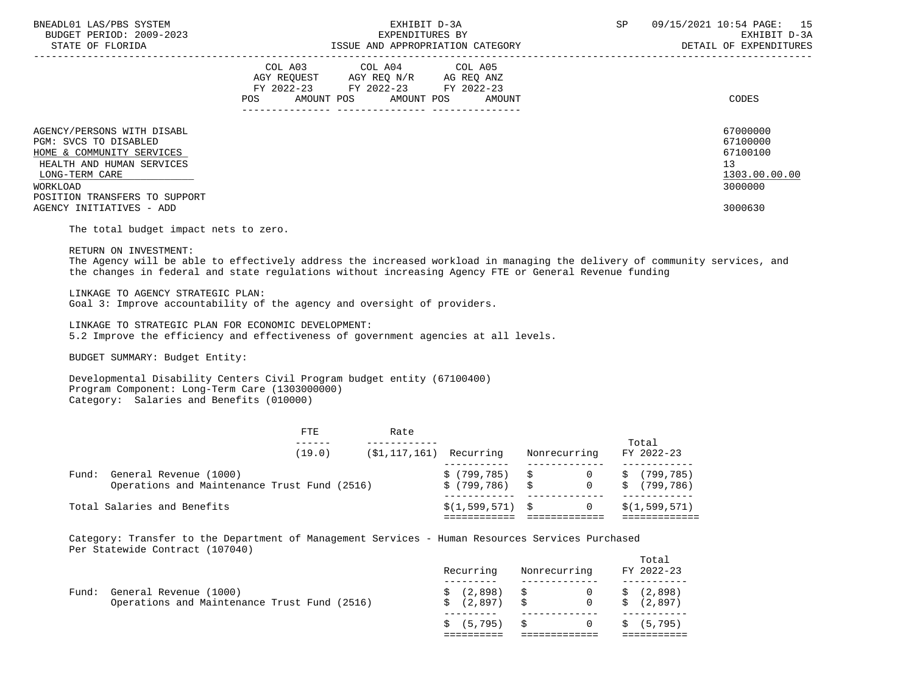| BNEADL01 LAS/PBS SYSTEM<br>BUDGET PERIOD: 2009-2023<br>STATE OF FLORIDA                                                                                                      | EXHIBIT D-3A<br>EXPENDITURES BY<br>ISSUE AND APPROPRIATION CATEGORY                                                                            | SP<br>09/15/2021 10:54 PAGE: 15<br>EXHIBIT D-3A<br>DETAIL OF EXPENDITURES |
|------------------------------------------------------------------------------------------------------------------------------------------------------------------------------|------------------------------------------------------------------------------------------------------------------------------------------------|---------------------------------------------------------------------------|
|                                                                                                                                                                              | COL A04 COL A05<br>COL A03<br>AGY REQUEST AGY REQ N/R AG REQ ANZ<br>FY 2022-23 FY 2022-23 FY 2022-23<br>AMOUNT POS AMOUNT POS<br>POS<br>AMOUNT | CODES                                                                     |
| AGENCY/PERSONS WITH DISABL<br>PGM: SVCS TO DISABLED<br>HOME & COMMUNITY SERVICES<br>HEALTH AND HUMAN SERVICES<br>LONG-TERM CARE<br>WORKLOAD<br>POSITION TRANSFERS TO SUPPORT |                                                                                                                                                | 67000000<br>67100000<br>67100100<br>13<br>1303.00.00.00<br>3000000        |
| AGENCY INITIATIVES - ADD                                                                                                                                                     |                                                                                                                                                | 3000630                                                                   |

The total budget impact nets to zero.

RETURN ON INVESTMENT:

 The Agency will be able to effectively address the increased workload in managing the delivery of community services, and the changes in federal and state regulations without increasing Agency FTE or General Revenue funding

LINKAGE TO AGENCY STRATEGIC PLAN:

Goal 3: Improve accountability of the agency and oversight of providers.

 LINKAGE TO STRATEGIC PLAN FOR ECONOMIC DEVELOPMENT: 5.2 Improve the efficiency and effectiveness of government agencies at all levels.

BUDGET SUMMARY: Budget Entity:

 Developmental Disability Centers Civil Program budget entity (67100400) Program Component: Long-Term Care (1303000000) Category: Salaries and Benefits (010000)

|       |                                                                        | FTE    | Rate                       |                                |              |         |                          |
|-------|------------------------------------------------------------------------|--------|----------------------------|--------------------------------|--------------|---------|--------------------------|
|       |                                                                        | (19.0) | $(S1, 117, 161)$ Recurring |                                | Nonrecurring |         | Total<br>FY 2022-23      |
| Fund: | General Revenue (1000)<br>Operations and Maintenance Trust Fund (2516) |        |                            | \$(799,785) \$<br>\$ (799,786) | S 5          | S<br>S. | (799, 785)<br>(799, 786) |
|       | Total Salaries and Benefits                                            |        |                            | $$(1,599,571)$ \$              |              |         | \$(1, 599, 571)          |

 Category: Transfer to the Department of Management Services - Human Resources Services Purchased Per Statewide Contract (107040)

|                                                                              | Recurring      | Nonrecurring                                                                                           | Total<br>FY 2022-23 |
|------------------------------------------------------------------------------|----------------|--------------------------------------------------------------------------------------------------------|---------------------|
| Fund: General Revenue (1000)<br>Operations and Maintenance Trust Fund (2516) | \$ (2,897)     | $\begin{array}{cccc} \xi & (2,898) & \xi & 0 & \xi & (2,898) \end{array}$<br>$\overline{0}$<br>- S - S | \$(2,897)           |
|                                                                              | $$(5, 795)$ \$ | $\overline{0}$                                                                                         | \$ (5,795)          |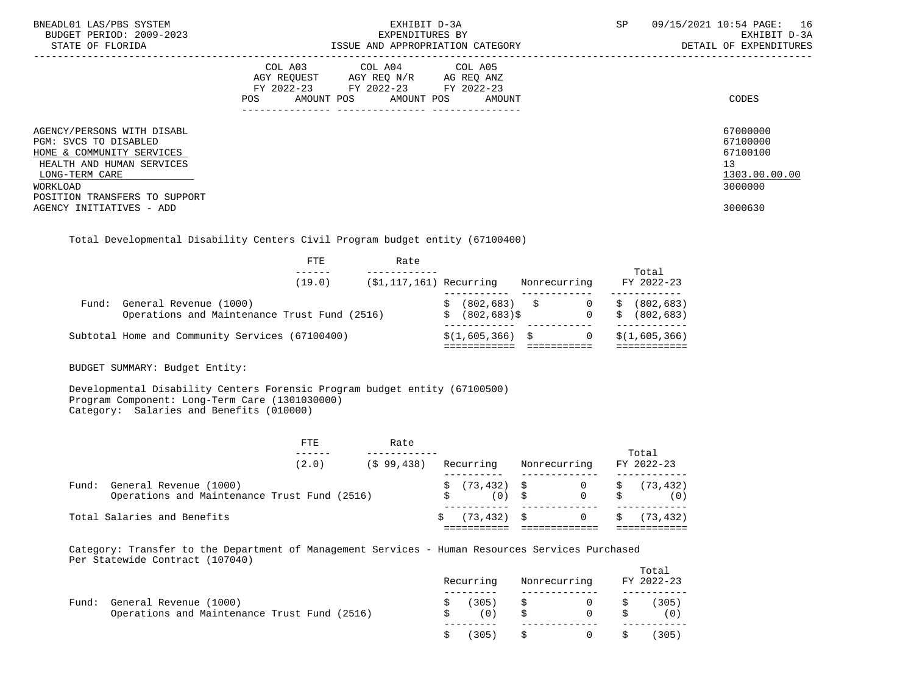| BNEADL01 LAS/PBS SYSTEM<br>BUDGET PERIOD: 2009-2023<br>STATE OF FLORIDA          | EXHIBIT D-3A<br>EXPENDITURES BY<br>ISSUE AND APPROPRIATION CATEGORY                                                                            | 09/15/2021 10:54 PAGE: 16<br>SP<br>EXHIBIT D-3A<br>DETAIL OF EXPENDITURES |
|----------------------------------------------------------------------------------|------------------------------------------------------------------------------------------------------------------------------------------------|---------------------------------------------------------------------------|
|                                                                                  | COL A03 COL A04 COL A05<br>AGY REQUEST<br>AGY REQ N/R AG REQ ANZ<br>FY 2022-23 FY 2022-23 FY 2022-23<br>AMOUNT POS AMOUNT POS<br>POS<br>AMOUNT | CODES                                                                     |
| AGENCY/PERSONS WITH DISABL<br>PGM: SVCS TO DISABLED<br>HOME & COMMUNITY SERVICES |                                                                                                                                                | 67000000<br>67100000<br>67100100                                          |
| HEALTH AND HUMAN SERVICES                                                        |                                                                                                                                                | 13                                                                        |
| LONG-TERM CARE<br>WORKLOAD                                                       |                                                                                                                                                | 1303.00.00.00<br>3000000                                                  |
| POSITION TRANSFERS TO SUPPORT<br>AGENCY INITIATIVES - ADD                        |                                                                                                                                                | 3000630                                                                   |

Total Developmental Disability Centers Civil Program budget entity (67100400)

|       | FTE                                             | Rate                       |                   |              |                  |
|-------|-------------------------------------------------|----------------------------|-------------------|--------------|------------------|
|       |                                                 |                            |                   |              | Total            |
|       | (19.0)                                          | $(51, 117, 161)$ Recurring |                   | Nonrecurring | FY 2022-23       |
| Fund: | General Revenue (1000)                          |                            | $(802, 683)$ \$   |              | (802, 683)<br>\$ |
|       | Operations and Maintenance Trust Fund (2516)    |                            | (802,683)\$<br>Ŝ. | $\Omega$     | (802, 683)<br>S. |
|       | Subtotal Home and Community Services (67100400) |                            | $$(1,605,366)$ \$ |              | \$(1,605,366)    |
|       |                                                 |                            |                   |              |                  |

BUDGET SUMMARY: Budget Entity:

 Developmental Disability Centers Forensic Program budget entity (67100500) Program Component: Long-Term Care (1301030000) Category: Salaries and Benefits (010000)

|       | FTE                                                                    | Rate         |                                                  |              | Total            |
|-------|------------------------------------------------------------------------|--------------|--------------------------------------------------|--------------|------------------|
|       | (2.0)                                                                  | $(S$ 99.438) | Recurring                                        | Nonrecurring | FY 2022-23       |
| Fund: | General Revenue (1000)<br>Operations and Maintenance Trust Fund (2516) |              | $\sin 73.432$ $\sin 0$ $\sin 73.432$<br>$(0)$ \$ | $0$ \$       | (0)              |
|       | Total Salaries and Benefits                                            |              | (73.432) \$                                      |              | 0 \$ $(73, 432)$ |

 Category: Transfer to the Department of Management Services - Human Resources Services Purchased Per Statewide Contract (107040)

|       |                                                                        | Recurring |                  | Nonrecurring   |                           | Total<br>FY 2022-23 |
|-------|------------------------------------------------------------------------|-----------|------------------|----------------|---------------------------|---------------------|
| Fund: | General Revenue (1000)<br>Operations and Maintenance Trust Fund (2516) | (0)       | $(305)$ \$<br>\$ | $\Omega$       | $0 \qquad \qquad$ \$<br>S | (305)<br>(0)        |
|       |                                                                        | (305)     | S.               | $\overline{0}$ | S.                        | (305)               |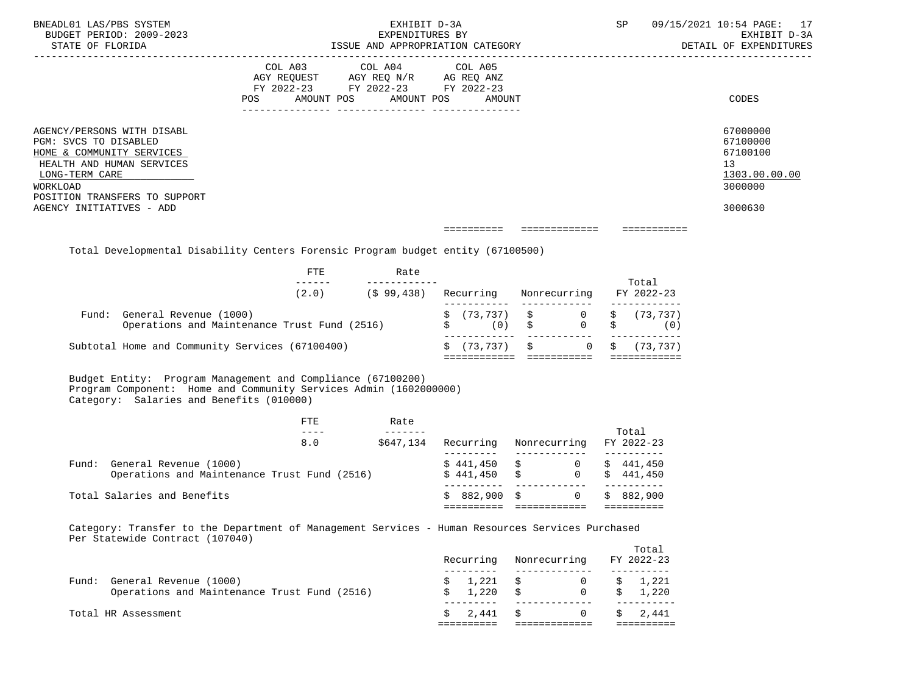| BNEADL01 LAS/PBS SYSTEM<br>BUDGET PERIOD: 2009-2023<br>STATE OF FLORIDA                                                                                                                                  | <b>SP</b><br>EXHIBIT D-3A<br>EXPENDITURES BY<br>ISSUE AND APPROPRIATION CATEGORY                                                            | 09/15/2021 10:54 PAGE: 17<br>EXHIBIT D-3A<br>DETAIL OF EXPENDITURES           |
|----------------------------------------------------------------------------------------------------------------------------------------------------------------------------------------------------------|---------------------------------------------------------------------------------------------------------------------------------------------|-------------------------------------------------------------------------------|
|                                                                                                                                                                                                          | COL A03 COL A04 COL A05<br>AGY REQUEST AGY REQ N/R AG REQ ANZ<br>FY 2022-23 FY 2022-23 FY 2022-23<br>AMOUNT POS AMOUNT POS<br>POS<br>AMOUNT | CODES                                                                         |
| AGENCY/PERSONS WITH DISABL<br>PGM: SVCS TO DISABLED<br>HOME & COMMUNITY SERVICES<br>HEALTH AND HUMAN SERVICES<br>LONG-TERM CARE<br>WORKLOAD<br>POSITION TRANSFERS TO SUPPORT<br>AGENCY INITIATIVES - ADD |                                                                                                                                             | 67000000<br>67100000<br>67100100<br>13<br>1303.00.00.00<br>3000000<br>3000630 |
|                                                                                                                                                                                                          | =============                                                                                                                               |                                                                               |

Total Developmental Disability Centers Forensic Program budget entity (67100500)

|                                                                              | FTE   | Rate       |                                                       |              |              |                       |
|------------------------------------------------------------------------------|-------|------------|-------------------------------------------------------|--------------|--------------|-----------------------|
|                                                                              | (2.0) | (\$99,438) | Recurring                                             |              | Nonrecurring | Total<br>FY 2022-23   |
| Fund: General Revenue (1000)<br>Operations and Maintenance Trust Fund (2516) |       |            | $\sharp$ (73,737) $\sharp$ 0 $\sharp$ (73,737)<br>(0) | $\mathbf{s}$ | $0$ \$       | (0)                   |
| Subtotal Home and Community Services (67100400)                              |       |            | \$ (73,737)                                           | $\mathbf{S}$ |              | $0 \quad$ \$ (73,737) |

 Budget Entity: Program Management and Compliance (67100200) Program Component: Home and Community Services Admin (1602000000) Category: Salaries and Benefits (010000)

|  |                                              | FTE | Rate      |               |              |            |
|--|----------------------------------------------|-----|-----------|---------------|--------------|------------|
|  |                                              |     |           |               |              | Total      |
|  |                                              | 8.0 | \$647,134 | Recurring     | Nonrecurring | FY 2022-23 |
|  |                                              |     |           |               |              |            |
|  | Fund: General Revenue (1000)                 |     |           | $$441,450$ \$ | 0            | \$441,450  |
|  | Operations and Maintenance Trust Fund (2516) |     |           | \$441.450     | 0<br>\$      | \$441.450  |
|  |                                              |     |           |               |              |            |
|  | Total Salaries and Benefits                  |     |           | $$882,900$ \$ |              | \$882.900  |
|  |                                              |     |           |               |              |            |
|  |                                              |     |           |               |              |            |

 Category: Transfer to the Department of Management Services - Human Resources Services Purchased Per Statewide Contract (107040)

|                                                                                 | Recurring      | Nonrecurring                                   | Total<br>FY 2022-23    |
|---------------------------------------------------------------------------------|----------------|------------------------------------------------|------------------------|
| General Revenue (1000)<br>Fund:<br>Operations and Maintenance Trust Fund (2516) | 1,221 \$<br>S. | $\overline{0}$<br>$1,220$ \$<br>$\overline{0}$ | 1,221<br>S.<br>\$1,220 |
| Total HR Assessment                                                             | 2,441 \$<br>S. | $\overline{0}$                                 | \$ 2.441               |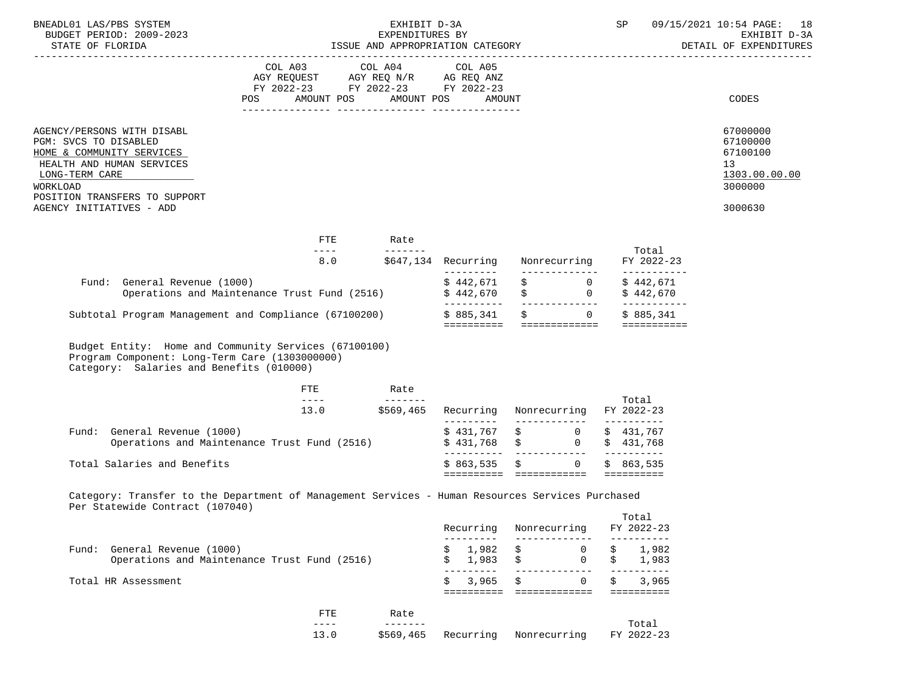| BNEADL01 LAS/PBS SYSTEM<br>BUDGET PERIOD: 2009-2023                                                                                                                          |                                                                                                                                                                                                                                                                                                                                                                                                     | EXHIBIT D-3A<br>EXPENDITURES BY |                         |                                           |                     | SP                                       | 09/15/2021 10:54 PAGE: 18<br>EXHIBIT D-3A                          |
|------------------------------------------------------------------------------------------------------------------------------------------------------------------------------|-----------------------------------------------------------------------------------------------------------------------------------------------------------------------------------------------------------------------------------------------------------------------------------------------------------------------------------------------------------------------------------------------------|---------------------------------|-------------------------|-------------------------------------------|---------------------|------------------------------------------|--------------------------------------------------------------------|
|                                                                                                                                                                              | FY 2022-23 FY 2022-23 FY 2022-23<br>POS                                                                                                                                                                                                                                                                                                                                                             | AMOUNT POS AMOUNT POS           | AMOUNT                  |                                           |                     |                                          | CODES                                                              |
| AGENCY/PERSONS WITH DISABL<br>PGM: SVCS TO DISABLED<br>HOME & COMMUNITY SERVICES<br>HEALTH AND HUMAN SERVICES<br>LONG-TERM CARE<br>WORKLOAD<br>POSITION TRANSFERS TO SUPPORT |                                                                                                                                                                                                                                                                                                                                                                                                     |                                 |                         |                                           |                     |                                          | 67000000<br>67100000<br>67100100<br>13<br>1303.00.00.00<br>3000000 |
| AGENCY INITIATIVES - ADD                                                                                                                                                     |                                                                                                                                                                                                                                                                                                                                                                                                     |                                 |                         |                                           |                     |                                          | 3000630                                                            |
|                                                                                                                                                                              | FTE<br>$\frac{1}{2}$                                                                                                                                                                                                                                                                                                                                                                                | Rate                            |                         |                                           |                     | Total                                    |                                                                    |
|                                                                                                                                                                              |                                                                                                                                                                                                                                                                                                                                                                                                     |                                 |                         | 8.0 \$647,134 Recurring Nonrecurring      |                     | FY 2022-23<br>___________                |                                                                    |
| Fund: General Revenue (1000)                                                                                                                                                 | Operations and Maintenance Trust Fund (2516) \$442,670                                                                                                                                                                                                                                                                                                                                              |                                 | \$442,671               | $\ddot{s}$ 0<br>$\zeta$ 0 $\zeta$ 442,670 |                     | \$442,671<br>___________                 |                                                                    |
| Subtotal Program Management and Compliance (67100200) \$885,341                                                                                                              |                                                                                                                                                                                                                                                                                                                                                                                                     |                                 |                         | $\ddot{\mathbf{s}}$ 0                     |                     | \$885,341                                |                                                                    |
| Budget Entity: Home and Community Services (67100100)<br>Program Component: Long-Term Care (1303000000)<br>Category: Salaries and Benefits (010000)                          |                                                                                                                                                                                                                                                                                                                                                                                                     |                                 |                         |                                           |                     |                                          |                                                                    |
|                                                                                                                                                                              | ETE<br>$\frac{1}{2} \frac{1}{2} \frac{1}{2} \frac{1}{2} \frac{1}{2} \frac{1}{2} \frac{1}{2} \frac{1}{2} \frac{1}{2} \frac{1}{2} \frac{1}{2} \frac{1}{2} \frac{1}{2} \frac{1}{2} \frac{1}{2} \frac{1}{2} \frac{1}{2} \frac{1}{2} \frac{1}{2} \frac{1}{2} \frac{1}{2} \frac{1}{2} \frac{1}{2} \frac{1}{2} \frac{1}{2} \frac{1}{2} \frac{1}{2} \frac{1}{2} \frac{1}{2} \frac{1}{2} \frac{1}{2} \frac{$ | Rate<br>_________               |                         |                                           |                     |                                          |                                                                    |
|                                                                                                                                                                              | 13.0                                                                                                                                                                                                                                                                                                                                                                                                | \$569,465                       |                         | Recurring Nonrecurring                    |                     | Total<br>FY 2022-23                      |                                                                    |
| Fund: General Revenue (1000)                                                                                                                                                 | Operations and Maintenance Trust Fund (2516)                                                                                                                                                                                                                                                                                                                                                        |                                 | $$431,768$ \$           | $$431,767$ \$ 0 \$ 431,767                | $\overline{0}$      | \$431,768                                |                                                                    |
| Total Salaries and Benefits                                                                                                                                                  |                                                                                                                                                                                                                                                                                                                                                                                                     |                                 |                         | $$863,535$ \$ 0                           |                     | \$863,535                                |                                                                    |
| Category: Transfer to the Department of Management Services - Human Resources Services Purchased<br>Per Statewide Contract (107040)                                          |                                                                                                                                                                                                                                                                                                                                                                                                     |                                 |                         |                                           |                     |                                          |                                                                    |
|                                                                                                                                                                              |                                                                                                                                                                                                                                                                                                                                                                                                     |                                 | Recurring<br>---------  | Nonrecurring                              |                     | Total<br>FY 2022-23                      |                                                                    |
| Fund: General Revenue (1000)                                                                                                                                                 | Operations and Maintenance Trust Fund (2516)                                                                                                                                                                                                                                                                                                                                                        |                                 | 1,982<br>1,983          |                                           | 0<br>$\overline{0}$ | 1,982<br>1,983                           |                                                                    |
| Total HR Assessment                                                                                                                                                          |                                                                                                                                                                                                                                                                                                                                                                                                     |                                 | ---------<br>3,965<br>Ś | \$<br>=========================           | $\overline{0}$      | ----------<br>3,965<br><b>BEBEDEDEER</b> |                                                                    |
|                                                                                                                                                                              | FTE<br>$- - - - -$                                                                                                                                                                                                                                                                                                                                                                                  | Rate<br>$- - - - - - -$         |                         |                                           |                     | Total                                    |                                                                    |

13.0 \$569,465 Recurring Nonrecurring FY 2022-23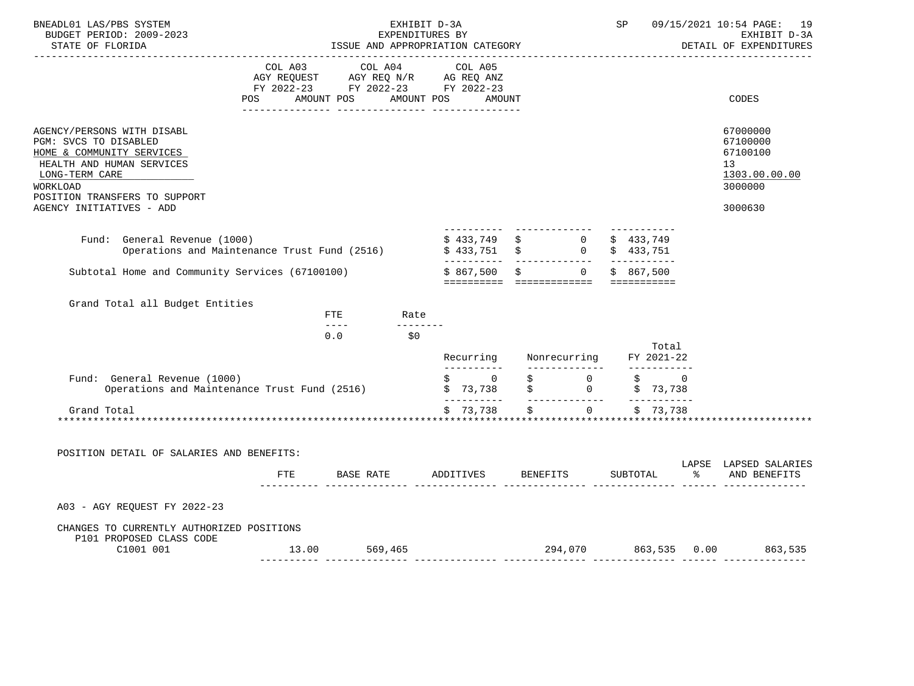| BNEADL01 LAS/PBS SYSTEM<br>BUDGET PERIOD: 2009-2023<br>STATE OF FLORIDA                                                                                                                                  | EXHIBIT D-3A<br>EXPENDITURES BY<br>ISSUE AND APPROPRIATION CATEGORY<br>-------------------------------- |                                                                                                                                                                                                                                                                                                                                                                                                                         |                                                                                                                                                                          |                                                        |  | SP                     |             | 09/15/2021 10:54 PAGE: 19<br>EXHIBIT D-3A<br>DETAIL OF EXPENDITURES           |
|----------------------------------------------------------------------------------------------------------------------------------------------------------------------------------------------------------|---------------------------------------------------------------------------------------------------------|-------------------------------------------------------------------------------------------------------------------------------------------------------------------------------------------------------------------------------------------------------------------------------------------------------------------------------------------------------------------------------------------------------------------------|--------------------------------------------------------------------------------------------------------------------------------------------------------------------------|--------------------------------------------------------|--|------------------------|-------------|-------------------------------------------------------------------------------|
|                                                                                                                                                                                                          | COL A03                                                                                                 | COL A04<br>AGY REQUEST AGY REQ N/R AG REQ ANZ<br>FY 2022-23 FY 2022-23 FY 2022-23<br>POS AMOUNT POS AMOUNT POS AMOUNT                                                                                                                                                                                                                                                                                                   | COL A05                                                                                                                                                                  |                                                        |  |                        |             | CODES                                                                         |
| AGENCY/PERSONS WITH DISABL<br>PGM: SVCS TO DISABLED<br>HOME & COMMUNITY SERVICES<br>HEALTH AND HUMAN SERVICES<br>LONG-TERM CARE<br>WORKLOAD<br>POSITION TRANSFERS TO SUPPORT<br>AGENCY INITIATIVES - ADD |                                                                                                         |                                                                                                                                                                                                                                                                                                                                                                                                                         |                                                                                                                                                                          |                                                        |  |                        |             | 67000000<br>67100000<br>67100100<br>13<br>1303.00.00.00<br>3000000<br>3000630 |
| Fund: General Revenue (1000)<br>Operations and Maintenance Trust Fund (2516)                                                                                                                             |                                                                                                         |                                                                                                                                                                                                                                                                                                                                                                                                                         | \$ 433,749 \$ 0<br>\$ 433,751 \$ 0                                                                                                                                       |                                                        |  | \$433,749<br>\$433,751 |             |                                                                               |
| Subtotal Home and Community Services (67100100)                                                                                                                                                          |                                                                                                         |                                                                                                                                                                                                                                                                                                                                                                                                                         | $$867,500$ \$                                                                                                                                                            | $\overline{0}$<br>========== ============= =========== |  | \$867.500              |             |                                                                               |
| Grand Total all Budget Entities                                                                                                                                                                          |                                                                                                         | FTE Rate                                                                                                                                                                                                                                                                                                                                                                                                                |                                                                                                                                                                          |                                                        |  |                        |             |                                                                               |
|                                                                                                                                                                                                          |                                                                                                         | _________<br>$\frac{1}{2} \frac{1}{2} \frac{1}{2} \frac{1}{2} \frac{1}{2} \frac{1}{2} \frac{1}{2} \frac{1}{2} \frac{1}{2} \frac{1}{2} \frac{1}{2} \frac{1}{2} \frac{1}{2} \frac{1}{2} \frac{1}{2} \frac{1}{2} \frac{1}{2} \frac{1}{2} \frac{1}{2} \frac{1}{2} \frac{1}{2} \frac{1}{2} \frac{1}{2} \frac{1}{2} \frac{1}{2} \frac{1}{2} \frac{1}{2} \frac{1}{2} \frac{1}{2} \frac{1}{2} \frac{1}{2} \frac{$<br>0.0<br>\$0 |                                                                                                                                                                          | Recurring Nonrecurring FY 2021-22                      |  |                        | Total       |                                                                               |
| Fund: General Revenue (1000)<br>Operations and Maintenance Trust Fund (2516)                                                                                                                             |                                                                                                         |                                                                                                                                                                                                                                                                                                                                                                                                                         | -----------<br>$\begin{matrix} \xi \quad & 0 & \xi \quad & 0 & \xi \quad & 0 \\ \xi \quad & 73\,,738 & \xi \quad & 0 & \xi \quad & 73\,,738 \end{matrix}$<br>----------- |                                                        |  |                        |             |                                                                               |
| Grand Total                                                                                                                                                                                              |                                                                                                         |                                                                                                                                                                                                                                                                                                                                                                                                                         | \$73,738                                                                                                                                                                 | $\ddot{s}$                                             |  |                        | 0 $$73,738$ |                                                                               |
| POSITION DETAIL OF SALARIES AND BENEFITS:                                                                                                                                                                |                                                                                                         |                                                                                                                                                                                                                                                                                                                                                                                                                         |                                                                                                                                                                          |                                                        |  |                        |             |                                                                               |
|                                                                                                                                                                                                          |                                                                                                         | FTE BASE RATE ADDITIVES BENEFITS SUBTOTAL % AND BENEFITS                                                                                                                                                                                                                                                                                                                                                                |                                                                                                                                                                          |                                                        |  |                        |             | LAPSE LAPSED SALARIES                                                         |
| A03 - AGY REQUEST FY 2022-23                                                                                                                                                                             |                                                                                                         |                                                                                                                                                                                                                                                                                                                                                                                                                         |                                                                                                                                                                          |                                                        |  |                        |             |                                                                               |
| CHANGES TO CURRENTLY AUTHORIZED POSITIONS<br>P101 PROPOSED CLASS CODE<br>C1001 001                                                                                                                       |                                                                                                         | 13.00 569,465                                                                                                                                                                                                                                                                                                                                                                                                           |                                                                                                                                                                          |                                                        |  |                        |             | 294,070 863,535 0.00 863,535                                                  |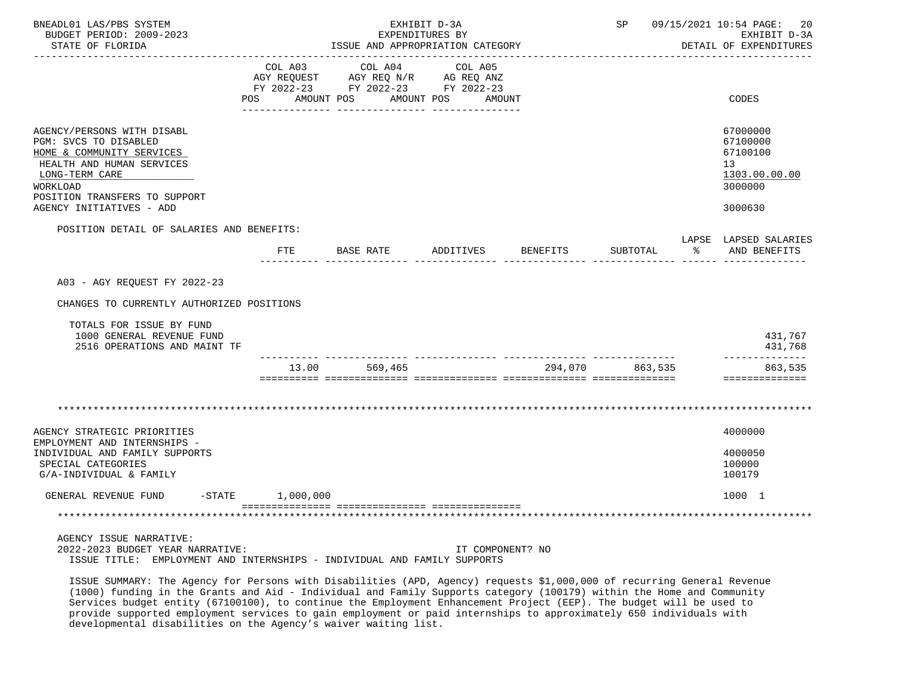| BNEADL01 LAS/PBS SYSTEM<br>BUDGET PERIOD: 2009-2023<br>STATE OF FLORIDA                                                                                                                                  |                       | ISSUE AND APPROPRIATION CATEGORY                                                                | EXHIBIT D-3A<br>EXPENDITURES BY | SP              |               | 09/15/2021 10:54 PAGE:<br>20<br>EXHIBIT D-3A<br>DETAIL OF EXPENDITURES        |
|----------------------------------------------------------------------------------------------------------------------------------------------------------------------------------------------------------|-----------------------|-------------------------------------------------------------------------------------------------|---------------------------------|-----------------|---------------|-------------------------------------------------------------------------------|
| POS.                                                                                                                                                                                                     | COL A03<br>AMOUNT POS | COL A04<br>AGY REQUEST AGY REQ N/R AG REQ ANZ<br>FY 2022-23 FY 2022-23 FY 2022-23<br>AMOUNT POS | COL A05<br>AMOUNT               |                 |               | CODES                                                                         |
| AGENCY/PERSONS WITH DISABL<br>PGM: SVCS TO DISABLED<br>HOME & COMMUNITY SERVICES<br>HEALTH AND HUMAN SERVICES<br>LONG-TERM CARE<br>WORKLOAD<br>POSITION TRANSFERS TO SUPPORT<br>AGENCY INITIATIVES - ADD |                       |                                                                                                 |                                 |                 |               | 67000000<br>67100000<br>67100100<br>13<br>1303.00.00.00<br>3000000<br>3000630 |
| POSITION DETAIL OF SALARIES AND BENEFITS:                                                                                                                                                                |                       |                                                                                                 |                                 |                 |               |                                                                               |
|                                                                                                                                                                                                          |                       | FTE BASE RATE ADDITIVES BENEFITS                                                                |                                 | SUBTOTAL        | $\sim$ $\sim$ | LAPSE LAPSED SALARIES<br>AND BENEFITS                                         |
| A03 - AGY REQUEST FY 2022-23<br>CHANGES TO CURRENTLY AUTHORIZED POSITIONS                                                                                                                                |                       |                                                                                                 |                                 |                 |               |                                                                               |
| TOTALS FOR ISSUE BY FUND<br>1000 GENERAL REVENUE FUND<br>2516 OPERATIONS AND MAINT TF                                                                                                                    |                       |                                                                                                 |                                 |                 |               | 431,767<br>431,768                                                            |
|                                                                                                                                                                                                          | 13.00                 | 569,465                                                                                         |                                 | 294,070 863,535 |               | --------------<br>863,535<br>==============                                   |
|                                                                                                                                                                                                          |                       |                                                                                                 |                                 |                 |               |                                                                               |
| AGENCY STRATEGIC PRIORITIES<br>EMPLOYMENT AND INTERNSHIPS -                                                                                                                                              |                       |                                                                                                 |                                 |                 |               | 4000000                                                                       |
| INDIVIDUAL AND FAMILY SUPPORTS<br>SPECIAL CATEGORIES<br>G/A-INDIVIDUAL & FAMILY                                                                                                                          |                       |                                                                                                 |                                 |                 |               | 4000050<br>100000<br>100179                                                   |
| GENERAL REVENUE FUND -STATE 1,000,000                                                                                                                                                                    |                       |                                                                                                 |                                 |                 |               | 1000 1                                                                        |
|                                                                                                                                                                                                          |                       |                                                                                                 |                                 |                 |               |                                                                               |
| AGENCY ISSUE NARRATIVE:<br>2022-2023 BUDGET YEAR NARRATIVE:<br>ISSUE TITLE: EMPLOYMENT AND INTERNSHIPS - INDIVIDUAL AND FAMILY SUPPORTS                                                                  |                       |                                                                                                 | IT COMPONENT? NO                |                 |               |                                                                               |

 ISSUE SUMMARY: The Agency for Persons with Disabilities (APD, Agency) requests \$1,000,000 of recurring General Revenue (1000) funding in the Grants and Aid - Individual and Family Supports category (100179) within the Home and Community Services budget entity (67100100), to continue the Employment Enhancement Project (EEP). The budget will be used to provide supported employment services to gain employment or paid internships to approximately 650 individuals with developmental disabilities on the Agency's waiver waiting list.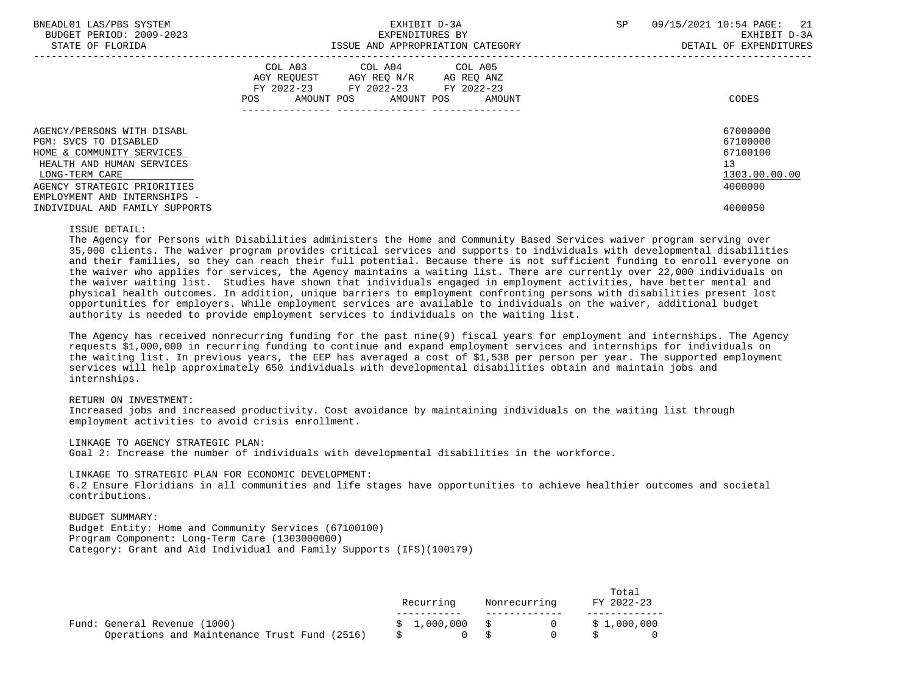| BNEADL01 LAS/PBS SYSTEM<br>BUDGET PERIOD: 2009-2023<br>STATE OF FLORIDA | EXHIBIT D-3A<br>EXPENDITURES BY<br>ISSUE AND APPROPRIATION CATEGORY                                                                            | 09/15/2021 10:54 PAGE: 21<br>SP<br>EXHIBIT D-3A<br>DETAIL OF EXPENDITURES |
|-------------------------------------------------------------------------|------------------------------------------------------------------------------------------------------------------------------------------------|---------------------------------------------------------------------------|
|                                                                         | COL A03 COL A04 COL A05<br>AGY REQUEST AGY REQ N/R AG REQ ANZ<br>FY 2022-23 FY 2022-23<br>FY 2022-23<br>AMOUNT POS AMOUNT POS<br>POS<br>AMOUNT | CODES                                                                     |
| AGENCY/PERSONS WITH DISABL<br>PGM: SVCS TO DISABLED                     |                                                                                                                                                | 67000000<br>67100000                                                      |
| HOME & COMMUNITY SERVICES                                               |                                                                                                                                                | 67100100                                                                  |
| HEALTH AND HUMAN SERVICES                                               |                                                                                                                                                | 13                                                                        |
| LONG-TERM CARE                                                          |                                                                                                                                                | 1303.00.00.00                                                             |
| AGENCY STRATEGIC PRIORITIES                                             |                                                                                                                                                | 4000000                                                                   |
| EMPLOYMENT AND INTERNSHIPS -                                            |                                                                                                                                                |                                                                           |
| INDIVIDUAL AND FAMILY SUPPORTS                                          |                                                                                                                                                | 4000050                                                                   |

## ISSUE DETAIL:

 The Agency for Persons with Disabilities administers the Home and Community Based Services waiver program serving over 35,000 clients. The waiver program provides critical services and supports to individuals with developmental disabilities and their families, so they can reach their full potential. Because there is not sufficient funding to enroll everyone on the waiver who applies for services, the Agency maintains a waiting list. There are currently over 22,000 individuals on the waiver waiting list. Studies have shown that individuals engaged in employment activities, have better mental and physical health outcomes. In addition, unique barriers to employment confronting persons with disabilities present lost opportunities for employers. While employment services are available to individuals on the waiver, additional budget authority is needed to provide employment services to individuals on the waiting list.

 The Agency has received nonrecurring funding for the past nine(9) fiscal years for employment and internships. The Agency requests \$1,000,000 in recurring funding to continue and expand employment services and internships for individuals on the waiting list. In previous years, the EEP has averaged a cost of \$1,538 per person per year. The supported employment services will help approximately 650 individuals with developmental disabilities obtain and maintain jobs and internships.

## RETURN ON INVESTMENT:

 Increased jobs and increased productivity. Cost avoidance by maintaining individuals on the waiting list through employment activities to avoid crisis enrollment.

## LINKAGE TO AGENCY STRATEGIC PLAN:

Goal 2: Increase the number of individuals with developmental disabilities in the workforce.

LINKAGE TO STRATEGIC PLAN FOR ECONOMIC DEVELOPMENT:

 6.2 Ensure Floridians in all communities and life stages have opportunities to achieve healthier outcomes and societal contributions.

 BUDGET SUMMARY: Budget Entity: Home and Community Services (67100100) Program Component: Long-Term Care (1303000000) Category: Grant and Aid Individual and Family Supports (IFS)(100179)

|                                                                              | Recurring      | Nonrecurring | Total<br>FY 2022-23            |  |
|------------------------------------------------------------------------------|----------------|--------------|--------------------------------|--|
| Fund: General Revenue (1000)<br>Operations and Maintenance Trust Fund (2516) | \$1,000,000 \$ |              | $0 \qquad \qquad$ \$ 1,000,000 |  |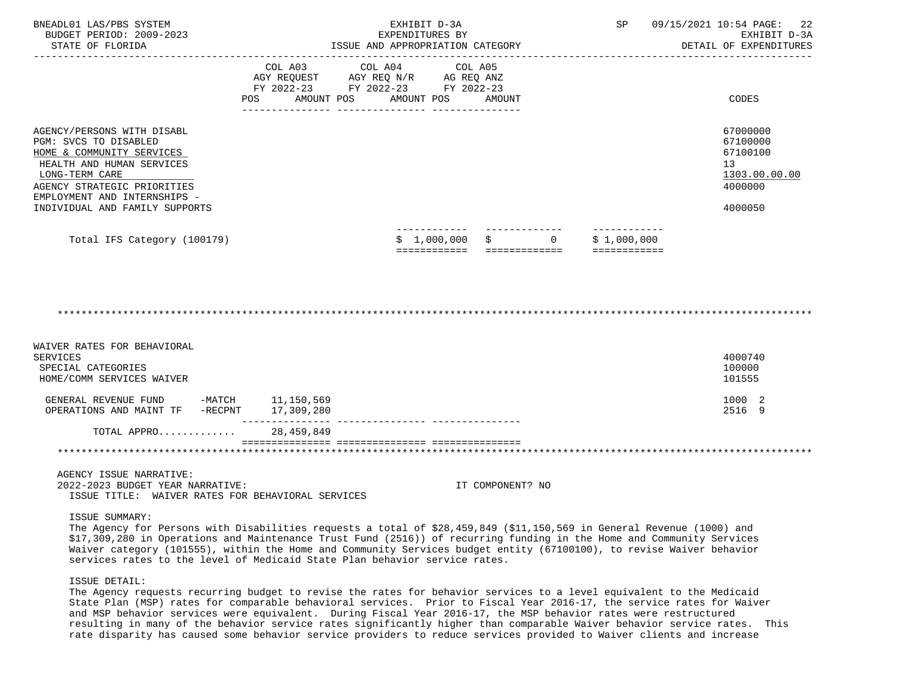| BNEADL01 LAS/PBS SYSTEM<br>BUDGET PERIOD: 2009-2023<br>STATE OF FLORIDA                                                                                                                                                          | ISSUE AND APPROPRIATION CATEGORY     | EXHIBIT D-3A<br>EXPENDITURES BY                                                                                                   |                                         | SP                          | 09/15/2021 10:54 PAGE: 22<br>EXHIBIT D-3A<br>DETAIL OF EXPENDITURES                        |
|----------------------------------------------------------------------------------------------------------------------------------------------------------------------------------------------------------------------------------|--------------------------------------|-----------------------------------------------------------------------------------------------------------------------------------|-----------------------------------------|-----------------------------|--------------------------------------------------------------------------------------------|
|                                                                                                                                                                                                                                  | POS FOR THE POST OF THE STATE STATES | COL A03 COL A04 COL A05<br>AGY REQUEST AGY REQ N/R AG REQ ANZ<br>FY 2022-23 FY 2022-23 FY 2022-23<br>AMOUNT POS AMOUNT POS AMOUNT |                                         |                             | CODES                                                                                      |
| AGENCY/PERSONS WITH DISABL<br>PGM: SVCS TO DISABLED<br>HOME & COMMUNITY SERVICES<br>HEALTH AND HUMAN SERVICES<br>LONG-TERM CARE<br>AGENCY STRATEGIC PRIORITIES<br>EMPLOYMENT AND INTERNSHIPS -<br>INDIVIDUAL AND FAMILY SUPPORTS |                                      |                                                                                                                                   |                                         |                             | 67000000<br>67100000<br>67100100<br>13 <sup>°</sup><br>1303.00.00.00<br>4000000<br>4000050 |
| Total IFS Category (100179)                                                                                                                                                                                                      |                                      | \$1,000,000                                                                                                                       | $\ddot{s}$<br>$\Omega$<br>============= | \$1,000,000<br>============ |                                                                                            |

\*\*\*\*\*\*\*\*\*\*\*\*\*\*\*\*\*\*\*\*\*\*\*\*\*\*\*\*\*\*\*\*\*\*\*\*\*\*\*\*\*\*\*\*\*\*\*\*\*\*\*\*\*\*\*\*\*\*\*\*\*\*\*\*\*\*\*\*\*\*\*\*\*\*\*\*\*\*\*\*\*\*\*\*\*\*\*\*\*\*\*\*\*\*\*\*\*\*\*\*\*\*\*\*\*\*\*\*\*\*\*\*\*\*\*\*\*\*\*\*\*\*\*\*\*\*\*

| WAIVER RATES FOR BEHAVIORAL<br>SERVICES<br>SPECIAL CATEGORIES<br>HOME/COMM SERVICES WAIVER |                          | 4000740<br>100000<br>101555 |
|--------------------------------------------------------------------------------------------|--------------------------|-----------------------------|
| -MATCH<br>GENERAL REVENUE FUND<br>-RECPNT<br>OPERATIONS AND MAINT TF                       | 11,150,569<br>17,309,280 | 1000 2<br>2516 9            |
| TOTAL APPRO                                                                                | 28,459,849               |                             |
|                                                                                            |                          |                             |

AGENCY ISSUE NARRATIVE:

 2022-2023 BUDGET YEAR NARRATIVE: IT COMPONENT? NO ISSUE TITLE: WAIVER RATES FOR BEHAVIORAL SERVICES

### ISSUE SUMMARY:

 The Agency for Persons with Disabilities requests a total of \$28,459,849 (\$11,150,569 in General Revenue (1000) and \$17,309,280 in Operations and Maintenance Trust Fund (2516)) of recurring funding in the Home and Community Services Waiver category (101555), within the Home and Community Services budget entity (67100100), to revise Waiver behavior services rates to the level of Medicaid State Plan behavior service rates.

## ISSUE DETAIL:

 The Agency requests recurring budget to revise the rates for behavior services to a level equivalent to the Medicaid State Plan (MSP) rates for comparable behavioral services. Prior to Fiscal Year 2016-17, the service rates for Waiver and MSP behavior services were equivalent. During Fiscal Year 2016-17, the MSP behavior rates were restructured resulting in many of the behavior service rates significantly higher than comparable Waiver behavior service rates. This rate disparity has caused some behavior service providers to reduce services provided to Waiver clients and increase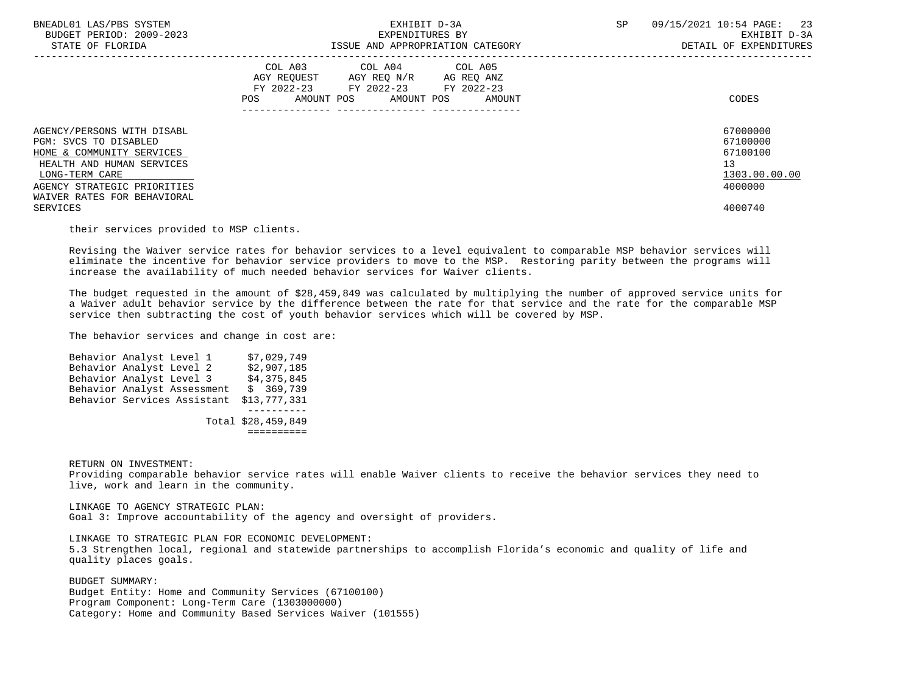| BNEADL01 LAS/PBS SYSTEM<br>BUDGET PERIOD: 2009-2023<br>STATE OF FLORIDA                                                                                                                       | EXHIBIT D-3A<br>EXPENDITURES BY<br>ISSUE AND APPROPRIATION CATEGORY                                                                            | <b>SP</b><br>09/15/2021 10:54 PAGE: 23<br>EXHIBIT D-3A<br>DETAIL OF EXPENDITURES |
|-----------------------------------------------------------------------------------------------------------------------------------------------------------------------------------------------|------------------------------------------------------------------------------------------------------------------------------------------------|----------------------------------------------------------------------------------|
|                                                                                                                                                                                               | COL A03 COL A04 COL A05<br>AGY REOUEST<br>AGY REQ N/R AG REQ ANZ<br>FY 2022-23 FY 2022-23 FY 2022-23<br>POS<br>AMOUNT POS AMOUNT POS<br>AMOUNT | CODES                                                                            |
| AGENCY/PERSONS WITH DISABL<br>PGM: SVCS TO DISABLED<br>HOME & COMMUNITY SERVICES<br>HEALTH AND HUMAN SERVICES<br>LONG-TERM CARE<br>AGENCY STRATEGIC PRIORITIES<br>WAIVER RATES FOR BEHAVIORAL |                                                                                                                                                | 67000000<br>67100000<br>67100100<br>13<br>1303.00.00.00<br>4000000               |
| SERVICES                                                                                                                                                                                      |                                                                                                                                                | 4000740                                                                          |

their services provided to MSP clients.

 Revising the Waiver service rates for behavior services to a level equivalent to comparable MSP behavior services will eliminate the incentive for behavior service providers to move to the MSP. Restoring parity between the programs will increase the availability of much needed behavior services for Waiver clients.

 The budget requested in the amount of \$28,459,849 was calculated by multiplying the number of approved service units for a Waiver adult behavior service by the difference between the rate for that service and the rate for the comparable MSP service then subtracting the cost of youth behavior services which will be covered by MSP.

The behavior services and change in cost are:

Behavior Analyst Level 1 \$7,029,749<br>Behavior Analyst Level 2 \$2,907,185 Behavior Analyst Level 2 \$2,907,185<br>Behavior Analyst Level 3 \$4,375,845 Behavior Analyst Level 3 Behavior Analyst Assessment \$ 369,739 Behavior Services Assistant \$13,777,331 ---------- Total \$28,459,849 ==========

RETURN ON INVESTMENT:

 Providing comparable behavior service rates will enable Waiver clients to receive the behavior services they need to live, work and learn in the community.

 LINKAGE TO AGENCY STRATEGIC PLAN: Goal 3: Improve accountability of the agency and oversight of providers.

LINKAGE TO STRATEGIC PLAN FOR ECONOMIC DEVELOPMENT:

 5.3 Strengthen local, regional and statewide partnerships to accomplish Florida's economic and quality of life and quality places goals.

 BUDGET SUMMARY: Budget Entity: Home and Community Services (67100100) Program Component: Long-Term Care (1303000000) Category: Home and Community Based Services Waiver (101555)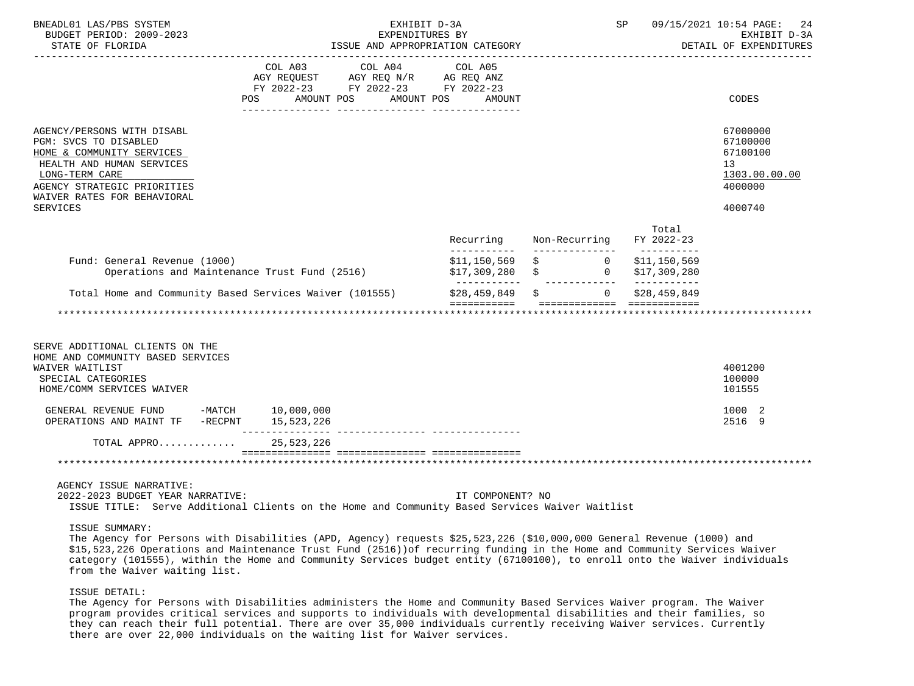| EXHIBIT D-3A                                                                                                                 |                                                                                                                                                                                    | SP               |                                  | 09/15/2021 10:54 PAGE: 24<br>EXHIBIT D-3A<br>DETAIL OF EXPENDITURES                                                                                                                                                                                                                                                                                                                 |
|------------------------------------------------------------------------------------------------------------------------------|------------------------------------------------------------------------------------------------------------------------------------------------------------------------------------|------------------|----------------------------------|-------------------------------------------------------------------------------------------------------------------------------------------------------------------------------------------------------------------------------------------------------------------------------------------------------------------------------------------------------------------------------------|
| <b>AMOUNT</b>                                                                                                                |                                                                                                                                                                                    |                  |                                  | CODES                                                                                                                                                                                                                                                                                                                                                                               |
|                                                                                                                              |                                                                                                                                                                                    |                  |                                  | 67000000<br>67100000<br>67100100<br>13<br>1303.00.00.00<br>4000000<br>4000740                                                                                                                                                                                                                                                                                                       |
| Recurring                                                                                                                    |                                                                                                                                                                                    |                  | Total<br>FY 2022-23              |                                                                                                                                                                                                                                                                                                                                                                                     |
|                                                                                                                              |                                                                                                                                                                                    |                  | \$11,150,569<br>\$17,309,280     |                                                                                                                                                                                                                                                                                                                                                                                     |
|                                                                                                                              |                                                                                                                                                                                    |                  |                                  |                                                                                                                                                                                                                                                                                                                                                                                     |
|                                                                                                                              |                                                                                                                                                                                    |                  |                                  | 4001200<br>100000<br>101555<br>1000 2                                                                                                                                                                                                                                                                                                                                               |
|                                                                                                                              |                                                                                                                                                                                    |                  |                                  | 2516 9                                                                                                                                                                                                                                                                                                                                                                              |
|                                                                                                                              |                                                                                                                                                                                    |                  |                                  |                                                                                                                                                                                                                                                                                                                                                                                     |
|                                                                                                                              |                                                                                                                                                                                    |                  |                                  |                                                                                                                                                                                                                                                                                                                                                                                     |
| AMOUNT POS<br>GENERAL REVENUE FUND -MATCH 10,000,000<br>OPERATIONS AND MAINT TF -RECPNT 15,523,226<br>TOTAL APPRO 25,523,226 | EXPENDITURES BY<br>COL A03 COL A04 COL A05<br>AGY REQUEST AGY REQ N/R AG REQ ANZ<br>FY 2022-23 FY 2022-23 FY 2022-23<br>AMOUNT POS<br>Operations and Maintenance Trust Fund (2516) | IT COMPONENT? NO | ISSUE AND APPROPRIATION CATEGORY | Non-Recurring<br>$$11,150,569$ $$$ 0<br>$$17,309,280$ \$ 0<br>Total Home and Community Based Services Waiver (101555) $$28,459,849 \$$ \$ 0 \$28,459,849<br>ISSUE TITLE: Serve Additional Clients on the Home and Community Based Services Waiver Waitlist<br>The Agency for Persons with Disabilities (APD, Agency) requests \$25,523,226 (\$10,000,000 General Revenue (1000) and |

# ISSUE DETAIL:

 The Agency for Persons with Disabilities administers the Home and Community Based Services Waiver program. The Waiver program provides critical services and supports to individuals with developmental disabilities and their families, so they can reach their full potential. There are over 35,000 individuals currently receiving Waiver services. Currently there are over 22,000 individuals on the waiting list for Waiver services.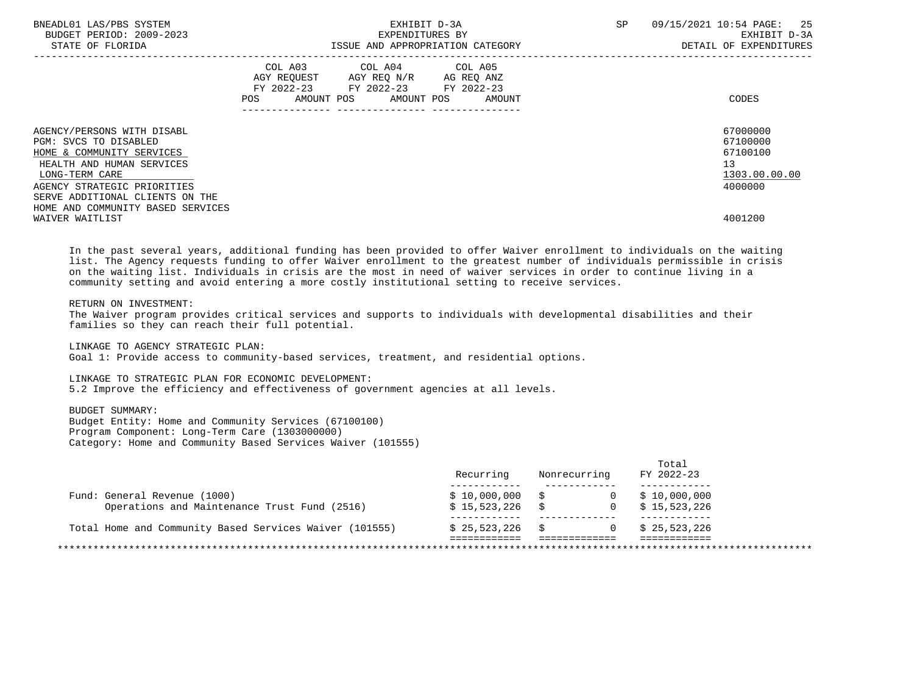| BNEADL01 LAS/PBS SYSTEM<br>BUDGET PERIOD: 2009-2023<br>STATE OF FLORIDA                                                                                                                           | EXHIBIT D-3A<br>EXPENDITURES BY<br>ISSUE AND APPROPRIATION CATEGORY                                                                                                           | 09/15/2021 10:54 PAGE: 25<br>SP<br>EXHIBIT D-3A<br>DETAIL OF EXPENDITURES |
|---------------------------------------------------------------------------------------------------------------------------------------------------------------------------------------------------|-------------------------------------------------------------------------------------------------------------------------------------------------------------------------------|---------------------------------------------------------------------------|
|                                                                                                                                                                                                   | COL A03 COL A04 COL A05<br>AGY REQUEST AGY REQ N/R AG REQ ANZ<br>FY 2022-23 FY 2022-23 FY 2022-23<br>AMOUNT POS AMOUNT POS<br>POS<br>AMOUNT<br>------------- ---------------- | CODES                                                                     |
| AGENCY/PERSONS WITH DISABL<br>PGM: SVCS TO DISABLED<br>HOME & COMMUNITY SERVICES<br>HEALTH AND HUMAN SERVICES<br>LONG-TERM CARE<br>AGENCY STRATEGIC PRIORITIES<br>SERVE ADDITIONAL CLIENTS ON THE |                                                                                                                                                                               | 67000000<br>67100000<br>67100100<br>13<br>1303.00.00.00<br>4000000        |
| HOME AND COMMUNITY BASED SERVICES<br>WAIVER WAITLIST                                                                                                                                              |                                                                                                                                                                               | 4001200                                                                   |

 In the past several years, additional funding has been provided to offer Waiver enrollment to individuals on the waiting list. The Agency requests funding to offer Waiver enrollment to the greatest number of individuals permissible in crisis on the waiting list. Individuals in crisis are the most in need of waiver services in order to continue living in a community setting and avoid entering a more costly institutional setting to receive services.

## RETURN ON INVESTMENT:

 The Waiver program provides critical services and supports to individuals with developmental disabilities and their families so they can reach their full potential.

LINKAGE TO AGENCY STRATEGIC PLAN:

Goal 1: Provide access to community-based services, treatment, and residential options.

### LINKAGE TO STRATEGIC PLAN FOR ECONOMIC DEVELOPMENT:

5.2 Improve the efficiency and effectiveness of government agencies at all levels.

# BUDGET SUMMARY:

 Budget Entity: Home and Community Services (67100100) Program Component: Long-Term Care (1303000000) Category: Home and Community Based Services Waiver (101555)

|                                                         | Recurring        | Nonrecurring   | Total<br>FY 2022-23    |
|---------------------------------------------------------|------------------|----------------|------------------------|
| Fund: General Revenue (1000)                            | $$10,000,000$ \$ | $\overline{0}$ | \$10,000,000           |
| Operations and Maintenance Trust Fund (2516)            | $$15,523,226$ \$ |                | $0 \qquad $15,523,226$ |
| Total Home and Community Based Services Waiver (101555) | $$25,523,226$ \$ | $\Omega$       | \$25,523,226           |
|                                                         |                  |                |                        |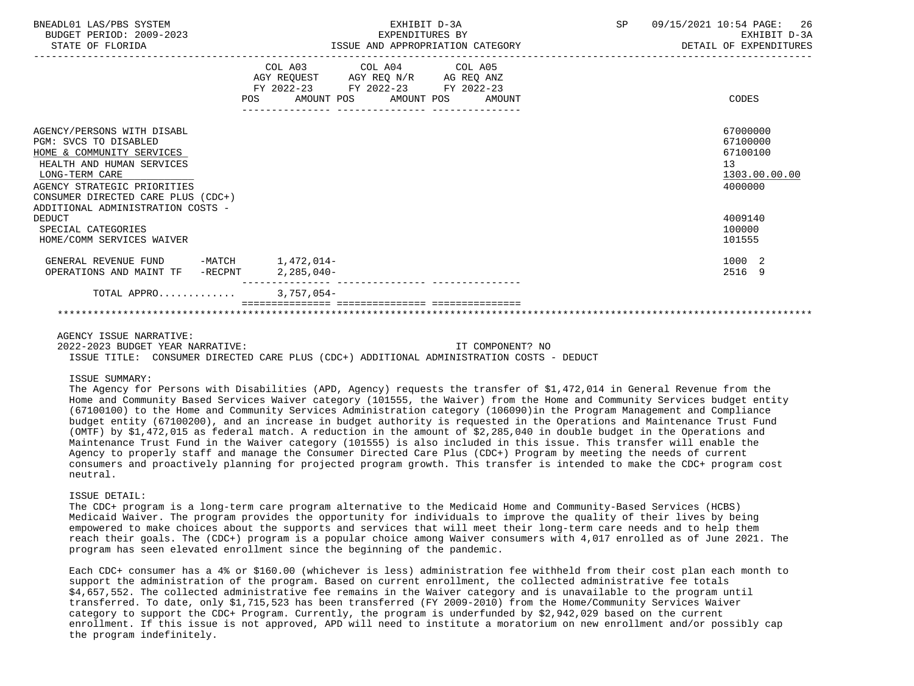| BNEADL01 LAS/PBS SYSTEM<br>BUDGET PERIOD: 2009-2023<br>STATE OF FLORIDA                                                                                                                                                                   | EXHIBIT D-3A<br>EXPENDITURES BY<br>ISSUE AND APPROPRIATION CATEGORY                                                                                | SP<br>09/15/2021 10:54 PAGE: 26<br>EXHIBIT D-3A<br>DETAIL OF EXPENDITURES |
|-------------------------------------------------------------------------------------------------------------------------------------------------------------------------------------------------------------------------------------------|----------------------------------------------------------------------------------------------------------------------------------------------------|---------------------------------------------------------------------------|
|                                                                                                                                                                                                                                           | COL A03 COL A04 COL A05<br>AGY REQUEST AGY REQ N/R AG REQ ANZ<br>FY 2022-23 FY 2022-23 FY 2022-23<br><b>POS</b><br>AMOUNT POS AMOUNT POS<br>AMOUNT | CODES                                                                     |
| AGENCY/PERSONS WITH DISABL<br>PGM: SVCS TO DISABLED<br>HOME & COMMUNITY SERVICES<br>HEALTH AND HUMAN SERVICES<br>LONG-TERM CARE<br>AGENCY STRATEGIC PRIORITIES<br>CONSUMER DIRECTED CARE PLUS (CDC+)<br>ADDITIONAL ADMINISTRATION COSTS - |                                                                                                                                                    | 67000000<br>67100000<br>67100100<br>13<br>1303.00.00.00<br>4000000        |
| DEDUCT<br>SPECIAL CATEGORIES<br>HOME/COMM SERVICES WAIVER                                                                                                                                                                                 |                                                                                                                                                    | 4009140<br>100000<br>101555                                               |
| GENERAL REVENUE FUND -MATCH 1,472,014-<br>OPERATIONS AND MAINT TF -RECPNT                                                                                                                                                                 | 2,285,040-                                                                                                                                         | 1000 2<br>2516 9                                                          |
| TOTAL APPRO                                                                                                                                                                                                                               | $3.757.054 -$                                                                                                                                      |                                                                           |
|                                                                                                                                                                                                                                           |                                                                                                                                                    |                                                                           |

# AGENCY ISSUE NARRATIVE:

 2022-2023 BUDGET YEAR NARRATIVE: IT COMPONENT? NO ISSUE TITLE: CONSUMER DIRECTED CARE PLUS (CDC+) ADDITIONAL ADMINISTRATION COSTS - DEDUCT

## ISSUE SUMMARY:

 The Agency for Persons with Disabilities (APD, Agency) requests the transfer of \$1,472,014 in General Revenue from the Home and Community Based Services Waiver category (101555, the Waiver) from the Home and Community Services budget entity (67100100) to the Home and Community Services Administration category (106090)in the Program Management and Compliance budget entity (67100200), and an increase in budget authority is requested in the Operations and Maintenance Trust Fund (OMTF) by \$1,472,015 as federal match. A reduction in the amount of \$2,285,040 in double budget in the Operations and Maintenance Trust Fund in the Waiver category (101555) is also included in this issue. This transfer will enable the Agency to properly staff and manage the Consumer Directed Care Plus (CDC+) Program by meeting the needs of current consumers and proactively planning for projected program growth. This transfer is intended to make the CDC+ program cost neutral.

#### ISSUE DETAIL:

 The CDC+ program is a long-term care program alternative to the Medicaid Home and Community-Based Services (HCBS) Medicaid Waiver. The program provides the opportunity for individuals to improve the quality of their lives by being empowered to make choices about the supports and services that will meet their long-term care needs and to help them reach their goals. The (CDC+) program is a popular choice among Waiver consumers with 4,017 enrolled as of June 2021. The program has seen elevated enrollment since the beginning of the pandemic.

 Each CDC+ consumer has a 4% or \$160.00 (whichever is less) administration fee withheld from their cost plan each month to support the administration of the program. Based on current enrollment, the collected administrative fee totals \$4,657,552. The collected administrative fee remains in the Waiver category and is unavailable to the program until transferred. To date, only \$1,715,523 has been transferred (FY 2009-2010) from the Home/Community Services Waiver category to support the CDC+ Program. Currently, the program is underfunded by \$2,942,029 based on the current enrollment. If this issue is not approved, APD will need to institute a moratorium on new enrollment and/or possibly cap the program indefinitely.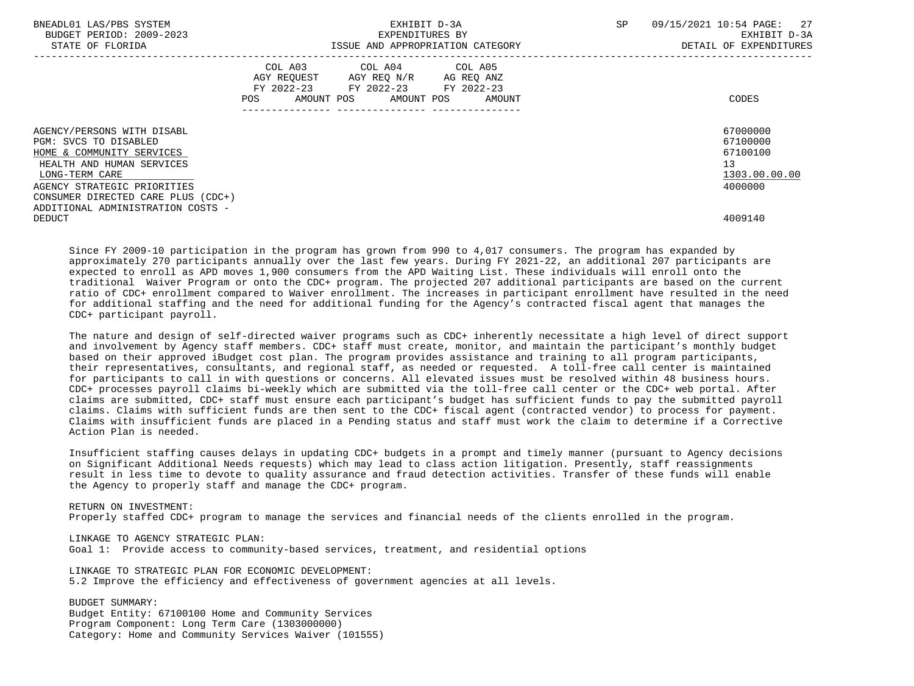| BNEADL01 LAS/PBS SYSTEM<br>BUDGET PERIOD: 2009-2023<br>STATE OF FLORIDA |     | EXPENDITURES BY                                                                                                            | EXHIBIT D-3A<br>ISSUE AND APPROPRIATION CATEGORY | SP.<br>09/15/2021 10:54 PAGE: | 27<br>EXHIBIT D-3A<br>DETAIL OF EXPENDITURES |
|-------------------------------------------------------------------------|-----|----------------------------------------------------------------------------------------------------------------------------|--------------------------------------------------|-------------------------------|----------------------------------------------|
|                                                                         | POS | COL A03 COL A04 COL A05<br>AGY REOUEST AGY REO N/R AG REO ANZ<br>FY 2022-23 FY 2022-23 FY 2022-23<br>AMOUNT POS AMOUNT POS | AMOUNT                                           |                               | CODES                                        |
| AGENCY/PERSONS WITH DISABL                                              |     |                                                                                                                            |                                                  |                               | 67000000                                     |
| PGM: SVCS TO DISABLED                                                   |     |                                                                                                                            |                                                  |                               | 67100000                                     |
| HOME & COMMUNITY SERVICES                                               |     |                                                                                                                            |                                                  |                               | 67100100                                     |
| HEALTH AND HUMAN SERVICES                                               |     |                                                                                                                            |                                                  | 13                            |                                              |
| LONG-TERM CARE                                                          |     |                                                                                                                            |                                                  |                               | 1303.00.00.00                                |
| AGENCY STRATEGIC PRIORITIES                                             |     |                                                                                                                            |                                                  |                               | 4000000                                      |
| CONSUMER DIRECTED CARE PLUS (CDC+)                                      |     |                                                                                                                            |                                                  |                               |                                              |
| ADDITIONAL ADMINISTRATION COSTS -                                       |     |                                                                                                                            |                                                  |                               |                                              |
| DEDUCT                                                                  |     |                                                                                                                            |                                                  |                               | 4009140                                      |

 Since FY 2009-10 participation in the program has grown from 990 to 4,017 consumers. The program has expanded by approximately 270 participants annually over the last few years. During FY 2021-22, an additional 207 participants are expected to enroll as APD moves 1,900 consumers from the APD Waiting List. These individuals will enroll onto the traditional Waiver Program or onto the CDC+ program. The projected 207 additional participants are based on the current ratio of CDC+ enrollment compared to Waiver enrollment. The increases in participant enrollment have resulted in the need for additional staffing and the need for additional funding for the Agency's contracted fiscal agent that manages the CDC+ participant payroll.

The nature and design of self-directed waiver programs such as CDC+ inherently necessitate a high level of direct support and involvement by Agency staff members. CDC+ staff must create, monitor, and maintain the participant's monthly budget based on their approved iBudget cost plan. The program provides assistance and training to all program participants, their representatives, consultants, and regional staff, as needed or requested. A toll-free call center is maintained for participants to call in with questions or concerns. All elevated issues must be resolved within 48 business hours. CDC+ processes payroll claims bi-weekly which are submitted via the toll-free call center or the CDC+ web portal. After claims are submitted, CDC+ staff must ensure each participant's budget has sufficient funds to pay the submitted payroll claims. Claims with sufficient funds are then sent to the CDC+ fiscal agent (contracted vendor) to process for payment. Claims with insufficient funds are placed in a Pending status and staff must work the claim to determine if a Corrective Action Plan is needed.

 Insufficient staffing causes delays in updating CDC+ budgets in a prompt and timely manner (pursuant to Agency decisions on Significant Additional Needs requests) which may lead to class action litigation. Presently, staff reassignments result in less time to devote to quality assurance and fraud detection activities. Transfer of these funds will enable the Agency to properly staff and manage the CDC+ program.

 RETURN ON INVESTMENT: Properly staffed CDC+ program to manage the services and financial needs of the clients enrolled in the program.

 LINKAGE TO AGENCY STRATEGIC PLAN: Goal 1: Provide access to community-based services, treatment, and residential options

 LINKAGE TO STRATEGIC PLAN FOR ECONOMIC DEVELOPMENT: 5.2 Improve the efficiency and effectiveness of government agencies at all levels.

 BUDGET SUMMARY: Budget Entity: 67100100 Home and Community Services Program Component: Long Term Care (1303000000) Category: Home and Community Services Waiver (101555)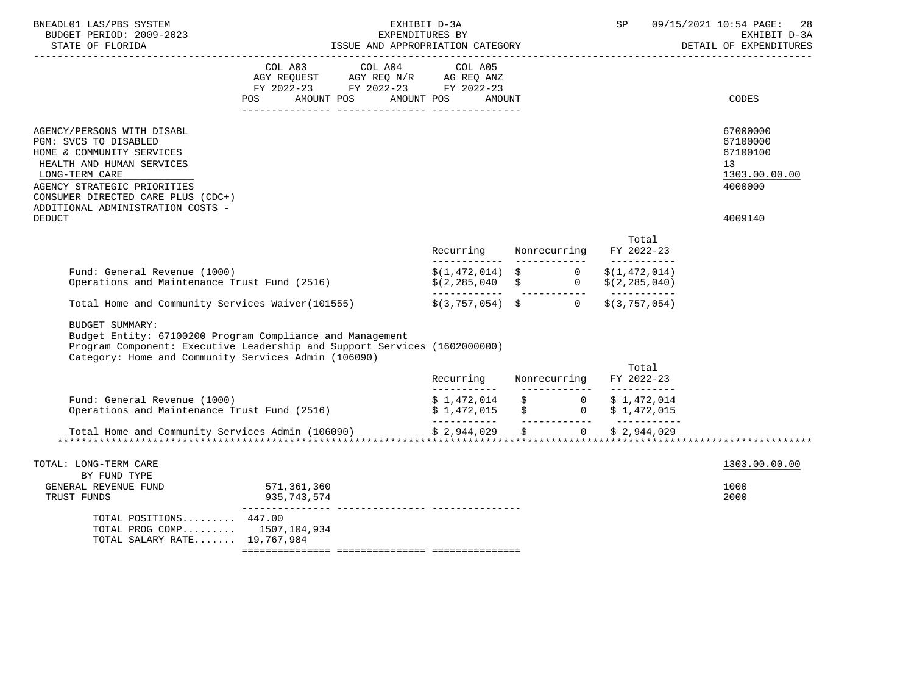| BNEADL01 LAS/PBS SYSTEM<br>BUDGET PERIOD: 2009-2023<br>STATE OF FLORIDA                                                                                                                                                                                    | EXHIBIT D-3A<br>EXPENDITURES BY<br>ISSUE AND APPROPRIATION CATEGORY                                                                    |                                        |  | $\operatorname{SP}$                                                                                                    | 09/15/2021 10:54 PAGE:<br>-28<br>EXHIBIT D-3A<br>DETAIL OF EXPENDITURES       |
|------------------------------------------------------------------------------------------------------------------------------------------------------------------------------------------------------------------------------------------------------------|----------------------------------------------------------------------------------------------------------------------------------------|----------------------------------------|--|------------------------------------------------------------------------------------------------------------------------|-------------------------------------------------------------------------------|
|                                                                                                                                                                                                                                                            | COL A03 COL A04 COL A05<br>AGY REQUEST AGY REQ N/R AG REQ ANZ<br>FY 2022-23 FY 2022-23 FY 2022-23<br>AMOUNT POS AMOUNT POS<br>POS      | <b>AMOUNT</b>                          |  |                                                                                                                        | CODES                                                                         |
| AGENCY/PERSONS WITH DISABL<br>PGM: SVCS TO DISABLED<br>HOME & COMMUNITY SERVICES<br>HEALTH AND HUMAN SERVICES<br>LONG-TERM CARE<br>AGENCY STRATEGIC PRIORITIES<br>CONSUMER DIRECTED CARE PLUS (CDC+)<br>ADDITIONAL ADMINISTRATION COSTS -<br><b>DEDUCT</b> |                                                                                                                                        |                                        |  |                                                                                                                        | 67000000<br>67100000<br>67100100<br>13<br>1303.00.00.00<br>4000000<br>4009140 |
|                                                                                                                                                                                                                                                            |                                                                                                                                        | Recurring Nonrecurring                 |  | Total<br>FY 2022-23                                                                                                    |                                                                               |
| Fund: General Revenue (1000)<br>Operations and Maintenance Trust Fund (2516)                                                                                                                                                                               |                                                                                                                                        |                                        |  | $\begin{array}{lcl} \xi(1,472,014) & \xi & 0 & \xi(1,472,014) \\ \xi(2,285,040 & \xi & 0 & \xi(2,285,040) \end{array}$ |                                                                               |
|                                                                                                                                                                                                                                                            | Total Home and Community Services Waiver (101555)                                                                                      | $\sharp$ (3,757,054) $\sharp$ 0        |  | \$(3, 757, 054)                                                                                                        |                                                                               |
| <b>BUDGET SUMMARY:</b><br>Category: Home and Community Services Admin (106090)                                                                                                                                                                             | Budget Entity: 67100200 Program Compliance and Management<br>Program Component: Executive Leadership and Support Services (1602000000) |                                        |  | Total                                                                                                                  |                                                                               |
|                                                                                                                                                                                                                                                            |                                                                                                                                        | Recurring Nonrecurring<br>------------ |  | FY 2022-23                                                                                                             |                                                                               |
| Fund: General Revenue (1000)<br>Operations and Maintenance Trust Fund (2516)                                                                                                                                                                               |                                                                                                                                        |                                        |  | $$1,472,014$<br>$$1,472,015$<br>$$0$<br>$$1,472,015$<br>$$0$<br>$$1,472,015$<br>$$1,472,015$<br>$$1,472,015$           |                                                                               |
|                                                                                                                                                                                                                                                            |                                                                                                                                        |                                        |  |                                                                                                                        |                                                                               |
| TOTAL: LONG-TERM CARE                                                                                                                                                                                                                                      |                                                                                                                                        |                                        |  |                                                                                                                        | 1303.00.00.00                                                                 |
| BY FUND TYPE<br>GENERAL REVENUE FUND<br>TRUST FUNDS                                                                                                                                                                                                        | 571,361,360<br>935,743,574                                                                                                             |                                        |  |                                                                                                                        | 1000<br>2000                                                                  |
| TOTAL POSITIONS 447.00<br>TOTAL PROG COMP 1507,104,934<br>TOTAL SALARY RATE 19,767,984                                                                                                                                                                     |                                                                                                                                        |                                        |  |                                                                                                                        |                                                                               |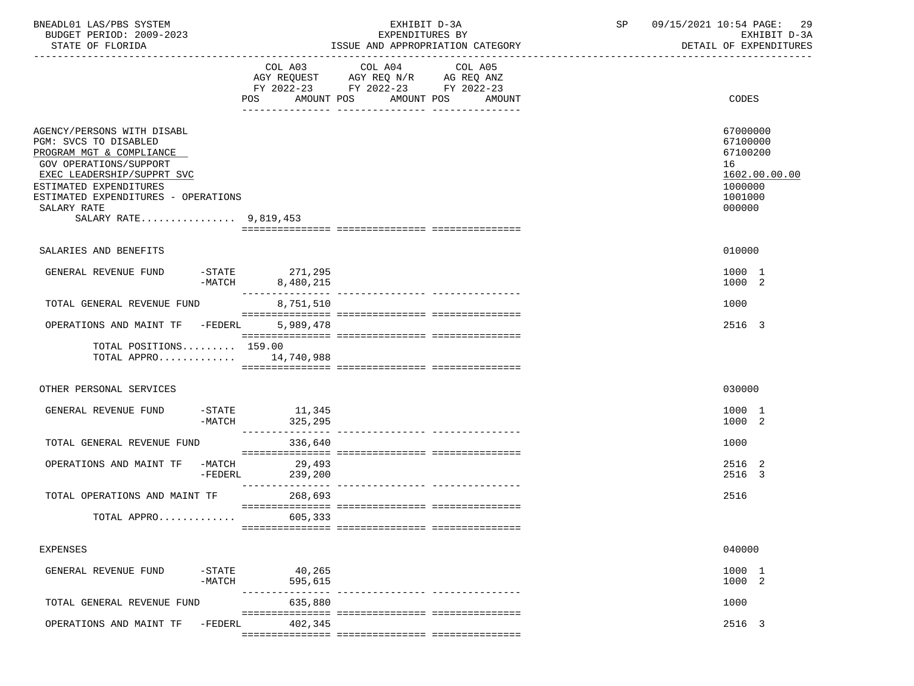| BNEADL01 LAS/PBS SYSTEM<br>BUDGET PERIOD: 2009-2023<br>STATE OF FLORIDA                                                                                                                                                                                 |                       |                                                 | EXHIBIT D-3A<br>EXPENDITURES BY                                                                            | ISSUE AND APPROPRIATION CATEGORY | SP | 09/15/2021 10:54 PAGE: 29<br>EXHIBIT D-3A<br>DETAIL OF EXPENDITURES                     |
|---------------------------------------------------------------------------------------------------------------------------------------------------------------------------------------------------------------------------------------------------------|-----------------------|-------------------------------------------------|------------------------------------------------------------------------------------------------------------|----------------------------------|----|-----------------------------------------------------------------------------------------|
|                                                                                                                                                                                                                                                         |                       | COL A03<br>POS                                  | COL A04<br>AGY REQUEST AGY REQ N/R AG REQ ANZ<br>FY 2022-23 FY 2022-23 FY 2022-23<br>AMOUNT POS AMOUNT POS | COL A05<br>AMOUNT                |    | <b>CODES</b>                                                                            |
| AGENCY/PERSONS WITH DISABL<br>PGM: SVCS TO DISABLED<br>PROGRAM MGT & COMPLIANCE<br><b>GOV OPERATIONS/SUPPORT</b><br>EXEC LEADERSHIP/SUPPRT SVC<br>ESTIMATED EXPENDITURES<br>ESTIMATED EXPENDITURES - OPERATIONS<br>SALARY RATE<br>SALARY RATE 9,819,453 |                       |                                                 |                                                                                                            |                                  |    | 67000000<br>67100000<br>67100200<br>16<br>1602.00.00.00<br>1000000<br>1001000<br>000000 |
| SALARIES AND BENEFITS                                                                                                                                                                                                                                   |                       |                                                 |                                                                                                            |                                  |    | 010000                                                                                  |
| GENERAL REVENUE FUND                                                                                                                                                                                                                                    |                       | STATE 271,295 -<br>MATCH 8,480,215<br>8,480,215 |                                                                                                            |                                  |    | 1000 1<br>1000 2                                                                        |
| TOTAL GENERAL REVENUE FUND                                                                                                                                                                                                                              |                       | 8,751,510                                       |                                                                                                            |                                  |    | 1000                                                                                    |
| OPERATIONS AND MAINT TF -FEDERL                                                                                                                                                                                                                         |                       | 5,989,478                                       |                                                                                                            |                                  |    | 2516 3                                                                                  |
| TOTAL POSITIONS 159.00<br>TOTAL APPRO 14,740,988                                                                                                                                                                                                        |                       |                                                 |                                                                                                            |                                  |    |                                                                                         |
| OTHER PERSONAL SERVICES                                                                                                                                                                                                                                 |                       |                                                 |                                                                                                            |                                  |    | 030000                                                                                  |
| GENERAL REVENUE FUND                                                                                                                                                                                                                                    |                       | $-STATE$ 11,345<br>$-MATCH$ 325, 295            |                                                                                                            |                                  |    | 1000 1<br>1000 2                                                                        |
| TOTAL GENERAL REVENUE FUND                                                                                                                                                                                                                              |                       | 336,640                                         |                                                                                                            |                                  |    | 1000                                                                                    |
| OPERATIONS AND MAINT TF -MATCH                                                                                                                                                                                                                          | $-{\tt FEDERL}$       | 29,493<br>239,200                               |                                                                                                            |                                  |    | 2516 2<br>2516 3                                                                        |
| TOTAL OPERATIONS AND MAINT TF                                                                                                                                                                                                                           |                       | 268,693                                         |                                                                                                            |                                  |    | 2516                                                                                    |
| TOTAL APPRO                                                                                                                                                                                                                                             |                       | 605,333                                         |                                                                                                            |                                  |    |                                                                                         |
| <b>EXPENSES</b>                                                                                                                                                                                                                                         |                       |                                                 |                                                                                                            |                                  |    | 040000                                                                                  |
| GENERAL REVENUE FUND                                                                                                                                                                                                                                    | $-$ STATE<br>$-MATCH$ | 40,265<br>595,615                               |                                                                                                            |                                  |    | 1000 1<br>1000 2                                                                        |
| TOTAL GENERAL REVENUE FUND                                                                                                                                                                                                                              |                       | 635,880                                         |                                                                                                            |                                  |    | 1000                                                                                    |
| OPERATIONS AND MAINT TF                                                                                                                                                                                                                                 | $-FEDERL$             | 402,345                                         |                                                                                                            |                                  |    | 2516 3                                                                                  |
|                                                                                                                                                                                                                                                         |                       |                                                 |                                                                                                            |                                  |    |                                                                                         |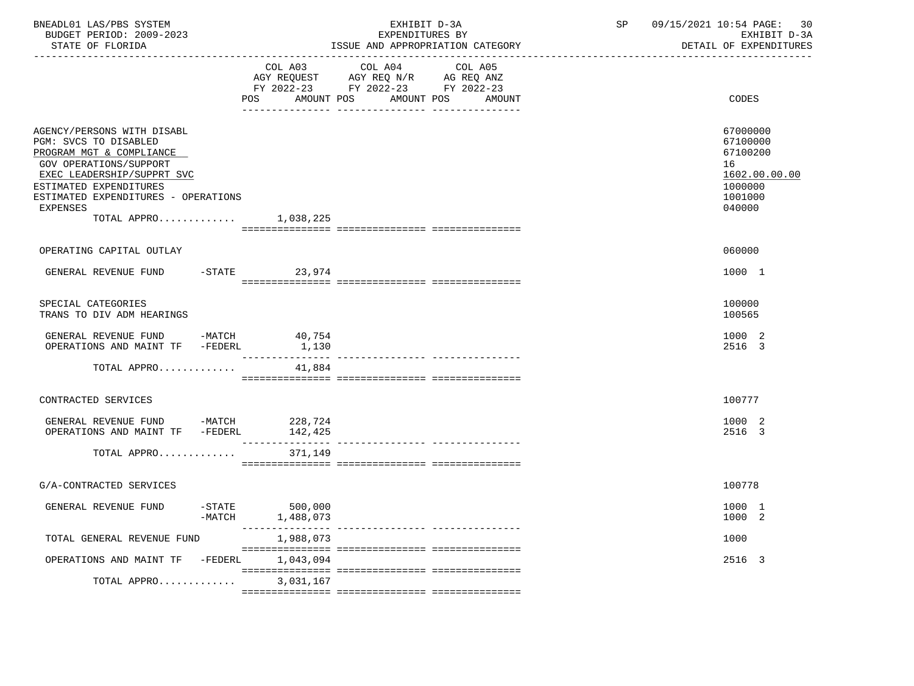| BNEADL01 LAS/PBS SYSTEM<br>BUDGET PERIOD: 2009-2023<br>STATE OF FLORIDA                                                                                                                                                                                       |                                          | EXHIBIT D-3A<br>EXPENDITURES BY<br>ISSUE AND APPROPRIATION CATEGORY                                                          | 09/15/2021 10:54 PAGE:<br>SP | 30<br>EXHIBIT D-3A<br>DETAIL OF EXPENDITURES                                            |
|---------------------------------------------------------------------------------------------------------------------------------------------------------------------------------------------------------------------------------------------------------------|------------------------------------------|------------------------------------------------------------------------------------------------------------------------------|------------------------------|-----------------------------------------------------------------------------------------|
|                                                                                                                                                                                                                                                               | COL A03<br>POS                           | COL A04<br>COL A05<br>AGY REQUEST AGY REQ N/R AG REQ ANZ<br>FY 2022-23 FY 2022-23 FY 2022-23<br>AMOUNT POS AMOUNT POS AMOUNT |                              | CODES                                                                                   |
| AGENCY/PERSONS WITH DISABL<br>PGM: SVCS TO DISABLED<br>PROGRAM MGT & COMPLIANCE<br><b>GOV OPERATIONS/SUPPORT</b><br>EXEC LEADERSHIP/SUPPRT SVC<br>ESTIMATED EXPENDITURES<br>ESTIMATED EXPENDITURES - OPERATIONS<br><b>EXPENSES</b><br>TOTAL APPRO $1,038,225$ |                                          |                                                                                                                              |                              | 67000000<br>67100000<br>67100200<br>16<br>1602.00.00.00<br>1000000<br>1001000<br>040000 |
| OPERATING CAPITAL OUTLAY                                                                                                                                                                                                                                      |                                          |                                                                                                                              |                              | 060000                                                                                  |
| GENERAL REVENUE FUND -STATE 23,974                                                                                                                                                                                                                            |                                          |                                                                                                                              |                              | 1000 1                                                                                  |
| SPECIAL CATEGORIES<br>TRANS TO DIV ADM HEARINGS                                                                                                                                                                                                               |                                          |                                                                                                                              |                              | 100000<br>100565                                                                        |
| GENERAL REVENUE FUND -MATCH<br>OPERATIONS AND MAINT TF -FEDERL                                                                                                                                                                                                | 40,754<br>1,130                          |                                                                                                                              |                              | 1000 2<br>2516 3                                                                        |
| TOTAL APPRO                                                                                                                                                                                                                                                   | 41,884                                   |                                                                                                                              |                              |                                                                                         |
| CONTRACTED SERVICES                                                                                                                                                                                                                                           |                                          |                                                                                                                              |                              | 100777                                                                                  |
| GENERAL REVENUE FUND -MATCH<br>OPERATIONS AND MAINT TF -FEDERL 142,425                                                                                                                                                                                        | 228,724                                  |                                                                                                                              |                              | 1000 2<br>2516 3                                                                        |
| TOTAL APPRO                                                                                                                                                                                                                                                   | 371,149                                  |                                                                                                                              |                              |                                                                                         |
| G/A-CONTRACTED SERVICES                                                                                                                                                                                                                                       |                                          |                                                                                                                              |                              | 100778                                                                                  |
| GENERAL REVENUE FUND                                                                                                                                                                                                                                          | $-$ STATE<br>500,000<br>-MATCH 1,488,073 |                                                                                                                              |                              | 1000 1<br>1000 2                                                                        |
| TOTAL GENERAL REVENUE FUND                                                                                                                                                                                                                                    | 1,988,073                                |                                                                                                                              |                              | 1000                                                                                    |
| OPERATIONS AND MAINT TF -FEDERL 1,043,094                                                                                                                                                                                                                     |                                          |                                                                                                                              |                              | 2516 3                                                                                  |
| TOTAL APPRO                                                                                                                                                                                                                                                   | 3,031,167                                |                                                                                                                              |                              |                                                                                         |
|                                                                                                                                                                                                                                                               |                                          |                                                                                                                              |                              |                                                                                         |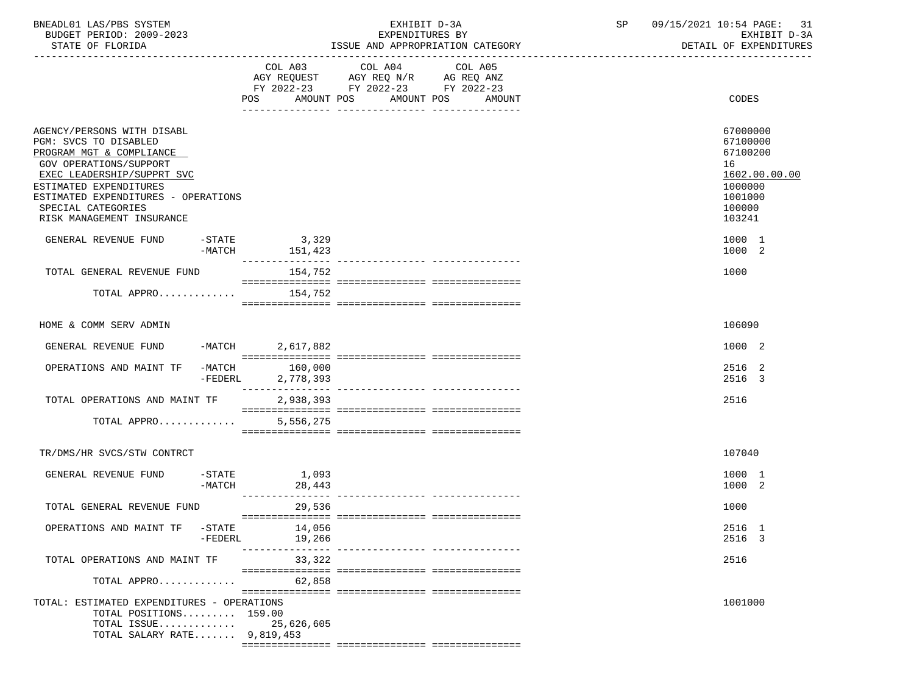| BNEADL01 LAS/PBS SYSTEM |                  |                          |  | EXHIBIT D-3A                     |  |
|-------------------------|------------------|--------------------------|--|----------------------------------|--|
|                         |                  | BUDGET PERIOD: 2009-2023 |  | EXPENDITURES BY                  |  |
|                         | STATE OF FLORIDA |                          |  | ISSUE AND APPROPRIATION CATEGORY |  |

BUDGET PERIOD: 2009-2023 EXPENDITURES BY EXHIBIT D-3A

|                                                                                                                                                                                                                                                             | POS AMOUNT POS                      | COL A03 COL A04 COL A05<br>AGY REQUEST AGY REQ N/R AG REQ ANZ<br>FY 2022-23 FY 2022-23 FY 2022-23<br>-- ------------ | AMOUNT POS AMOUNT                 | CODES                                                                                             |
|-------------------------------------------------------------------------------------------------------------------------------------------------------------------------------------------------------------------------------------------------------------|-------------------------------------|----------------------------------------------------------------------------------------------------------------------|-----------------------------------|---------------------------------------------------------------------------------------------------|
| AGENCY/PERSONS WITH DISABL<br>PGM: SVCS TO DISABLED<br>PROGRAM MGT & COMPLIANCE<br>GOV OPERATIONS/SUPPORT<br>EXEC LEADERSHIP/SUPPRT SVC<br>ESTIMATED EXPENDITURES<br>ESTIMATED EXPENDITURES - OPERATIONS<br>SPECIAL CATEGORIES<br>RISK MANAGEMENT INSURANCE |                                     |                                                                                                                      |                                   | 67000000<br>67100000<br>67100200<br>16<br>1602.00.00.00<br>1000000<br>1001000<br>100000<br>103241 |
| GENERAL REVENUE FUND -STATE<br>-MATCH                                                                                                                                                                                                                       | 3,329<br>151,423<br>--------------- |                                                                                                                      | ---------------- ---------------- | 1000 1<br>1000 2                                                                                  |
| TOTAL GENERAL REVENUE FUND                                                                                                                                                                                                                                  | 154,752                             |                                                                                                                      |                                   | 1000                                                                                              |
| TOTAL APPRO                                                                                                                                                                                                                                                 | 154,752                             |                                                                                                                      |                                   |                                                                                                   |
| HOME & COMM SERV ADMIN                                                                                                                                                                                                                                      |                                     |                                                                                                                      |                                   | 106090                                                                                            |
| $-MATCH$<br>GENERAL REVENUE FUND                                                                                                                                                                                                                            | 2,617,882                           |                                                                                                                      |                                   | 1000 2                                                                                            |
| OPERATIONS AND MAINT TF<br>$-MATCH$                                                                                                                                                                                                                         | 160,000<br>$-FEDERL$<br>2,778,393   |                                                                                                                      |                                   | 2516 2<br>2516 3                                                                                  |
| TOTAL OPERATIONS AND MAINT TF                                                                                                                                                                                                                               | 2,938,393                           |                                                                                                                      |                                   | 2516                                                                                              |
| TOTAL APPRO                                                                                                                                                                                                                                                 | 5,556,275                           |                                                                                                                      |                                   |                                                                                                   |
| TR/DMS/HR SVCS/STW CONTRCT                                                                                                                                                                                                                                  |                                     |                                                                                                                      |                                   | 107040                                                                                            |
| GENERAL REVENUE FUND<br>-MATCH                                                                                                                                                                                                                              | -STATE 1,093<br>28,443              |                                                                                                                      |                                   | 1000 1<br>1000 2                                                                                  |
| TOTAL GENERAL REVENUE FUND                                                                                                                                                                                                                                  | ---------------<br>29,536           |                                                                                                                      | -------------- ----------------   | 1000                                                                                              |
| OPERATIONS AND MAINT TF -STATE<br>-FEDERL                                                                                                                                                                                                                   | 14,056<br>19,266                    |                                                                                                                      |                                   | 2516 1<br>2516 3                                                                                  |
| TOTAL OPERATIONS AND MAINT TF                                                                                                                                                                                                                               | 33,322                              |                                                                                                                      |                                   | 2516                                                                                              |
| TOTAL APPRO                                                                                                                                                                                                                                                 | 62,858                              |                                                                                                                      |                                   |                                                                                                   |
| TOTAL: ESTIMATED EXPENDITURES - OPERATIONS<br>TOTAL POSITIONS 159.00<br>TOTAL ISSUE<br>TOTAL SALARY RATE $9,819,453$                                                                                                                                        | 25,626,605                          |                                                                                                                      |                                   | 1001000                                                                                           |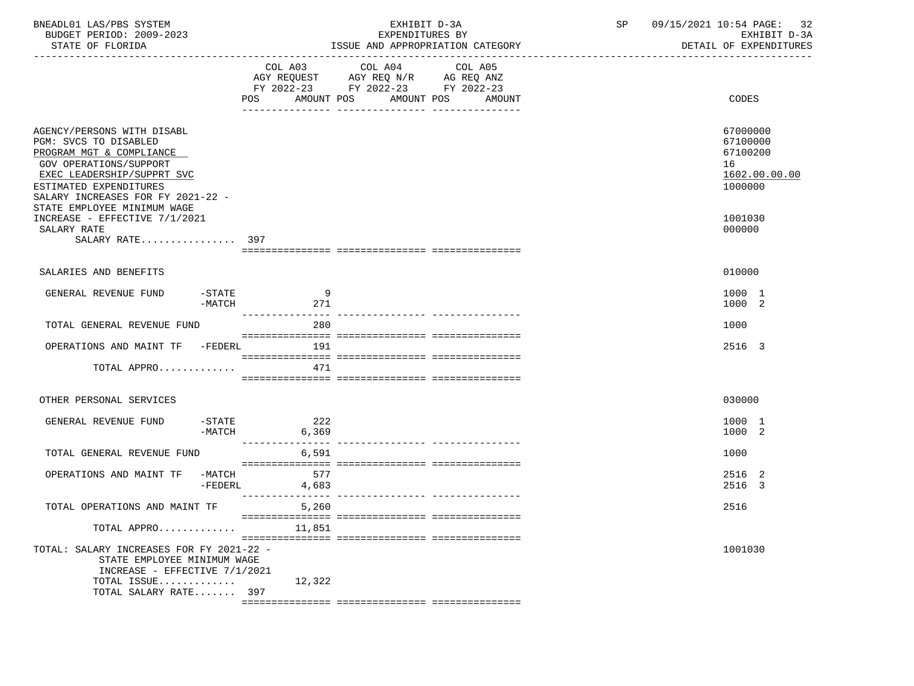| BNEADL01 LAS/PBS SYSTEM<br>BUDGET PERIOD: 2009-2023<br>STATE OF FLORIDA                                                                                                                                                               |                       | EXHIBIT D-3A<br>EXPENDITURES BY<br>ISSUE AND APPROPRIATION CATEGORY                                                                         | SP 09/15/2021 10:54 PAGE: 32 | EXHIBIT D-3A<br>DETAIL OF EXPENDITURES                             |
|---------------------------------------------------------------------------------------------------------------------------------------------------------------------------------------------------------------------------------------|-----------------------|---------------------------------------------------------------------------------------------------------------------------------------------|------------------------------|--------------------------------------------------------------------|
|                                                                                                                                                                                                                                       |                       | COL A03 COL A04<br>COL A05<br>AGY REQUEST AGY REQ N/R AG REQ ANZ<br>FY 2022-23 FY 2022-23 FY 2022-23<br>POS AMOUNT POS AMOUNT POS<br>AMOUNT |                              | CODES                                                              |
| AGENCY/PERSONS WITH DISABL<br>PGM: SVCS TO DISABLED<br>PROGRAM MGT & COMPLIANCE<br>GOV OPERATIONS/SUPPORT<br>EXEC LEADERSHIP/SUPPRT SVC<br>ESTIMATED EXPENDITURES<br>SALARY INCREASES FOR FY 2021-22 -<br>STATE EMPLOYEE MINIMUM WAGE |                       |                                                                                                                                             |                              | 67000000<br>67100000<br>67100200<br>16<br>1602.00.00.00<br>1000000 |
| INCREASE - EFFECTIVE 7/1/2021<br>SALARY RATE<br>SALARY RATE 397                                                                                                                                                                       |                       |                                                                                                                                             |                              | 1001030<br>000000                                                  |
| SALARIES AND BENEFITS                                                                                                                                                                                                                 |                       |                                                                                                                                             |                              | 010000                                                             |
| GENERAL REVENUE FUND<br>$-$ STATE<br>$-MATCH$                                                                                                                                                                                         | $\overline{9}$<br>271 |                                                                                                                                             |                              | 1000 1<br>1000 2                                                   |
| TOTAL GENERAL REVENUE FUND                                                                                                                                                                                                            | 280                   |                                                                                                                                             |                              | 1000                                                               |
| OPERATIONS AND MAINT TF -FEDERL                                                                                                                                                                                                       | 191                   |                                                                                                                                             |                              | 2516 3                                                             |
| TOTAL APPRO                                                                                                                                                                                                                           | 471                   |                                                                                                                                             |                              |                                                                    |
| OTHER PERSONAL SERVICES                                                                                                                                                                                                               |                       |                                                                                                                                             |                              | 030000                                                             |
| GENERAL REVENUE FUND -STATE 222<br>-MATCH                                                                                                                                                                                             | 6,369                 |                                                                                                                                             |                              | 1000 1<br>1000 2                                                   |
| TOTAL GENERAL REVENUE FUND                                                                                                                                                                                                            | 6,591                 |                                                                                                                                             |                              | 1000                                                               |
| OPERATIONS AND MAINT TF -MATCH<br>-FEDERL                                                                                                                                                                                             | 577<br>4,683          |                                                                                                                                             |                              | 2516 2<br>2516 3                                                   |
| TOTAL OPERATIONS AND MAINT TF                                                                                                                                                                                                         | 5,260                 |                                                                                                                                             |                              | 2516                                                               |
| TOTAL APPRO                                                                                                                                                                                                                           | 11,851                |                                                                                                                                             |                              |                                                                    |
| TOTAL: SALARY INCREASES FOR FY 2021-22 -<br>STATE EMPLOYEE MINIMUM WAGE<br>INCREASE - EFFECTIVE 7/1/2021                                                                                                                              |                       |                                                                                                                                             |                              | 1001030                                                            |
| TOTAL ISSUE<br>TOTAL SALARY RATE 397                                                                                                                                                                                                  | 12,322                |                                                                                                                                             |                              |                                                                    |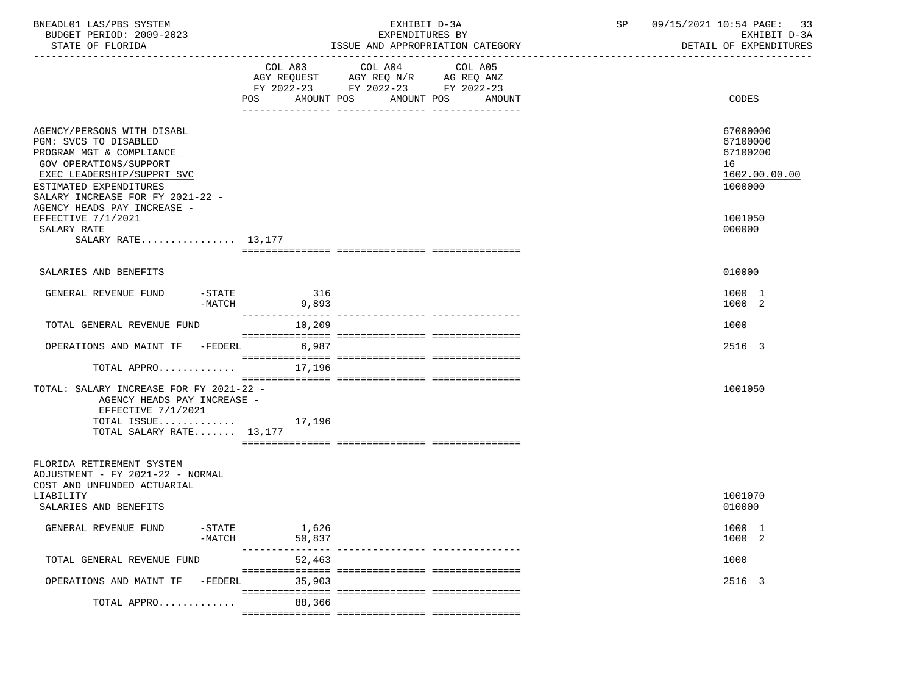| BNEADL01 LAS/PBS SYSTEM<br>BUDGET PERIOD: 2009-2023<br>STATE OF FLORIDA                                                                                                                                                              |                 | EXHIBIT D-3A<br>EXPENDITURES BY<br>ISSUE AND APPROPRIATION CATEGORY                                                              | 09/15/2021 10:54 PAGE: 33<br>SP<br>EXHIBIT D-3A<br>DETAIL OF EXPENDITURES |                                                                    |
|--------------------------------------------------------------------------------------------------------------------------------------------------------------------------------------------------------------------------------------|-----------------|----------------------------------------------------------------------------------------------------------------------------------|---------------------------------------------------------------------------|--------------------------------------------------------------------|
|                                                                                                                                                                                                                                      | COL A03         | COL A04<br>COL A05<br>AGY REQUEST AGY REQ N/R AG REQ ANZ<br>FY 2022-23 FY 2022-23 FY 2022-23<br>POS AMOUNT POS AMOUNT POS AMOUNT |                                                                           | CODES                                                              |
| AGENCY/PERSONS WITH DISABL<br>PGM: SVCS TO DISABLED<br>PROGRAM MGT & COMPLIANCE<br>GOV OPERATIONS/SUPPORT<br>EXEC LEADERSHIP/SUPPRT SVC<br>ESTIMATED EXPENDITURES<br>SALARY INCREASE FOR FY 2021-22 -<br>AGENCY HEADS PAY INCREASE - |                 |                                                                                                                                  |                                                                           | 67000000<br>67100000<br>67100200<br>16<br>1602.00.00.00<br>1000000 |
| EFFECTIVE 7/1/2021<br>SALARY RATE<br>SALARY RATE 13,177                                                                                                                                                                              |                 |                                                                                                                                  |                                                                           | 1001050<br>000000                                                  |
| SALARIES AND BENEFITS                                                                                                                                                                                                                |                 |                                                                                                                                  |                                                                           | 010000                                                             |
| $-\mathtt{STATE}$<br>GENERAL REVENUE FUND<br>$-MATCH$                                                                                                                                                                                | 316<br>9,893    |                                                                                                                                  |                                                                           | 1000 1<br>1000 2                                                   |
| TOTAL GENERAL REVENUE FUND                                                                                                                                                                                                           | 10,209          |                                                                                                                                  |                                                                           | 1000                                                               |
| OPERATIONS AND MAINT TF -FEDERL                                                                                                                                                                                                      | 6,987           |                                                                                                                                  |                                                                           | 2516 3                                                             |
| TOTAL APPRO                                                                                                                                                                                                                          | 17,196          |                                                                                                                                  |                                                                           |                                                                    |
| TOTAL: SALARY INCREASE FOR FY 2021-22 -<br>AGENCY HEADS PAY INCREASE -<br>EFFECTIVE 7/1/2021<br>TOTAL ISSUE $17,196$<br>TOTAL SALARY RATE 13,177                                                                                     |                 |                                                                                                                                  |                                                                           | 1001050                                                            |
| FLORIDA RETIREMENT SYSTEM<br>ADJUSTMENT - FY 2021-22 - NORMAL<br>COST AND UNFUNDED ACTUARIAL<br>LIABILITY<br>SALARIES AND BENEFITS                                                                                                   |                 |                                                                                                                                  |                                                                           | 1001070<br>010000                                                  |
| $-$ STATE<br>GENERAL REVENUE FUND<br>$-MATCH$                                                                                                                                                                                        | 1,626<br>50,837 |                                                                                                                                  |                                                                           | 1000 1<br>1000 2                                                   |
| TOTAL GENERAL REVENUE FUND                                                                                                                                                                                                           | 52,463          |                                                                                                                                  |                                                                           | 1000                                                               |
| OPERATIONS AND MAINT TF<br>$-FEDERL$                                                                                                                                                                                                 | 35,903          |                                                                                                                                  |                                                                           | 2516 3                                                             |
| TOTAL APPRO                                                                                                                                                                                                                          | 88,366          |                                                                                                                                  |                                                                           |                                                                    |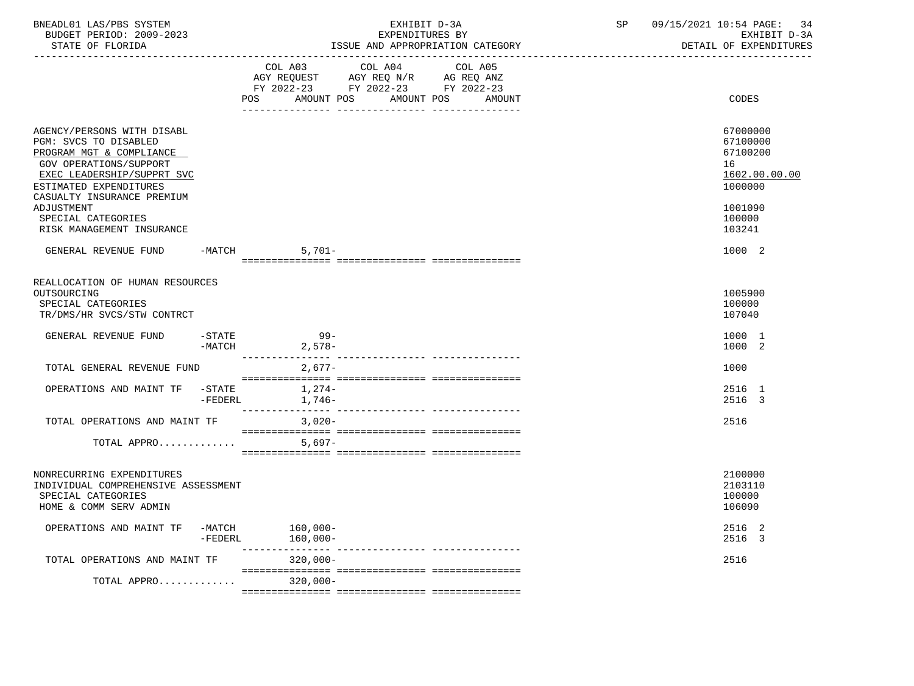| BNEADL01 LAS/PBS SYSTEM<br>BUDGET PERIOD: 2009-2023<br>STATE OF FLORIDA                                                                                                                                                                                          |           | EXHIBIT D-3A<br>EXPENDITURES BY<br>ISSUE AND APPROPRIATION CATEGORY |                                                                                   |                                             | SP | 09/15/2021 10:54 PAGE:<br>-34<br>EXHIBIT D-3A<br>DETAIL OF EXPENDITURES                           |  |
|------------------------------------------------------------------------------------------------------------------------------------------------------------------------------------------------------------------------------------------------------------------|-----------|---------------------------------------------------------------------|-----------------------------------------------------------------------------------|---------------------------------------------|----|---------------------------------------------------------------------------------------------------|--|
|                                                                                                                                                                                                                                                                  |           | COL A03                                                             | COL A04<br>AGY REQUEST AGY REQ N/R AG REQ ANZ<br>FY 2022-23 FY 2022-23 FY 2022-23 | COL A05<br>POS AMOUNT POS AMOUNT POS AMOUNT |    | CODES                                                                                             |  |
| AGENCY/PERSONS WITH DISABL<br>PGM: SVCS TO DISABLED<br>PROGRAM MGT & COMPLIANCE<br>GOV OPERATIONS/SUPPORT<br>EXEC LEADERSHIP/SUPPRT SVC<br>ESTIMATED EXPENDITURES<br>CASUALTY INSURANCE PREMIUM<br>ADJUSTMENT<br>SPECIAL CATEGORIES<br>RISK MANAGEMENT INSURANCE |           |                                                                     |                                                                                   |                                             |    | 67000000<br>67100000<br>67100200<br>16<br>1602.00.00.00<br>1000000<br>1001090<br>100000<br>103241 |  |
| GENERAL REVENUE FUND                                                                                                                                                                                                                                             |           | $-MATCH$                                                            | 5,701-                                                                            |                                             |    | 1000 2                                                                                            |  |
| REALLOCATION OF HUMAN RESOURCES<br>OUTSOURCING<br>SPECIAL CATEGORIES<br>TR/DMS/HR SVCS/STW CONTRCT                                                                                                                                                               |           |                                                                     |                                                                                   |                                             |    | 1005900<br>100000<br>107040                                                                       |  |
| GENERAL REVENUE FUND                                                                                                                                                                                                                                             | $-$ STATE | $-MATCH$ 2,578-                                                     | $99 -$                                                                            |                                             |    | 1000 1<br>1000 2                                                                                  |  |
| TOTAL GENERAL REVENUE FUND                                                                                                                                                                                                                                       |           |                                                                     | $2,677-$                                                                          |                                             |    | 1000                                                                                              |  |
| OPERATIONS AND MAINT TF -STATE 1,274-                                                                                                                                                                                                                            |           | -FEDERL 1,746-                                                      |                                                                                   |                                             |    | 2516 1<br>2516 3                                                                                  |  |
| TOTAL OPERATIONS AND MAINT TF<br>TOTAL APPRO                                                                                                                                                                                                                     |           |                                                                     | 3,020-<br>5,697-                                                                  |                                             |    | 2516                                                                                              |  |
| NONRECURRING EXPENDITURES<br>INDIVIDUAL COMPREHENSIVE ASSESSMENT<br>SPECIAL CATEGORIES<br>HOME & COMM SERV ADMIN                                                                                                                                                 |           |                                                                     |                                                                                   |                                             |    | 2100000<br>2103110<br>100000<br>106090                                                            |  |
| OPERATIONS AND MAINT TF -MATCH 160,000-                                                                                                                                                                                                                          |           | -FEDERL 160,000-                                                    |                                                                                   |                                             |    | 2516 2<br>2516 3                                                                                  |  |
| TOTAL OPERATIONS AND MAINT TF                                                                                                                                                                                                                                    |           | 320,000-                                                            |                                                                                   |                                             |    | 2516                                                                                              |  |
| TOTAL APPRO 320,000-                                                                                                                                                                                                                                             |           |                                                                     |                                                                                   |                                             |    |                                                                                                   |  |
|                                                                                                                                                                                                                                                                  |           |                                                                     |                                                                                   |                                             |    |                                                                                                   |  |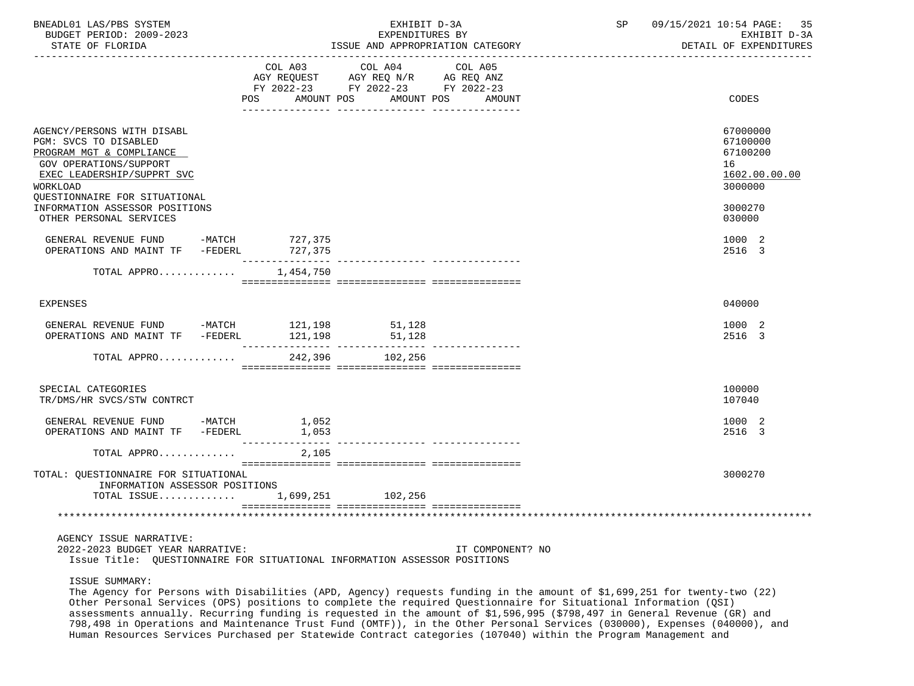| BNEADL01 LAS/PBS SYSTEM<br>BUDGET PERIOD: 2009-2023<br>STATE OF FLORIDA                                                                                                                                                                           | EXHIBIT D-3A<br>EXPENDITURES BY<br>ISSUE AND APPROPRIATION CATEGORY                                                                   |                  | SP | 09/15/2021 10:54 PAGE:<br>35<br>EXHIBIT D-3A<br>DETAIL OF EXPENDITURES                  |
|---------------------------------------------------------------------------------------------------------------------------------------------------------------------------------------------------------------------------------------------------|---------------------------------------------------------------------------------------------------------------------------------------|------------------|----|-----------------------------------------------------------------------------------------|
|                                                                                                                                                                                                                                                   | COL A03 COL A04 COL A05<br>AGY REQUEST AGY REQ N/R AG REQ ANZ<br>FY 2022-23 FY 2022-23 FY 2022-23<br>POS AMOUNT POS AMOUNT POS AMOUNT |                  |    | CODES                                                                                   |
| AGENCY/PERSONS WITH DISABL<br>PGM: SVCS TO DISABLED<br>PROGRAM MGT & COMPLIANCE<br>GOV OPERATIONS/SUPPORT<br>EXEC LEADERSHIP/SUPPRT SVC<br>WORKLOAD<br>QUESTIONNAIRE FOR SITUATIONAL<br>INFORMATION ASSESSOR POSITIONS<br>OTHER PERSONAL SERVICES |                                                                                                                                       |                  |    | 67000000<br>67100000<br>67100200<br>16<br>1602.00.00.00<br>3000000<br>3000270<br>030000 |
| GENERAL REVENUE FUND -MATCH 727,375<br>OPERATIONS AND MAINT TF -FEDERL 727,375                                                                                                                                                                    |                                                                                                                                       |                  |    | 1000 2                                                                                  |
| TOTAL APPRO $1,454,750$                                                                                                                                                                                                                           |                                                                                                                                       |                  |    | 2516 3                                                                                  |
|                                                                                                                                                                                                                                                   |                                                                                                                                       |                  |    |                                                                                         |
| <b>EXPENSES</b>                                                                                                                                                                                                                                   |                                                                                                                                       |                  |    | 040000                                                                                  |
| GENERAL REVENUE FUND -MATCH 121,198<br>OPERATIONS AND MAINT TF -FEDERL 121,198                                                                                                                                                                    | 51,128<br>51,128                                                                                                                      |                  |    | 1000 2<br>2516 3                                                                        |
| TOTAL APPRO                                                                                                                                                                                                                                       | 242,396 102,256                                                                                                                       |                  |    |                                                                                         |
| SPECIAL CATEGORIES<br>TR/DMS/HR SVCS/STW CONTRCT                                                                                                                                                                                                  |                                                                                                                                       |                  |    | 100000<br>107040                                                                        |
| GENERAL REVENUE FUND -MATCH<br>OPERATIONS AND MAINT TF -FEDERL                                                                                                                                                                                    | 1,052<br>1,053                                                                                                                        |                  |    | 1000 2<br>2516 3                                                                        |
| TOTAL APPRO                                                                                                                                                                                                                                       | 2,105                                                                                                                                 |                  |    |                                                                                         |
| TOTAL: QUESTIONNAIRE FOR SITUATIONAL<br>INFORMATION ASSESSOR POSITIONS<br>TOTAL ISSUE 1,699,251 102,256                                                                                                                                           |                                                                                                                                       |                  |    | 3000270                                                                                 |
|                                                                                                                                                                                                                                                   | ******************************                                                                                                        |                  |    |                                                                                         |
| AGENCY ISSUE NARRATIVE:<br>2022-2023 BUDGET YEAR NARRATIVE:<br>Issue Title: QUESTIONNAIRE FOR SITUATIONAL INFORMATION ASSESSOR POSITIONS                                                                                                          |                                                                                                                                       | IT COMPONENT? NO |    |                                                                                         |

ISSUE SUMMARY:

 The Agency for Persons with Disabilities (APD, Agency) requests funding in the amount of \$1,699,251 for twenty-two (22) Other Personal Services (OPS) positions to complete the required Questionnaire for Situational Information (QSI) assessments annually. Recurring funding is requested in the amount of \$1,596,995 (\$798,497 in General Revenue (GR) and 798,498 in Operations and Maintenance Trust Fund (OMTF)), in the Other Personal Services (030000), Expenses (040000), and Human Resources Services Purchased per Statewide Contract categories (107040) within the Program Management and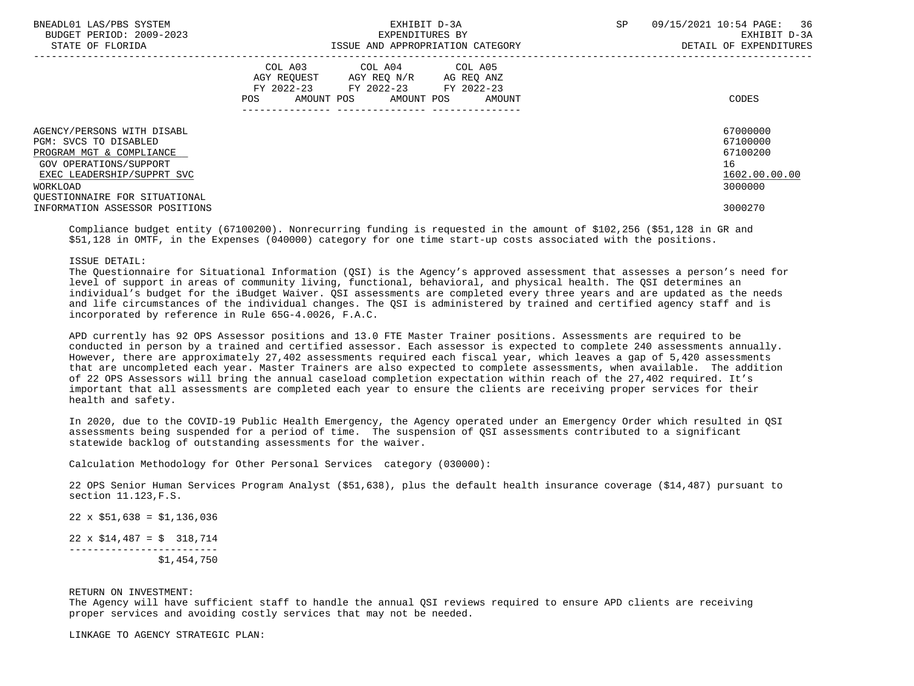| BNEADL01 LAS/PBS SYSTEM<br>BUDGET PERIOD: 2009-2023<br>STATE OF FLORIDA | EXHIBIT D-3A<br>EXPENDITURES BY<br>ISSUE AND APPROPRIATION CATEGORY                                                                                  | 36<br>SP<br>09/15/2021 10:54 PAGE:<br>EXHIBIT D-3A<br>DETAIL OF EXPENDITURES |
|-------------------------------------------------------------------------|------------------------------------------------------------------------------------------------------------------------------------------------------|------------------------------------------------------------------------------|
|                                                                         | COL A04 COL A05<br>COL A03<br>AGY REOUEST<br>AGY REO N/R<br>AG REO ANZ<br>FY 2022-23 FY 2022-23 FY 2022-23<br>POS<br>AMOUNT POS AMOUNT POS<br>AMOUNT | CODES                                                                        |
| AGENCY/PERSONS WITH DISABL<br>PGM: SVCS TO DISABLED                     |                                                                                                                                                      | 67000000<br>67100000                                                         |
| PROGRAM MGT & COMPLIANCE                                                |                                                                                                                                                      | 67100200                                                                     |
| GOV OPERATIONS/SUPPORT                                                  |                                                                                                                                                      | 16                                                                           |
| EXEC LEADERSHIP/SUPPRT SVC                                              |                                                                                                                                                      | 1602.00.00.00                                                                |
| WORKLOAD                                                                |                                                                                                                                                      | 3000000                                                                      |
| OUESTIONNAIRE FOR SITUATIONAL                                           |                                                                                                                                                      |                                                                              |
| INFORMATION ASSESSOR POSITIONS                                          |                                                                                                                                                      | 3000270                                                                      |

 Compliance budget entity (67100200). Nonrecurring funding is requested in the amount of \$102,256 (\$51,128 in GR and \$51,128 in OMTF, in the Expenses (040000) category for one time start-up costs associated with the positions.

ISSUE DETAIL:

 The Questionnaire for Situational Information (QSI) is the Agency's approved assessment that assesses a person's need for level of support in areas of community living, functional, behavioral, and physical health. The QSI determines an individual's budget for the iBudget Waiver. QSI assessments are completed every three years and are updated as the needs and life circumstances of the individual changes. The QSI is administered by trained and certified agency staff and is incorporated by reference in Rule 65G-4.0026, F.A.C.

 APD currently has 92 OPS Assessor positions and 13.0 FTE Master Trainer positions. Assessments are required to be conducted in person by a trained and certified assessor. Each assessor is expected to complete 240 assessments annually. However, there are approximately 27,402 assessments required each fiscal year, which leaves a gap of 5,420 assessments that are uncompleted each year. Master Trainers are also expected to complete assessments, when available. The addition of 22 OPS Assessors will bring the annual caseload completion expectation within reach of the 27,402 required. It's important that all assessments are completed each year to ensure the clients are receiving proper services for their health and safety.

 In 2020, due to the COVID-19 Public Health Emergency, the Agency operated under an Emergency Order which resulted in QSI assessments being suspended for a period of time. The suspension of QSI assessments contributed to a significant statewide backlog of outstanding assessments for the waiver.

Calculation Methodology for Other Personal Services category (030000):

 22 OPS Senior Human Services Program Analyst (\$51,638), plus the default health insurance coverage (\$14,487) pursuant to section 11.123,F.S.

 $22 \times $51,638 = $1,136,036$ 

 $22 \times $14,487 = $318,714$  ------------------------- \$1,454,750

## RETURN ON INVESTMENT:

 The Agency will have sufficient staff to handle the annual QSI reviews required to ensure APD clients are receiving proper services and avoiding costly services that may not be needed.

LINKAGE TO AGENCY STRATEGIC PLAN: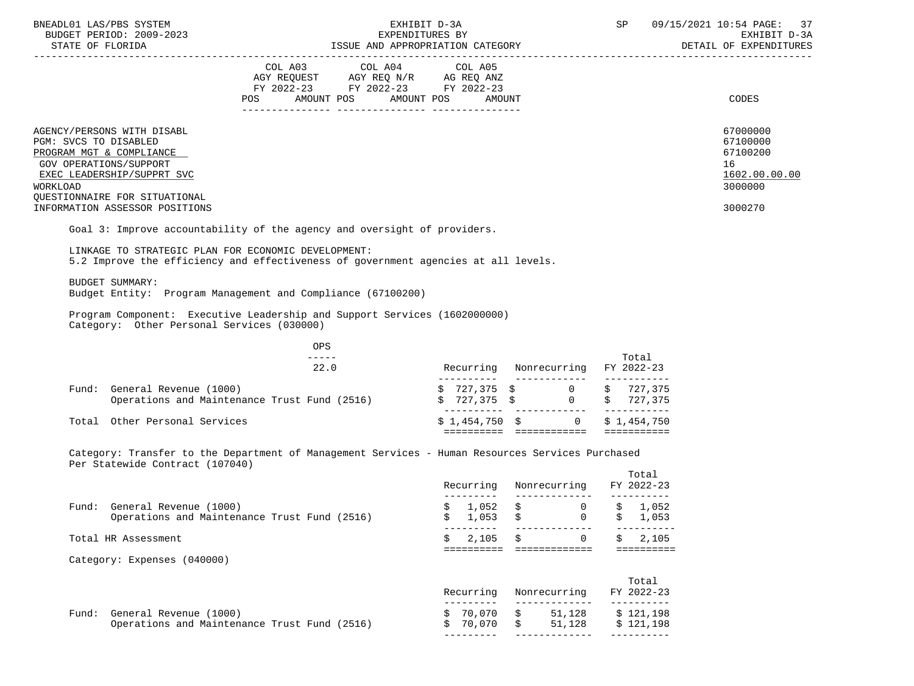| BNEADL01 LAS/PBS SYSTEM<br>BUDGET PERIOD: 2009-2023                                                                                                                                                                    |                                                                                                                                                                                                                                                                                                                                                                                                      | EXHIBIT D-3A |                                                                                                                                               |    |                | SP                    | 09/15/2021 10:54 PAGE: 37<br>EXHIBIT D-3A                                     |
|------------------------------------------------------------------------------------------------------------------------------------------------------------------------------------------------------------------------|------------------------------------------------------------------------------------------------------------------------------------------------------------------------------------------------------------------------------------------------------------------------------------------------------------------------------------------------------------------------------------------------------|--------------|-----------------------------------------------------------------------------------------------------------------------------------------------|----|----------------|-----------------------|-------------------------------------------------------------------------------|
|                                                                                                                                                                                                                        | COL A03 COL A04 COL A05<br>AGY REQUEST AGY REQ N/R AG REQ ANZ<br>FY 2022-23 FY 2022-23 FY 2022-23<br>AMOUNT POS AMOUNT POS<br>POS FOR THE POST OF THE STATE STATES                                                                                                                                                                                                                                   |              | AMOUNT                                                                                                                                        |    |                |                       | CODES                                                                         |
| AGENCY/PERSONS WITH DISABL<br>PGM: SVCS TO DISABLED<br>PROGRAM MGT & COMPLIANCE<br>GOV OPERATIONS/SUPPORT<br>EXEC LEADERSHIP/SUPPRT SVC<br>WORKLOAD<br>QUESTIONNAIRE FOR SITUATIONAL<br>INFORMATION ASSESSOR POSITIONS |                                                                                                                                                                                                                                                                                                                                                                                                      |              |                                                                                                                                               |    |                |                       | 67000000<br>67100000<br>67100200<br>16<br>1602.00.00.00<br>3000000<br>3000270 |
| Goal 3: Improve accountability of the agency and oversight of providers.<br>LINKAGE TO STRATEGIC PLAN FOR ECONOMIC DEVELOPMENT:<br>5.2 Improve the efficiency and effectiveness of government agencies at all levels.  |                                                                                                                                                                                                                                                                                                                                                                                                      |              |                                                                                                                                               |    |                |                       |                                                                               |
| BUDGET SUMMARY:<br>Budget Entity: Program Management and Compliance (67100200)<br>Program Component: Executive Leadership and Support Services (1602000000)                                                            |                                                                                                                                                                                                                                                                                                                                                                                                      |              |                                                                                                                                               |    |                |                       |                                                                               |
| Category: Other Personal Services (030000)                                                                                                                                                                             | OPS                                                                                                                                                                                                                                                                                                                                                                                                  |              |                                                                                                                                               |    |                |                       |                                                                               |
|                                                                                                                                                                                                                        | $\frac{1}{2} \frac{1}{2} \frac{1}{2} \frac{1}{2} \frac{1}{2} \frac{1}{2} \frac{1}{2} \frac{1}{2} \frac{1}{2} \frac{1}{2} \frac{1}{2} \frac{1}{2} \frac{1}{2} \frac{1}{2} \frac{1}{2} \frac{1}{2} \frac{1}{2} \frac{1}{2} \frac{1}{2} \frac{1}{2} \frac{1}{2} \frac{1}{2} \frac{1}{2} \frac{1}{2} \frac{1}{2} \frac{1}{2} \frac{1}{2} \frac{1}{2} \frac{1}{2} \frac{1}{2} \frac{1}{2} \frac{$<br>22.0 |              | Recurring Nonrecurring FY 2022-23                                                                                                             |    |                | Total                 |                                                                               |
| Fund: General Revenue (1000)                                                                                                                                                                                           | Operations and Maintenance Trust Fund (2516)                                                                                                                                                                                                                                                                                                                                                         |              | $\begin{array}{ccccccccc} \xi & 727\,, 375 & \xi & & & 0 & \xi & 727\,, 375 \\ \xi & 727\,, 375 & \xi & & & 0 & \xi & 727\,, 375 \end{array}$ |    |                |                       |                                                                               |
| Total Other Personal Services                                                                                                                                                                                          |                                                                                                                                                                                                                                                                                                                                                                                                      |              | $$1,454,750$ $$6$ 0 $$1,454,750$                                                                                                              |    |                |                       |                                                                               |
| Category: Transfer to the Department of Management Services - Human Resources Services Purchased<br>Per Statewide Contract (107040)                                                                                    |                                                                                                                                                                                                                                                                                                                                                                                                      |              |                                                                                                                                               |    |                | Total                 |                                                                               |
|                                                                                                                                                                                                                        |                                                                                                                                                                                                                                                                                                                                                                                                      |              | Recurring Nonrecurring FY 2022-23                                                                                                             |    |                |                       |                                                                               |
| Fund: General Revenue (1000)                                                                                                                                                                                           | Operations and Maintenance Trust Fund (2516)                                                                                                                                                                                                                                                                                                                                                         |              | $$1,052$ \$ 0 \$ 1,052<br>1,053                                                                                                               |    | 0              | 1,053                 |                                                                               |
| Total HR Assessment                                                                                                                                                                                                    |                                                                                                                                                                                                                                                                                                                                                                                                      |              | 2,105<br>\$<br>=========================                                                                                                      | Ŝ. | $\overline{0}$ | 2,105<br>==========   |                                                                               |
| Category: Expenses (040000)                                                                                                                                                                                            |                                                                                                                                                                                                                                                                                                                                                                                                      |              | Recurring                                                                                                                                     |    | Nonrecurring   | Total<br>FY 2022-23   |                                                                               |
| Fund: General Revenue (1000)                                                                                                                                                                                           |                                                                                                                                                                                                                                                                                                                                                                                                      |              | \$70,070                                                                                                                                      |    | 51,128         | --------<br>\$121,198 |                                                                               |

 Operations and Maintenance Trust Fund (2516) \$ 70,070 \$ 51,128 \$ 121,198 --------- ------------- ----------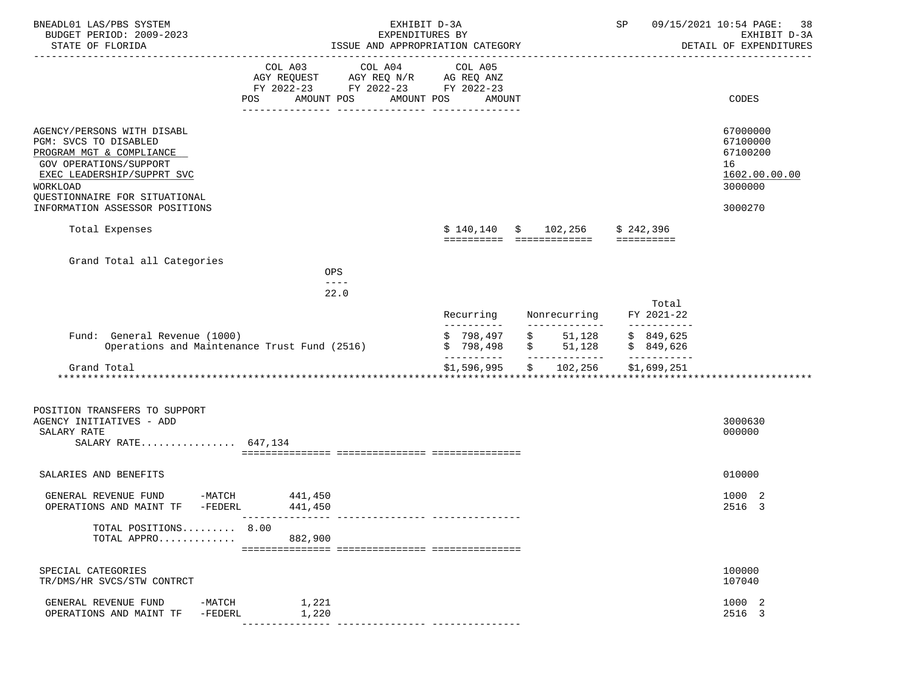| BNEADL01 LAS/PBS SYSTEM<br>BUDGET PERIOD: 2009-2023<br>STATE OF FLORIDA                                                                                                                     | EXHIBIT D-3A<br>EXPENDITURES BY<br>ISSUE AND APPROPRIATION CATEGORY                                                          |                                                                            | SP                                    | 09/15/2021 10:54 PAGE:<br>38<br>EXHIBIT D-3A<br>DETAIL OF EXPENDITURES |
|---------------------------------------------------------------------------------------------------------------------------------------------------------------------------------------------|------------------------------------------------------------------------------------------------------------------------------|----------------------------------------------------------------------------|---------------------------------------|------------------------------------------------------------------------|
|                                                                                                                                                                                             | COL A03 COL A04<br>AGY REQUEST AGY REQ N/R AG REQ ANZ<br>FY 2022-23 FY 2022-23 FY 2022-23<br>AMOUNT POS<br>AMOUNT POS<br>POS | COL A05<br>AMOUNT                                                          |                                       | CODES                                                                  |
| AGENCY/PERSONS WITH DISABL<br>PGM: SVCS TO DISABLED<br>PROGRAM MGT & COMPLIANCE<br><b>GOV OPERATIONS/SUPPORT</b><br>EXEC LEADERSHIP/SUPPRT SVC<br>WORKLOAD<br>QUESTIONNAIRE FOR SITUATIONAL |                                                                                                                              |                                                                            |                                       | 67000000<br>67100000<br>67100200<br>16<br>1602.00.00.00<br>3000000     |
| INFORMATION ASSESSOR POSITIONS                                                                                                                                                              |                                                                                                                              |                                                                            |                                       | 3000270                                                                |
| Total Expenses                                                                                                                                                                              |                                                                                                                              | $$140,140 \t$ 102,256 \t$ 242,396$<br>========== ============== ========== |                                       |                                                                        |
| Grand Total all Categories                                                                                                                                                                  | <b>OPS</b><br>$- - - -$                                                                                                      |                                                                            |                                       |                                                                        |
|                                                                                                                                                                                             | 22.0                                                                                                                         |                                                                            |                                       |                                                                        |
|                                                                                                                                                                                             |                                                                                                                              | Recurring<br>Nonrecurring<br>-----------<br>-------------                  | Total<br>FY 2021-22<br>------------   |                                                                        |
| Fund: General Revenue (1000)                                                                                                                                                                | Operations and Maintenance Trust Fund (2516)                                                                                 | \$798,497<br>\$51,128<br>\$51,128<br>\$798,498<br>_____________            | \$849,625<br>\$849,626<br>----------- |                                                                        |
| Grand Total                                                                                                                                                                                 |                                                                                                                              | ----------<br>\$1,596,995<br>\$102, 256                                    | \$1,699,251                           |                                                                        |
|                                                                                                                                                                                             |                                                                                                                              |                                                                            |                                       |                                                                        |
| POSITION TRANSFERS TO SUPPORT<br>AGENCY INITIATIVES - ADD<br>SALARY RATE<br>SALARY RATE 647,134                                                                                             |                                                                                                                              |                                                                            |                                       | 3000630<br>000000                                                      |
| SALARIES AND BENEFITS                                                                                                                                                                       |                                                                                                                              |                                                                            |                                       | 010000                                                                 |
| GENERAL REVENUE FUND<br>-FEDERL<br>OPERATIONS AND MAINT TF                                                                                                                                  | $-MATCH$ 441,450<br>441,450                                                                                                  |                                                                            |                                       | 1000 2<br>2516 3                                                       |
| TOTAL POSITIONS 8.00<br>TOTAL APPRO                                                                                                                                                         | 882,900                                                                                                                      |                                                                            |                                       |                                                                        |
| SPECIAL CATEGORIES<br>TR/DMS/HR SVCS/STW CONTRCT                                                                                                                                            |                                                                                                                              |                                                                            |                                       | 100000<br>107040                                                       |
| GENERAL REVENUE FUND<br>-MATCH<br>OPERATIONS AND MAINT TF<br>$-FEDERL$                                                                                                                      | 1,221<br>1,220                                                                                                               |                                                                            |                                       | 1000 2<br>2516 3                                                       |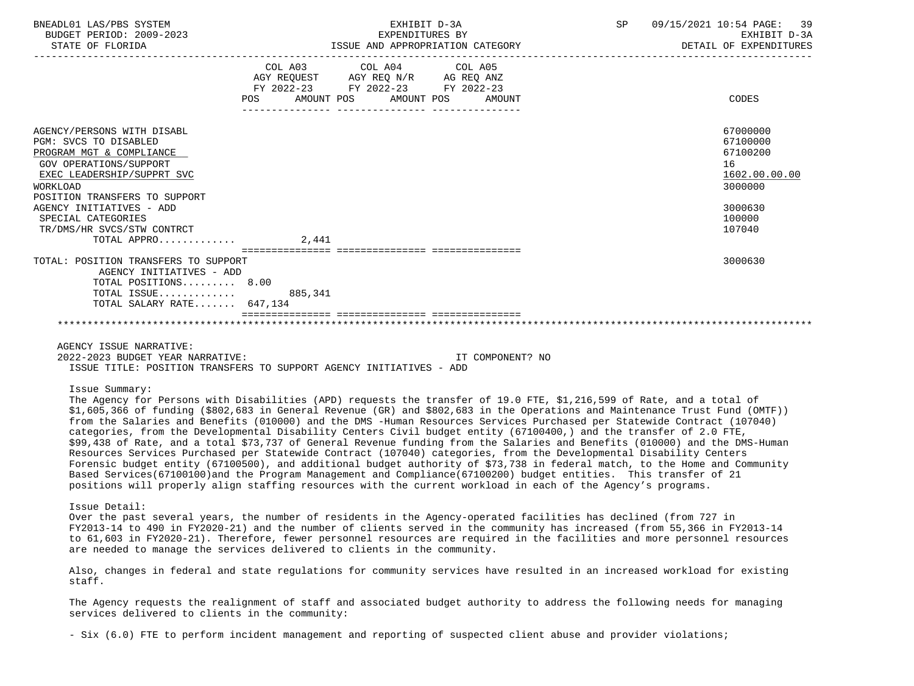| BNEADL01 LAS/PBS SYSTEM<br>BUDGET PERIOD: 2009-2023<br>STATE OF FLORIDA                                                                                                                                                                                                                                                                                                                                                                                                                                                  |            | EXHIBIT D-3A<br>EXPENDITURES BY                                                                                            | ISSUE AND APPROPRIATION CATEGORY | SP 09/15/2021 10:54 PAGE: 39<br>EXHIBIT D-3A<br>DETAIL OF EXPENDITURES |
|--------------------------------------------------------------------------------------------------------------------------------------------------------------------------------------------------------------------------------------------------------------------------------------------------------------------------------------------------------------------------------------------------------------------------------------------------------------------------------------------------------------------------|------------|----------------------------------------------------------------------------------------------------------------------------|----------------------------------|------------------------------------------------------------------------|
|                                                                                                                                                                                                                                                                                                                                                                                                                                                                                                                          | <b>POS</b> | COL A03 COL A04 COL A05<br>AGY REQUEST AGY REQ N/R AG REQ ANZ<br>FY 2022-23 FY 2022-23 FY 2022-23<br>AMOUNT POS AMOUNT POS | AMOIJNT                          | CODES                                                                  |
| AGENCY/PERSONS WITH DISABL<br>PGM: SVCS TO DISABLED<br>PROGRAM MGT & COMPLIANCE<br>GOV OPERATIONS/SUPPORT<br>EXEC LEADERSHIP/SUPPRT SVC<br><b>WORKLOAD</b><br>POSITION TRANSFERS TO SUPPORT                                                                                                                                                                                                                                                                                                                              |            |                                                                                                                            |                                  | 67000000<br>67100000<br>67100200<br>16<br>1602.00.00.00<br>3000000     |
| AGENCY INITIATIVES - ADD<br>SPECIAL CATEGORIES<br>TR/DMS/HR SVCS/STW CONTRCT<br>TOTAL APPRO                                                                                                                                                                                                                                                                                                                                                                                                                              | 2,441      |                                                                                                                            |                                  | 3000630<br>100000<br>107040                                            |
| TOTAL: POSITION TRANSFERS TO SUPPORT<br>AGENCY INITIATIVES - ADD<br>TOTAL POSITIONS 8.00<br>TOTAL ISSUE<br>TOTAL SALARY RATE 647,134                                                                                                                                                                                                                                                                                                                                                                                     | 885,341    |                                                                                                                            |                                  | 3000630                                                                |
| AGENCY ISSUE NARRATIVE:<br>2022-2023 BUDGET YEAR NARRATIVE:<br>ISSUE TITLE: POSITION TRANSFERS TO SUPPORT AGENCY INITIATIVES - ADD                                                                                                                                                                                                                                                                                                                                                                                       |            |                                                                                                                            | IT COMPONENT? NO                 |                                                                        |
| Issue Summary:<br>The Agency for Persons with Disabilities (APD) requests the transfer of 19.0 FTE, \$1,216,599 of Rate, and a total of<br>\$1,605,366 of funding (\$802,683 in General Revenue (GR) and \$802,683 in the Operations and Maintenance Trust Fund (OMTF))<br>from the Salaries and Benefits (010000) and the DMS -Human Resources Services Purchased per Statewide Contract (107040)<br>categories, from the Developmental Disability Centers Civil budget entity (67100400,) and the transfer of 2.0 FTE, |            |                                                                                                                            |                                  |                                                                        |

 \$99,438 of Rate, and a total \$73,737 of General Revenue funding from the Salaries and Benefits (010000) and the DMS-Human Resources Services Purchased per Statewide Contract (107040) categories, from the Developmental Disability Centers Forensic budget entity (67100500), and additional budget authority of \$73,738 in federal match, to the Home and Community Based Services(67100100)and the Program Management and Compliance(67100200) budget entities. This transfer of 21 positions will properly align staffing resources with the current workload in each of the Agency's programs.

Issue Detail:

 Over the past several years, the number of residents in the Agency-operated facilities has declined (from 727 in FY2013-14 to 490 in FY2020-21) and the number of clients served in the community has increased (from 55,366 in FY2013-14 to 61,603 in FY2020-21). Therefore, fewer personnel resources are required in the facilities and more personnel resources are needed to manage the services delivered to clients in the community.

 Also, changes in federal and state regulations for community services have resulted in an increased workload for existing staff.

 The Agency requests the realignment of staff and associated budget authority to address the following needs for managing services delivered to clients in the community:

- Six (6.0) FTE to perform incident management and reporting of suspected client abuse and provider violations;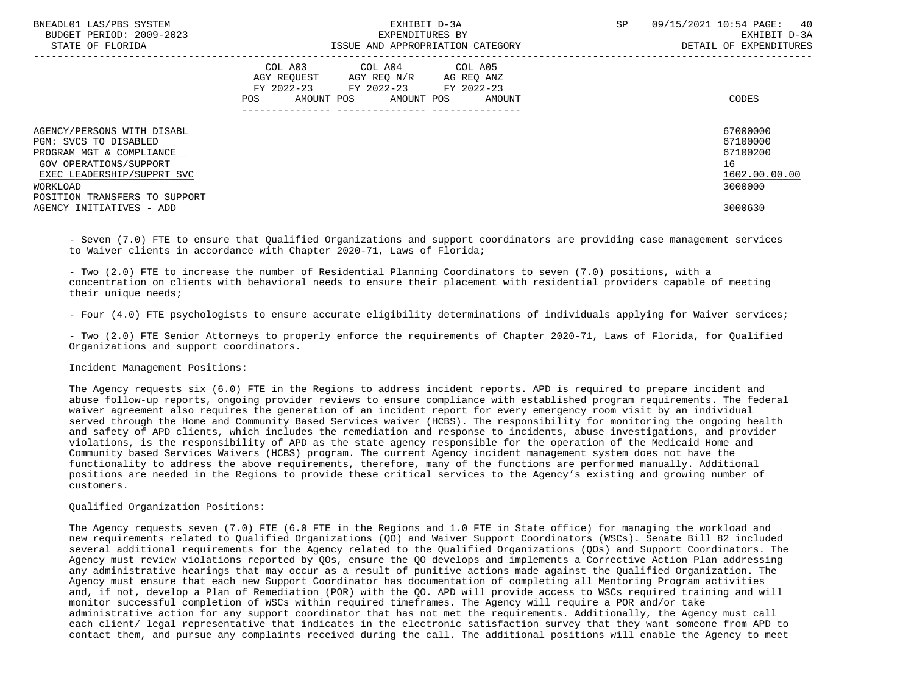| BNEADL01 LAS/PBS SYSTEM<br>BUDGET PERIOD: 2009-2023<br>STATE OF FLORIDA                                                                                                              | EXHIBIT D-3A<br>EXPENDITURES BY<br>ISSUE AND APPROPRIATION CATEGORY                                                                         | 09/15/2021 10:54 PAGE: 40<br><b>SP</b><br>EXHIBIT D-3A<br>DETAIL OF EXPENDITURES |
|--------------------------------------------------------------------------------------------------------------------------------------------------------------------------------------|---------------------------------------------------------------------------------------------------------------------------------------------|----------------------------------------------------------------------------------|
|                                                                                                                                                                                      | COL A03<br>COL A04 COL A05<br>AGY REQUEST AGY REQ N/R AG REQ ANZ<br>FY 2022-23 FY 2022-23 FY 2022-23<br>AMOUNT POS AMOUNT POS AMOUNT<br>POS | CODES                                                                            |
| AGENCY/PERSONS WITH DISABL<br>PGM: SVCS TO DISABLED<br>PROGRAM MGT & COMPLIANCE<br>GOV OPERATIONS/SUPPORT<br>EXEC LEADERSHIP/SUPPRT SVC<br>WORKLOAD<br>POSITION TRANSFERS TO SUPPORT |                                                                                                                                             | 67000000<br>67100000<br>67100200<br>16<br>1602.00.00.00<br>3000000               |
| AGENCY INITIATIVES - ADD                                                                                                                                                             |                                                                                                                                             | 3000630                                                                          |

 - Seven (7.0) FTE to ensure that Qualified Organizations and support coordinators are providing case management services to Waiver clients in accordance with Chapter 2020-71, Laws of Florida;

 - Two (2.0) FTE to increase the number of Residential Planning Coordinators to seven (7.0) positions, with a concentration on clients with behavioral needs to ensure their placement with residential providers capable of meeting their unique needs;

- Four (4.0) FTE psychologists to ensure accurate eligibility determinations of individuals applying for Waiver services;

 - Two (2.0) FTE Senior Attorneys to properly enforce the requirements of Chapter 2020-71, Laws of Florida, for Qualified Organizations and support coordinators.

Incident Management Positions:

 The Agency requests six (6.0) FTE in the Regions to address incident reports. APD is required to prepare incident and abuse follow-up reports, ongoing provider reviews to ensure compliance with established program requirements. The federal waiver agreement also requires the generation of an incident report for every emergency room visit by an individual served through the Home and Community Based Services waiver (HCBS). The responsibility for monitoring the ongoing health and safety of APD clients, which includes the remediation and response to incidents, abuse investigations, and provider violations, is the responsibility of APD as the state agency responsible for the operation of the Medicaid Home and Community based Services Waivers (HCBS) program. The current Agency incident management system does not have the functionality to address the above requirements, therefore, many of the functions are performed manually. Additional positions are needed in the Regions to provide these critical services to the Agency's existing and growing number of customers.

Qualified Organization Positions:

 The Agency requests seven (7.0) FTE (6.0 FTE in the Regions and 1.0 FTE in State office) for managing the workload and new requirements related to Qualified Organizations (QO) and Waiver Support Coordinators (WSCs). Senate Bill 82 included several additional requirements for the Agency related to the Qualified Organizations (QOs) and Support Coordinators. The Agency must review violations reported by QOs, ensure the QO develops and implements a Corrective Action Plan addressing any administrative hearings that may occur as a result of punitive actions made against the Qualified Organization. The Agency must ensure that each new Support Coordinator has documentation of completing all Mentoring Program activities and, if not, develop a Plan of Remediation (POR) with the QO. APD will provide access to WSCs required training and will monitor successful completion of WSCs within required timeframes. The Agency will require a POR and/or take administrative action for any support coordinator that has not met the requirements. Additionally, the Agency must call each client/ legal representative that indicates in the electronic satisfaction survey that they want someone from APD to contact them, and pursue any complaints received during the call. The additional positions will enable the Agency to meet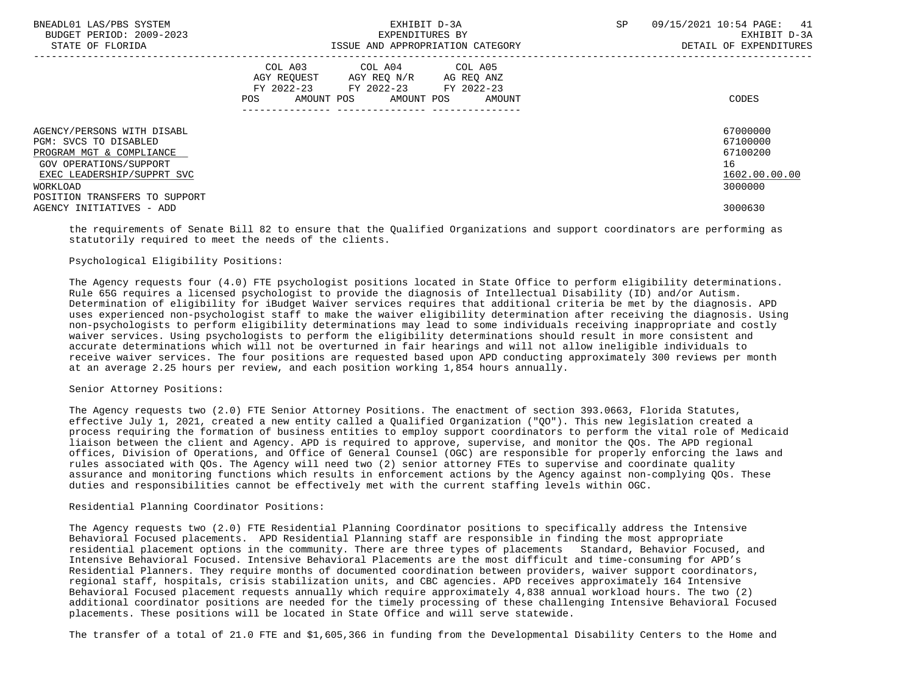| BNEADL01 LAS/PBS SYSTEM<br>BUDGET PERIOD: 2009-2023<br>STATE OF FLORIDA                                                                                                              | EXHIBIT D-3A<br>EXPENDITURES BY<br>ISSUE AND APPROPRIATION CATEGORY                                                                               | SP<br>09/15/2021 10:54 PAGE: 41<br>EXHIBIT D-3A<br>DETAIL OF EXPENDITURES |
|--------------------------------------------------------------------------------------------------------------------------------------------------------------------------------------|---------------------------------------------------------------------------------------------------------------------------------------------------|---------------------------------------------------------------------------|
|                                                                                                                                                                                      | COL A03 COL A04 COL A05<br>AGY REOUEST<br>AGY REO N/R<br>AG REO ANZ<br>FY 2022-23 FY 2022-23 FY 2022-23<br>AMOUNT POS AMOUNT POS<br>POS<br>AMOUNT | CODES                                                                     |
| AGENCY/PERSONS WITH DISABL<br>PGM: SVCS TO DISABLED<br>PROGRAM MGT & COMPLIANCE<br>GOV OPERATIONS/SUPPORT<br>EXEC LEADERSHIP/SUPPRT SVC<br>WORKLOAD<br>POSITION TRANSFERS TO SUPPORT |                                                                                                                                                   | 67000000<br>67100000<br>67100200<br>16<br>1602.00.00.00<br>3000000        |
| AGENCY INITIATIVES - ADD                                                                                                                                                             |                                                                                                                                                   | 3000630                                                                   |

 the requirements of Senate Bill 82 to ensure that the Qualified Organizations and support coordinators are performing as statutorily required to meet the needs of the clients.

### Psychological Eligibility Positions:

 The Agency requests four (4.0) FTE psychologist positions located in State Office to perform eligibility determinations. Rule 65G requires a licensed psychologist to provide the diagnosis of Intellectual Disability (ID) and/or Autism. Determination of eligibility for iBudget Waiver services requires that additional criteria be met by the diagnosis. APD uses experienced non-psychologist staff to make the waiver eligibility determination after receiving the diagnosis. Using non-psychologists to perform eligibility determinations may lead to some individuals receiving inappropriate and costly waiver services. Using psychologists to perform the eligibility determinations should result in more consistent and accurate determinations which will not be overturned in fair hearings and will not allow ineligible individuals to receive waiver services. The four positions are requested based upon APD conducting approximately 300 reviews per month at an average 2.25 hours per review, and each position working 1,854 hours annually.

### Senior Attorney Positions:

 The Agency requests two (2.0) FTE Senior Attorney Positions. The enactment of section 393.0663, Florida Statutes, effective July 1, 2021, created a new entity called a Qualified Organization ("QO"). This new legislation created a process requiring the formation of business entities to employ support coordinators to perform the vital role of Medicaid liaison between the client and Agency. APD is required to approve, supervise, and monitor the QOs. The APD regional offices, Division of Operations, and Office of General Counsel (OGC) are responsible for properly enforcing the laws and rules associated with QOs. The Agency will need two (2) senior attorney FTEs to supervise and coordinate quality assurance and monitoring functions which results in enforcement actions by the Agency against non-complying QOs. These duties and responsibilities cannot be effectively met with the current staffing levels within OGC.

# Residential Planning Coordinator Positions:

 The Agency requests two (2.0) FTE Residential Planning Coordinator positions to specifically address the Intensive Behavioral Focused placements. APD Residential Planning staff are responsible in finding the most appropriate residential placement options in the community. There are three types of placements Standard, Behavior Focused, and Intensive Behavioral Focused. Intensive Behavioral Placements are the most difficult and time-consuming for APD's Residential Planners. They require months of documented coordination between providers, waiver support coordinators, regional staff, hospitals, crisis stabilization units, and CBC agencies. APD receives approximately 164 Intensive Behavioral Focused placement requests annually which require approximately 4,838 annual workload hours. The two (2) additional coordinator positions are needed for the timely processing of these challenging Intensive Behavioral Focused placements. These positions will be located in State Office and will serve statewide.

The transfer of a total of 21.0 FTE and \$1,605,366 in funding from the Developmental Disability Centers to the Home and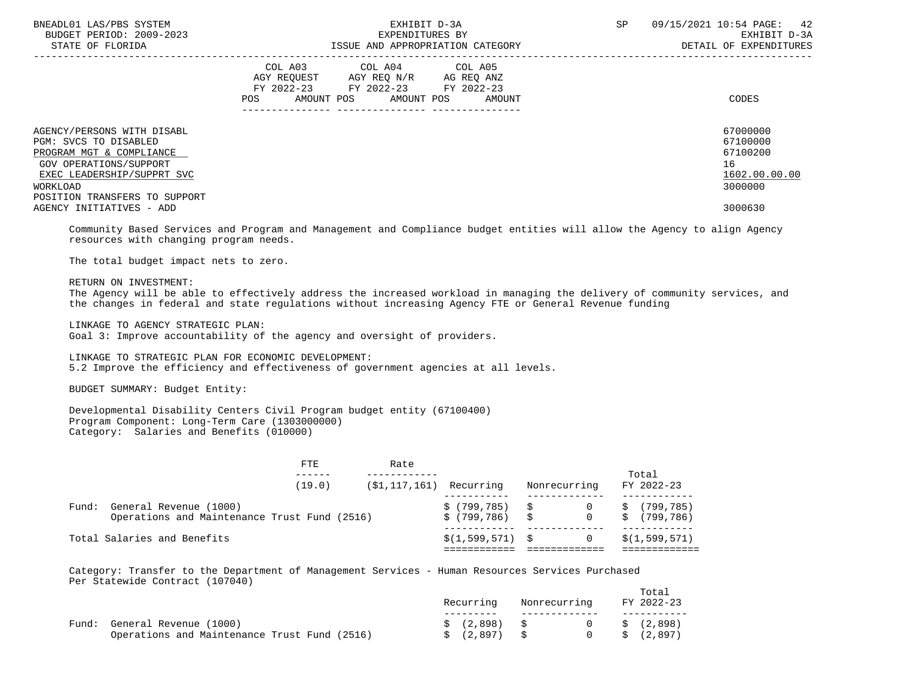| BNEADL01 LAS/PBS SYSTEM<br>BUDGET PERIOD: 2009-2023<br>STATE OF FLORIDA                                                                                                              | EXHIBIT D-3A<br>EXPENDITURES BY<br>ISSUE AND APPROPRIATION CATEGORY                                                                         | SP<br>09/15/2021 10:54 PAGE: 42<br>EXHIBIT D-3A<br>DETAIL OF EXPENDITURES |
|--------------------------------------------------------------------------------------------------------------------------------------------------------------------------------------|---------------------------------------------------------------------------------------------------------------------------------------------|---------------------------------------------------------------------------|
|                                                                                                                                                                                      | COL A03 COL A04 COL A05<br>AGY REOUEST AGY REO N/R AG REO ANZ<br>FY 2022-23 FY 2022-23 FY 2022-23<br>AMOUNT POS AMOUNT POS<br>POS<br>AMOUNT | CODES                                                                     |
| AGENCY/PERSONS WITH DISABL<br>PGM: SVCS TO DISABLED<br>PROGRAM MGT & COMPLIANCE<br>GOV OPERATIONS/SUPPORT<br>EXEC LEADERSHIP/SUPPRT SVC<br>WORKLOAD<br>POSITION TRANSFERS TO SUPPORT |                                                                                                                                             | 67000000<br>67100000<br>67100200<br>16<br>1602.00.00.00<br>3000000        |
| AGENCY INITIATIVES - ADD                                                                                                                                                             |                                                                                                                                             | 3000630                                                                   |

 Community Based Services and Program and Management and Compliance budget entities will allow the Agency to align Agency resources with changing program needs.

The total budget impact nets to zero.

RETURN ON INVESTMENT:

 The Agency will be able to effectively address the increased workload in managing the delivery of community services, and the changes in federal and state regulations without increasing Agency FTE or General Revenue funding

LINKAGE TO AGENCY STRATEGIC PLAN:

Goal 3: Improve accountability of the agency and oversight of providers.

 LINKAGE TO STRATEGIC PLAN FOR ECONOMIC DEVELOPMENT: 5.2 Improve the efficiency and effectiveness of government agencies at all levels.

BUDGET SUMMARY: Budget Entity:

 Developmental Disability Centers Civil Program budget entity (67100400) Program Component: Long-Term Care (1303000000) Category: Salaries and Benefits (010000)

|       |                                                                        | <b>FTE</b> | Rate                       |                                  |              |       |                          |
|-------|------------------------------------------------------------------------|------------|----------------------------|----------------------------------|--------------|-------|--------------------------|
|       |                                                                        | (19.0)     | $(S1, 117, 161)$ Recurring |                                  | Nonrecurring | Total | FY 2022-23               |
| Fund: | General Revenue (1000)<br>Operations and Maintenance Trust Fund (2516) |            |                            | \$(799,785) \$<br>\$(799,786) \$ | 0            | S     | (799.785)<br>\$(799,786) |
|       | Total Salaries and Benefits                                            |            |                            | $$(1,599,571)$ \$                |              |       | \$(1,599,571)            |

 Category: Transfer to the Department of Management Services - Human Resources Services Purchased Per Statewide Contract (107040)

|       |                                              | Recurring     | Nonrecurring |        | Total<br>FY 2022-23 |
|-------|----------------------------------------------|---------------|--------------|--------|---------------------|
| Fund: | General Revenue (1000)                       | \$ (2,898) \$ |              | $\cap$ | \$ (2,898)          |
|       | Operations and Maintenance Trust Fund (2516) | \$ (2,897)    |              |        | \$ (2,897)          |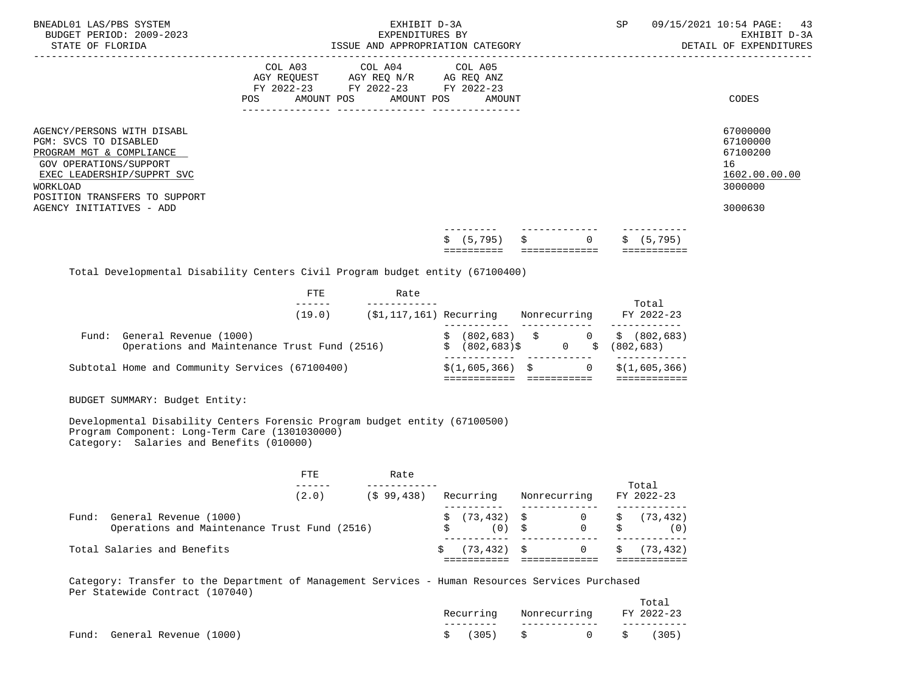| BNEADL01 LAS/PBS SYSTEM<br>BUDGET PERIOD: 2009-2023<br>STATE OF FLORIDA                                                                                                                                          |                                     | EXHIBIT D-3A<br>EXPENDITURES BY<br>ISSUE AND APPROPRIATION CATEGORY |                          |                                                                               |                     |   | SP                            | 43<br>09/15/2021 10:54 PAGE:<br>EXHIBIT D-3A<br>DETAIL OF EXPENDITURES        |
|------------------------------------------------------------------------------------------------------------------------------------------------------------------------------------------------------------------|-------------------------------------|---------------------------------------------------------------------|--------------------------|-------------------------------------------------------------------------------|---------------------|---|-------------------------------|-------------------------------------------------------------------------------|
|                                                                                                                                                                                                                  | COL A03<br>FY 2022-23<br><b>POS</b> | AMOUNT POS                                                          | FY 2022-23<br>AMOUNT POS | COL A04 COL A05<br>AGY REQUEST AGY REQ N/R AG REQ ANZ<br>FY 2022-23<br>AMOUNT |                     |   |                               | CODES                                                                         |
| AGENCY/PERSONS WITH DISABL<br>PGM: SVCS TO DISABLED<br>PROGRAM MGT & COMPLIANCE<br>GOV OPERATIONS/SUPPORT<br>EXEC LEADERSHIP/SUPPRT SVC<br>WORKLOAD<br>POSITION TRANSFERS TO SUPPORT<br>AGENCY INITIATIVES - ADD |                                     |                                                                     |                          |                                                                               |                     |   |                               | 67000000<br>67100000<br>67100200<br>16<br>1602.00.00.00<br>3000000<br>3000630 |
|                                                                                                                                                                                                                  |                                     |                                                                     |                          | (5, 795)<br>==========                                                        | \$<br>============= | 0 | (5, 795)<br>S.<br>=========== |                                                                               |

Total Developmental Disability Centers Civil Program budget entity (67100400)

|       | FTE                                                                    | Rate                        |                   |                                                            |                     |
|-------|------------------------------------------------------------------------|-----------------------------|-------------------|------------------------------------------------------------|---------------------|
|       | (19.0)                                                                 | $(\$1, 117, 161)$ Recurring |                   | Nonrecurring                                               | Total<br>FY 2022-23 |
| Fund: | General Revenue (1000)<br>Operations and Maintenance Trust Fund (2516) |                             | $$ (802, 683)$ \$ | $(802, 683)$ \$ 0 \$ $(802, 683)$<br>$0 \quad \mathcal{S}$ | (802, 683)          |
|       | Subtotal Home and Community Services (67100400)                        |                             | $$(1,605,366)$ \$ |                                                            | \$(1,605,366)       |

BUDGET SUMMARY: Budget Entity:

 Developmental Disability Centers Forensic Program budget entity (67100500) Program Component: Long-Term Care (1301030000) Category: Salaries and Benefits (010000)

| Rate<br>FTE                                                                     |                               |              | Total                                                                                  |
|---------------------------------------------------------------------------------|-------------------------------|--------------|----------------------------------------------------------------------------------------|
| (2.0)<br>$(S$ 99.438)                                                           | Recurring                     | Nonrecurring | FY 2022-23                                                                             |
| General Revenue (1000)<br>Fund:<br>Operations and Maintenance Trust Fund (2516) |                               | $(0)$ \$     | $\sin 73.432$ $\sin 0$ $\sin 73.432$<br>$0 \qquad \qquad \mathsf{S} \qquad \qquad (0)$ |
| Total Salaries and Benefits                                                     | $\sin(73.432)$ $\sin(73.432)$ |              | \$(73.432)<br>$\overline{0}$                                                           |

 Category: Transfer to the Department of Management Services - Human Resources Services Purchased Per Statewide Contract (107040)

|                              |  | Recurring Nonrecurring FY 2022-23 | Total |
|------------------------------|--|-----------------------------------|-------|
| Fund: General Revenue (1000) |  | $\sin 305$ $\sin 0$ $\sin 305$    |       |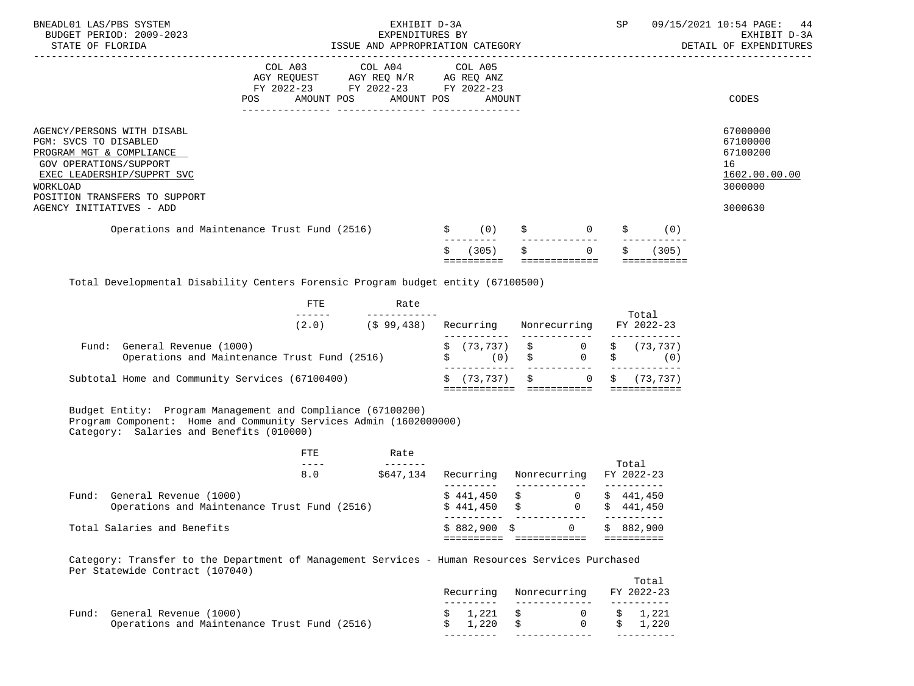| BNEADL01 LAS/PBS SYSTEM<br>BUDGET PERIOD: 2009-2023<br>STATE OF FLORIDA                                                                                                                                                                                          |                           | EXHIBIT D-3A<br>EXPENDITURES BY<br>ISSUE AND APPROPRIATION CATEGORY                                                                                                                                                           |                                                                                   |        |                           |       |                                                                                                                                                                                                                                                                                                                                                                                                                                                                                                                  | SP 09/15/2021 10:54 PAGE: 44<br>EXHIBIT D-3A<br>DETAIL OF EXPENDITURES        |
|------------------------------------------------------------------------------------------------------------------------------------------------------------------------------------------------------------------------------------------------------------------|---------------------------|-------------------------------------------------------------------------------------------------------------------------------------------------------------------------------------------------------------------------------|-----------------------------------------------------------------------------------|--------|---------------------------|-------|------------------------------------------------------------------------------------------------------------------------------------------------------------------------------------------------------------------------------------------------------------------------------------------------------------------------------------------------------------------------------------------------------------------------------------------------------------------------------------------------------------------|-------------------------------------------------------------------------------|
|                                                                                                                                                                                                                                                                  | POS AMOUNT POS AMOUNT POS | COL A03 COL A04 COL A05<br>$\begin{tabular}{lllllll} \bf AGY & \bf REQUEST & \bf AGY & \bf REQ & \tt N/R & \bf AG & \bf REQ & \tt ANZ \\ \bf FY & \tt 2022-23 & \tt FY & \tt 2022-23 & \tt FY & \tt 2022-23 \\ \end{tabular}$ |                                                                                   | AMOUNT |                           |       |                                                                                                                                                                                                                                                                                                                                                                                                                                                                                                                  | CODES                                                                         |
| AGENCY/PERSONS WITH DISABL<br>PGM: SVCS TO DISABLED<br>PROGRAM MGT & COMPLIANCE<br>GOV OPERATIONS/SUPPORT<br>EXEC LEADERSHIP/SUPPRT SVC<br>WORKLOAD<br>POSITION TRANSFERS TO SUPPORT<br>AGENCY INITIATIVES - ADD<br>Operations and Maintenance Trust Fund (2516) |                           |                                                                                                                                                                                                                               | (0)                                                                               |        | $\overline{0}$            |       | (0)                                                                                                                                                                                                                                                                                                                                                                                                                                                                                                              | 67000000<br>67100000<br>67100200<br>16<br>1602.00.00.00<br>3000000<br>3000630 |
|                                                                                                                                                                                                                                                                  |                           |                                                                                                                                                                                                                               | (305)<br>==========                                                               |        | $\Omega$<br>============= |       | $- - - - - -$<br>(305)<br>$\begin{array}{cccccccccccccc} \multicolumn{2}{c}{} & \multicolumn{2}{c}{} & \multicolumn{2}{c}{} & \multicolumn{2}{c}{} & \multicolumn{2}{c}{} & \multicolumn{2}{c}{} & \multicolumn{2}{c}{} & \multicolumn{2}{c}{} & \multicolumn{2}{c}{} & \multicolumn{2}{c}{} & \multicolumn{2}{c}{} & \multicolumn{2}{c}{} & \multicolumn{2}{c}{} & \multicolumn{2}{c}{} & \multicolumn{2}{c}{} & \multicolumn{2}{c}{} & \multicolumn{2}{c}{} & \multicolumn{2}{c}{} & \multicolumn{2}{c}{} & \$ |                                                                               |
| Total Developmental Disability Centers Forensic Program budget entity (67100500)                                                                                                                                                                                 |                           |                                                                                                                                                                                                                               |                                                                                   |        |                           |       |                                                                                                                                                                                                                                                                                                                                                                                                                                                                                                                  |                                                                               |
|                                                                                                                                                                                                                                                                  | FTE                       | Rate<br>____________                                                                                                                                                                                                          |                                                                                   |        |                           |       |                                                                                                                                                                                                                                                                                                                                                                                                                                                                                                                  |                                                                               |
|                                                                                                                                                                                                                                                                  |                           | $(2.0)$ $(5 99, 438)$ Recurring Nonrecurring                                                                                                                                                                                  |                                                                                   |        |                           |       | Total<br>FY 2022-23                                                                                                                                                                                                                                                                                                                                                                                                                                                                                              |                                                                               |
| Fund: General Revenue (1000)<br>Operations and Maintenance Trust Fund (2516)                                                                                                                                                                                     |                           |                                                                                                                                                                                                                               | $\begin{array}{cccc} \xi & (73,737) & \xi & 0 \\ \xi & (0) & \xi & 0 \end{array}$ |        |                           |       | \$ (73, 737)<br>$\uparrow$ (0)                                                                                                                                                                                                                                                                                                                                                                                                                                                                                   |                                                                               |
| Subtotal Home and Community Services (67100400)                                                                                                                                                                                                                  |                           |                                                                                                                                                                                                                               | $\zeta$ (73,737) $\zeta$ 0                                                        |        |                           |       | (73, 737)                                                                                                                                                                                                                                                                                                                                                                                                                                                                                                        |                                                                               |
| Budget Entity: Program Management and Compliance (67100200)<br>Program Component: Home and Community Services Admin (1602000000)<br>Category: Salaries and Benefits (010000)                                                                                     |                           |                                                                                                                                                                                                                               |                                                                                   |        |                           |       |                                                                                                                                                                                                                                                                                                                                                                                                                                                                                                                  |                                                                               |
|                                                                                                                                                                                                                                                                  | <b>FTE</b><br>$- - - - -$ | Rate<br>$- - - - - - - -$                                                                                                                                                                                                     |                                                                                   |        |                           | Total |                                                                                                                                                                                                                                                                                                                                                                                                                                                                                                                  |                                                                               |

|  |                                              | $\sim$    |              |              |                         |    |           |
|--|----------------------------------------------|-----------|--------------|--------------|-------------------------|----|-----------|
|  |                                              |           |              |              |                         |    | Total     |
|  | 8.0                                          | \$647.134 | Recurring    |              | Nonrecurring FY 2022-23 |    |           |
|  |                                              |           |              |              |                         |    |           |
|  | Fund: General Revenue (1000)                 |           | \$441,450 \$ |              | 0                       |    | \$441,450 |
|  | Operations and Maintenance Trust Fund (2516) |           | \$441,450    | $\mathbf{S}$ |                         |    | \$441.450 |
|  |                                              |           |              |              |                         |    |           |
|  | Total Salaries and Benefits                  |           | \$882.900S   |              | $\Omega$                | S. | 882,900   |
|  |                                              |           |              |              |                         |    |           |
|  |                                              |           |              |              |                         |    |           |

 Category: Transfer to the Department of Management Services - Human Resources Services Purchased Per Statewide Contract (107040)

|       |                                              |            | Recurring Nonrecurring | Total<br>FY 2022-23 |
|-------|----------------------------------------------|------------|------------------------|---------------------|
|       |                                              |            |                        |                     |
| Fund: | General Revenue (1000)                       | $1,221$ \$ | 0                      | 1,221               |
|       | Operations and Maintenance Trust Fund (2516) | $1.220$ \$ | $\cap$                 | 1,220               |
|       |                                              |            |                        |                     |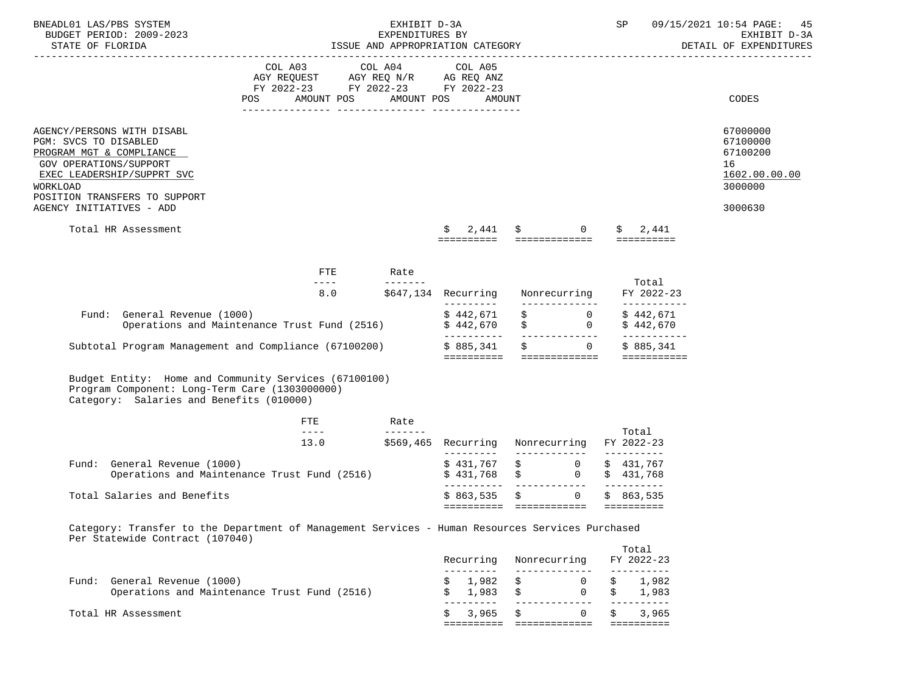| BNEADL01 LAS/PBS SYSTEM                                                                                             | BUDGET PERIOD: 2009-2023                                                                                                                                                                    | EXHIBIT D-3A<br>EXPENDITURES BY<br>ISSUE AND APPROPRIATION CATEGORY                                                                                                                                                                                                                                                                                                                                 |                                            |                                                 |                                    |                                     |    | 09/15/2021 10:54 PAGE:<br>SP<br>45<br>EXHIBIT D-3A |                                                                               |  |  |
|---------------------------------------------------------------------------------------------------------------------|---------------------------------------------------------------------------------------------------------------------------------------------------------------------------------------------|-----------------------------------------------------------------------------------------------------------------------------------------------------------------------------------------------------------------------------------------------------------------------------------------------------------------------------------------------------------------------------------------------------|--------------------------------------------|-------------------------------------------------|------------------------------------|-------------------------------------|----|----------------------------------------------------|-------------------------------------------------------------------------------|--|--|
| STATE OF FLORIDA                                                                                                    |                                                                                                                                                                                             |                                                                                                                                                                                                                                                                                                                                                                                                     |                                            |                                                 |                                    |                                     |    |                                                    | DETAIL OF EXPENDITURES                                                        |  |  |
|                                                                                                                     | POS                                                                                                                                                                                         | $\begin{tabular}{lllllllll} COL & A03 & \multicolumn{3}{l}COL & A04 & \multicolumn{3}{l}COL & A05 \\ AGY & REQUEST & \multicolumn{3}{l}AGY & REQ & N/R & \multicolumn{3}{l}AG & REQ & ANZ \\ FY & 2022-23 & \multicolumn{3}{l}FY & 2022-23 & \multicolumn{3}{l}FY & 2022-23 \\ \end{tabular}$                                                                                                       | AMOUNT POS AMOUNT POS                      | AMOUNT                                          |                                    |                                     |    |                                                    | CODES                                                                         |  |  |
| PGM: SVCS TO DISABLED<br>PROGRAM MGT & COMPLIANCE<br>GOV OPERATIONS/SUPPORT<br>WORKLOAD<br>AGENCY INITIATIVES - ADD | AGENCY/PERSONS WITH DISABL<br>EXEC LEADERSHIP/SUPPRT SVC<br>POSITION TRANSFERS TO SUPPORT<br>Total HR Assessment                                                                            |                                                                                                                                                                                                                                                                                                                                                                                                     |                                            | $\mathsf{S}$<br>2,441                           | $\ddot{\mathbf{S}}$ 0              |                                     |    | \$2,441                                            | 67000000<br>67100000<br>67100200<br>16<br>1602.00.00.00<br>3000000<br>3000630 |  |  |
|                                                                                                                     |                                                                                                                                                                                             |                                                                                                                                                                                                                                                                                                                                                                                                     |                                            | ==========  ==============  ==========          |                                    |                                     |    |                                                    |                                                                               |  |  |
|                                                                                                                     |                                                                                                                                                                                             | ETE                                                                                                                                                                                                                                                                                                                                                                                                 | Rate                                       |                                                 |                                    |                                     |    |                                                    |                                                                               |  |  |
|                                                                                                                     |                                                                                                                                                                                             | $- - - -$                                                                                                                                                                                                                                                                                                                                                                                           | 8.0 \$647,134 Recurring Nonrecurring       |                                                 |                                    |                                     |    | Total<br>FY 2022-23                                |                                                                               |  |  |
|                                                                                                                     | General Revenue (1000)<br>Operations and Maintenance Trust Fund (2516)<br>$\uparrow$ 442,670 $\uparrow$ 442,670 $\downarrow$ 9442,670 $\downarrow$ 9442,670<br>Fund: General Revenue (1000) |                                                                                                                                                                                                                                                                                                                                                                                                     |                                            | __________                                      |                                    |                                     |    | ______________                                     |                                                                               |  |  |
|                                                                                                                     | Subtotal Program Management and Compliance (67100200) $\qquad$ \$ 885,341 \$ 0 \$ 885,341                                                                                                   |                                                                                                                                                                                                                                                                                                                                                                                                     |                                            |                                                 |                                    |                                     |    |                                                    |                                                                               |  |  |
|                                                                                                                     | Budget Entity: Home and Community Services (67100100)<br>Program Component: Long-Term Care (1303000000)<br>Category: Salaries and Benefits (010000)                                         |                                                                                                                                                                                                                                                                                                                                                                                                     |                                            |                                                 |                                    |                                     |    |                                                    |                                                                               |  |  |
|                                                                                                                     |                                                                                                                                                                                             | FTE<br>$\frac{1}{2} \frac{1}{2} \frac{1}{2} \frac{1}{2} \frac{1}{2} \frac{1}{2} \frac{1}{2} \frac{1}{2} \frac{1}{2} \frac{1}{2} \frac{1}{2} \frac{1}{2} \frac{1}{2} \frac{1}{2} \frac{1}{2} \frac{1}{2} \frac{1}{2} \frac{1}{2} \frac{1}{2} \frac{1}{2} \frac{1}{2} \frac{1}{2} \frac{1}{2} \frac{1}{2} \frac{1}{2} \frac{1}{2} \frac{1}{2} \frac{1}{2} \frac{1}{2} \frac{1}{2} \frac{1}{2} \frac{$ | Rate<br>________                           |                                                 |                                    |                                     |    |                                                    |                                                                               |  |  |
|                                                                                                                     |                                                                                                                                                                                             | 13.0                                                                                                                                                                                                                                                                                                                                                                                                | \$569,465 Recurring Nonrecurring FY2022-23 |                                                 |                                    |                                     |    | Total                                              |                                                                               |  |  |
| Fund:                                                                                                               | General Revenue (1000)<br>Operations and Maintenance Trust Fund (2516)                                                                                                                      |                                                                                                                                                                                                                                                                                                                                                                                                     |                                            | $$431,767$ $$6$<br>$$431,768$ \$ 0 \$ 431,768   |                                    |                                     |    | \$431,767                                          |                                                                               |  |  |
|                                                                                                                     | Total Salaries and Benefits                                                                                                                                                                 |                                                                                                                                                                                                                                                                                                                                                                                                     |                                            | \$863,535<br>========== ============ ========== | $\ddot{s}$                         | $\overline{0}$                      |    | \$863,535                                          |                                                                               |  |  |
|                                                                                                                     | Category: Transfer to the Department of Management Services - Human Resources Services Purchased<br>Per Statewide Contract (107040)                                                         |                                                                                                                                                                                                                                                                                                                                                                                                     |                                            |                                                 |                                    |                                     |    |                                                    |                                                                               |  |  |
|                                                                                                                     |                                                                                                                                                                                             |                                                                                                                                                                                                                                                                                                                                                                                                     |                                            | Recurring Nonrecurring FY 2022-23               |                                    |                                     |    | Total                                              |                                                                               |  |  |
|                                                                                                                     | Fund: General Revenue (1000)<br>Operations and Maintenance Trust Fund (2516)                                                                                                                |                                                                                                                                                                                                                                                                                                                                                                                                     |                                            | ----------<br>1,982<br>\$1,983                  | ______________<br>\$<br>$\ddot{s}$ | $\overline{0}$<br>$0 \qquad \qquad$ | \$ | ----------<br>1,982<br>\$1,983                     |                                                                               |  |  |

 --------- ------------- ----------  $\begin{array}{cccc} \xi & 3,965 & \xi & 0 & \xi & 3,965 \end{array}$ ========== ============= ==========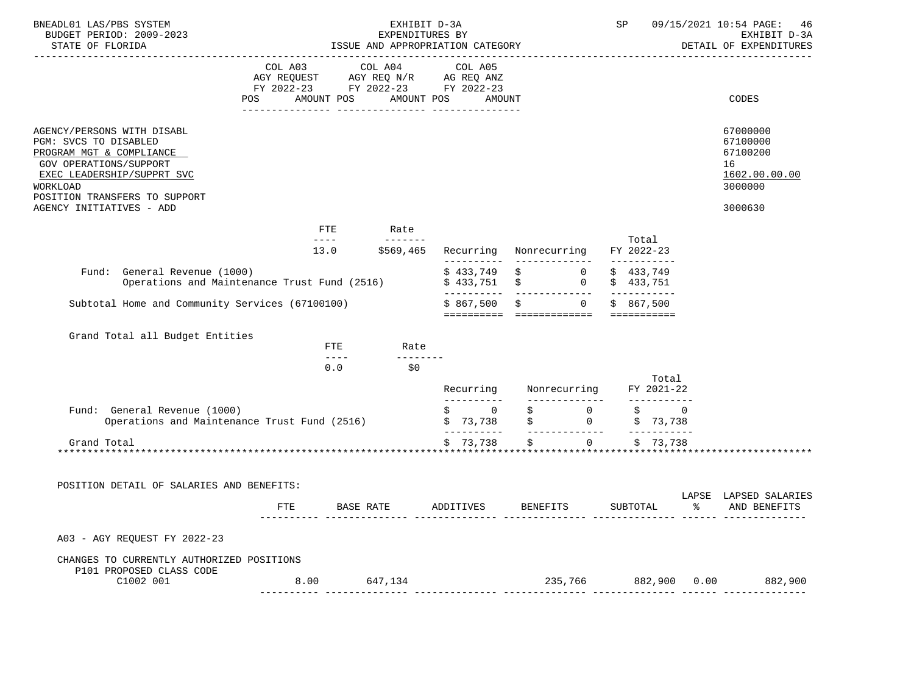| BNEADL01 LAS/PBS SYSTEM<br>BUDGET PERIOD: 2009-2023<br>STATE OF FLORIDA                                                                                                                                          | EXHIBIT D-3A<br>EXPENDITURES BY<br>ISSUE AND APPROPRIATION CATEGORY                                                                                                                                                                                                                                                                                                                                  |                                                                                                                                                                                                                                                                                                                                                                                                     |            |                                                    |                 |                                                                       |  | SP                     |                          |              | 09/15/2021 10:54 PAGE: 46<br>EXHIBIT D-3A<br>DETAIL OF EXPENDITURES           |
|------------------------------------------------------------------------------------------------------------------------------------------------------------------------------------------------------------------|------------------------------------------------------------------------------------------------------------------------------------------------------------------------------------------------------------------------------------------------------------------------------------------------------------------------------------------------------------------------------------------------------|-----------------------------------------------------------------------------------------------------------------------------------------------------------------------------------------------------------------------------------------------------------------------------------------------------------------------------------------------------------------------------------------------------|------------|----------------------------------------------------|-----------------|-----------------------------------------------------------------------|--|------------------------|--------------------------|--------------|-------------------------------------------------------------------------------|
|                                                                                                                                                                                                                  | AGY REQUEST AGY REQ N/R AG REQ ANZ<br>FY 2022-23 FY 2022-23 FY 2022-23<br>AMOUNT POS<br>POS                                                                                                                                                                                                                                                                                                          |                                                                                                                                                                                                                                                                                                                                                                                                     | AMOUNT POS | COL A03 COL A04 COL A05<br>AMOUNT                  |                 |                                                                       |  |                        |                          |              | CODES                                                                         |
| AGENCY/PERSONS WITH DISABL<br>PGM: SVCS TO DISABLED<br>PROGRAM MGT & COMPLIANCE<br>GOV OPERATIONS/SUPPORT<br>EXEC LEADERSHIP/SUPPRT SVC<br>WORKLOAD<br>POSITION TRANSFERS TO SUPPORT<br>AGENCY INITIATIVES - ADD |                                                                                                                                                                                                                                                                                                                                                                                                      |                                                                                                                                                                                                                                                                                                                                                                                                     |            |                                                    |                 |                                                                       |  |                        |                          |              | 67000000<br>67100000<br>67100200<br>16<br>1602.00.00.00<br>3000000<br>3000630 |
|                                                                                                                                                                                                                  | FTE                                                                                                                                                                                                                                                                                                                                                                                                  |                                                                                                                                                                                                                                                                                                                                                                                                     | Rate       |                                                    |                 |                                                                       |  |                        |                          |              |                                                                               |
|                                                                                                                                                                                                                  | $\frac{1}{2} \frac{1}{2} \frac{1}{2} \frac{1}{2} \frac{1}{2} \frac{1}{2} \frac{1}{2} \frac{1}{2} \frac{1}{2} \frac{1}{2} \frac{1}{2} \frac{1}{2} \frac{1}{2} \frac{1}{2} \frac{1}{2} \frac{1}{2} \frac{1}{2} \frac{1}{2} \frac{1}{2} \frac{1}{2} \frac{1}{2} \frac{1}{2} \frac{1}{2} \frac{1}{2} \frac{1}{2} \frac{1}{2} \frac{1}{2} \frac{1}{2} \frac{1}{2} \frac{1}{2} \frac{1}{2} \frac{$<br>13.0 |                                                                                                                                                                                                                                                                                                                                                                                                     | ________   | \$569,465 Recurring Nonrecurring                   |                 |                                                                       |  | Total<br>FY 2022-23    |                          |              |                                                                               |
| Fund: General Revenue (1000)<br>Operations and Maintenance Trust Fund (2516)                                                                                                                                     |                                                                                                                                                                                                                                                                                                                                                                                                      |                                                                                                                                                                                                                                                                                                                                                                                                     |            | $$433,749$ $$6$<br>$$433,751$ $$$                  |                 | $0 \qquad \qquad$                                                     |  | \$433,749<br>\$433,751 |                          |              |                                                                               |
| Subtotal Home and Community Services (67100100)                                                                                                                                                                  |                                                                                                                                                                                                                                                                                                                                                                                                      |                                                                                                                                                                                                                                                                                                                                                                                                     |            | \$867,500<br>========== ============== =========== | $\sharp$        | $0 \qquad \qquad$                                                     |  | \$867.500              |                          |              |                                                                               |
| Grand Total all Budget Entities                                                                                                                                                                                  |                                                                                                                                                                                                                                                                                                                                                                                                      | FTE                                                                                                                                                                                                                                                                                                                                                                                                 | Rate       |                                                    |                 |                                                                       |  |                        |                          |              |                                                                               |
|                                                                                                                                                                                                                  |                                                                                                                                                                                                                                                                                                                                                                                                      | $\frac{1}{2} \frac{1}{2} \frac{1}{2} \frac{1}{2} \frac{1}{2} \frac{1}{2} \frac{1}{2} \frac{1}{2} \frac{1}{2} \frac{1}{2} \frac{1}{2} \frac{1}{2} \frac{1}{2} \frac{1}{2} \frac{1}{2} \frac{1}{2} \frac{1}{2} \frac{1}{2} \frac{1}{2} \frac{1}{2} \frac{1}{2} \frac{1}{2} \frac{1}{2} \frac{1}{2} \frac{1}{2} \frac{1}{2} \frac{1}{2} \frac{1}{2} \frac{1}{2} \frac{1}{2} \frac{1}{2} \frac{$<br>0.0 | \$0        | Recurring                                          |                 | Nonrecurring FY 2021-22                                               |  |                        | Total                    |              |                                                                               |
| Fund: General Revenue (1000)                                                                                                                                                                                     |                                                                                                                                                                                                                                                                                                                                                                                                      |                                                                                                                                                                                                                                                                                                                                                                                                     |            | -----------<br>$\ddot{\mathbf{S}}$ 0               |                 | ______________<br>0                                                   |  | \$                     | ___________<br>$\Omega$  |              |                                                                               |
| Operations and Maintenance Trust Fund (2516)                                                                                                                                                                     |                                                                                                                                                                                                                                                                                                                                                                                                      |                                                                                                                                                                                                                                                                                                                                                                                                     |            | \$73,738<br>__________                             |                 | $\begin{array}{ccc} \xi & 0 \\ \xi & 0 \end{array}$<br>-------------- |  |                        | \$73,738<br>------------ |              |                                                                               |
| Grand Total                                                                                                                                                                                                      |                                                                                                                                                                                                                                                                                                                                                                                                      |                                                                                                                                                                                                                                                                                                                                                                                                     |            | \$73,738                                           | \$              | $\overline{0}$                                                        |  |                        | \$73,738                 |              |                                                                               |
| POSITION DETAIL OF SALARIES AND BENEFITS:                                                                                                                                                                        |                                                                                                                                                                                                                                                                                                                                                                                                      |                                                                                                                                                                                                                                                                                                                                                                                                     |            |                                                    |                 |                                                                       |  |                        |                          |              |                                                                               |
|                                                                                                                                                                                                                  | <b>FTE</b>                                                                                                                                                                                                                                                                                                                                                                                           | BASE RATE                                                                                                                                                                                                                                                                                                                                                                                           |            | ADDITIVES                                          | <b>BENEFITS</b> |                                                                       |  | SUBTOTAL               |                          | န္           | LAPSE LAPSED SALARIES<br>AND BENEFITS                                         |
| A03 - AGY REQUEST FY 2022-23                                                                                                                                                                                     |                                                                                                                                                                                                                                                                                                                                                                                                      |                                                                                                                                                                                                                                                                                                                                                                                                     |            |                                                    |                 |                                                                       |  |                        |                          |              |                                                                               |
| CHANGES TO CURRENTLY AUTHORIZED POSITIONS<br>P101 PROPOSED CLASS CODE                                                                                                                                            |                                                                                                                                                                                                                                                                                                                                                                                                      |                                                                                                                                                                                                                                                                                                                                                                                                     |            |                                                    |                 |                                                                       |  |                        |                          |              |                                                                               |
| C1002 001                                                                                                                                                                                                        | 8.00                                                                                                                                                                                                                                                                                                                                                                                                 |                                                                                                                                                                                                                                                                                                                                                                                                     | 647,134    |                                                    |                 | 235,766                                                               |  |                        |                          | 882,900 0.00 | 882,900                                                                       |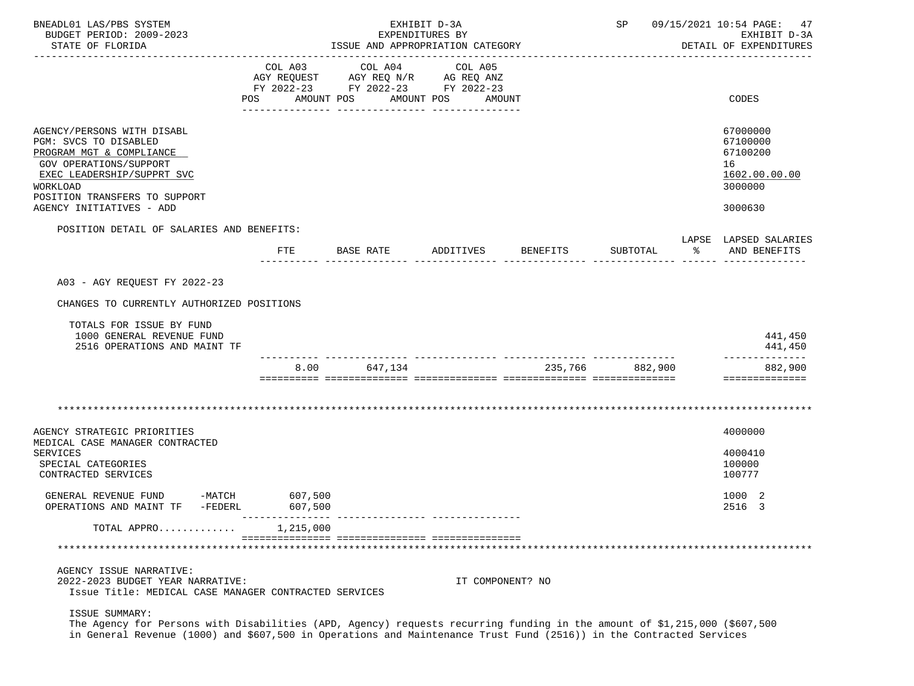| BNEADL01 LAS/PBS SYSTEM<br>BUDGET PERIOD: 2009-2023<br>STATE OF FLORIDA                                                   |     | EXHIBIT D-3A<br>EXPENDITURES BY<br>ISSUE AND APPROPRIATION CATEGORY |            |         |                                               |                  |          | SP 09/15/2021 10:54 PAGE: 47<br>EXHIBIT D-3A<br>DETAIL OF EXPENDITURES |         |                                       |  |  |
|---------------------------------------------------------------------------------------------------------------------------|-----|---------------------------------------------------------------------|------------|---------|-----------------------------------------------|------------------|----------|------------------------------------------------------------------------|---------|---------------------------------------|--|--|
|                                                                                                                           |     |                                                                     |            |         | ------------                                  |                  |          |                                                                        |         |                                       |  |  |
|                                                                                                                           |     | COL A03                                                             | COL A04    |         | COL A05<br>AGY REQUEST AGY REQ N/R AG REQ ANZ |                  |          |                                                                        |         |                                       |  |  |
|                                                                                                                           |     |                                                                     |            |         | FY 2022-23 FY 2022-23 FY 2022-23              |                  |          |                                                                        |         |                                       |  |  |
|                                                                                                                           | POS |                                                                     | AMOUNT POS |         | AMOUNT POS                                    | AMOUNT           |          |                                                                        |         | <b>CODES</b>                          |  |  |
|                                                                                                                           |     |                                                                     |            |         |                                               |                  |          |                                                                        |         |                                       |  |  |
| AGENCY/PERSONS WITH DISABL<br>PGM: SVCS TO DISABLED                                                                       |     |                                                                     |            |         |                                               |                  |          |                                                                        |         | 67000000<br>67100000                  |  |  |
| PROGRAM MGT & COMPLIANCE                                                                                                  |     |                                                                     |            |         |                                               |                  |          |                                                                        |         | 67100200                              |  |  |
| GOV OPERATIONS/SUPPORT                                                                                                    |     |                                                                     |            |         |                                               |                  |          |                                                                        |         | 16                                    |  |  |
| EXEC LEADERSHIP/SUPPRT SVC                                                                                                |     |                                                                     |            |         |                                               |                  |          |                                                                        |         | 1602.00.00.00                         |  |  |
| WORKLOAD<br>POSITION TRANSFERS TO SUPPORT                                                                                 |     |                                                                     |            |         |                                               |                  |          |                                                                        |         | 3000000                               |  |  |
| AGENCY INITIATIVES - ADD                                                                                                  |     |                                                                     |            |         |                                               |                  |          |                                                                        |         | 3000630                               |  |  |
| POSITION DETAIL OF SALARIES AND BENEFITS:                                                                                 |     |                                                                     |            |         |                                               |                  |          |                                                                        |         |                                       |  |  |
|                                                                                                                           | FTE |                                                                     | BASE RATE  |         | ADDITIVES                                     |                  | BENEFITS | SUBTOTAL                                                               | ႜၟ      | LAPSE LAPSED SALARIES<br>AND BENEFITS |  |  |
| A03 - AGY REOUEST FY 2022-23                                                                                              |     |                                                                     |            |         |                                               |                  |          |                                                                        |         |                                       |  |  |
|                                                                                                                           |     |                                                                     |            |         |                                               |                  |          |                                                                        |         |                                       |  |  |
| CHANGES TO CURRENTLY AUTHORIZED POSITIONS                                                                                 |     |                                                                     |            |         |                                               |                  |          |                                                                        |         |                                       |  |  |
| TOTALS FOR ISSUE BY FUND                                                                                                  |     |                                                                     |            |         |                                               |                  |          |                                                                        |         |                                       |  |  |
| 1000 GENERAL REVENUE FUND<br>2516 OPERATIONS AND MAINT TF                                                                 |     |                                                                     |            |         |                                               |                  |          |                                                                        |         | 441,450<br>441,450                    |  |  |
|                                                                                                                           |     | 8.00                                                                |            | 647,134 |                                               |                  | 235,766  |                                                                        | 882,900 | 882,900                               |  |  |
|                                                                                                                           |     |                                                                     |            |         |                                               |                  |          |                                                                        |         | ==============                        |  |  |
|                                                                                                                           |     |                                                                     |            |         |                                               |                  |          |                                                                        |         |                                       |  |  |
| AGENCY STRATEGIC PRIORITIES                                                                                               |     |                                                                     |            |         |                                               |                  |          |                                                                        |         | 4000000                               |  |  |
| MEDICAL CASE MANAGER CONTRACTED                                                                                           |     |                                                                     |            |         |                                               |                  |          |                                                                        |         |                                       |  |  |
| SERVICES<br>SPECIAL CATEGORIES                                                                                            |     |                                                                     |            |         |                                               |                  |          |                                                                        |         | 4000410<br>100000                     |  |  |
| CONTRACTED SERVICES                                                                                                       |     |                                                                     |            |         |                                               |                  |          |                                                                        |         | 100777                                |  |  |
| $-MATCH$<br>GENERAL REVENUE FUND                                                                                          |     | 607,500                                                             |            |         |                                               |                  |          |                                                                        |         | 1000 2                                |  |  |
| OPERATIONS AND MAINT TF -FEDERL                                                                                           |     | 607,500                                                             |            |         |                                               |                  |          |                                                                        |         | 2516 3                                |  |  |
| TOTAL APPRO                                                                                                               |     | 1,215,000                                                           |            |         |                                               |                  |          |                                                                        |         |                                       |  |  |
|                                                                                                                           |     |                                                                     |            |         |                                               |                  |          |                                                                        |         |                                       |  |  |
| AGENCY ISSUE NARRATIVE:                                                                                                   |     |                                                                     |            |         |                                               |                  |          |                                                                        |         |                                       |  |  |
| 2022-2023 BUDGET YEAR NARRATIVE:<br>Issue Title: MEDICAL CASE MANAGER CONTRACTED SERVICES                                 |     |                                                                     |            |         |                                               | IT COMPONENT? NO |          |                                                                        |         |                                       |  |  |
| ISSUE SUMMARY:                                                                                                            |     |                                                                     |            |         |                                               |                  |          |                                                                        |         |                                       |  |  |
| The Agency for Persons with Disabilities (APD, Agency) requests recurring funding in the amount of \$1,215,000 (\$607,500 |     |                                                                     |            |         |                                               |                  |          |                                                                        |         |                                       |  |  |
| in General Revenue (1000) and \$607,500 in Operations and Maintenance Trust Fund (2516)) in the Contracted Services       |     |                                                                     |            |         |                                               |                  |          |                                                                        |         |                                       |  |  |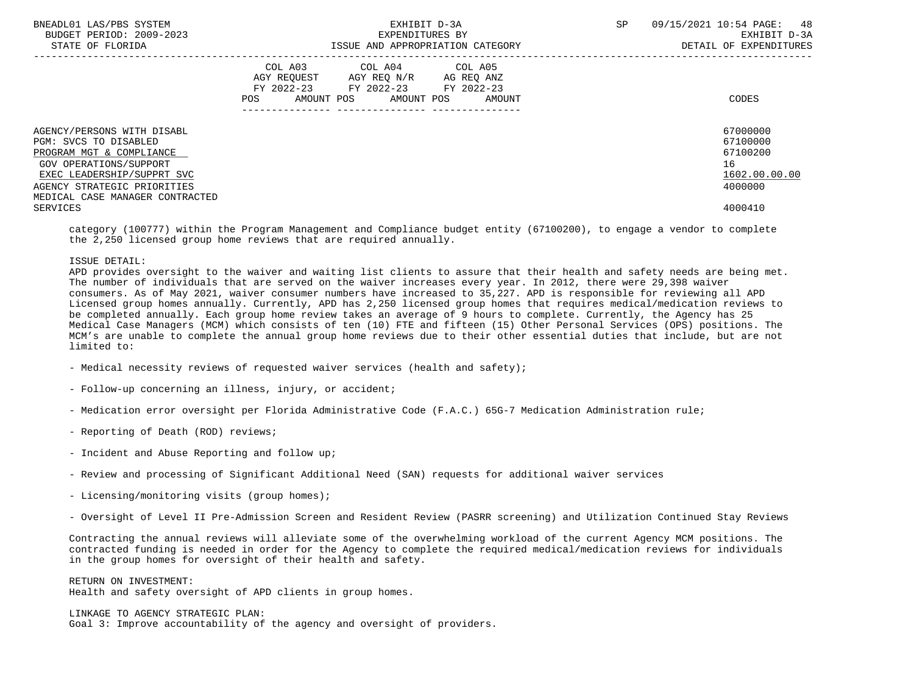| BNEADL01 LAS/PBS SYSTEM<br>BUDGET PERIOD: 2009-2023<br>STATE OF FLORIDA                                                                                                                                   | EXHIBIT D-3A<br>EXPENDITURES BY<br>ISSUE AND APPROPRIATION CATEGORY                                                                         | 09/15/2021 10:54 PAGE: 48<br><b>SP</b><br>EXHIBIT D-3A<br>DETAIL OF EXPENDITURES |
|-----------------------------------------------------------------------------------------------------------------------------------------------------------------------------------------------------------|---------------------------------------------------------------------------------------------------------------------------------------------|----------------------------------------------------------------------------------|
|                                                                                                                                                                                                           | COL A03 COL A04 COL A05<br>AGY REQUEST AGY REO N/R AG REO ANZ<br>FY 2022-23 FY 2022-23 FY 2022-23<br>AMOUNT POS AMOUNT POS<br>POS<br>AMOUNT | CODES                                                                            |
| AGENCY/PERSONS WITH DISABL<br>PGM: SVCS TO DISABLED<br>PROGRAM MGT & COMPLIANCE<br>GOV OPERATIONS/SUPPORT<br>EXEC LEADERSHIP/SUPPRT SVC<br>AGENCY STRATEGIC PRIORITIES<br>MEDICAL CASE MANAGER CONTRACTED |                                                                                                                                             | 67000000<br>67100000<br>67100200<br>16<br>1602.00.00.00<br>4000000               |
| SERVICES                                                                                                                                                                                                  |                                                                                                                                             | 4000410                                                                          |

 category (100777) within the Program Management and Compliance budget entity (67100200), to engage a vendor to complete the 2,250 licensed group home reviews that are required annually.

#### ISSUE DETAIL:

 APD provides oversight to the waiver and waiting list clients to assure that their health and safety needs are being met. The number of individuals that are served on the waiver increases every year. In 2012, there were 29,398 waiver consumers. As of May 2021, waiver consumer numbers have increased to 35,227. APD is responsible for reviewing all APD Licensed group homes annually. Currently, APD has 2,250 licensed group homes that requires medical/medication reviews to be completed annually. Each group home review takes an average of 9 hours to complete. Currently, the Agency has 25 Medical Case Managers (MCM) which consists of ten (10) FTE and fifteen (15) Other Personal Services (OPS) positions. The MCM's are unable to complete the annual group home reviews due to their other essential duties that include, but are not limited to:

- Medical necessity reviews of requested waiver services (health and safety);
- Follow-up concerning an illness, injury, or accident;
- Medication error oversight per Florida Administrative Code (F.A.C.) 65G-7 Medication Administration rule;
- Reporting of Death (ROD) reviews;
- Incident and Abuse Reporting and follow up;
- Review and processing of Significant Additional Need (SAN) requests for additional waiver services
- Licensing/monitoring visits (group homes);
- Oversight of Level II Pre-Admission Screen and Resident Review (PASRR screening) and Utilization Continued Stay Reviews

 Contracting the annual reviews will alleviate some of the overwhelming workload of the current Agency MCM positions. The contracted funding is needed in order for the Agency to complete the required medical/medication reviews for individuals in the group homes for oversight of their health and safety.

 RETURN ON INVESTMENT: Health and safety oversight of APD clients in group homes.

 LINKAGE TO AGENCY STRATEGIC PLAN: Goal 3: Improve accountability of the agency and oversight of providers.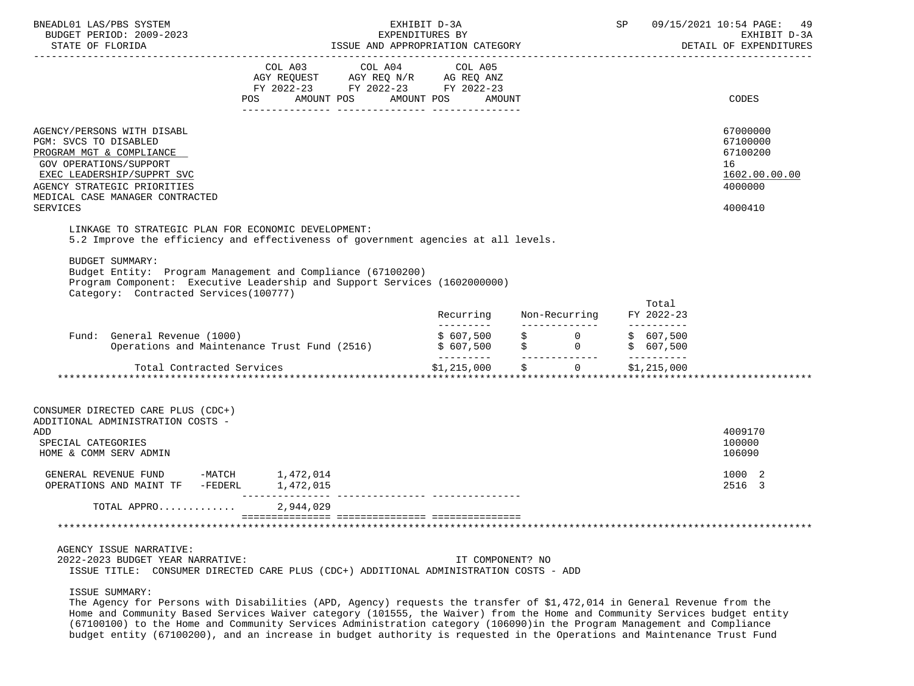| BNEADL01 LAS/PBS SYSTEM<br>BUDGET PERIOD: 2009-2023<br>STATE OF FLORIDA                                                                                                                                                             | EXHIBIT D-3A<br>EXPENDITURES BY<br>EXPENDITURES BY<br>ISSUE AND APPROPRIATION CATEGORY                                                                                                                                                                                                                                                                                                                                                                                   | SP SP                   | 09/15/2021 10:54 PAGE:<br>49<br>EXHIBIT D-3A<br>DETAIL OF EXPENDITURES |                                   |                                                                               |
|-------------------------------------------------------------------------------------------------------------------------------------------------------------------------------------------------------------------------------------|--------------------------------------------------------------------------------------------------------------------------------------------------------------------------------------------------------------------------------------------------------------------------------------------------------------------------------------------------------------------------------------------------------------------------------------------------------------------------|-------------------------|------------------------------------------------------------------------|-----------------------------------|-------------------------------------------------------------------------------|
|                                                                                                                                                                                                                                     | $\begin{tabular}{lllllllllllll} &\multicolumn{4}{c }{COL\ \ \text{AO3}} &\multicolumn{4}{c }{COL\ \ \text{AO4}} &\multicolumn{4}{c }{COL\ \ \text{AO5}} \\ \multicolumn{4}{c }{AGY\ \ \text{REQUEST}} &\multicolumn{4}{c }{AGY\ \ \text{REQ}\ \ \text{NY}} &\multicolumn{4}{c }{AG\ \ \text{REQ}\ \ \text{ANZ}} \\ \multicolumn{4}{c }{FY\ \ \text{2022--23}} &\multicolumn{4}{c }{FY\ \ \text{2022--23}} &\multicolumn{4}{c }{FY\ \ \text{$<br>AMOUNT POS<br><b>POS</b> | AMOUNT POS<br>AMOUNT    |                                                                        |                                   | CODES                                                                         |
| AGENCY/PERSONS WITH DISABL<br>PGM: SVCS TO DISABLED<br>PROGRAM MGT & COMPLIANCE<br><b>GOV OPERATIONS/SUPPORT</b><br>EXEC LEADERSHIP/SUPPRT SVC<br>AGENCY STRATEGIC PRIORITIES<br>MEDICAL CASE MANAGER CONTRACTED<br><b>SERVICES</b> |                                                                                                                                                                                                                                                                                                                                                                                                                                                                          |                         |                                                                        |                                   | 67000000<br>67100000<br>67100200<br>16<br>1602.00.00.00<br>4000000<br>4000410 |
| LINKAGE TO STRATEGIC PLAN FOR ECONOMIC DEVELOPMENT:<br><b>BUDGET SUMMARY:</b><br>Category: Contracted Services (100777)                                                                                                             | 5.2 Improve the efficiency and effectiveness of government agencies at all levels.<br>Budget Entity: Program Management and Compliance (67100200)<br>Program Component: Executive Leadership and Support Services (1602000000)                                                                                                                                                                                                                                           |                         |                                                                        |                                   |                                                                               |
|                                                                                                                                                                                                                                     |                                                                                                                                                                                                                                                                                                                                                                                                                                                                          | Recurring<br>---------- |                                                                        | Total<br>Non-Recurring FY 2022-23 |                                                                               |
| Fund: General Revenue (1000)                                                                                                                                                                                                        |                                                                                                                                                                                                                                                                                                                                                                                                                                                                          |                         |                                                                        |                                   |                                                                               |
| Total Contracted Services                                                                                                                                                                                                           |                                                                                                                                                                                                                                                                                                                                                                                                                                                                          | $$1,215,000$ \$         |                                                                        | $0$ \$1,215,000                   |                                                                               |
| CONSUMER DIRECTED CARE PLUS (CDC+)<br>ADDITIONAL ADMINISTRATION COSTS -<br>ADD<br>SPECIAL CATEGORIES<br>HOME & COMM SERV ADMIN                                                                                                      |                                                                                                                                                                                                                                                                                                                                                                                                                                                                          |                         |                                                                        |                                   | 4009170<br>100000<br>106090                                                   |
|                                                                                                                                                                                                                                     |                                                                                                                                                                                                                                                                                                                                                                                                                                                                          |                         |                                                                        |                                   | 1000 2<br>2516 3                                                              |
|                                                                                                                                                                                                                                     |                                                                                                                                                                                                                                                                                                                                                                                                                                                                          |                         |                                                                        |                                   |                                                                               |
|                                                                                                                                                                                                                                     |                                                                                                                                                                                                                                                                                                                                                                                                                                                                          |                         |                                                                        |                                   |                                                                               |
| AGENCY ISSUE NARRATIVE:<br>2022-2023 BUDGET YEAR NARRATIVE:                                                                                                                                                                         | ISSUE TITLE: CONSUMER DIRECTED CARE PLUS (CDC+) ADDITIONAL ADMINISTRATION COSTS - ADD                                                                                                                                                                                                                                                                                                                                                                                    | IT COMPONENT? NO        |                                                                        |                                   |                                                                               |

ISSUE SUMMARY:

 The Agency for Persons with Disabilities (APD, Agency) requests the transfer of \$1,472,014 in General Revenue from the Home and Community Based Services Waiver category (101555, the Waiver) from the Home and Community Services budget entity (67100100) to the Home and Community Services Administration category (106090)in the Program Management and Compliance budget entity (67100200), and an increase in budget authority is requested in the Operations and Maintenance Trust Fund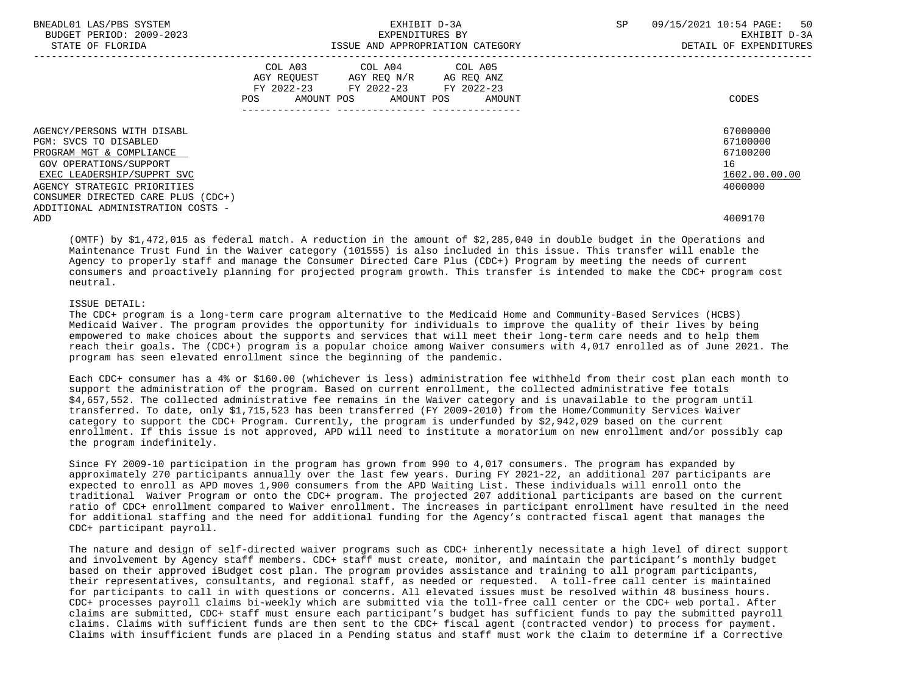| BNEADL01 LAS/PBS SYSTEM<br>BUDGET PERIOD: 2009-2023<br>STATE OF FLORIDA          |     | EXHIBIT D-3A<br>EXPENDITURES BY<br>ISSUE AND APPROPRIATION CATEGORY                                                               | SP | 09/15/2021 10:54 PAGE: 50<br>EXHIBIT D-3A<br>DETAIL OF EXPENDITURES |
|----------------------------------------------------------------------------------|-----|-----------------------------------------------------------------------------------------------------------------------------------|----|---------------------------------------------------------------------|
|                                                                                  | POS | COL A03 COL A04 COL A05<br>AGY REQUEST AGY REQ N/R AG REQ ANZ<br>FY 2022-23 FY 2022-23 FY 2022-23<br>AMOUNT POS AMOUNT POS AMOUNT |    | CODES                                                               |
| AGENCY/PERSONS WITH DISABL<br>PGM: SVCS TO DISABLED                              |     |                                                                                                                                   |    | 67000000<br>67100000<br>67100200                                    |
| PROGRAM MGT & COMPLIANCE<br>GOV OPERATIONS/SUPPORT<br>EXEC LEADERSHIP/SUPPRT SVC |     |                                                                                                                                   |    | 16<br>1602.00.00.00                                                 |
| AGENCY STRATEGIC PRIORITIES<br>CONSUMER DIRECTED CARE PLUS (CDC+)                |     |                                                                                                                                   |    | 4000000                                                             |
| ADDITIONAL ADMINISTRATION COSTS -<br>ADD                                         |     |                                                                                                                                   |    | 4009170                                                             |

 (OMTF) by \$1,472,015 as federal match. A reduction in the amount of \$2,285,040 in double budget in the Operations and Maintenance Trust Fund in the Waiver category (101555) is also included in this issue. This transfer will enable the Agency to properly staff and manage the Consumer Directed Care Plus (CDC+) Program by meeting the needs of current consumers and proactively planning for projected program growth. This transfer is intended to make the CDC+ program cost neutral.

# ISSUE DETAIL:

 The CDC+ program is a long-term care program alternative to the Medicaid Home and Community-Based Services (HCBS) Medicaid Waiver. The program provides the opportunity for individuals to improve the quality of their lives by being empowered to make choices about the supports and services that will meet their long-term care needs and to help them reach their goals. The (CDC+) program is a popular choice among Waiver consumers with 4,017 enrolled as of June 2021. The program has seen elevated enrollment since the beginning of the pandemic.

 Each CDC+ consumer has a 4% or \$160.00 (whichever is less) administration fee withheld from their cost plan each month to support the administration of the program. Based on current enrollment, the collected administrative fee totals \$4,657,552. The collected administrative fee remains in the Waiver category and is unavailable to the program until transferred. To date, only \$1,715,523 has been transferred (FY 2009-2010) from the Home/Community Services Waiver category to support the CDC+ Program. Currently, the program is underfunded by \$2,942,029 based on the current enrollment. If this issue is not approved, APD will need to institute a moratorium on new enrollment and/or possibly cap the program indefinitely.

 Since FY 2009-10 participation in the program has grown from 990 to 4,017 consumers. The program has expanded by approximately 270 participants annually over the last few years. During FY 2021-22, an additional 207 participants are expected to enroll as APD moves 1,900 consumers from the APD Waiting List. These individuals will enroll onto the traditional Waiver Program or onto the CDC+ program. The projected 207 additional participants are based on the current ratio of CDC+ enrollment compared to Waiver enrollment. The increases in participant enrollment have resulted in the need for additional staffing and the need for additional funding for the Agency's contracted fiscal agent that manages the CDC+ participant payroll.

 The nature and design of self-directed waiver programs such as CDC+ inherently necessitate a high level of direct support and involvement by Agency staff members. CDC+ staff must create, monitor, and maintain the participant's monthly budget based on their approved iBudget cost plan. The program provides assistance and training to all program participants, their representatives, consultants, and regional staff, as needed or requested. A toll-free call center is maintained for participants to call in with questions or concerns. All elevated issues must be resolved within 48 business hours. CDC+ processes payroll claims bi-weekly which are submitted via the toll-free call center or the CDC+ web portal. After claims are submitted, CDC+ staff must ensure each participant's budget has sufficient funds to pay the submitted payroll claims. Claims with sufficient funds are then sent to the CDC+ fiscal agent (contracted vendor) to process for payment. Claims with insufficient funds are placed in a Pending status and staff must work the claim to determine if a Corrective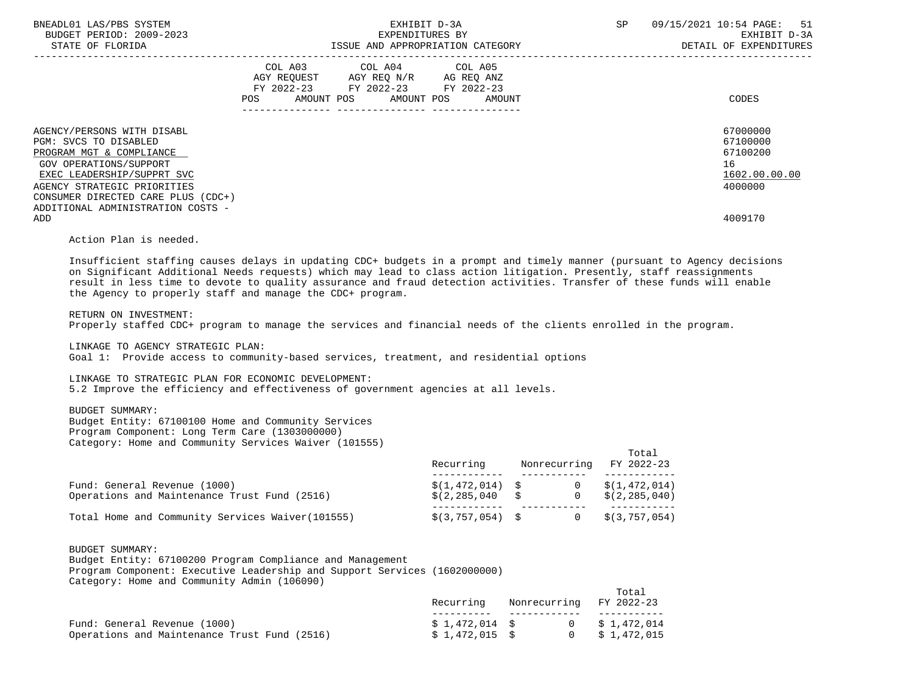| BNEADL01 LAS/PBS SYSTEM<br>BUDGET PERIOD: 2009-2023<br>STATE OF FLORIDA                                                                                                                                                                           | EXHIBIT D-3A<br>EXPENDITURES BY<br>ISSUE AND APPROPRIATION CATEGORY                                                                            | 09/15/2021 10:54 PAGE: 51<br>SP<br>EXHIBIT D-3A<br>DETAIL OF EXPENDITURES |
|---------------------------------------------------------------------------------------------------------------------------------------------------------------------------------------------------------------------------------------------------|------------------------------------------------------------------------------------------------------------------------------------------------|---------------------------------------------------------------------------|
|                                                                                                                                                                                                                                                   | COL A03 COL A04 COL A05<br>AGY REOUEST AGY REO N/R<br>AG REQ ANZ<br>FY 2022-23 FY 2022-23 FY 2022-23<br>POS<br>AMOUNT POS AMOUNT POS<br>AMOUNT | CODES                                                                     |
| AGENCY/PERSONS WITH DISABL<br>PGM: SVCS TO DISABLED<br>PROGRAM MGT & COMPLIANCE<br>GOV OPERATIONS/SUPPORT<br>EXEC LEADERSHIP/SUPPRT SVC<br>AGENCY STRATEGIC PRIORITIES<br>CONSUMER DIRECTED CARE PLUS (CDC+)<br>ADDITIONAL ADMINISTRATION COSTS - |                                                                                                                                                | 67000000<br>67100000<br>67100200<br>16<br>1602.00.00.00<br>4000000        |
| ADD                                                                                                                                                                                                                                               |                                                                                                                                                | 4009170                                                                   |

Action Plan is needed.

 Insufficient staffing causes delays in updating CDC+ budgets in a prompt and timely manner (pursuant to Agency decisions on Significant Additional Needs requests) which may lead to class action litigation. Presently, staff reassignments result in less time to devote to quality assurance and fraud detection activities. Transfer of these funds will enable the Agency to properly staff and manage the CDC+ program.

### RETURN ON INVESTMENT:

Properly staffed CDC+ program to manage the services and financial needs of the clients enrolled in the program.

LINKAGE TO AGENCY STRATEGIC PLAN:

Goal 1: Provide access to community-based services, treatment, and residential options

#### LINKAGE TO STRATEGIC PLAN FOR ECONOMIC DEVELOPMENT:

5.2 Improve the efficiency and effectiveness of government agencies at all levels.

# BUDGET SUMMARY:

 Budget Entity: 67100100 Home and Community Services Program Component: Long Term Care (1303000000) Category: Home and Community Services Waiver (101555)

|                                                                              | Recurring                              |                            | Total<br>Nonrecurring FY 2022-23 |
|------------------------------------------------------------------------------|----------------------------------------|----------------------------|----------------------------------|
| Fund: General Revenue (1000)<br>Operations and Maintenance Trust Fund (2516) | $$(1, 472, 014)$ \$<br>\$(2, 285, 040) | $\overline{0}$<br>$\Omega$ | \$(1,472,014)<br>\$(2, 285, 040) |
| Total Home and Community Services Waiver (101555)                            | $$(3, 757, 054)$ \$                    |                            | $0 \qquad $ (3, 757, 054)$       |

 BUDGET SUMMARY: Budget Entity: 67100200 Program Compliance and Management Program Component: Executive Leadership and Support Services (1602000000)

|  |  |  | Category: Home and Community Admin (106090) |  |  |
|--|--|--|---------------------------------------------|--|--|
|--|--|--|---------------------------------------------|--|--|

|                                              | Recurring       | Nonrecurring FY 2022-23 | Total                 |
|----------------------------------------------|-----------------|-------------------------|-----------------------|
|                                              |                 |                         |                       |
| Fund: General Revenue (1000)                 | \$1,472,014 \$  |                         | $0 \qquad $1,472,014$ |
| Operations and Maintenance Trust Fund (2516) | $$1.472.015$ \$ |                         | \$ 1,472,015          |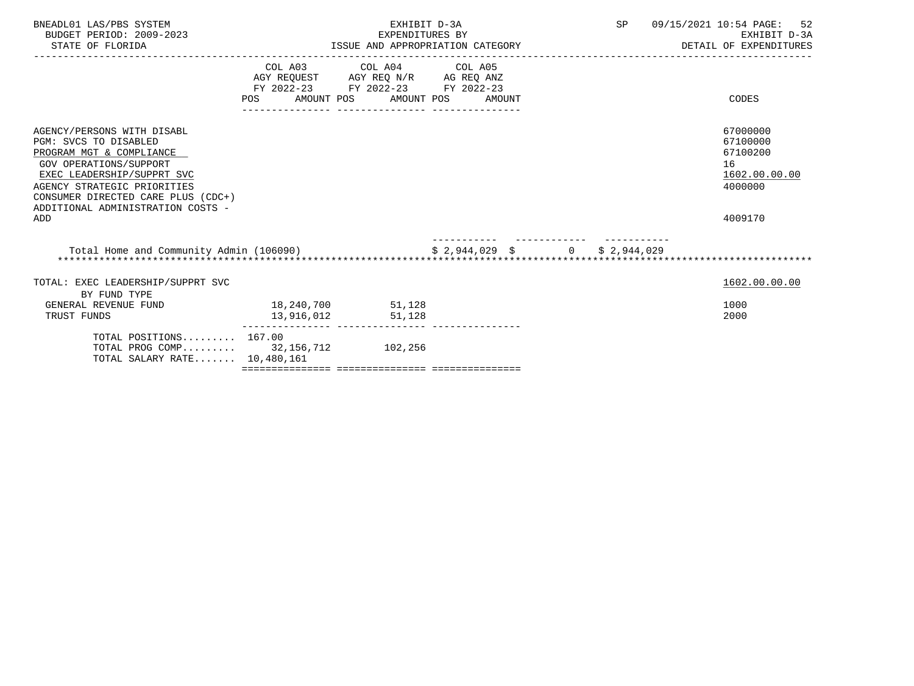| BNEADL01 LAS/PBS SYSTEM<br>BUDGET PERIOD: 2009-2023<br>STATE OF FLORIDA                                                                                                                                                                           | EXHIBIT D-3A<br>EXPENDITURES BY<br>ISSUE AND APPROPRIATION CATEGORY |                                                                                                   |  | SP | 09/15/2021 10:54 PAGE: 52<br>EXHIBIT D-3A<br>DETAIL OF EXPENDITURES |
|---------------------------------------------------------------------------------------------------------------------------------------------------------------------------------------------------------------------------------------------------|---------------------------------------------------------------------|---------------------------------------------------------------------------------------------------|--|----|---------------------------------------------------------------------|
|                                                                                                                                                                                                                                                   | POS AMOUNT POS AMOUNT POS AMOUNT                                    | COL A03 COL A04 COL A05<br>AGY REQUEST AGY REQ N/R AG REQ ANZ<br>FY 2022-23 FY 2022-23 FY 2022-23 |  |    | CODES                                                               |
| AGENCY/PERSONS WITH DISABL<br>PGM: SVCS TO DISABLED<br>PROGRAM MGT & COMPLIANCE<br>GOV OPERATIONS/SUPPORT<br>EXEC LEADERSHIP/SUPPRT SVC<br>AGENCY STRATEGIC PRIORITIES<br>CONSUMER DIRECTED CARE PLUS (CDC+)<br>ADDITIONAL ADMINISTRATION COSTS - |                                                                     |                                                                                                   |  |    | 67000000<br>67100000<br>67100200<br>16<br>1602.00.00.00<br>4000000  |
| ADD                                                                                                                                                                                                                                               |                                                                     |                                                                                                   |  |    | 4009170                                                             |
| Total Home and Community Admin (106090)<br>\$ 2,944,029 \$ 0 \$ 2,944,029                                                                                                                                                                         |                                                                     |                                                                                                   |  |    |                                                                     |
| TOTAL: EXEC LEADERSHIP/SUPPRT SVC<br>BY FUND TYPE                                                                                                                                                                                                 |                                                                     |                                                                                                   |  |    | 1602.00.00.00                                                       |
| GENERAL REVENUE FUND<br>TRUST FUNDS                                                                                                                                                                                                               | 18,240,700 51,128<br>13,916,012                                     | 51,128                                                                                            |  |    | 1000<br>2000                                                        |
| TOTAL POSITIONS 167.00<br>TOTAL PROG COMP 32, 156, 712 102, 256<br>TOTAL SALARY RATE 10,480,161                                                                                                                                                   |                                                                     |                                                                                                   |  |    |                                                                     |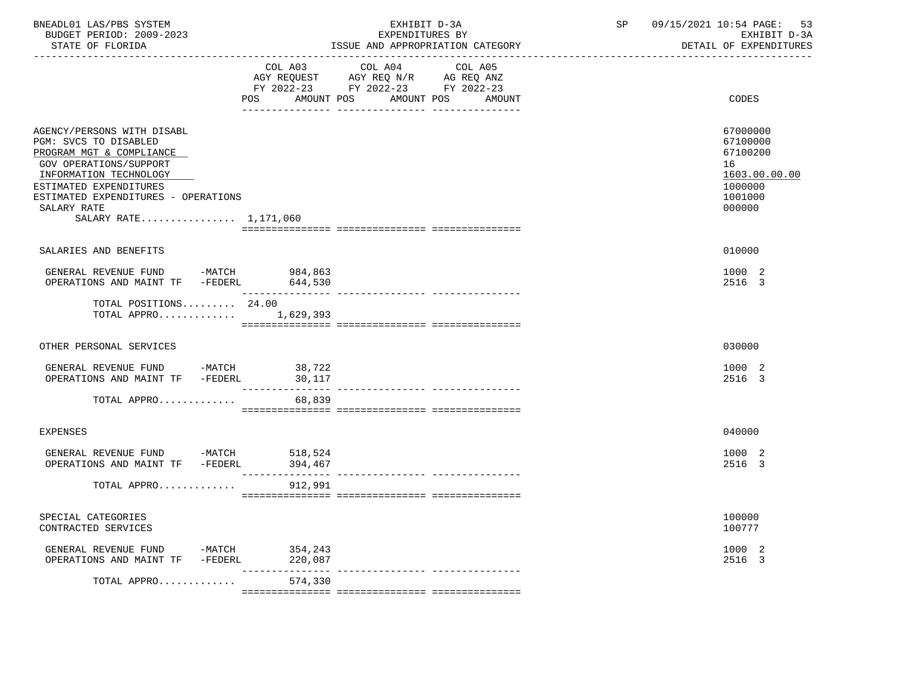| BNEADL01 LAS/PBS SYSTEM<br>BUDGET PERIOD: 2009-2023<br>STATE OF FLORIDA                                                                                                                                                                      |                  | EXHIBIT D-3A<br>EXPENDITURES BY<br>ISSUE AND APPROPRIATION CATEGORY                                                                      | 09/15/2021 10:54 PAGE:<br>SP<br>53<br>EXHIBIT D-3A<br>DETAIL OF EXPENDITURES            |
|----------------------------------------------------------------------------------------------------------------------------------------------------------------------------------------------------------------------------------------------|------------------|------------------------------------------------------------------------------------------------------------------------------------------|-----------------------------------------------------------------------------------------|
|                                                                                                                                                                                                                                              |                  | COL A03 COL A04<br>COL A05<br>AGY REQUEST AGY REQ N/R AG REQ ANZ<br>FY 2022-23 FY 2022-23 FY 2022-23<br>POS AMOUNT POS AMOUNT POS AMOUNT | <b>CODES</b>                                                                            |
| AGENCY/PERSONS WITH DISABL<br>PGM: SVCS TO DISABLED<br>PROGRAM MGT & COMPLIANCE<br>GOV OPERATIONS/SUPPORT<br>INFORMATION TECHNOLOGY<br>ESTIMATED EXPENDITURES<br>ESTIMATED EXPENDITURES - OPERATIONS<br>SALARY RATE<br>SALARY RATE 1,171,060 |                  |                                                                                                                                          | 67000000<br>67100000<br>67100200<br>16<br>1603.00.00.00<br>1000000<br>1001000<br>000000 |
| SALARIES AND BENEFITS                                                                                                                                                                                                                        |                  |                                                                                                                                          | 010000                                                                                  |
| GENERAL REVENUE FUND -MATCH 984,863                                                                                                                                                                                                          |                  |                                                                                                                                          | 1000 2<br>2516 3                                                                        |
| TOTAL POSITIONS $24.00$<br>TOTAL APPRO 1,629,393                                                                                                                                                                                             |                  |                                                                                                                                          |                                                                                         |
| OTHER PERSONAL SERVICES                                                                                                                                                                                                                      |                  |                                                                                                                                          | 030000                                                                                  |
| GENERAL REVENUE FUND -MATCH<br>OPERATIONS AND MAINT TF -FEDERL                                                                                                                                                                               | 38,722<br>30,117 |                                                                                                                                          | 1000 2<br>2516 3                                                                        |
| TOTAL APPRO                                                                                                                                                                                                                                  | 68,839           |                                                                                                                                          |                                                                                         |
| <b>EXPENSES</b>                                                                                                                                                                                                                              |                  |                                                                                                                                          | 040000                                                                                  |
| GENERAL REVENUE FUND -MATCH 518,524<br>OPERATIONS AND MAINT TF -FEDERL 394,467                                                                                                                                                               |                  |                                                                                                                                          | 1000 2<br>2516 3                                                                        |
| TOTAL APPRO                                                                                                                                                                                                                                  | 912,991          |                                                                                                                                          |                                                                                         |
| SPECIAL CATEGORIES<br>CONTRACTED SERVICES                                                                                                                                                                                                    |                  |                                                                                                                                          | 100000<br>100777                                                                        |
| GENERAL REVENUE FUND -MATCH 354,243<br>OPERATIONS AND MAINT TF -FEDERL 220,087                                                                                                                                                               |                  |                                                                                                                                          | 1000 2<br>2516 3                                                                        |
| TOTAL APPRO                                                                                                                                                                                                                                  | 574,330          |                                                                                                                                          |                                                                                         |
|                                                                                                                                                                                                                                              |                  |                                                                                                                                          |                                                                                         |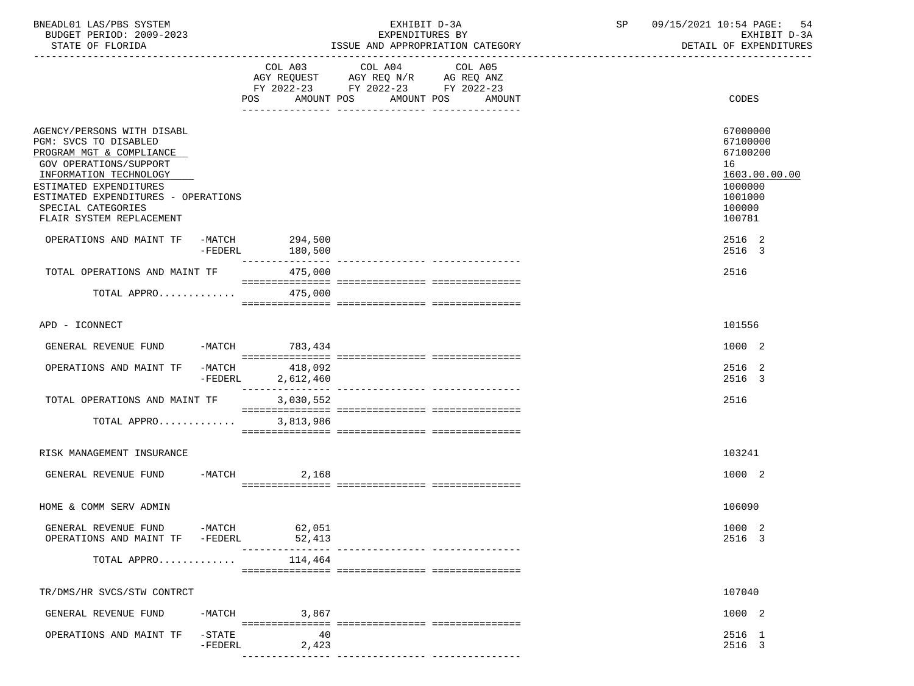| BNEADL01 LAS/PBS SYSTEM<br>BUDGET PERIOD: 2009-2023<br>STATE OF FLORIDA                                                                                                                                                                                       |                        | EXHIBIT D-3A<br>EXPENDITURES BY<br>ISSUE AND APPROPRIATION CATEGORY |                                                                                                                       |                   | SP                               | 09/15/2021 10:54 PAGE: 54<br>EXHIBIT D-3A<br>DETAIL OF EXPENDITURES                               |
|---------------------------------------------------------------------------------------------------------------------------------------------------------------------------------------------------------------------------------------------------------------|------------------------|---------------------------------------------------------------------|-----------------------------------------------------------------------------------------------------------------------|-------------------|----------------------------------|---------------------------------------------------------------------------------------------------|
|                                                                                                                                                                                                                                                               |                        | POS.                                                                | COL A03 COL A04<br>AGY REQUEST AGY REQ N/R AG REQ ANZ<br>FY 2022-23 FY 2022-23 FY 2022-23<br>AMOUNT POS<br>AMOUNT POS | COL A05<br>AMOUNT | -------------------------------- | CODES                                                                                             |
| AGENCY/PERSONS WITH DISABL<br>PGM: SVCS TO DISABLED<br>PROGRAM MGT & COMPLIANCE<br><b>GOV OPERATIONS/SUPPORT</b><br>INFORMATION TECHNOLOGY<br>ESTIMATED EXPENDITURES<br>ESTIMATED EXPENDITURES - OPERATIONS<br>SPECIAL CATEGORIES<br>FLAIR SYSTEM REPLACEMENT |                        |                                                                     |                                                                                                                       |                   |                                  | 67000000<br>67100000<br>67100200<br>16<br>1603.00.00.00<br>1000000<br>1001000<br>100000<br>100781 |
| OPERATIONS AND MAINT TF                                                                                                                                                                                                                                       | -FEDERL                | -MATCH 294,500<br>180,500<br>_______________                        |                                                                                                                       |                   |                                  | 2516 2<br>2516 3                                                                                  |
| TOTAL OPERATIONS AND MAINT TF<br>TOTAL APPRO                                                                                                                                                                                                                  |                        | 475,000<br>475,000                                                  |                                                                                                                       |                   |                                  | 2516                                                                                              |
|                                                                                                                                                                                                                                                               |                        |                                                                     |                                                                                                                       |                   |                                  |                                                                                                   |
| APD - ICONNECT                                                                                                                                                                                                                                                |                        |                                                                     |                                                                                                                       |                   |                                  | 101556                                                                                            |
| GENERAL REVENUE FUND                                                                                                                                                                                                                                          |                        | -MATCH 783,434                                                      |                                                                                                                       |                   |                                  | 1000 2                                                                                            |
| OPERATIONS AND MAINT TF                                                                                                                                                                                                                                       | -MATCH<br>-FEDERL      | 418,092<br>2,612,460                                                |                                                                                                                       |                   |                                  | 2516 2<br>2516 3                                                                                  |
| TOTAL OPERATIONS AND MAINT TF                                                                                                                                                                                                                                 |                        | 3,030,552                                                           |                                                                                                                       |                   |                                  | 2516                                                                                              |
| TOTAL APPRO                                                                                                                                                                                                                                                   |                        | 3,813,986                                                           |                                                                                                                       |                   |                                  |                                                                                                   |
| RISK MANAGEMENT INSURANCE                                                                                                                                                                                                                                     |                        |                                                                     |                                                                                                                       |                   |                                  | 103241                                                                                            |
| GENERAL REVENUE FUND                                                                                                                                                                                                                                          |                        | $-MATCH$<br>2,168                                                   |                                                                                                                       |                   |                                  | 1000 2                                                                                            |
| HOME & COMM SERV ADMIN                                                                                                                                                                                                                                        |                        |                                                                     |                                                                                                                       |                   |                                  | 106090                                                                                            |
| GENERAL REVENUE FUND -MATCH 62,051<br>OPERATIONS AND MAINT TF -FEDERL                                                                                                                                                                                         |                        | 52,413                                                              |                                                                                                                       |                   |                                  | 1000 2<br>2516 3                                                                                  |
| TOTAL APPRO                                                                                                                                                                                                                                                   |                        | 114,464                                                             |                                                                                                                       |                   |                                  |                                                                                                   |
| TR/DMS/HR SVCS/STW CONTRCT                                                                                                                                                                                                                                    |                        |                                                                     |                                                                                                                       |                   |                                  | 107040                                                                                            |
| GENERAL REVENUE FUND                                                                                                                                                                                                                                          | -MATCH                 | 3,867                                                               |                                                                                                                       |                   |                                  | 1000 2                                                                                            |
| OPERATIONS AND MAINT TF                                                                                                                                                                                                                                       | $-$ STATE<br>$-FEDERL$ | 40<br>2,423                                                         |                                                                                                                       |                   |                                  | 2516 1<br>2516 3                                                                                  |
|                                                                                                                                                                                                                                                               |                        |                                                                     |                                                                                                                       |                   |                                  |                                                                                                   |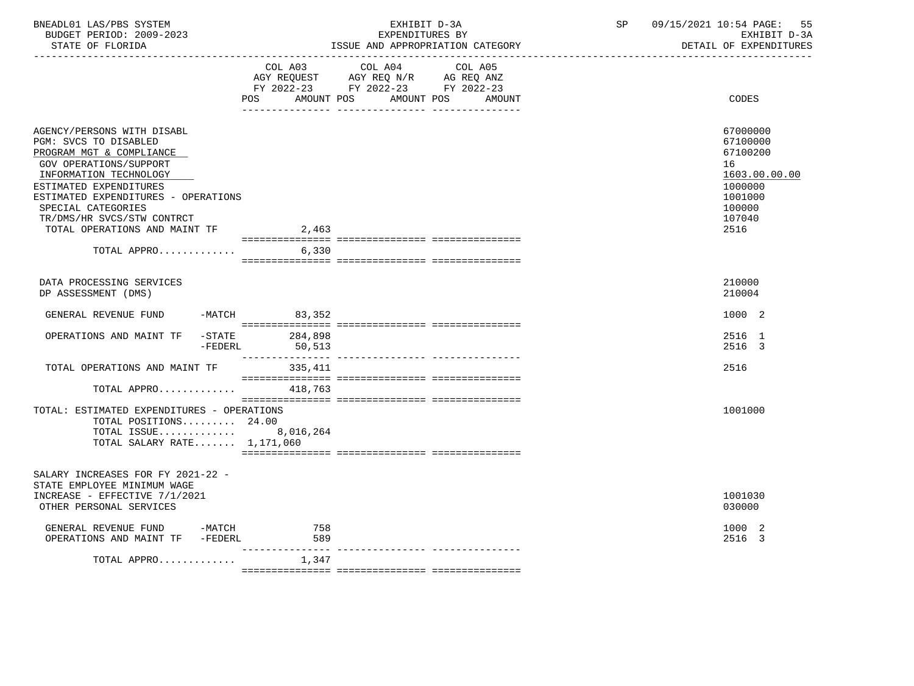| BNEADL01 LAS/PBS SYSTEM |                  |                          | RXHIRIT D-3A                     |  |
|-------------------------|------------------|--------------------------|----------------------------------|--|
|                         |                  | BUDGET PERIOD: 2009-2023 | EXPENDITURES BY                  |  |
|                         | STATE OF FLORIDA |                          | ISSUE AND APPROPRIATION CATEGORY |  |

BUDGET PERIOD: 2009-2023 EXPENDITURES BY EXHIBIT D-3A

|                                                                                                                                                                                                                                                                                           | COL A03                              | COL A04<br>AGY REQUEST AGY REQ N/R AG REQ ANZ<br>FY 2022-23 FY 2022-23 FY 2022-23 | COL A05              |                                                                                                           |
|-------------------------------------------------------------------------------------------------------------------------------------------------------------------------------------------------------------------------------------------------------------------------------------------|--------------------------------------|-----------------------------------------------------------------------------------|----------------------|-----------------------------------------------------------------------------------------------------------|
|                                                                                                                                                                                                                                                                                           | POS<br>AMOUNT POS                    |                                                                                   | AMOUNT POS<br>AMOUNT | CODES                                                                                                     |
| AGENCY/PERSONS WITH DISABL<br>PGM: SVCS TO DISABLED<br>PROGRAM MGT & COMPLIANCE<br>GOV OPERATIONS/SUPPORT<br>INFORMATION TECHNOLOGY<br>ESTIMATED EXPENDITURES<br>ESTIMATED EXPENDITURES - OPERATIONS<br>SPECIAL CATEGORIES<br>TR/DMS/HR SVCS/STW CONTRCT<br>TOTAL OPERATIONS AND MAINT TF | 2,463                                |                                                                                   |                      | 67000000<br>67100000<br>67100200<br>16<br>1603.00.00.00<br>1000000<br>1001000<br>100000<br>107040<br>2516 |
| TOTAL APPRO                                                                                                                                                                                                                                                                               | 6,330                                |                                                                                   |                      |                                                                                                           |
| DATA PROCESSING SERVICES<br>DP ASSESSMENT (DMS)<br>GENERAL REVENUE FUND                                                                                                                                                                                                                   | $-MATCH$ 83,352                      |                                                                                   |                      | 210000<br>210004<br>1000 2                                                                                |
| $-$ STATE<br>OPERATIONS AND MAINT TF<br>$-FEDERL$                                                                                                                                                                                                                                         | 284,898<br>50,513<br>_______________ |                                                                                   |                      | 2516 1<br>2516 3                                                                                          |
| TOTAL OPERATIONS AND MAINT TF                                                                                                                                                                                                                                                             | 335,411                              |                                                                                   |                      | 2516                                                                                                      |
| TOTAL APPRO                                                                                                                                                                                                                                                                               | 418,763                              |                                                                                   |                      |                                                                                                           |
| TOTAL: ESTIMATED EXPENDITURES - OPERATIONS<br>TOTAL POSITIONS 24.00<br>TOTAL ISSUE 8,016,264<br>TOTAL SALARY RATE $1,171,060$                                                                                                                                                             |                                      |                                                                                   |                      | 1001000                                                                                                   |
| SALARY INCREASES FOR FY 2021-22 -<br>STATE EMPLOYEE MINIMUM WAGE<br>INCREASE - EFFECTIVE 7/1/2021<br>OTHER PERSONAL SERVICES                                                                                                                                                              |                                      |                                                                                   |                      | 1001030<br>030000                                                                                         |
| GENERAL REVENUE FUND -MATCH<br>OPERATIONS AND MAINT TF -FEDERL                                                                                                                                                                                                                            | 758<br>589                           |                                                                                   |                      | 1000 2<br>2516 3                                                                                          |
| TOTAL APPRO                                                                                                                                                                                                                                                                               | ------------<br>1,347                |                                                                                   |                      |                                                                                                           |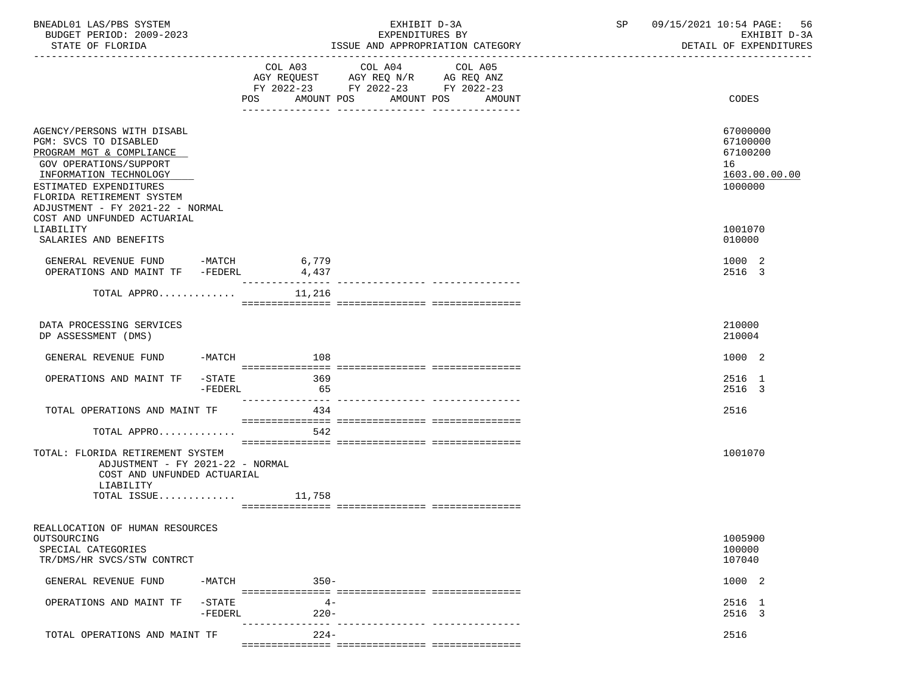| BNEADL01 LAS/PBS SYSTEM<br>BUDGET PERIOD: 2009-2023                                                                                                                                                                            |                 | EXHIBIT D-3A<br>EXPENDITURES BY                                                                                                          | 09/15/2021 10:54 PAGE:<br>SP<br>-56<br>EXHIBIT D-3A                |
|--------------------------------------------------------------------------------------------------------------------------------------------------------------------------------------------------------------------------------|-----------------|------------------------------------------------------------------------------------------------------------------------------------------|--------------------------------------------------------------------|
| STATE OF FLORIDA                                                                                                                                                                                                               |                 | ISSUE AND APPROPRIATION CATEGORY                                                                                                         | DETAIL OF EXPENDITURES<br>-------------------------------------    |
|                                                                                                                                                                                                                                |                 | COL A03 COL A04<br>COL A05<br>AGY REQUEST AGY REQ N/R AG REQ ANZ<br>FY 2022-23 FY 2022-23 FY 2022-23<br>POS AMOUNT POS AMOUNT POS AMOUNT | CODES                                                              |
| AGENCY/PERSONS WITH DISABL<br>PGM: SVCS TO DISABLED<br>PROGRAM MGT & COMPLIANCE<br>GOV OPERATIONS/SUPPORT<br>INFORMATION TECHNOLOGY<br>ESTIMATED EXPENDITURES<br>FLORIDA RETIREMENT SYSTEM<br>ADJUSTMENT - FY 2021-22 - NORMAL |                 |                                                                                                                                          | 67000000<br>67100000<br>67100200<br>16<br>1603.00.00.00<br>1000000 |
| COST AND UNFUNDED ACTUARIAL<br>LIABILITY<br>SALARIES AND BENEFITS                                                                                                                                                              |                 |                                                                                                                                          | 1001070<br>010000                                                  |
| GENERAL REVENUE FUND -MATCH 6,779<br>OPERATIONS AND MAINT TF -FEDERL                                                                                                                                                           | 4,437           |                                                                                                                                          | 1000 2<br>2516 3                                                   |
| TOTAL APPRO $11,216$                                                                                                                                                                                                           |                 |                                                                                                                                          |                                                                    |
| DATA PROCESSING SERVICES<br>DP ASSESSMENT (DMS)                                                                                                                                                                                |                 |                                                                                                                                          | 210000<br>210004                                                   |
| GENERAL REVENUE FUND -MATCH 108                                                                                                                                                                                                |                 |                                                                                                                                          | 1000 2                                                             |
| OPERATIONS AND MAINT TF -STATE<br>$-FEDERL$                                                                                                                                                                                    | 369<br>65       |                                                                                                                                          | 2516 1<br>2516 3                                                   |
| TOTAL OPERATIONS AND MAINT TF                                                                                                                                                                                                  | 434             |                                                                                                                                          | 2516                                                               |
| TOTAL APPRO                                                                                                                                                                                                                    | 542             |                                                                                                                                          |                                                                    |
| TOTAL: FLORIDA RETIREMENT SYSTEM<br>ADJUSTMENT - FY 2021-22 - NORMAL<br>COST AND UNFUNDED ACTUARIAL<br>LIABILITY                                                                                                               |                 |                                                                                                                                          | 1001070                                                            |
| TOTAL ISSUE $11,758$                                                                                                                                                                                                           |                 |                                                                                                                                          |                                                                    |
| REALLOCATION OF HUMAN RESOURCES<br>OUTSOURCING<br>SPECIAL CATEGORIES<br>TR/DMS/HR SVCS/STW CONTRCT                                                                                                                             |                 |                                                                                                                                          | 1005900<br>100000<br>107040                                        |
| GENERAL REVENUE FUND<br>-MATCH                                                                                                                                                                                                 | $350 -$         |                                                                                                                                          | 1000 2                                                             |
| $-$ STATE<br>OPERATIONS AND MAINT TF<br>$-FEDERL$                                                                                                                                                                              | $4-$<br>$220 -$ |                                                                                                                                          | 2516 1<br>2516 3                                                   |
| TOTAL OPERATIONS AND MAINT TF                                                                                                                                                                                                  | $224-$          |                                                                                                                                          | 2516                                                               |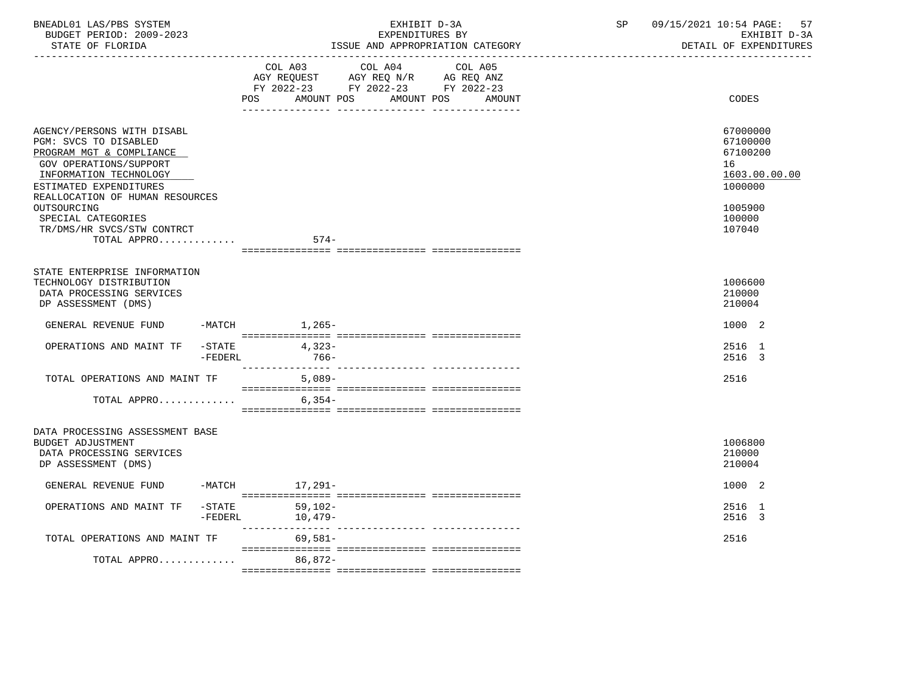| BNEADL01 LAS/PBS SYSTEM<br>BUDGET PERIOD: 2009-2023<br>STATE OF FLORIDA                                                                                                                                                                                                                   |                 | EXHIBIT D-3A<br>EXPENDITURES BY<br>ISSUE AND APPROPRIATION CATEGORY                                                                               | 09/15/2021 10:54 PAGE:<br>57<br>SP<br>EXHIBIT D-3A<br>DETAIL OF EXPENDITURES                      |
|-------------------------------------------------------------------------------------------------------------------------------------------------------------------------------------------------------------------------------------------------------------------------------------------|-----------------|---------------------------------------------------------------------------------------------------------------------------------------------------|---------------------------------------------------------------------------------------------------|
|                                                                                                                                                                                                                                                                                           |                 | COL A03 COL A04<br>COL A05<br>AGY REQUEST AGY REQ N/R AG REQ ANZ<br>FY 2022-23 FY 2022-23 FY 2022-23<br>POS<br>AMOUNT POS<br>AMOUNT POS<br>AMOUNT | CODES                                                                                             |
| AGENCY/PERSONS WITH DISABL<br>PGM: SVCS TO DISABLED<br>PROGRAM MGT & COMPLIANCE<br><b>GOV OPERATIONS/SUPPORT</b><br>INFORMATION TECHNOLOGY<br>ESTIMATED EXPENDITURES<br>REALLOCATION OF HUMAN RESOURCES<br>OUTSOURCING<br>SPECIAL CATEGORIES<br>TR/DMS/HR SVCS/STW CONTRCT<br>TOTAL APPRO |                 | $574-$                                                                                                                                            | 67000000<br>67100000<br>67100200<br>16<br>1603.00.00.00<br>1000000<br>1005900<br>100000<br>107040 |
| STATE ENTERPRISE INFORMATION<br>TECHNOLOGY DISTRIBUTION<br>DATA PROCESSING SERVICES<br>DP ASSESSMENT (DMS)                                                                                                                                                                                |                 |                                                                                                                                                   | 1006600<br>210000<br>210004                                                                       |
| GENERAL REVENUE FUND -MATCH 1,265-                                                                                                                                                                                                                                                        |                 |                                                                                                                                                   | 1000 2                                                                                            |
| OPERATIONS AND MAINT TF -STATE                                                                                                                                                                                                                                                            | $-{\tt FEDERL}$ | $4,323-$<br>$766-$                                                                                                                                | 2516 1<br>2516 3                                                                                  |
| TOTAL OPERATIONS AND MAINT TF                                                                                                                                                                                                                                                             |                 | $5,089-$                                                                                                                                          | 2516                                                                                              |
| TOTAL APPRO                                                                                                                                                                                                                                                                               |                 | 6,354-                                                                                                                                            |                                                                                                   |
| DATA PROCESSING ASSESSMENT BASE<br>BUDGET ADJUSTMENT<br>DATA PROCESSING SERVICES<br>DP ASSESSMENT (DMS)                                                                                                                                                                                   |                 |                                                                                                                                                   | 1006800<br>210000<br>210004                                                                       |
| GENERAL REVENUE FUND                                                                                                                                                                                                                                                                      |                 | -MATCH 17,291-                                                                                                                                    | 1000 2                                                                                            |
| OPERATIONS AND MAINT TF -STATE                                                                                                                                                                                                                                                            | -FEDERL         | $59,102-$<br>10,479-                                                                                                                              | 2516 1<br>2516 3                                                                                  |
| TOTAL OPERATIONS AND MAINT TF                                                                                                                                                                                                                                                             |                 | $69,581-$                                                                                                                                         | 2516                                                                                              |
| TOTAL APPRO                                                                                                                                                                                                                                                                               |                 | 86,872-                                                                                                                                           |                                                                                                   |
|                                                                                                                                                                                                                                                                                           |                 |                                                                                                                                                   |                                                                                                   |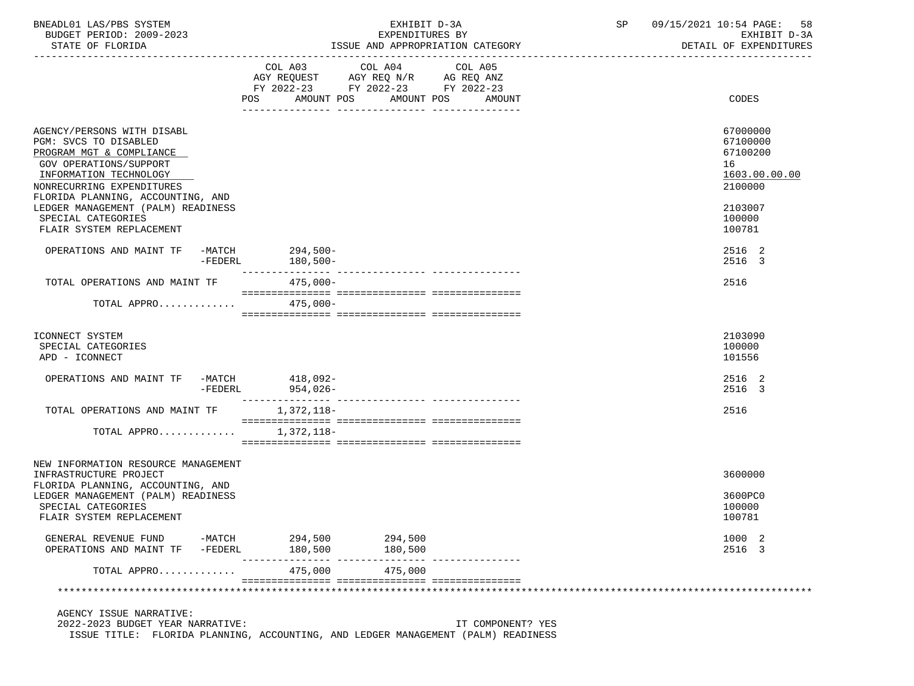| BNEADL01 LAS/PBS SYSTEM<br>BUDGET PERIOD: 2009-2023<br>STATE OF FLORIDA                                                                                                                               |                     |                                | EXHIBIT D-3A<br>EXPENDITURES BY<br>ISSUE AND APPROPRIATION CATEGORY                                                                                                                                                                                | SP | 09/15/2021 10:54 PAGE:<br>58<br>EXHIBIT D-3A<br>DETAIL OF EXPENDITURES |
|-------------------------------------------------------------------------------------------------------------------------------------------------------------------------------------------------------|---------------------|--------------------------------|----------------------------------------------------------------------------------------------------------------------------------------------------------------------------------------------------------------------------------------------------|----|------------------------------------------------------------------------|
|                                                                                                                                                                                                       |                     | POS<br>AMOUNT POS              | COL A03 COL A04<br>COL A05<br>$\begin{tabular}{lllllll} AGY & \texttt{REQUEST} & \texttt{AGY} & \texttt{REG} & \texttt{N/R} & \texttt{AG} & \texttt{REQ} & \texttt{ANZ} \end{tabular}$<br>FY 2022-23 FY 2022-23 FY 2022-23<br>AMOUNT POS<br>AMOUNT |    | CODES                                                                  |
| AGENCY/PERSONS WITH DISABL<br>PGM: SVCS TO DISABLED<br>PROGRAM MGT & COMPLIANCE<br>GOV OPERATIONS/SUPPORT<br>INFORMATION TECHNOLOGY<br>NONRECURRING EXPENDITURES<br>FLORIDA PLANNING, ACCOUNTING, AND |                     |                                |                                                                                                                                                                                                                                                    |    | 67000000<br>67100000<br>67100200<br>16<br>1603.00.00.00<br>2100000     |
| LEDGER MANAGEMENT (PALM) READINESS<br>SPECIAL CATEGORIES<br>FLAIR SYSTEM REPLACEMENT                                                                                                                  |                     |                                |                                                                                                                                                                                                                                                    |    | 2103007<br>100000<br>100781                                            |
| OPERATIONS AND MAINT TF                                                                                                                                                                               | $-FEDERL$           | -MATCH 294,500-<br>$180,500 -$ |                                                                                                                                                                                                                                                    |    | 2516 2<br>2516 3                                                       |
| TOTAL OPERATIONS AND MAINT TF                                                                                                                                                                         |                     | $475,000-$                     |                                                                                                                                                                                                                                                    |    | 2516                                                                   |
| TOTAL APPRO                                                                                                                                                                                           |                     | $475.000 -$                    |                                                                                                                                                                                                                                                    |    |                                                                        |
| ICONNECT SYSTEM<br>SPECIAL CATEGORIES<br>APD - ICONNECT                                                                                                                                               |                     |                                |                                                                                                                                                                                                                                                    |    | 2103090<br>100000<br>101556                                            |
| OPERATIONS AND MAINT TF -MATCH 418,092-                                                                                                                                                               | -FEDERL             | $954,026-$                     |                                                                                                                                                                                                                                                    |    | 2516 2<br>2516 3                                                       |
| TOTAL OPERATIONS AND MAINT TF                                                                                                                                                                         |                     | 1,372,118-                     |                                                                                                                                                                                                                                                    |    | 2516                                                                   |
| TOTAL APPRO                                                                                                                                                                                           |                     | 1,372,118-                     |                                                                                                                                                                                                                                                    |    |                                                                        |
| NEW INFORMATION RESOURCE MANAGEMENT<br>INFRASTRUCTURE PROJECT                                                                                                                                         |                     |                                |                                                                                                                                                                                                                                                    |    | 3600000                                                                |
| FLORIDA PLANNING, ACCOUNTING, AND<br>LEDGER MANAGEMENT (PALM) READINESS<br>SPECIAL CATEGORIES<br>FLAIR SYSTEM REPLACEMENT                                                                             |                     |                                |                                                                                                                                                                                                                                                    |    | 3600PC0<br>100000<br>100781                                            |
| GENERAL REVENUE FUND<br>OPERATIONS AND MAINT TF                                                                                                                                                       | -MATCH<br>$-FEDERL$ | 294,500<br>180,500             | 294,500<br>180,500                                                                                                                                                                                                                                 |    | 1000 2<br>2516 3                                                       |
| TOTAL APPRO                                                                                                                                                                                           |                     | 475,000                        | 475,000                                                                                                                                                                                                                                            |    |                                                                        |
|                                                                                                                                                                                                       |                     |                                |                                                                                                                                                                                                                                                    |    |                                                                        |
| AGENCY ISSUE NARRATIVE:                                                                                                                                                                               |                     |                                |                                                                                                                                                                                                                                                    |    |                                                                        |

 2022-2023 BUDGET YEAR NARRATIVE: IT COMPONENT? YES ISSUE TITLE: FLORIDA PLANNING, ACCOUNTING, AND LEDGER MANAGEMENT (PALM) READINESS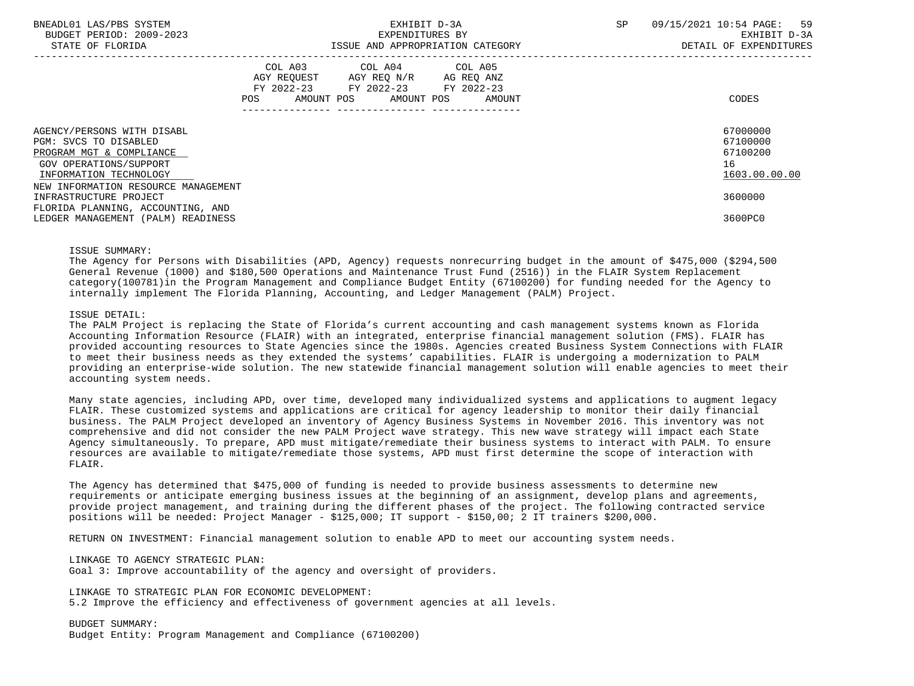| BNEADL01 LAS/PBS SYSTEM<br>BUDGET PERIOD: 2009-2023<br>STATE OF FLORIDA                                                                  | EXHIBIT D-3A<br>EXPENDITURES BY<br>ISSUE AND APPROPRIATION CATEGORY                                                                                                                                                                                 | - 59<br><b>SP</b><br>09/15/2021 10:54 PAGE:<br>EXHIBIT D-3A<br>DETAIL OF EXPENDITURES |
|------------------------------------------------------------------------------------------------------------------------------------------|-----------------------------------------------------------------------------------------------------------------------------------------------------------------------------------------------------------------------------------------------------|---------------------------------------------------------------------------------------|
|                                                                                                                                          | COL A03 COL A04 COL A05<br>AGY REOUEST AGY REO N/R AG REO ANZ<br>FY 2022-23 FY 2022-23 FY 2022-23<br>AMOUNT POS AMOUNT POS AMOUNT<br>POS FOR THE POST OF THE STATE STATE STATE STATE STATE STATE STATE STATE STATE STATE STATE STATE STATE STATE ST | CODES                                                                                 |
| AGENCY/PERSONS WITH DISABL<br>PGM: SVCS TO DISABLED<br>PROGRAM MGT & COMPLIANCE<br>GOV OPERATIONS/SUPPORT<br>INFORMATION TECHNOLOGY      |                                                                                                                                                                                                                                                     | 67000000<br>67100000<br>67100200<br>16<br>1603.00.00.00                               |
| NEW INFORMATION RESOURCE MANAGEMENT<br>INFRASTRUCTURE PROJECT<br>FLORIDA PLANNING, ACCOUNTING, AND<br>LEDGER MANAGEMENT (PALM) READINESS |                                                                                                                                                                                                                                                     | 3600000<br>3600PC0                                                                    |

#### ISSUE SUMMARY:

 The Agency for Persons with Disabilities (APD, Agency) requests nonrecurring budget in the amount of \$475,000 (\$294,500 General Revenue (1000) and \$180,500 Operations and Maintenance Trust Fund (2516)) in the FLAIR System Replacement category(100781)in the Program Management and Compliance Budget Entity (67100200) for funding needed for the Agency to internally implement The Florida Planning, Accounting, and Ledger Management (PALM) Project.

#### ISSUE DETAIL:

 The PALM Project is replacing the State of Florida's current accounting and cash management systems known as Florida Accounting Information Resource (FLAIR) with an integrated, enterprise financial management solution (FMS). FLAIR has provided accounting resources to State Agencies since the 1980s. Agencies created Business System Connections with FLAIR to meet their business needs as they extended the systems' capabilities. FLAIR is undergoing a modernization to PALM providing an enterprise-wide solution. The new statewide financial management solution will enable agencies to meet their accounting system needs.

 Many state agencies, including APD, over time, developed many individualized systems and applications to augment legacy FLAIR. These customized systems and applications are critical for agency leadership to monitor their daily financial business. The PALM Project developed an inventory of Agency Business Systems in November 2016. This inventory was not comprehensive and did not consider the new PALM Project wave strategy. This new wave strategy will impact each State Agency simultaneously. To prepare, APD must mitigate/remediate their business systems to interact with PALM. To ensure resources are available to mitigate/remediate those systems, APD must first determine the scope of interaction with FLAIR.

 The Agency has determined that \$475,000 of funding is needed to provide business assessments to determine new requirements or anticipate emerging business issues at the beginning of an assignment, develop plans and agreements, provide project management, and training during the different phases of the project. The following contracted service positions will be needed: Project Manager - \$125,000; IT support - \$150,00; 2 IT trainers \$200,000.

RETURN ON INVESTMENT: Financial management solution to enable APD to meet our accounting system needs.

LINKAGE TO AGENCY STRATEGIC PLAN:

Goal 3: Improve accountability of the agency and oversight of providers.

 LINKAGE TO STRATEGIC PLAN FOR ECONOMIC DEVELOPMENT: 5.2 Improve the efficiency and effectiveness of government agencies at all levels.

 BUDGET SUMMARY: Budget Entity: Program Management and Compliance (67100200)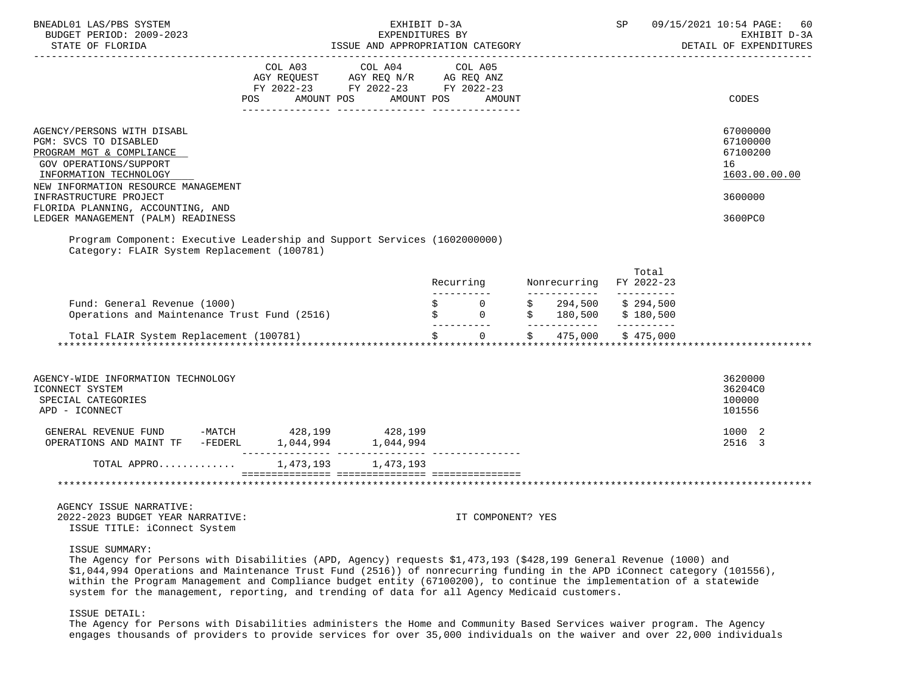| BNEADL01 LAS/PBS SYSTEM<br>BUDGET PERIOD: 2009-2023<br>STATE OF FLORIDA                                                                                                                                                                                                                                                                                                                                     |         | EXHIBIT D-3A<br>EXPENDITURES BY<br>ISSUE AND APPROPRIATION CATEGORY                                                   |         |                   | <b>SP</b> SP SP SP |       | 09/15/2021 10:54 PAGE:<br>60<br>EXHIBIT D-3A<br>DETAIL OF EXPENDITURES        |
|-------------------------------------------------------------------------------------------------------------------------------------------------------------------------------------------------------------------------------------------------------------------------------------------------------------------------------------------------------------------------------------------------------------|---------|-----------------------------------------------------------------------------------------------------------------------|---------|-------------------|--------------------|-------|-------------------------------------------------------------------------------|
|                                                                                                                                                                                                                                                                                                                                                                                                             | COL A03 | COL A04<br>AGY REQUEST AGY REQ N/R AG REQ ANZ<br>FY 2022-23 FY 2022-23 FY 2022-23<br>POS AMOUNT POS AMOUNT POS AMOUNT | COL A05 |                   |                    |       | CODES                                                                         |
| AGENCY/PERSONS WITH DISABL<br>PGM: SVCS TO DISABLED<br>PROGRAM MGT & COMPLIANCE<br>GOV OPERATIONS/SUPPORT<br>INFORMATION TECHNOLOGY<br>NEW INFORMATION RESOURCE MANAGEMENT<br>INFRASTRUCTURE PROJECT<br>FLORIDA PLANNING, ACCOUNTING, AND<br>LEDGER MANAGEMENT (PALM) READINESS<br>Program Component: Executive Leadership and Support Services (1602000000)<br>Category: FLAIR System Replacement (100781) |         |                                                                                                                       |         |                   |                    |       | 67000000<br>67100000<br>67100200<br>16<br>1603.00.00.00<br>3600000<br>3600PC0 |
|                                                                                                                                                                                                                                                                                                                                                                                                             |         |                                                                                                                       |         |                   |                    | Total |                                                                               |
|                                                                                                                                                                                                                                                                                                                                                                                                             |         |                                                                                                                       |         |                   |                    |       |                                                                               |
|                                                                                                                                                                                                                                                                                                                                                                                                             |         |                                                                                                                       |         |                   |                    |       |                                                                               |
| AGENCY-WIDE INFORMATION TECHNOLOGY<br>ICONNECT SYSTEM<br>SPECIAL CATEGORIES<br>APD - ICONNECT                                                                                                                                                                                                                                                                                                               |         |                                                                                                                       |         |                   |                    |       | 3620000<br>36204C0<br>100000<br>101556                                        |
| GENERAL REVENUE FUND -MATCH 428,199 428,199                                                                                                                                                                                                                                                                                                                                                                 |         |                                                                                                                       |         |                   |                    |       | 1000 2<br>2516 3                                                              |
| TOTAL APPRO 1,473,193 1,473,193                                                                                                                                                                                                                                                                                                                                                                             |         |                                                                                                                       |         |                   |                    |       |                                                                               |
|                                                                                                                                                                                                                                                                                                                                                                                                             |         |                                                                                                                       |         |                   |                    |       |                                                                               |
| AGENCY ISSUE NARRATIVE:<br>2022-2023 BUDGET YEAR NARRATIVE:                                                                                                                                                                                                                                                                                                                                                 |         |                                                                                                                       |         | IT COMPONENT? YES |                    |       |                                                                               |

ISSUE TITLE: iConnect System

### ISSUE SUMMARY:

 The Agency for Persons with Disabilities (APD, Agency) requests \$1,473,193 (\$428,199 General Revenue (1000) and \$1,044,994 Operations and Maintenance Trust Fund (2516)) of nonrecurring funding in the APD iConnect category (101556), within the Program Management and Compliance budget entity (67100200), to continue the implementation of a statewide system for the management, reporting, and trending of data for all Agency Medicaid customers.

# ISSUE DETAIL:

 The Agency for Persons with Disabilities administers the Home and Community Based Services waiver program. The Agency engages thousands of providers to provide services for over 35,000 individuals on the waiver and over 22,000 individuals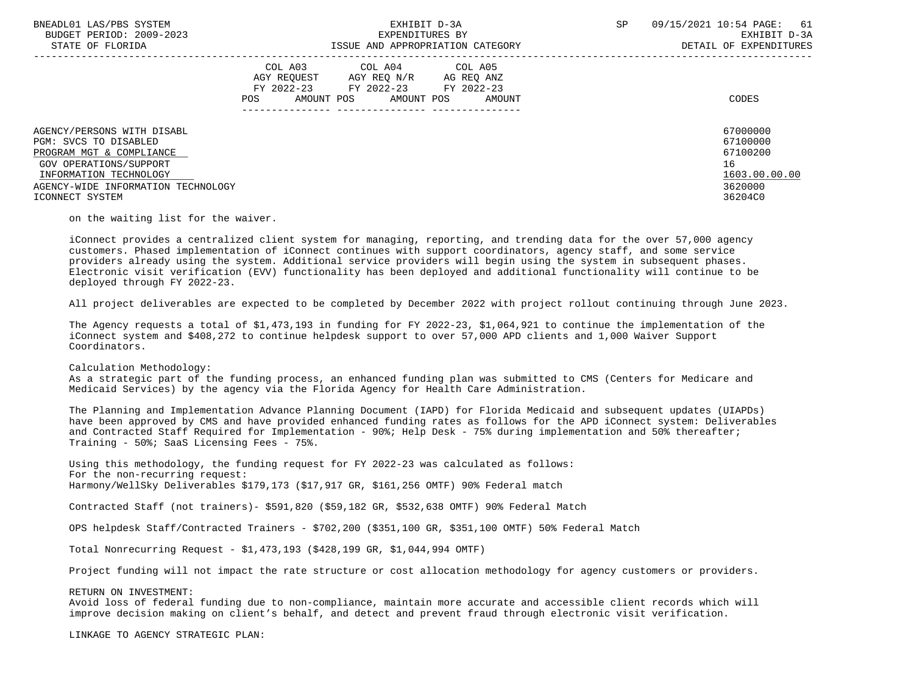| BNEADL01 LAS/PBS SYSTEM<br>BUDGET PERIOD: 2009-2023<br>STATE OF FLORIDA                                   | EXHIBIT D-3A<br>EXPENDITURES BY<br>ISSUE AND APPROPRIATION CATEGORY                                                                                  | SP<br>09/15/2021 10:54 PAGE:<br>61<br>EXHIBIT D-3A<br>DETAIL OF EXPENDITURES |
|-----------------------------------------------------------------------------------------------------------|------------------------------------------------------------------------------------------------------------------------------------------------------|------------------------------------------------------------------------------|
|                                                                                                           | COL A03 COL A04 COL A05<br>AGY REOUEST<br>AGY REQ N/R<br>AG REO ANZ<br>FY 2022-23 FY 2022-23 FY 2022-23<br>AMOUNT POS<br>AMOUNT POS<br>POS<br>AMOUNT | CODES                                                                        |
| AGENCY/PERSONS WITH DISABL                                                                                |                                                                                                                                                      | 67000000                                                                     |
| PGM: SVCS TO DISABLED<br>PROGRAM MGT & COMPLIANCE                                                         |                                                                                                                                                      | 67100000<br>67100200                                                         |
| GOV OPERATIONS/SUPPORT<br>INFORMATION TECHNOLOGY<br>AGENCY-WIDE INFORMATION TECHNOLOGY<br>ICONNECT SYSTEM |                                                                                                                                                      | 16<br>1603.00.00.00<br>3620000<br>36204C0                                    |

on the waiting list for the waiver.

 iConnect provides a centralized client system for managing, reporting, and trending data for the over 57,000 agency customers. Phased implementation of iConnect continues with support coordinators, agency staff, and some service providers already using the system. Additional service providers will begin using the system in subsequent phases. Electronic visit verification (EVV) functionality has been deployed and additional functionality will continue to be deployed through FY 2022-23.

All project deliverables are expected to be completed by December 2022 with project rollout continuing through June 2023.

 The Agency requests a total of \$1,473,193 in funding for FY 2022-23, \$1,064,921 to continue the implementation of the iConnect system and \$408,272 to continue helpdesk support to over 57,000 APD clients and 1,000 Waiver Support Coordinators.

Calculation Methodology:

 As a strategic part of the funding process, an enhanced funding plan was submitted to CMS (Centers for Medicare and Medicaid Services) by the agency via the Florida Agency for Health Care Administration.

 The Planning and Implementation Advance Planning Document (IAPD) for Florida Medicaid and subsequent updates (UIAPDs) have been approved by CMS and have provided enhanced funding rates as follows for the APD iConnect system: Deliverables and Contracted Staff Required for Implementation - 90%; Help Desk - 75% during implementation and 50% thereafter; Training - 50%; SaaS Licensing Fees - 75%.

 Using this methodology, the funding request for FY 2022-23 was calculated as follows: For the non-recurring request: Harmony/WellSky Deliverables \$179,173 (\$17,917 GR, \$161,256 OMTF) 90% Federal match

Contracted Staff (not trainers)- \$591,820 (\$59,182 GR, \$532,638 OMTF) 90% Federal Match

OPS helpdesk Staff/Contracted Trainers - \$702,200 (\$351,100 GR, \$351,100 OMTF) 50% Federal Match

Total Nonrecurring Request - \$1,473,193 (\$428,199 GR, \$1,044,994 OMTF)

Project funding will not impact the rate structure or cost allocation methodology for agency customers or providers.

#### RETURN ON INVESTMENT:

 Avoid loss of federal funding due to non-compliance, maintain more accurate and accessible client records which will improve decision making on client's behalf, and detect and prevent fraud through electronic visit verification.

LINKAGE TO AGENCY STRATEGIC PLAN: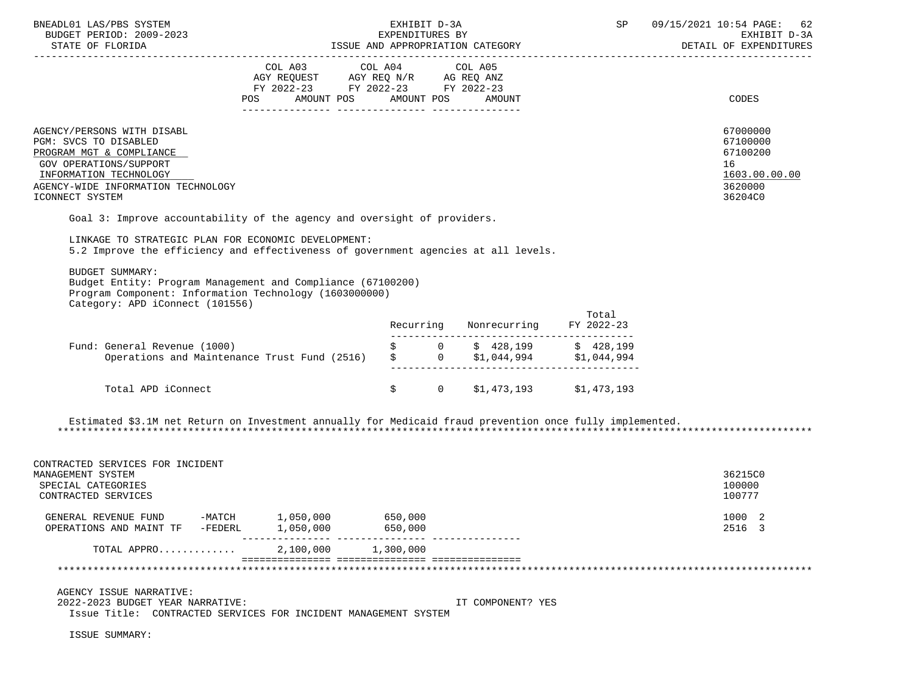| BNEADL01 LAS/PBS SYSTEM<br>BUDGET PERIOD: 2009-2023                                                                                                                                          |                                                                                                                                                                                                                                                                                                          | EXHIBIT D-3A<br>EXPENDITURES BY |                                        | SP    | 09/15/2021 10:54 PAGE:<br>62<br>EXHIBIT D-3A                                  |
|----------------------------------------------------------------------------------------------------------------------------------------------------------------------------------------------|----------------------------------------------------------------------------------------------------------------------------------------------------------------------------------------------------------------------------------------------------------------------------------------------------------|---------------------------------|----------------------------------------|-------|-------------------------------------------------------------------------------|
|                                                                                                                                                                                              |                                                                                                                                                                                                                                                                                                          |                                 |                                        |       | DETAIL OF EXPENDITURES                                                        |
|                                                                                                                                                                                              | COL A03<br>AGY REQUEST AGY REQ N/R AG REQ ANZ<br>FY 2022-23 FY 2022-23 FY 2022-23<br>POS AMOUNT POS AMOUNT POS AMOUNT                                                                                                                                                                                    | COL A04                         | COL A05                                |       | CODES                                                                         |
| AGENCY/PERSONS WITH DISABL<br>PGM: SVCS TO DISABLED<br>PROGRAM MGT & COMPLIANCE<br>GOV OPERATIONS/SUPPORT<br>INFORMATION TECHNOLOGY<br>AGENCY-WIDE INFORMATION TECHNOLOGY<br>ICONNECT SYSTEM |                                                                                                                                                                                                                                                                                                          |                                 |                                        |       | 67000000<br>67100000<br>67100200<br>16<br>1603.00.00.00<br>3620000<br>36204C0 |
|                                                                                                                                                                                              | Goal 3: Improve accountability of the agency and oversight of providers.                                                                                                                                                                                                                                 |                                 |                                        |       |                                                                               |
| LINKAGE TO STRATEGIC PLAN FOR ECONOMIC DEVELOPMENT:                                                                                                                                          | 5.2 Improve the efficiency and effectiveness of government agencies at all levels.                                                                                                                                                                                                                       |                                 |                                        |       |                                                                               |
| <b>BUDGET SUMMARY:</b><br>Category: APD iConnect (101556)                                                                                                                                    | Budget Entity: Program Management and Compliance (67100200)<br>Program Component: Information Technology (1603000000)                                                                                                                                                                                    |                                 |                                        | Total |                                                                               |
|                                                                                                                                                                                              |                                                                                                                                                                                                                                                                                                          | Recurring                       | Nonrecurring FY 2022-23                |       |                                                                               |
| Fund: General Revenue (1000)                                                                                                                                                                 | General Revenue (1000)<br>Operations and Maintenance Trust Fund (2516) $\begin{array}{cccc} \xi & 0 & \xi & 428,199 & \xi & 428,199 \\ 0 & 0 & 0 & 0 & 0 \\ 0 & 0 & 0 & 0 & 0 \\ 0 & 0 & 0 & 0 & 0 \\ 0 & 0 & 0 & 0 & 0 \\ 0 & 0 & 0 & 0 & 0 \\ 0 & 0 & 0 & 0 & 0 \\ 0 & 0 & 0 & 0 & 0 \\ 0 & 0 & 0 & 0$ |                                 |                                        |       |                                                                               |
| Total APD iConnect                                                                                                                                                                           |                                                                                                                                                                                                                                                                                                          |                                 | $$1,473,193$ $$1,473,193$ $$1,473,193$ |       |                                                                               |
| CONTRACTED SERVICES FOR INCIDENT<br>MANAGEMENT SYSTEM<br>SPECIAL CATEGORIES<br>CONTRACTED SERVICES                                                                                           | Estimated \$3.1M net Return on Investment annually for Medicaid fraud prevention once fully implemented.                                                                                                                                                                                                 |                                 |                                        |       | 36215C0<br>100000<br>100777                                                   |
| GENERAL REVENUE FUND -MATCH<br>OPERATIONS AND MAINT TF                                                                                                                                       | 1,050,000<br>1,050,000<br>-FEDERL                                                                                                                                                                                                                                                                        | 650,000<br>650,000              |                                        |       | 1000 2<br>2516 3                                                              |
| TOTAL APPRO                                                                                                                                                                                  | ----------<br>2,100,000                                                                                                                                                                                                                                                                                  | 1,300,000                       |                                        |       |                                                                               |
|                                                                                                                                                                                              |                                                                                                                                                                                                                                                                                                          |                                 |                                        |       |                                                                               |
| AGENCY ISSUE NARRATIVE:<br>2022-2023 BUDGET YEAR NARRATIVE:                                                                                                                                  | Issue Title: CONTRACTED SERVICES FOR INCIDENT MANAGEMENT SYSTEM                                                                                                                                                                                                                                          |                                 | IT COMPONENT? YES                      |       |                                                                               |
| ISSUE SUMMARY:                                                                                                                                                                               |                                                                                                                                                                                                                                                                                                          |                                 |                                        |       |                                                                               |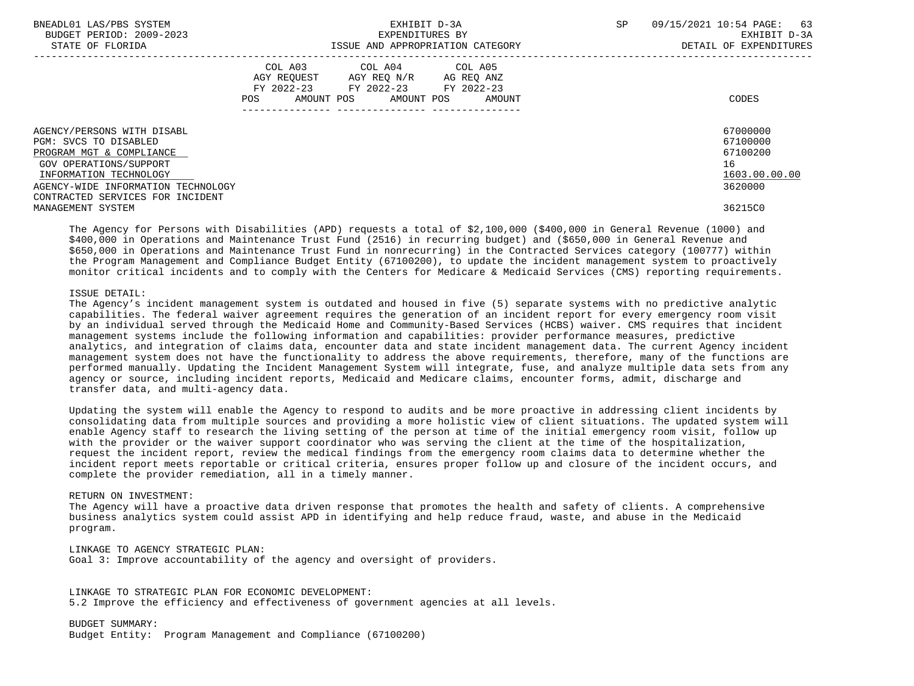| BNEADL01 LAS/PBS SYSTEM<br>BUDGET PERIOD: 2009-2023<br>STATE OF FLORIDA                                                                                                                                       | EXHIBIT D-3A<br>EXPENDITURES BY<br>ISSUE AND APPROPRIATION CATEGORY                                                                         | 09/15/2021 10:54 PAGE: 63<br>SP<br>EXHIBIT D-3A<br>DETAIL OF EXPENDITURES |
|---------------------------------------------------------------------------------------------------------------------------------------------------------------------------------------------------------------|---------------------------------------------------------------------------------------------------------------------------------------------|---------------------------------------------------------------------------|
|                                                                                                                                                                                                               | COL A03 COL A04 COL A05<br>AGY REQUEST AGY REO N/R AG REO ANZ<br>FY 2022-23 FY 2022-23 FY 2022-23<br>AMOUNT POS AMOUNT POS<br>POS<br>AMOUNT | CODES                                                                     |
| AGENCY/PERSONS WITH DISABL<br>PGM: SVCS TO DISABLED<br>PROGRAM MGT & COMPLIANCE<br>GOV OPERATIONS/SUPPORT<br>INFORMATION TECHNOLOGY<br>AGENCY-WIDE INFORMATION TECHNOLOGY<br>CONTRACTED SERVICES FOR INCIDENT |                                                                                                                                             | 67000000<br>67100000<br>67100200<br>16<br>1603.00.00.00<br>3620000        |
| MANAGEMENT SYSTEM                                                                                                                                                                                             |                                                                                                                                             | 36215C0                                                                   |

 The Agency for Persons with Disabilities (APD) requests a total of \$2,100,000 (\$400,000 in General Revenue (1000) and \$400,000 in Operations and Maintenance Trust Fund (2516) in recurring budget) and (\$650,000 in General Revenue and \$650,000 in Operations and Maintenance Trust Fund in nonrecurring) in the Contracted Services category (100777) within the Program Management and Compliance Budget Entity (67100200), to update the incident management system to proactively monitor critical incidents and to comply with the Centers for Medicare & Medicaid Services (CMS) reporting requirements.

### ISSUE DETAIL:

 The Agency's incident management system is outdated and housed in five (5) separate systems with no predictive analytic capabilities. The federal waiver agreement requires the generation of an incident report for every emergency room visit by an individual served through the Medicaid Home and Community-Based Services (HCBS) waiver. CMS requires that incident management systems include the following information and capabilities: provider performance measures, predictive analytics, and integration of claims data, encounter data and state incident management data. The current Agency incident management system does not have the functionality to address the above requirements, therefore, many of the functions are performed manually. Updating the Incident Management System will integrate, fuse, and analyze multiple data sets from any agency or source, including incident reports, Medicaid and Medicare claims, encounter forms, admit, discharge and transfer data, and multi-agency data.

 Updating the system will enable the Agency to respond to audits and be more proactive in addressing client incidents by consolidating data from multiple sources and providing a more holistic view of client situations. The updated system will enable Agency staff to research the living setting of the person at time of the initial emergency room visit, follow up with the provider or the waiver support coordinator who was serving the client at the time of the hospitalization, request the incident report, review the medical findings from the emergency room claims data to determine whether the incident report meets reportable or critical criteria, ensures proper follow up and closure of the incident occurs, and complete the provider remediation, all in a timely manner.

#### RETURN ON INVESTMENT:

 The Agency will have a proactive data driven response that promotes the health and safety of clients. A comprehensive business analytics system could assist APD in identifying and help reduce fraud, waste, and abuse in the Medicaid program.

 LINKAGE TO AGENCY STRATEGIC PLAN: Goal 3: Improve accountability of the agency and oversight of providers.

 LINKAGE TO STRATEGIC PLAN FOR ECONOMIC DEVELOPMENT: 5.2 Improve the efficiency and effectiveness of government agencies at all levels.

 BUDGET SUMMARY: Budget Entity: Program Management and Compliance (67100200)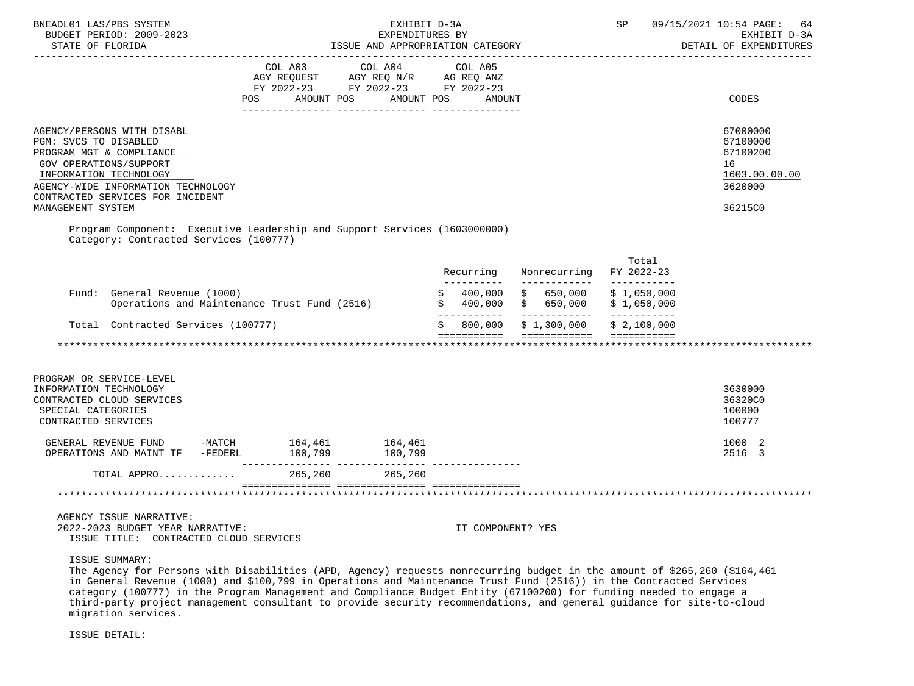| BNEADL01 LAS/PBS SYSTEM<br>BUDGET PERIOD: 2009-2023<br>STATE OF FLORIDA<br><u> Ludwado Ludwado Ludwa</u>                                                                                                      |         | EXPENDITURES BY<br>ISSUE AND APPROPRIATION CATEGORY                                                                                                                                                                                                           | EXHIBIT D-3A             |                                          | SP                         | 09/15/2021 10:54 PAGE:<br>64<br>EXHIBIT D-3A<br>DETAIL OF EXPENDITURES |
|---------------------------------------------------------------------------------------------------------------------------------------------------------------------------------------------------------------|---------|---------------------------------------------------------------------------------------------------------------------------------------------------------------------------------------------------------------------------------------------------------------|--------------------------|------------------------------------------|----------------------------|------------------------------------------------------------------------|
|                                                                                                                                                                                                               | POS     | COL A03 COL A04 COL A05<br>$\begin{tabular}{lllllll} \bf AGY & \bf REQUEST & \bf AGY & \bf REQ & \tt N/R & \tt AG & \tt REQ & \tt ANZ \\ \bf FY & \tt 2022-23 & \tt FY & \tt 2022-23 & \tt FY & \tt 2022-23 \\ \end{tabular}$<br>AMOUNT POS AMOUNT POS AMOUNT |                          |                                          |                            | CODES                                                                  |
|                                                                                                                                                                                                               |         |                                                                                                                                                                                                                                                               |                          |                                          |                            |                                                                        |
| AGENCY/PERSONS WITH DISABL<br>PGM: SVCS TO DISABLED<br>PROGRAM MGT & COMPLIANCE<br>GOV OPERATIONS/SUPPORT<br>INFORMATION TECHNOLOGY<br>AGENCY-WIDE INFORMATION TECHNOLOGY<br>CONTRACTED SERVICES FOR INCIDENT |         |                                                                                                                                                                                                                                                               |                          |                                          |                            | 67000000<br>67100000<br>67100200<br>16<br>1603.00.00.00<br>3620000     |
| MANAGEMENT SYSTEM                                                                                                                                                                                             |         |                                                                                                                                                                                                                                                               |                          |                                          |                            | 36215C0                                                                |
| Program Component: Executive Leadership and Support Services (1603000000)<br>Category: Contracted Services (100777)                                                                                           |         |                                                                                                                                                                                                                                                               |                          |                                          |                            |                                                                        |
|                                                                                                                                                                                                               |         |                                                                                                                                                                                                                                                               | Recurring<br>----------- | Nonrecurring FY 2022-23<br>------------- | Total<br>___________       |                                                                        |
| Fund: General Revenue (1000)<br>Operations and Maintenance Trust Fund (2516)                                                                                                                                  |         |                                                                                                                                                                                                                                                               | 400,000                  | \$650,000<br>$$400,000$ \$650,000        | \$1,050,000<br>\$1,050,000 |                                                                        |
| Total Contracted Services (100777)                                                                                                                                                                            |         |                                                                                                                                                                                                                                                               | \$                       | 800,000 \$1,300,000                      | \$2,100,000                |                                                                        |
|                                                                                                                                                                                                               |         |                                                                                                                                                                                                                                                               |                          | ===========  ============  ===========   |                            |                                                                        |
| PROGRAM OR SERVICE-LEVEL                                                                                                                                                                                      |         |                                                                                                                                                                                                                                                               |                          |                                          |                            |                                                                        |
| INFORMATION TECHNOLOGY<br>CONTRACTED CLOUD SERVICES<br>SPECIAL CATEGORIES<br>CONTRACTED SERVICES                                                                                                              |         |                                                                                                                                                                                                                                                               |                          |                                          |                            | 3630000<br>36320C0<br>100000<br>100777                                 |
| GENERAL REVENUE FUND -MATCH 164,461 164,461<br>OPERATIONS AND MAINT TF -FEDERL 100,799 100,799                                                                                                                |         |                                                                                                                                                                                                                                                               |                          |                                          |                            | 1000 2<br>2516 3                                                       |
| TOTAL APPRO                                                                                                                                                                                                   | 265,260 | 265,260                                                                                                                                                                                                                                                       |                          |                                          |                            |                                                                        |
|                                                                                                                                                                                                               |         |                                                                                                                                                                                                                                                               |                          |                                          |                            |                                                                        |
| AGENCY ISSUE NARRATIVE:<br>2022-2023 BUDGET YEAR NARRATIVE:<br>ISSUE TITLE: CONTRACTED CLOUD SERVICES                                                                                                         |         |                                                                                                                                                                                                                                                               | IT COMPONENT? YES        |                                          |                            |                                                                        |

ISSUE SUMMARY:

 The Agency for Persons with Disabilities (APD, Agency) requests nonrecurring budget in the amount of \$265,260 (\$164,461 in General Revenue (1000) and \$100,799 in Operations and Maintenance Trust Fund (2516)) in the Contracted Services category (100777) in the Program Management and Compliance Budget Entity (67100200) for funding needed to engage a third-party project management consultant to provide security recommendations, and general guidance for site-to-cloud migration services.

ISSUE DETAIL: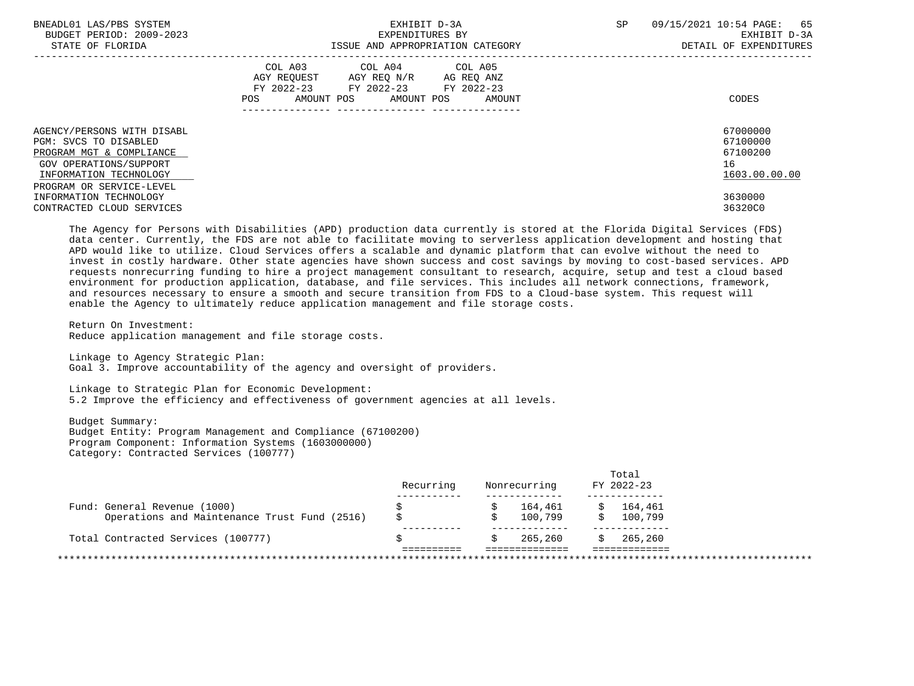| BNEADL01 LAS/PBS SYSTEM<br>BUDGET PERIOD: 2009-2023<br>STATE OF FLORIDA                                                                                         | EXHIBIT D-3A<br>EXPENDITURES BY<br>ISSUE AND APPROPRIATION CATEGORY                                                                         | SP<br>09/15/2021 10:54 PAGE: 65<br>EXHIBIT D-3A<br>DETAIL OF EXPENDITURES |
|-----------------------------------------------------------------------------------------------------------------------------------------------------------------|---------------------------------------------------------------------------------------------------------------------------------------------|---------------------------------------------------------------------------|
|                                                                                                                                                                 | COL A03 COL A04 COL A05<br>AGY REQUEST AGY REQ N/R AG REQ ANZ<br>FY 2022-23 FY 2022-23 FY 2022-23<br>POS<br>AMOUNT POS AMOUNT POS<br>AMOUNT | CODES                                                                     |
| AGENCY/PERSONS WITH DISABL<br>PGM: SVCS TO DISABLED<br>PROGRAM MGT & COMPLIANCE<br>GOV OPERATIONS/SUPPORT<br>INFORMATION TECHNOLOGY<br>PROGRAM OR SERVICE-LEVEL |                                                                                                                                             | 67000000<br>67100000<br>67100200<br>16<br>1603.00.00.00                   |
| INFORMATION TECHNOLOGY<br>CONTRACTED CLOUD SERVICES                                                                                                             |                                                                                                                                             | 3630000<br>36320C0                                                        |

 The Agency for Persons with Disabilities (APD) production data currently is stored at the Florida Digital Services (FDS) data center. Currently, the FDS are not able to facilitate moving to serverless application development and hosting that APD would like to utilize. Cloud Services offers a scalable and dynamic platform that can evolve without the need to invest in costly hardware. Other state agencies have shown success and cost savings by moving to cost-based services. APD requests nonrecurring funding to hire a project management consultant to research, acquire, setup and test a cloud based environment for production application, database, and file services. This includes all network connections, framework, and resources necessary to ensure a smooth and secure transition from FDS to a Cloud-base system. This request will enable the Agency to ultimately reduce application management and file storage costs.

 Return On Investment: Reduce application management and file storage costs.

 Linkage to Agency Strategic Plan: Goal 3. Improve accountability of the agency and oversight of providers.

 Linkage to Strategic Plan for Economic Development: 5.2 Improve the efficiency and effectiveness of government agencies at all levels.

 Budget Summary: Budget Entity: Program Management and Compliance (67100200) Program Component: Information Systems (1603000000) Category: Contracted Services (100777)

|                                              | Recurring | Nonrecurring | Total<br>FY 2022-23 |
|----------------------------------------------|-----------|--------------|---------------------|
|                                              |           |              |                     |
| Fund: General Revenue (1000)                 |           | 164,461      | 164,461             |
| Operations and Maintenance Trust Fund (2516) |           | 100,799      | 100,799             |
|                                              |           |              |                     |
| Total Contracted Services (100777)           |           | 265,260      | 265,260             |
|                                              |           |              |                     |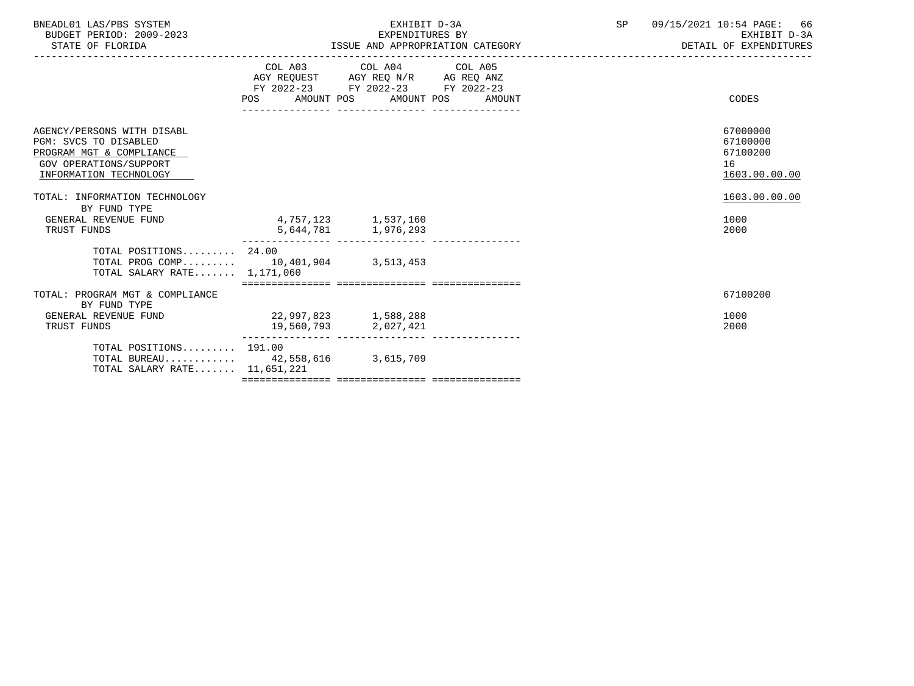| BNEADL01 LAS/PBS SYSTEM |                  |                          |  | EXHIBIT D-3A                     |  |
|-------------------------|------------------|--------------------------|--|----------------------------------|--|
|                         |                  | BUDGET PERIOD: 2009-2023 |  | EXPENDITURES BY                  |  |
|                         | STATE OF FLORIDA |                          |  | ISSUE AND APPROPRIATION CATEGORY |  |

|                                                                                                                                            |                      | COL A03 COL A04 COL A05<br>AGY REQUEST AGY REQ N/R AG REQ ANZ<br>FY 2022-23 FY 2022-23 FY 2022-23<br>POS AMOUNT POS AMOUNT POS AMOUNT | CODES                                                   |  |
|--------------------------------------------------------------------------------------------------------------------------------------------|----------------------|---------------------------------------------------------------------------------------------------------------------------------------|---------------------------------------------------------|--|
| AGENCY/PERSONS WITH DISABL<br>PGM: SVCS TO DISABLED<br>PROGRAM MGT & COMPLIANCE<br><b>GOV OPERATIONS/SUPPORT</b><br>INFORMATION TECHNOLOGY |                      |                                                                                                                                       | 67000000<br>67100000<br>67100200<br>16<br>1603.00.00.00 |  |
| TOTAL: INFORMATION TECHNOLOGY<br>BY FUND TYPE<br>GENERAL REVENUE FUND<br>TRUST FUNDS                                                       |                      | 4,757,123 1,537,160<br>5,644,781 1,976,293                                                                                            | 1603.00.00.00<br>1000<br>2000                           |  |
| TOTAL POSITIONS 24.00<br>TOTAL PROG COMP 10,401,904 3,513,453<br>TOTAL SALARY RATE 1,171,060                                               |                      |                                                                                                                                       |                                                         |  |
| TOTAL: PROGRAM MGT & COMPLIANCE<br>BY FUND TYPE                                                                                            |                      |                                                                                                                                       | 67100200                                                |  |
| GENERAL REVENUE FUND<br>TRUST FUNDS                                                                                                        | 22,997,823 1,588,288 | 19,560,793 2,027,421                                                                                                                  | 1000<br>2000                                            |  |
| TOTAL POSITIONS 191.00<br>TOTAL BUREAU 42,558,616 3,615,709<br>TOTAL SALARY RATE 11,651,221                                                | -------------------- |                                                                                                                                       |                                                         |  |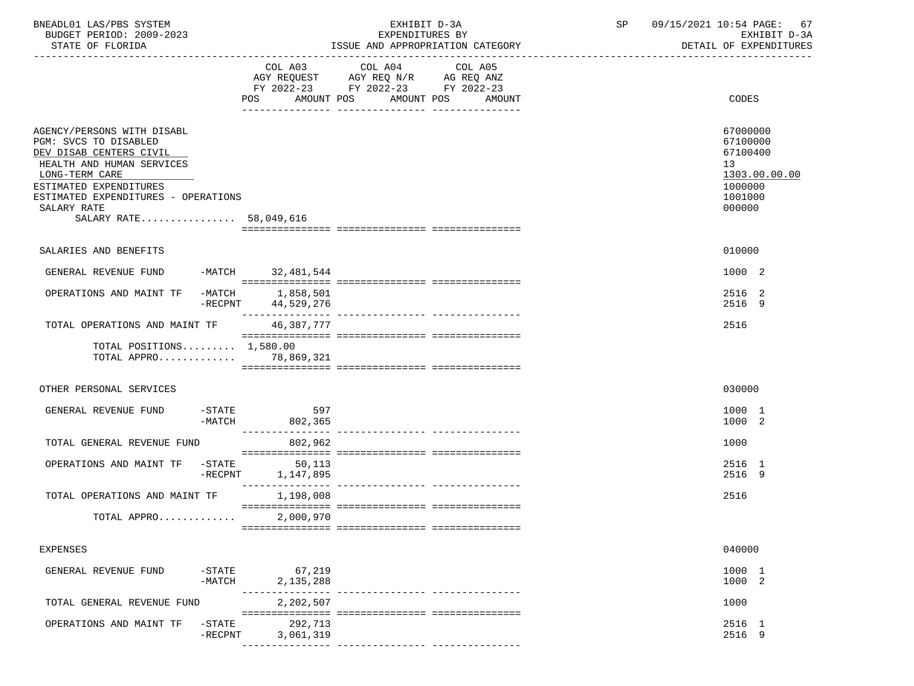| BNEADL01 LAS/PBS SYSTEM<br>BUDGET PERIOD: 2009-2023                                                                                                                                                                                     |                       |                             | EXHIBIT D-3A<br>EXPENDITURES BY                                                           |                                             | SP | 09/15/2021 10:54 PAGE: 67<br>EXHIBIT D-3A                                                            |
|-----------------------------------------------------------------------------------------------------------------------------------------------------------------------------------------------------------------------------------------|-----------------------|-----------------------------|-------------------------------------------------------------------------------------------|---------------------------------------------|----|------------------------------------------------------------------------------------------------------|
| STATE OF FLORIDA                                                                                                                                                                                                                        |                       |                             |                                                                                           | ISSUE AND APPROPRIATION CATEGORY            |    | DETAIL OF EXPENDITURES                                                                               |
|                                                                                                                                                                                                                                         |                       |                             | COL A03 COL A04<br>AGY REQUEST AGY REQ N/R AG REQ ANZ<br>FY 2022-23 FY 2022-23 FY 2022-23 | COL A05<br>POS AMOUNT POS AMOUNT POS AMOUNT |    | CODES                                                                                                |
| AGENCY/PERSONS WITH DISABL<br>PGM: SVCS TO DISABLED<br>DEV DISAB CENTERS CIVIL<br>HEALTH AND HUMAN SERVICES<br>LONG-TERM CARE<br>ESTIMATED EXPENDITURES<br>ESTIMATED EXPENDITURES - OPERATIONS<br>SALARY RATE<br>SALARY RATE 58,049,616 |                       |                             |                                                                                           |                                             |    | 67000000<br>67100000<br>67100400<br>13 <sup>°</sup><br>1303.00.00.00<br>1000000<br>1001000<br>000000 |
| SALARIES AND BENEFITS                                                                                                                                                                                                                   |                       |                             |                                                                                           |                                             |    | 010000                                                                                               |
| GENERAL REVENUE FUND -MATCH 32,481,544                                                                                                                                                                                                  |                       |                             |                                                                                           |                                             |    | 1000 2                                                                                               |
| OPERATIONS AND MAINT TF -MATCH 1,858,501                                                                                                                                                                                                | -RECPNT               | 44,529,276                  |                                                                                           |                                             |    | 2516 2<br>2516 9                                                                                     |
| TOTAL OPERATIONS AND MAINT TF                                                                                                                                                                                                           |                       | 46,387,777                  |                                                                                           |                                             |    | 2516                                                                                                 |
| TOTAL POSITIONS $1,580.00$<br>TOTAL APPRO 78,869,321                                                                                                                                                                                    |                       |                             |                                                                                           |                                             |    |                                                                                                      |
| OTHER PERSONAL SERVICES                                                                                                                                                                                                                 |                       |                             |                                                                                           |                                             |    | 030000                                                                                               |
| GENERAL REVENUE FUND                                                                                                                                                                                                                    | $-$ STATE<br>-MATCH   | 597<br>802,365              |                                                                                           |                                             |    | 1000 1<br>1000 2                                                                                     |
| TOTAL GENERAL REVENUE FUND                                                                                                                                                                                                              |                       | 802,962                     |                                                                                           |                                             |    | 1000                                                                                                 |
| OPERATIONS AND MAINT TF -STATE                                                                                                                                                                                                          |                       | 50,113<br>-RECPNT 1,147,895 |                                                                                           |                                             |    | 2516 1<br>2516 9                                                                                     |
| TOTAL OPERATIONS AND MAINT TF                                                                                                                                                                                                           |                       | 1,198,008                   |                                                                                           |                                             |    | 2516                                                                                                 |
| TOTAL APPRO                                                                                                                                                                                                                             |                       | 2,000,970                   |                                                                                           |                                             |    |                                                                                                      |
| <b>EXPENSES</b>                                                                                                                                                                                                                         |                       |                             |                                                                                           |                                             |    | 040000                                                                                               |
| GENERAL REVENUE FUND                                                                                                                                                                                                                    | $-$ STATE<br>$-MATCH$ | 67,219<br>2, 135, 288       |                                                                                           |                                             |    | 1000 1<br>1000 2                                                                                     |
| TOTAL GENERAL REVENUE FUND                                                                                                                                                                                                              |                       | 2,202,507                   |                                                                                           |                                             |    | 1000                                                                                                 |
| OPERATIONS AND MAINT TF                                                                                                                                                                                                                 | $-STATE$<br>-RECPNT   | 292,713<br>3,061,319        |                                                                                           |                                             |    | 2516 1<br>2516 9                                                                                     |
|                                                                                                                                                                                                                                         |                       |                             |                                                                                           |                                             |    |                                                                                                      |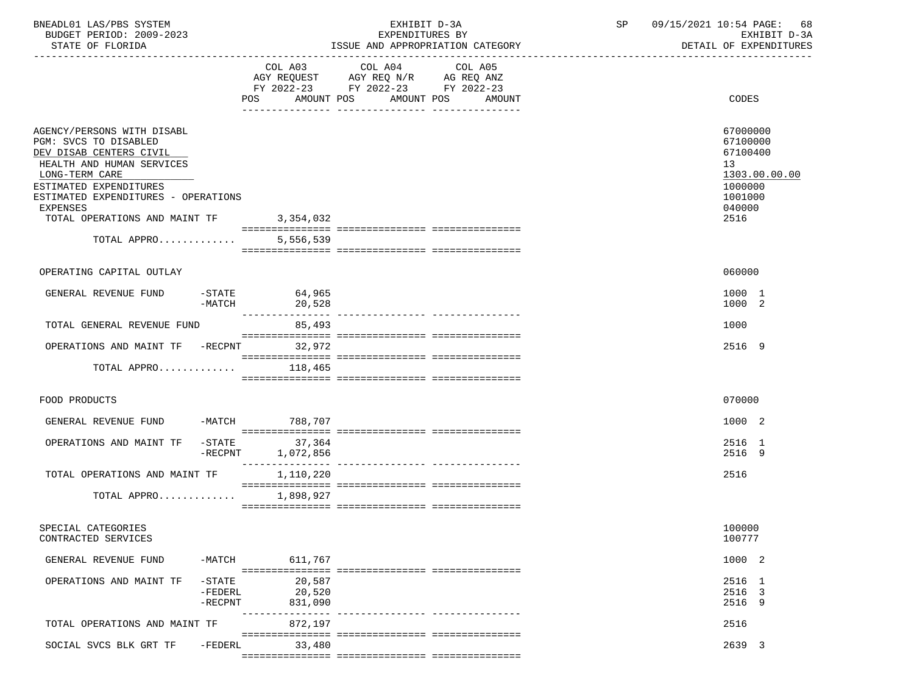| BNEADL01 LAS/PBS SYSTEM<br>BUDGET PERIOD: 2009-2023<br>STATE OF FLORIDA        |                                     |                             | EXHIBIT D-3A<br>EXPENDITURES BY                                                                                        | ISSUE AND APPROPRIATION CATEGORY | SP | 09/15/2021 10:54 PAGE:<br>68<br>EXHIBIT D-3A<br>DETAIL OF EXPENDITURES |
|--------------------------------------------------------------------------------|-------------------------------------|-----------------------------|------------------------------------------------------------------------------------------------------------------------|----------------------------------|----|------------------------------------------------------------------------|
|                                                                                |                                     |                             |                                                                                                                        |                                  |    |                                                                        |
|                                                                                |                                     |                             | COL A03 COL A04<br>AGY REQUEST AGY REQ N/R AG REQ ANZ<br>FY 2022-23 FY 2022-23 FY 2022-23<br>POS AMOUNT POS AMOUNT POS | COL A05<br>AMOUNT                |    | CODES                                                                  |
| AGENCY/PERSONS WITH DISABL<br>PGM: SVCS TO DISABLED<br>DEV DISAB CENTERS CIVIL |                                     |                             |                                                                                                                        |                                  |    | 67000000<br>67100000<br>67100400                                       |
| HEALTH AND HUMAN SERVICES<br>LONG-TERM CARE<br>ESTIMATED EXPENDITURES          |                                     |                             |                                                                                                                        |                                  |    | 13<br>1303.00.00.00<br>1000000                                         |
| ESTIMATED EXPENDITURES - OPERATIONS<br>EXPENSES                                |                                     |                             |                                                                                                                        |                                  |    | 1001000<br>040000                                                      |
| TOTAL OPERATIONS AND MAINT TF<br>TOTAL APPRO                                   |                                     | 3,354,032<br>5,556,539      |                                                                                                                        |                                  |    | 2516                                                                   |
|                                                                                |                                     |                             |                                                                                                                        |                                  |    |                                                                        |
| OPERATING CAPITAL OUTLAY                                                       |                                     |                             |                                                                                                                        |                                  |    | 060000                                                                 |
| GENERAL REVENUE FUND                                                           | -MATCH                              | $-STATE$ 64,965<br>20,528   |                                                                                                                        |                                  |    | 1000 1<br>1000 2                                                       |
| TOTAL GENERAL REVENUE FUND                                                     |                                     | 85,493                      |                                                                                                                        |                                  |    | 1000                                                                   |
| OPERATIONS AND MAINT TF -RECPNT 32,972                                         |                                     |                             |                                                                                                                        |                                  |    | 2516 9                                                                 |
| TOTAL APPRO $118,465$                                                          |                                     |                             |                                                                                                                        |                                  |    |                                                                        |
| FOOD PRODUCTS                                                                  |                                     |                             |                                                                                                                        |                                  |    | 070000                                                                 |
| GENERAL REVENUE FUND -MATCH 788,707                                            |                                     |                             |                                                                                                                        |                                  |    | 1000 2                                                                 |
| OPERATIONS AND MAINT TF                                                        | $-$ STATE<br>$-$ RECPNT             | 37,364<br>1,072,856         |                                                                                                                        |                                  |    | 2516 1<br>2516 9                                                       |
| TOTAL OPERATIONS AND MAINT TF                                                  |                                     | 1,110,220                   |                                                                                                                        |                                  |    | 2516                                                                   |
| TOTAL APPRO 1,898,927                                                          |                                     |                             |                                                                                                                        |                                  |    |                                                                        |
| SPECIAL CATEGORIES<br>CONTRACTED SERVICES                                      |                                     |                             |                                                                                                                        |                                  |    | 100000<br>100777                                                       |
| GENERAL REVENUE FUND                                                           | -MATCH                              | 611,767                     |                                                                                                                        |                                  |    | 1000 2                                                                 |
| OPERATIONS AND MAINT TF                                                        | $-STATE$<br>$-FEDERL$<br>$-$ RECPNT | 20,587<br>20,520<br>831,090 |                                                                                                                        |                                  |    | 2516 1<br>2516 3<br>2516 9                                             |
| TOTAL OPERATIONS AND MAINT TF                                                  |                                     | 872,197                     | ---------------- ---------------                                                                                       |                                  |    | 2516                                                                   |
| SOCIAL SVCS BLK GRT TF                                                         | $-FEDERL$                           | 33,480                      |                                                                                                                        |                                  |    | 2639 3                                                                 |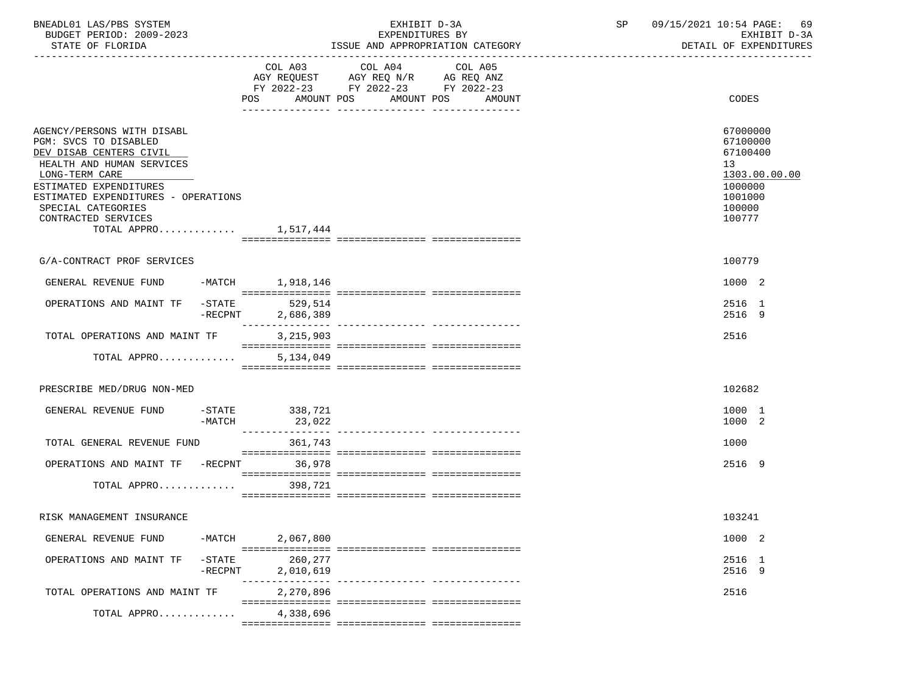| BNEADL01 LAS/PBS SYSTEM |                  |                          |  | EXHIBIT D-3A                     |  |
|-------------------------|------------------|--------------------------|--|----------------------------------|--|
|                         |                  | BUDGET PERIOD: 2009-2023 |  | EXPENDITURES BY                  |  |
|                         | STATE OF FLORIDA |                          |  | ISSUE AND APPROPRIATION CATEGORY |  |

EXPENDITURES BY EXHIBIT D-3A<br>AND APPROPRIATION CATEGORY AND APPROPRIATION CATEGORY

|                                                                                                                                                                                                                                                                        |                         |                      | COL A03 COL A04 COL A05<br>AGY REQUEST AGY REQ N/R AG REQ ANZ<br>FY 2022-23 FY 2022-23 FY 2022-23 |            |                             |                                                                                  |               |
|------------------------------------------------------------------------------------------------------------------------------------------------------------------------------------------------------------------------------------------------------------------------|-------------------------|----------------------|---------------------------------------------------------------------------------------------------|------------|-----------------------------|----------------------------------------------------------------------------------|---------------|
|                                                                                                                                                                                                                                                                        |                         | POS AMOUNT POS       |                                                                                                   | AMOUNT POS | AMOUNT                      | CODES                                                                            |               |
| AGENCY/PERSONS WITH DISABL<br>PGM: SVCS TO DISABLED<br>DEV DISAB CENTERS CIVIL<br>HEALTH AND HUMAN SERVICES<br>LONG-TERM CARE<br>ESTIMATED EXPENDITURES<br>ESTIMATED EXPENDITURES - OPERATIONS<br>SPECIAL CATEGORIES<br>CONTRACTED SERVICES<br>TOTAL APPRO $1,517,444$ |                         |                      |                                                                                                   |            |                             | 67000000<br>67100000<br>67100400<br>13<br>1000000<br>1001000<br>100000<br>100777 | 1303.00.00.00 |
|                                                                                                                                                                                                                                                                        |                         |                      |                                                                                                   |            |                             |                                                                                  |               |
| G/A-CONTRACT PROF SERVICES                                                                                                                                                                                                                                             |                         |                      |                                                                                                   |            |                             | 100779                                                                           |               |
| GENERAL REVENUE FUND                                                                                                                                                                                                                                                   |                         | -MATCH 1,918,146     |                                                                                                   |            |                             | 1000 2                                                                           |               |
| OPERATIONS AND MAINT TF                                                                                                                                                                                                                                                | $-$ STATE<br>$-$ RECPNT | 529,514<br>2,686,389 |                                                                                                   |            |                             | 2516 1<br>2516 9                                                                 |               |
| TOTAL OPERATIONS AND MAINT TF                                                                                                                                                                                                                                          |                         | 3,215,903            |                                                                                                   |            |                             | 2516                                                                             |               |
| TOTAL APPRO                                                                                                                                                                                                                                                            |                         | 5,134,049            |                                                                                                   |            |                             |                                                                                  |               |
| PRESCRIBE MED/DRUG NON-MED                                                                                                                                                                                                                                             |                         |                      |                                                                                                   |            |                             | 102682                                                                           |               |
| GENERAL REVENUE FUND -STATE 338,721                                                                                                                                                                                                                                    | -MATCH                  | 23,022               |                                                                                                   |            |                             | 1000 1<br>1000 2                                                                 |               |
| TOTAL GENERAL REVENUE FUND                                                                                                                                                                                                                                             |                         | 361,743              |                                                                                                   |            |                             | 1000                                                                             |               |
| OPERATIONS AND MAINT TF -RECPNT 36,978                                                                                                                                                                                                                                 |                         |                      |                                                                                                   |            |                             | 2516 9                                                                           |               |
| TOTAL APPRO                                                                                                                                                                                                                                                            |                         | 398,721              |                                                                                                   |            |                             |                                                                                  |               |
| RISK MANAGEMENT INSURANCE                                                                                                                                                                                                                                              |                         |                      |                                                                                                   |            |                             | 103241                                                                           |               |
| GENERAL REVENUE FUND -MATCH 2,067,800                                                                                                                                                                                                                                  |                         |                      |                                                                                                   |            |                             | 1000 2                                                                           |               |
| OPERATIONS AND MAINT TF                                                                                                                                                                                                                                                | $-$ STATE<br>$-$ RECPNT | 260,277<br>2,010,619 |                                                                                                   |            |                             | 2516 1<br>2516 9                                                                 |               |
| TOTAL OPERATIONS AND MAINT TF                                                                                                                                                                                                                                          |                         | 2,270,896            |                                                                                                   |            | ___________________________ | 2516                                                                             |               |
| TOTAL APPRO                                                                                                                                                                                                                                                            |                         | 4,338,696            |                                                                                                   |            |                             |                                                                                  |               |
|                                                                                                                                                                                                                                                                        |                         |                      |                                                                                                   |            |                             |                                                                                  |               |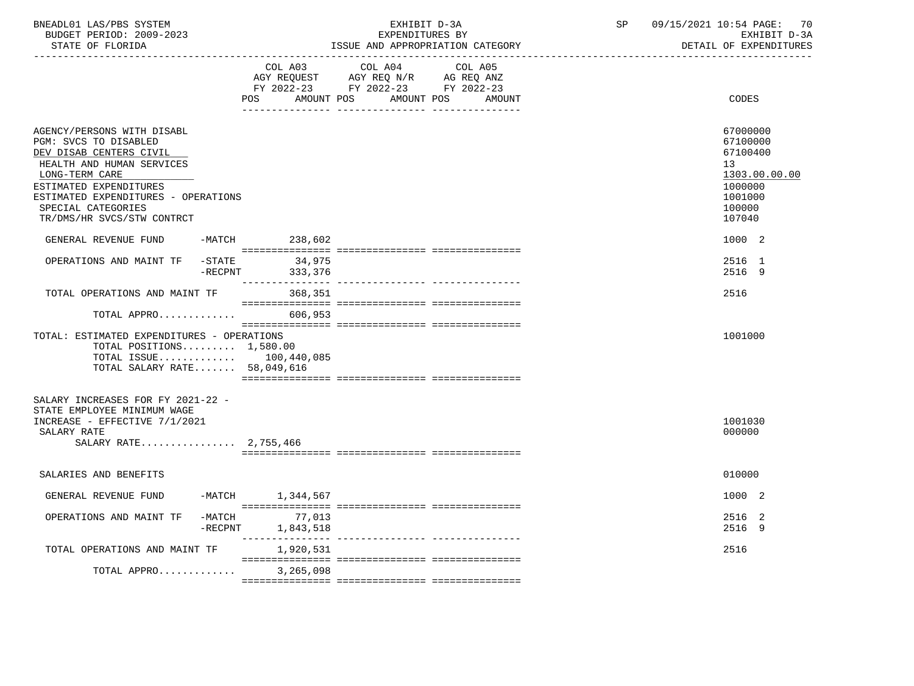| BNEADL01 LAS/PBS SYSTEM |                  |                          | EXHIBIT D-3A                     |
|-------------------------|------------------|--------------------------|----------------------------------|
|                         |                  | BUDGET PERIOD: 2009-2023 | EXPENDITURES BY                  |
|                         | STATE OF FLORIDA |                          | ISSUE AND APPROPRIATION CATEGORY |

BUDGET PERIOD: 2009-2023 EXPENDITURES BY EXHIBIT D-3A

|                                                                                                                                                                                                                                                    |                      | COL A03<br><b>POS</b><br>AMOUNT POS | COL A04<br>AGY REQUEST AGY REQ N/R AG REQ ANZ<br>FY 2022-23 FY 2022-23 FY 2022-23 | COL A05<br>AMOUNT POS<br>AMOUNT | CODES                                                                                             |
|----------------------------------------------------------------------------------------------------------------------------------------------------------------------------------------------------------------------------------------------------|----------------------|-------------------------------------|-----------------------------------------------------------------------------------|---------------------------------|---------------------------------------------------------------------------------------------------|
| AGENCY/PERSONS WITH DISABL<br>PGM: SVCS TO DISABLED<br>DEV DISAB CENTERS CIVIL<br>HEALTH AND HUMAN SERVICES<br>LONG-TERM CARE<br>ESTIMATED EXPENDITURES<br>ESTIMATED EXPENDITURES - OPERATIONS<br>SPECIAL CATEGORIES<br>TR/DMS/HR SVCS/STW CONTRCT |                      |                                     |                                                                                   |                                 | 67000000<br>67100000<br>67100400<br>13<br>1303.00.00.00<br>1000000<br>1001000<br>100000<br>107040 |
| GENERAL REVENUE FUND                                                                                                                                                                                                                               | -MATCH               | 238,602                             |                                                                                   |                                 | 1000 2                                                                                            |
| OPERATIONS AND MAINT TF                                                                                                                                                                                                                            | -STATE<br>$-$ RECPNT | 34,975<br>333,376                   |                                                                                   |                                 | 2516 1<br>2516 9                                                                                  |
| TOTAL OPERATIONS AND MAINT TF                                                                                                                                                                                                                      |                      | 368,351                             |                                                                                   |                                 | 2516                                                                                              |
| TOTAL APPRO                                                                                                                                                                                                                                        |                      | 606,953                             |                                                                                   |                                 |                                                                                                   |
| TOTAL: ESTIMATED EXPENDITURES - OPERATIONS<br>TOTAL POSITIONS $1,580.00$<br>TOTAL ISSUE $100,440,085$<br>TOTAL SALARY RATE 58,049,616                                                                                                              |                      |                                     |                                                                                   |                                 | 1001000                                                                                           |
| SALARY INCREASES FOR FY 2021-22 -<br>STATE EMPLOYEE MINIMUM WAGE<br>INCREASE - EFFECTIVE 7/1/2021<br>SALARY RATE<br>SALARY RATE 2,755,466                                                                                                          |                      |                                     |                                                                                   |                                 | 1001030<br>000000                                                                                 |
| SALARIES AND BENEFITS                                                                                                                                                                                                                              |                      |                                     |                                                                                   |                                 | 010000                                                                                            |
| GENERAL REVENUE FUND                                                                                                                                                                                                                               |                      | -MATCH 1,344,567                    |                                                                                   |                                 | 1000 2                                                                                            |
| OPERATIONS AND MAINT TF                                                                                                                                                                                                                            | -MATCH<br>$-$ RECPNT | 77,013<br>1,843,518                 |                                                                                   |                                 | 2516 2<br>2516 9                                                                                  |
| TOTAL OPERATIONS AND MAINT TF                                                                                                                                                                                                                      |                      | 1,920,531                           |                                                                                   |                                 | 2516                                                                                              |
| TOTAL APPRO                                                                                                                                                                                                                                        |                      | 3,265,098                           |                                                                                   |                                 |                                                                                                   |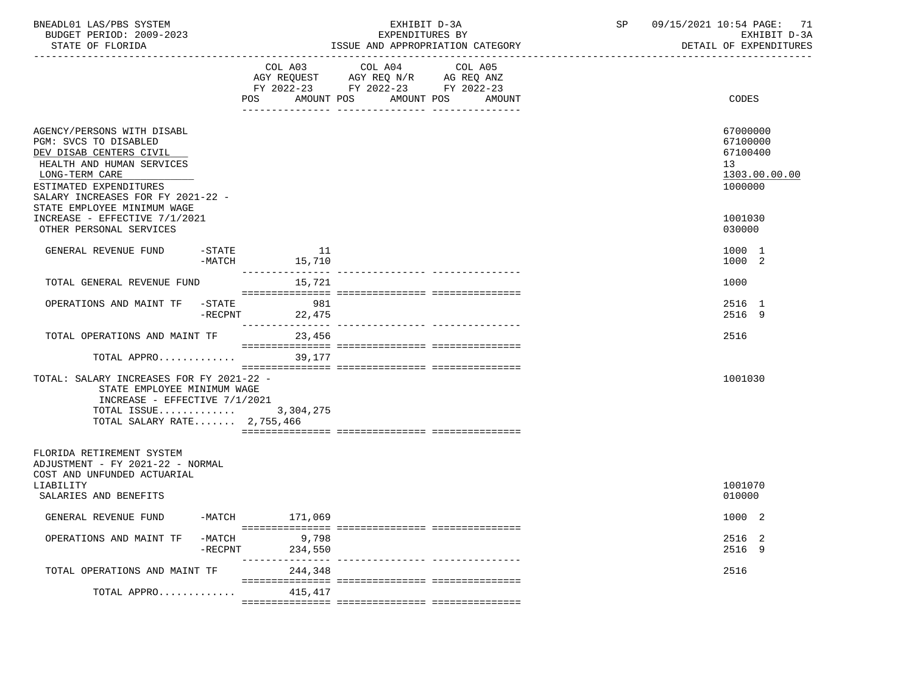| BNEADL01 LAS/PBS SYSTEM<br>BUDGET PERIOD: 2009-2023<br>STATE OF FLORIDA                                                                                                                                                     |                                 | EXHIBIT D-3A<br>EXPENDITURES BY<br>ISSUE AND APPROPRIATION CATEGORY                                                                      | 09/15/2021 10:54 PAGE: 71<br>SP<br>EXHIBIT D-3A<br>DETAIL OF EXPENDITURES |  |  |
|-----------------------------------------------------------------------------------------------------------------------------------------------------------------------------------------------------------------------------|---------------------------------|------------------------------------------------------------------------------------------------------------------------------------------|---------------------------------------------------------------------------|--|--|
|                                                                                                                                                                                                                             |                                 | COL A03 COL A04<br>COL A05<br>AGY REQUEST AGY REQ N/R AG REQ ANZ<br>FY 2022-23 FY 2022-23 FY 2022-23<br>POS AMOUNT POS AMOUNT POS AMOUNT | CODES                                                                     |  |  |
| AGENCY/PERSONS WITH DISABL<br>PGM: SVCS TO DISABLED<br>DEV DISAB CENTERS CIVIL<br>HEALTH AND HUMAN SERVICES<br>LONG-TERM CARE<br>ESTIMATED EXPENDITURES<br>SALARY INCREASES FOR FY 2021-22 -<br>STATE EMPLOYEE MINIMUM WAGE |                                 |                                                                                                                                          | 67000000<br>67100000<br>67100400<br>13<br>1303.00.00.00<br>1000000        |  |  |
| INCREASE - EFFECTIVE 7/1/2021<br>OTHER PERSONAL SERVICES                                                                                                                                                                    |                                 |                                                                                                                                          | 1001030<br>030000                                                         |  |  |
| GENERAL REVENUE FUND -STATE                                                                                                                                                                                                 | 11<br>$-MATCH$ 15,710           |                                                                                                                                          | 1000 1<br>1000 2                                                          |  |  |
| TOTAL GENERAL REVENUE FUND                                                                                                                                                                                                  | 15,721                          |                                                                                                                                          | 1000                                                                      |  |  |
| OPERATIONS AND MAINT TF -STATE 981                                                                                                                                                                                          | $-RECPNT$ 22,475                |                                                                                                                                          | 2516 1<br>2516 9                                                          |  |  |
| TOTAL OPERATIONS AND MAINT TF 23,456                                                                                                                                                                                        |                                 |                                                                                                                                          | 2516                                                                      |  |  |
| TOTAL APPRO                                                                                                                                                                                                                 | 39,177                          |                                                                                                                                          |                                                                           |  |  |
| TOTAL: SALARY INCREASES FOR FY 2021-22 -<br>STATE EMPLOYEE MINIMUM WAGE<br>INCREASE - EFFECTIVE 7/1/2021<br>TOTAL ISSUE $3,304,275$<br>TOTAL SALARY RATE $2,755,466$                                                        |                                 |                                                                                                                                          | 1001030                                                                   |  |  |
| FLORIDA RETIREMENT SYSTEM<br>ADJUSTMENT - FY 2021-22 - NORMAL<br>COST AND UNFUNDED ACTUARIAL                                                                                                                                |                                 |                                                                                                                                          |                                                                           |  |  |
| LIABILITY<br>SALARIES AND BENEFITS                                                                                                                                                                                          |                                 |                                                                                                                                          | 1001070<br>010000                                                         |  |  |
| GENERAL REVENUE FUND<br>$-MATCH$                                                                                                                                                                                            | 171,069                         |                                                                                                                                          | 1000 2                                                                    |  |  |
| $-MATCH$<br>OPERATIONS AND MAINT TF<br>-RECPNT                                                                                                                                                                              | 9,798<br>234,550<br>----------- | ---------------- ----------------                                                                                                        | 2516 2<br>2516 9                                                          |  |  |
| TOTAL OPERATIONS AND MAINT TF                                                                                                                                                                                               | 244,348                         |                                                                                                                                          | 2516                                                                      |  |  |
| TOTAL APPRO                                                                                                                                                                                                                 | 415,417                         |                                                                                                                                          |                                                                           |  |  |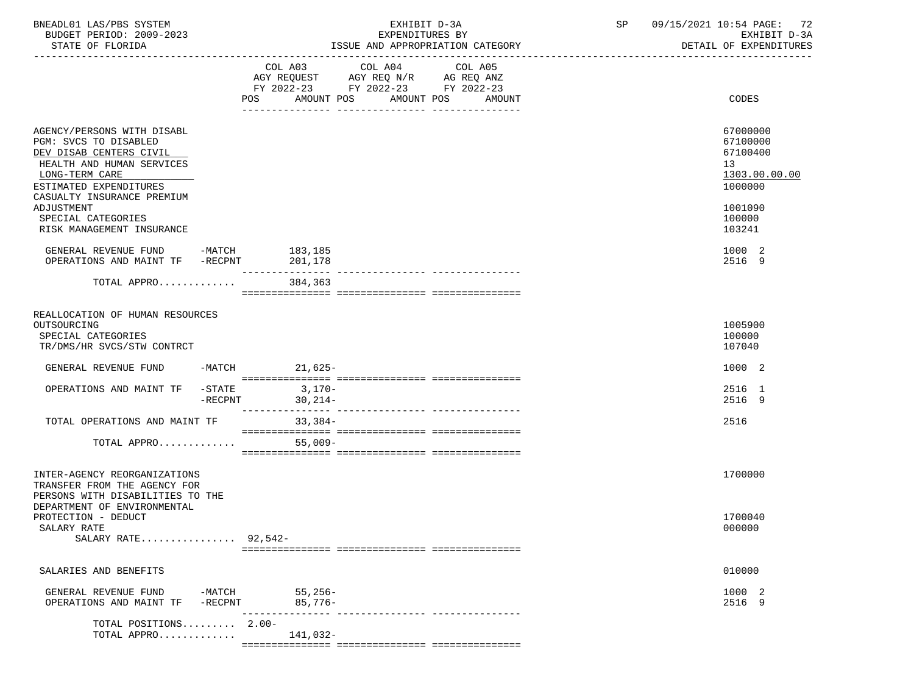| BNEADL01 LAS/PBS SYSTEM  | EXHIBIT D-3A                     | 09/15/2021 10:54 PAGE: 72 |
|--------------------------|----------------------------------|---------------------------|
| BUDGET PERIOD: 2009-2023 | EXPENDITURES BY                  | EXHIBIT D-3A              |
| STATE OF FLORIDA         | ISSUE AND APPROPRIATION CATEGORY | DETAIL OF EXPENDITURES    |

|                                                                                                                                                         | <b>POS</b>                                          | COL A03 COL A04 COL A05<br>AGY REQUEST AGY REQ N/R AG REQ ANZ<br>FY 2022-23 FY 2022-23 FY 2022-23<br>AMOUNT POS AMOUNT POS<br>____________ | AMOUNT                     | CODES                                                              |
|---------------------------------------------------------------------------------------------------------------------------------------------------------|-----------------------------------------------------|--------------------------------------------------------------------------------------------------------------------------------------------|----------------------------|--------------------------------------------------------------------|
| AGENCY/PERSONS WITH DISABL<br>PGM: SVCS TO DISABLED<br>DEV DISAB CENTERS CIVIL<br>HEALTH AND HUMAN SERVICES<br>LONG-TERM CARE<br>ESTIMATED EXPENDITURES |                                                     |                                                                                                                                            |                            | 67000000<br>67100000<br>67100400<br>13<br>1303.00.00.00<br>1000000 |
| CASUALTY INSURANCE PREMIUM<br>ADJUSTMENT<br>SPECIAL CATEGORIES<br>RISK MANAGEMENT INSURANCE                                                             |                                                     |                                                                                                                                            |                            | 1001090<br>100000<br>103241                                        |
| GENERAL REVENUE FUND -MATCH $183,185$<br>OPERATIONS AND MAINT TF -RECPNT 201,178                                                                        | _______________                                     |                                                                                                                                            |                            | 1000 2<br>2516 9                                                   |
| TOTAL APPRO                                                                                                                                             | 384,363                                             |                                                                                                                                            |                            |                                                                    |
| REALLOCATION OF HUMAN RESOURCES<br>OUTSOURCING<br>SPECIAL CATEGORIES<br>TR/DMS/HR SVCS/STW CONTRCT                                                      |                                                     |                                                                                                                                            |                            | 1005900<br>100000<br>107040                                        |
| GENERAL REVENUE FUND                                                                                                                                    | $21,625-$<br>$-MATCH$                               |                                                                                                                                            |                            | 1000 2                                                             |
| OPERATIONS AND MAINT TF                                                                                                                                 | $-\mathtt{STATE}$<br>$3,170-$<br>-RECPNT<br>30,214- |                                                                                                                                            |                            | 2516 1<br>2516 9                                                   |
| TOTAL OPERATIONS AND MAINT TF                                                                                                                           | $33,384-$                                           |                                                                                                                                            |                            | 2516                                                               |
| TOTAL APPRO                                                                                                                                             | $55,009-$                                           |                                                                                                                                            |                            |                                                                    |
| INTER-AGENCY REORGANIZATIONS<br>TRANSFER FROM THE AGENCY FOR<br>PERSONS WITH DISABILITIES TO THE                                                        |                                                     |                                                                                                                                            |                            | 1700000                                                            |
| DEPARTMENT OF ENVIRONMENTAL<br>PROTECTION - DEDUCT<br>SALARY RATE<br>SALARY RATE 92,542-                                                                |                                                     |                                                                                                                                            |                            | 1700040<br>000000                                                  |
| SALARIES AND BENEFITS                                                                                                                                   |                                                     |                                                                                                                                            |                            | 010000                                                             |
| GENERAL REVENUE FUND<br>OPERATIONS AND MAINT TF                                                                                                         | $55,256-$<br>-MATCH<br>$85,776-$<br>$-$ RECPNT      |                                                                                                                                            | ------------- ------------ | 1000 2<br>2516 9                                                   |
| TOTAL POSITIONS 2.00-<br>TOTAL APPRO                                                                                                                    | 141,032-                                            |                                                                                                                                            |                            |                                                                    |

=============== =============== ===============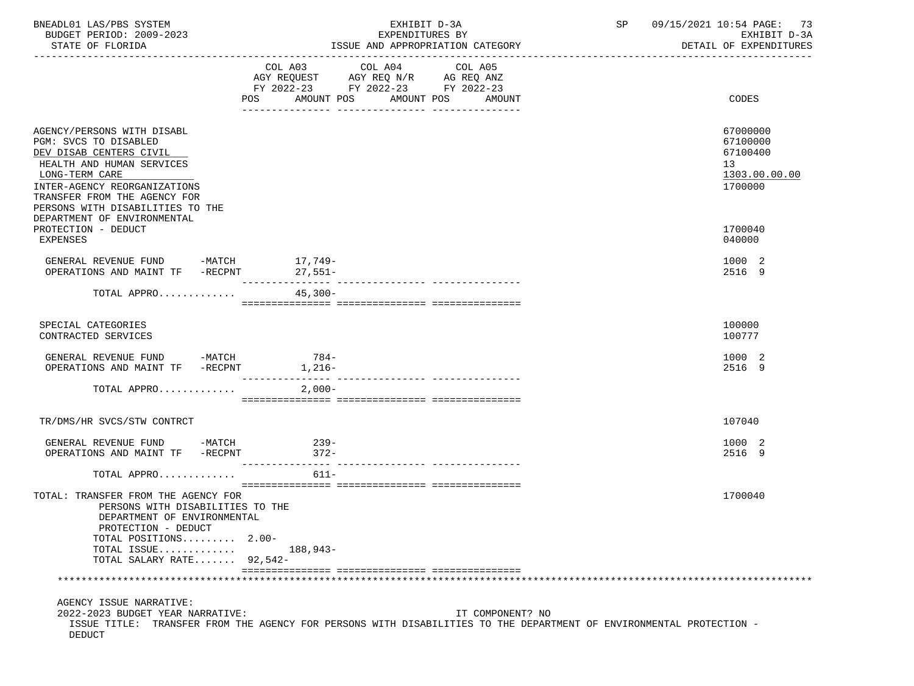| BNEADL01 LAS/PBS SYSTEM<br>BUDGET PERIOD: 2009-2023<br>STATE OF FLORIDA                                                                                                                                                           |                                                                          | EXHIBIT D-3A<br>EXPENDITURES BY<br>ISSUE AND APPROPRIATION CATEGORY |         |                  | SP and the set of the set of the set of the set of the set of the set of the set of the set of the set of the set of the set of the set of the set of the set of the set of the set of the set of the set of the set of the se | 09/15/2021 10:54 PAGE: 73<br>EXHIBIT D-3A<br>DETAIL OF EXPENDITURES |
|-----------------------------------------------------------------------------------------------------------------------------------------------------------------------------------------------------------------------------------|--------------------------------------------------------------------------|---------------------------------------------------------------------|---------|------------------|--------------------------------------------------------------------------------------------------------------------------------------------------------------------------------------------------------------------------------|---------------------------------------------------------------------|
|                                                                                                                                                                                                                                   | COL A03 COL A04<br>FY 2022-23 FY 2022-23 FY 2022-23<br>AMOUNT POS<br>POS | AMOUNT POS                                                          | COL A05 | AMOUNT           |                                                                                                                                                                                                                                | CODES                                                               |
| AGENCY/PERSONS WITH DISABL<br>PGM: SVCS TO DISABLED<br>DEV DISAB CENTERS CIVIL<br>HEALTH AND HUMAN SERVICES<br>LONG-TERM CARE<br>INTER-AGENCY REORGANIZATIONS<br>TRANSFER FROM THE AGENCY FOR<br>PERSONS WITH DISABILITIES TO THE |                                                                          |                                                                     |         |                  |                                                                                                                                                                                                                                | 67000000<br>67100000<br>67100400<br>13<br>1303.00.00.00<br>1700000  |
| DEPARTMENT OF ENVIRONMENTAL<br>PROTECTION - DEDUCT<br>EXPENSES                                                                                                                                                                    |                                                                          |                                                                     |         |                  |                                                                                                                                                                                                                                | 1700040<br>040000                                                   |
| GENERAL REVENUE FUND $-MATCH$ 17,749-<br>OPERATIONS AND MAINT TF -RECPNT                                                                                                                                                          | $27,551-$                                                                |                                                                     |         |                  |                                                                                                                                                                                                                                | 1000 2<br>2516 9                                                    |
| TOTAL APPRO                                                                                                                                                                                                                       | $45,300-$                                                                |                                                                     |         |                  |                                                                                                                                                                                                                                |                                                                     |
| SPECIAL CATEGORIES<br>CONTRACTED SERVICES                                                                                                                                                                                         |                                                                          |                                                                     |         |                  |                                                                                                                                                                                                                                | 100000<br>100777                                                    |
| GENERAL REVENUE FUND -MATCH 784-<br>OPERATIONS AND MAINT TF -RECPNT 1,216-                                                                                                                                                        |                                                                          |                                                                     |         |                  |                                                                                                                                                                                                                                | 1000 2<br>2516 9                                                    |
| TOTAL APPRO                                                                                                                                                                                                                       | $2,000-$                                                                 |                                                                     |         |                  |                                                                                                                                                                                                                                |                                                                     |
| TR/DMS/HR SVCS/STW CONTRCT                                                                                                                                                                                                        |                                                                          |                                                                     |         |                  |                                                                                                                                                                                                                                | 107040                                                              |
| GENERAL REVENUE FUND -MATCH<br>OPERATIONS AND MAINT TF -RECPNT                                                                                                                                                                    | $239-$<br>$372-$                                                         |                                                                     |         |                  |                                                                                                                                                                                                                                | 1000 2<br>2516 9                                                    |
| TOTAL APPRO                                                                                                                                                                                                                       | $611 -$                                                                  |                                                                     |         |                  |                                                                                                                                                                                                                                |                                                                     |
| TOTAL: TRANSFER FROM THE AGENCY FOR<br>PERSONS WITH DISABILITIES TO THE<br>DEPARTMENT OF ENVIRONMENTAL<br>PROTECTION - DEDUCT<br>TOTAL POSITIONS $2.00-$<br>TOTAL ISSUE<br>TOTAL SALARY RATE 92,542-                              | 188,943-                                                                 |                                                                     |         |                  |                                                                                                                                                                                                                                | 1700040                                                             |
|                                                                                                                                                                                                                                   |                                                                          |                                                                     |         |                  |                                                                                                                                                                                                                                |                                                                     |
| AGENCY ISSUE NARRATIVE:<br>2022-2023 BUDGET YEAR NARRATIVE:<br>ISSUE TITLE: TRANSFER FROM THE AGENCY FOR PERSONS WITH DISABILITIES TO THE DEPARTMENT OF ENVIRONMENTAL PROTECTION -<br>DEDUCT                                      |                                                                          |                                                                     |         | IT COMPONENT? NO |                                                                                                                                                                                                                                |                                                                     |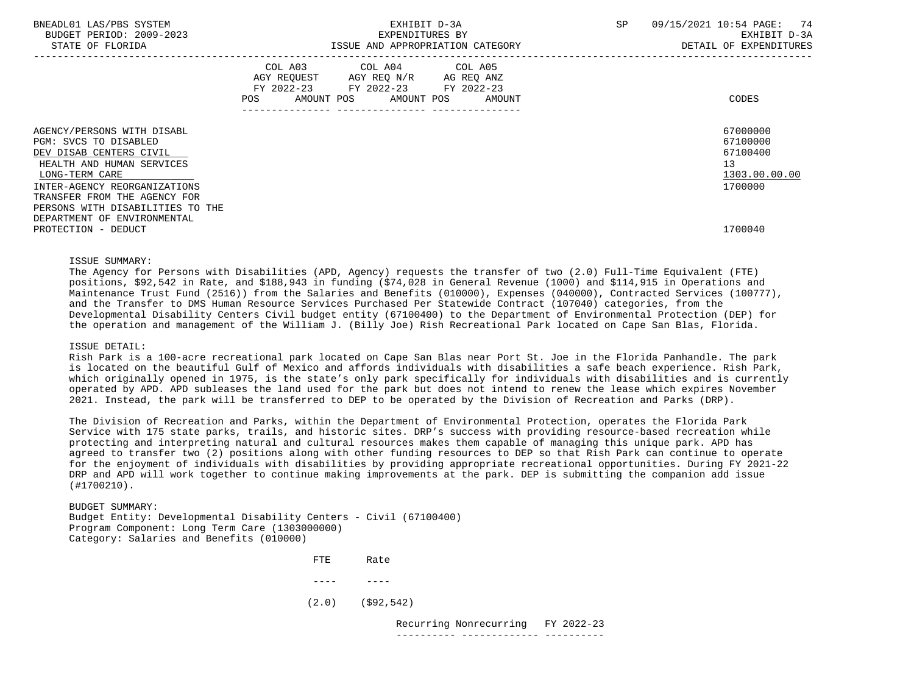| BNEADL01 LAS/PBS SYSTEM<br>BUDGET PERIOD: 2009-2023<br>STATE OF FLORIDA                                                                                                                       | EXHIBIT D-3A<br>EXPENDITURES BY<br>ISSUE AND APPROPRIATION CATEGORY                                                                         | -74<br>SP<br>09/15/2021 10:54 PAGE:<br>EXHIBIT D-3A<br>DETAIL OF EXPENDITURES |
|-----------------------------------------------------------------------------------------------------------------------------------------------------------------------------------------------|---------------------------------------------------------------------------------------------------------------------------------------------|-------------------------------------------------------------------------------|
|                                                                                                                                                                                               | COL A03 COL A04 COL A05<br>AGY REQUEST AGY REQ N/R AG REQ ANZ<br>FY 2022-23 FY 2022-23 FY 2022-23<br>AMOUNT POS AMOUNT POS<br>POS<br>AMOUNT | CODES                                                                         |
| AGENCY/PERSONS WITH DISABL<br>PGM: SVCS TO DISABLED<br>DEV DISAB CENTERS CIVIL<br>HEALTH AND HUMAN SERVICES<br>LONG-TERM CARE<br>INTER-AGENCY REORGANIZATIONS<br>TRANSFER FROM THE AGENCY FOR |                                                                                                                                             | 67000000<br>67100000<br>67100400<br>13<br>1303.00.00.00<br>1700000            |
| PERSONS WITH DISABILITIES TO THE<br>DEPARTMENT OF ENVIRONMENTAL<br>PROTECTION - DEDUCT                                                                                                        |                                                                                                                                             | 1700040                                                                       |

#### ISSUE SUMMARY:

 The Agency for Persons with Disabilities (APD, Agency) requests the transfer of two (2.0) Full-Time Equivalent (FTE) positions, \$92,542 in Rate, and \$188,943 in funding (\$74,028 in General Revenue (1000) and \$114,915 in Operations and Maintenance Trust Fund (2516)) from the Salaries and Benefits (010000), Expenses (040000), Contracted Services (100777), and the Transfer to DMS Human Resource Services Purchased Per Statewide Contract (107040) categories, from the Developmental Disability Centers Civil budget entity (67100400) to the Department of Environmental Protection (DEP) for the operation and management of the William J. (Billy Joe) Rish Recreational Park located on Cape San Blas, Florida.

#### ISSUE DETAIL:

 Rish Park is a 100-acre recreational park located on Cape San Blas near Port St. Joe in the Florida Panhandle. The park is located on the beautiful Gulf of Mexico and affords individuals with disabilities a safe beach experience. Rish Park, which originally opened in 1975, is the state's only park specifically for individuals with disabilities and is currently operated by APD. APD subleases the land used for the park but does not intend to renew the lease which expires November 2021. Instead, the park will be transferred to DEP to be operated by the Division of Recreation and Parks (DRP).

 The Division of Recreation and Parks, within the Department of Environmental Protection, operates the Florida Park Service with 175 state parks, trails, and historic sites. DRP's success with providing resource-based recreation while protecting and interpreting natural and cultural resources makes them capable of managing this unique park. APD has agreed to transfer two (2) positions along with other funding resources to DEP so that Rish Park can continue to operate for the enjoyment of individuals with disabilities by providing appropriate recreational opportunities. During FY 2021-22 DRP and APD will work together to continue making improvements at the park. DEP is submitting the companion add issue (#1700210).

 BUDGET SUMMARY: Budget Entity: Developmental Disability Centers - Civil (67100400) Program Component: Long Term Care (1303000000) Category: Salaries and Benefits (010000)

**FTE** Rate ---- ---- (2.0) (\$92,542)

 Recurring Nonrecurring FY 2022-23 ---------- ------------- ----------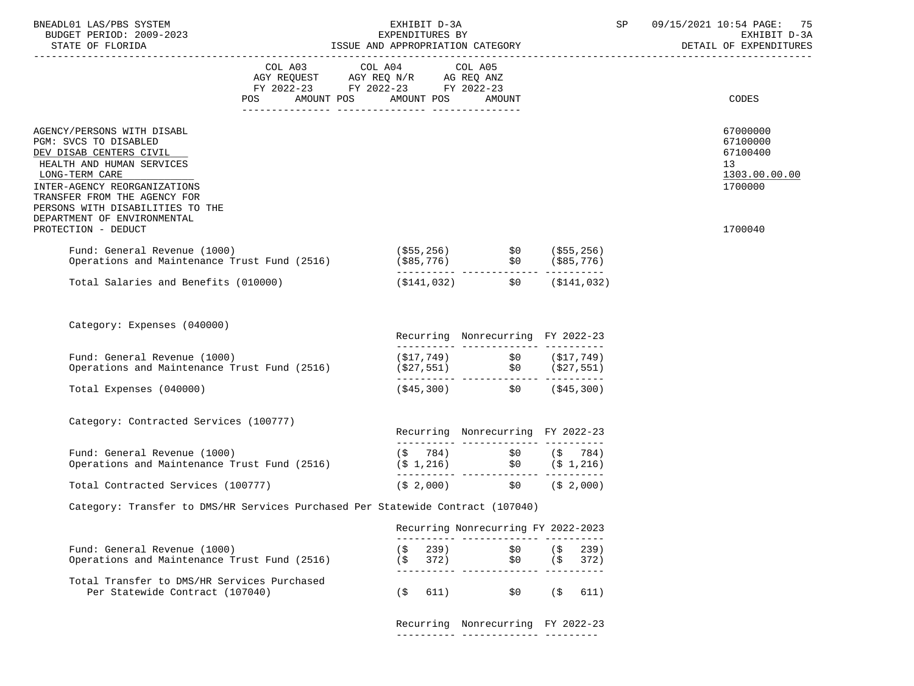| BNEADL01 LAS/PBS SYSTEM |                  |                          |
|-------------------------|------------------|--------------------------|
|                         |                  | BUDGET PERIOD: 2009-2023 |
|                         | CEARE OR RIODIDA |                          |

# EXHIBIT D-3A SP 09/15/2021 10:54 PAGE: 75<br>EXPENDITURES BY SERENGERS SAN SEXHIBIT D-3A BUDGET PERIOD: 2009-2023 EXPENDITURES BY EXHIBIT D-3A

# STATE OF FLORIDA **ISSUE AND APPROPRIATION CATEGORY**

| COL A03 COL A04 COL A05<br>AGY REQUEST AGY REQ N/R AG REQ ANZ<br>FY 2022-23 FY 2022-23 FY 2022-23<br>POS AMOUNT POS AMOUNT POS<br>CODES<br>AMOUNT<br>AGENCY/PERSONS WITH DISABL<br>PGM: SVCS TO DISABLED<br>DEV DISAB CENTERS CIVIL<br>HEALTH AND HUMAN SERVICES<br>13<br>LONG-TERM CARE<br>INTER-AGENCY REORGANIZATIONS<br>TRANSFER FROM THE AGENCY FOR<br>PERSONS WITH DISABILITIES TO THE<br>DEPARTMENT OF ENVIRONMENTAL<br>1700040<br>PROTECTION - DEDUCT<br>Fund: General Revenue (1000)<br>(\$55,256)    \$0 (\$55,256)<br>(\$85,776) \$0 (\$85,776)<br>--------- ------------ ----------<br>Operations and Maintenance Trust Fund (2516)<br>$(\$141,032)$ $\$0$ $(\$141,032)$<br>Total Salaries and Benefits (010000)<br>Category: Expenses (040000)<br>Recurring Nonrecurring FY 2022-23<br>$\begin{array}{llll} (\dot{\mathbf{5}}17,749) & \dot{\mathbf{5}}0 & (\dot{\mathbf{5}}17,749) \\ (\dot{\mathbf{5}}27,551) & \dot{\mathbf{5}}0 & (\dot{\mathbf{5}}27,551) \end{array}$<br>Fund: General Revenue (1000)<br>Operations and Maintenance Trust Fund (2516)<br>$(\$45,300)$ $\$0$ $(\$45,300)$<br>Total Expenses (040000)<br>Category: Contracted Services (100777)<br>Recurring Nonrecurring FY 2022-23<br>$(\begin{array}{cccc} (5 & 784) & 50 & (5 & 784) \\ (5 & 1,216) & 50 & (5 & 1,216) \\ - & - & - & - & - & - & - & - & - & - \end{array}$<br>Fund: General Revenue (1000)<br>Operations and Maintenance Trust Fund (2516)<br>$(\$ 2,000)$ $\$ 0$ $(\$ 2,000)$<br>Total Contracted Services (100777)<br>Category: Transfer to DMS/HR Services Purchased Per Statewide Contract (107040)<br>Recurring Nonrecurring FY 2022-2023 |  |  |  |                                                              |
|-------------------------------------------------------------------------------------------------------------------------------------------------------------------------------------------------------------------------------------------------------------------------------------------------------------------------------------------------------------------------------------------------------------------------------------------------------------------------------------------------------------------------------------------------------------------------------------------------------------------------------------------------------------------------------------------------------------------------------------------------------------------------------------------------------------------------------------------------------------------------------------------------------------------------------------------------------------------------------------------------------------------------------------------------------------------------------------------------------------------------------------------------------------------------------------------------------------------------------------------------------------------------------------------------------------------------------------------------------------------------------------------------------------------------------------------------------------------------------------------------------------------------------------------------------------------------------------------------------------------------------------------------------|--|--|--|--------------------------------------------------------------|
|                                                                                                                                                                                                                                                                                                                                                                                                                                                                                                                                                                                                                                                                                                                                                                                                                                                                                                                                                                                                                                                                                                                                                                                                                                                                                                                                                                                                                                                                                                                                                                                                                                                       |  |  |  |                                                              |
|                                                                                                                                                                                                                                                                                                                                                                                                                                                                                                                                                                                                                                                                                                                                                                                                                                                                                                                                                                                                                                                                                                                                                                                                                                                                                                                                                                                                                                                                                                                                                                                                                                                       |  |  |  | 67000000<br>67100000<br>67100400<br>1303.00.00.00<br>1700000 |
|                                                                                                                                                                                                                                                                                                                                                                                                                                                                                                                                                                                                                                                                                                                                                                                                                                                                                                                                                                                                                                                                                                                                                                                                                                                                                                                                                                                                                                                                                                                                                                                                                                                       |  |  |  |                                                              |
|                                                                                                                                                                                                                                                                                                                                                                                                                                                                                                                                                                                                                                                                                                                                                                                                                                                                                                                                                                                                                                                                                                                                                                                                                                                                                                                                                                                                                                                                                                                                                                                                                                                       |  |  |  |                                                              |
|                                                                                                                                                                                                                                                                                                                                                                                                                                                                                                                                                                                                                                                                                                                                                                                                                                                                                                                                                                                                                                                                                                                                                                                                                                                                                                                                                                                                                                                                                                                                                                                                                                                       |  |  |  |                                                              |
|                                                                                                                                                                                                                                                                                                                                                                                                                                                                                                                                                                                                                                                                                                                                                                                                                                                                                                                                                                                                                                                                                                                                                                                                                                                                                                                                                                                                                                                                                                                                                                                                                                                       |  |  |  |                                                              |
|                                                                                                                                                                                                                                                                                                                                                                                                                                                                                                                                                                                                                                                                                                                                                                                                                                                                                                                                                                                                                                                                                                                                                                                                                                                                                                                                                                                                                                                                                                                                                                                                                                                       |  |  |  |                                                              |
|                                                                                                                                                                                                                                                                                                                                                                                                                                                                                                                                                                                                                                                                                                                                                                                                                                                                                                                                                                                                                                                                                                                                                                                                                                                                                                                                                                                                                                                                                                                                                                                                                                                       |  |  |  |                                                              |
|                                                                                                                                                                                                                                                                                                                                                                                                                                                                                                                                                                                                                                                                                                                                                                                                                                                                                                                                                                                                                                                                                                                                                                                                                                                                                                                                                                                                                                                                                                                                                                                                                                                       |  |  |  |                                                              |
|                                                                                                                                                                                                                                                                                                                                                                                                                                                                                                                                                                                                                                                                                                                                                                                                                                                                                                                                                                                                                                                                                                                                                                                                                                                                                                                                                                                                                                                                                                                                                                                                                                                       |  |  |  |                                                              |
|                                                                                                                                                                                                                                                                                                                                                                                                                                                                                                                                                                                                                                                                                                                                                                                                                                                                                                                                                                                                                                                                                                                                                                                                                                                                                                                                                                                                                                                                                                                                                                                                                                                       |  |  |  |                                                              |
|                                                                                                                                                                                                                                                                                                                                                                                                                                                                                                                                                                                                                                                                                                                                                                                                                                                                                                                                                                                                                                                                                                                                                                                                                                                                                                                                                                                                                                                                                                                                                                                                                                                       |  |  |  |                                                              |
|                                                                                                                                                                                                                                                                                                                                                                                                                                                                                                                                                                                                                                                                                                                                                                                                                                                                                                                                                                                                                                                                                                                                                                                                                                                                                                                                                                                                                                                                                                                                                                                                                                                       |  |  |  |                                                              |
| $(\begin{array}{cccc} \xi & 239 \\ \xi & 372 \end{array})$ $\begin{array}{cccc} \xi 0 & (\xi & 239) \\ \xi 0 & (\xi & 372) \\ -2222 & 2222 & 2222 & 2222 \end{array}$<br>Fund: General Revenue (1000)<br>Operations and Maintenance Trust Fund (2516)                                                                                                                                                                                                                                                                                                                                                                                                                                                                                                                                                                                                                                                                                                                                                                                                                                                                                                                                                                                                                                                                                                                                                                                                                                                                                                                                                                                                 |  |  |  |                                                              |
| Total Transfer to DMS/HR Services Purchased<br>Per Statewide Contract (107040)<br>$(5 \t 611)$ $50 \t (5 \t 611)$                                                                                                                                                                                                                                                                                                                                                                                                                                                                                                                                                                                                                                                                                                                                                                                                                                                                                                                                                                                                                                                                                                                                                                                                                                                                                                                                                                                                                                                                                                                                     |  |  |  |                                                              |

 Recurring Nonrecurring FY 2022-23 ---------- ------------- ---------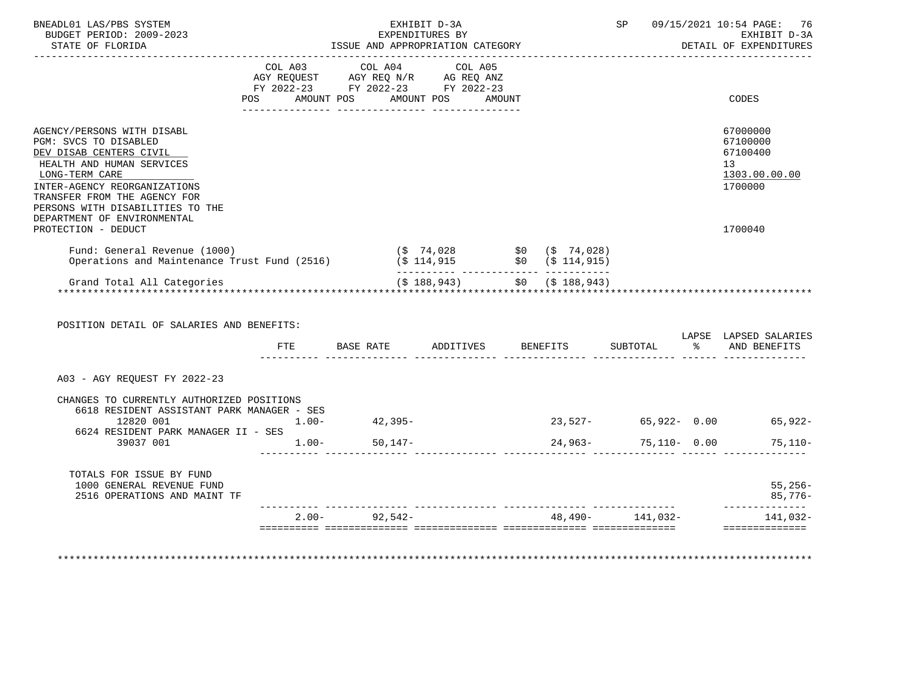| BUDGET PERIOD: 2009-2023<br>STATE OF FLORIDA                                                                                                                                                                                      | ISSUE AND APPROPRIATION CATEGORY                         | EXHIBIT D-3A<br>EXPENDITURES BY  |  |                          | SP 09/15/2021 10:54 PAGE: 76<br>EXHIBIT D-3A<br>DETAIL OF EXPENDITURES |
|-----------------------------------------------------------------------------------------------------------------------------------------------------------------------------------------------------------------------------------|----------------------------------------------------------|----------------------------------|--|--------------------------|------------------------------------------------------------------------|
|                                                                                                                                                                                                                                   | COL A03 COL A04 COL A05                                  |                                  |  |                          |                                                                        |
|                                                                                                                                                                                                                                   | POS AMOUNT POS AMOUNT POS AMOUNT                         |                                  |  |                          | CODES                                                                  |
| AGENCY/PERSONS WITH DISABL<br>PGM: SVCS TO DISABLED<br>DEV DISAB CENTERS CIVIL<br>HEALTH AND HUMAN SERVICES<br>LONG-TERM CARE<br>INTER-AGENCY REORGANIZATIONS<br>TRANSFER FROM THE AGENCY FOR<br>PERSONS WITH DISABILITIES TO THE |                                                          |                                  |  |                          | 67000000<br>67100000<br>67100400<br>13<br>1303.00.00.00<br>1700000     |
| DEPARTMENT OF ENVIRONMENTAL<br>PROTECTION - DEDUCT                                                                                                                                                                                |                                                          |                                  |  |                          | 1700040                                                                |
| Fund: General Revenue (1000) (\$ 74,028 \$0 (\$ 74,028)<br>Operations and Maintenance Trust Fund (2516) (\$ 114,915 \$0 (\$ 114,915)                                                                                              |                                                          |                                  |  |                          |                                                                        |
|                                                                                                                                                                                                                                   |                                                          |                                  |  |                          |                                                                        |
| Grand Total All Categories                                                                                                                                                                                                        |                                                          | $($ \$ 188,943) \$0 (\$ 188,943) |  |                          |                                                                        |
| POSITION DETAIL OF SALARIES AND BENEFITS:                                                                                                                                                                                         |                                                          |                                  |  |                          |                                                                        |
|                                                                                                                                                                                                                                   | FTE BASE RATE ADDITIVES BENEFITS SUBTOTAL % AND BENEFITS |                                  |  |                          |                                                                        |
| A03 - AGY REOUEST FY 2022-23                                                                                                                                                                                                      |                                                          |                                  |  |                          | LAPSE LAPSED SALARIES                                                  |
| CHANGES TO CURRENTLY AUTHORIZED POSITIONS                                                                                                                                                                                         |                                                          |                                  |  |                          |                                                                        |
| 6618 RESIDENT ASSISTANT PARK MANAGER - SES<br>12820 001                                                                                                                                                                           | $1.00 - 42,395 -$                                        |                                  |  |                          | $23,527 - 65,922 - 0.00$ 65,922-                                       |
| 6624 RESIDENT PARK MANAGER II - SES<br>39037 001 1.00- 50,147-                                                                                                                                                                    |                                                          |                                  |  | $24,963 - 75,110 - 0.00$ | 75,110-                                                                |
| TOTALS FOR ISSUE BY FUND<br>1000 GENERAL REVENUE FUND<br>2516 OPERATIONS AND MAINT TF                                                                                                                                             |                                                          |                                  |  |                          | 55,256-<br>85,776-<br>--------------                                   |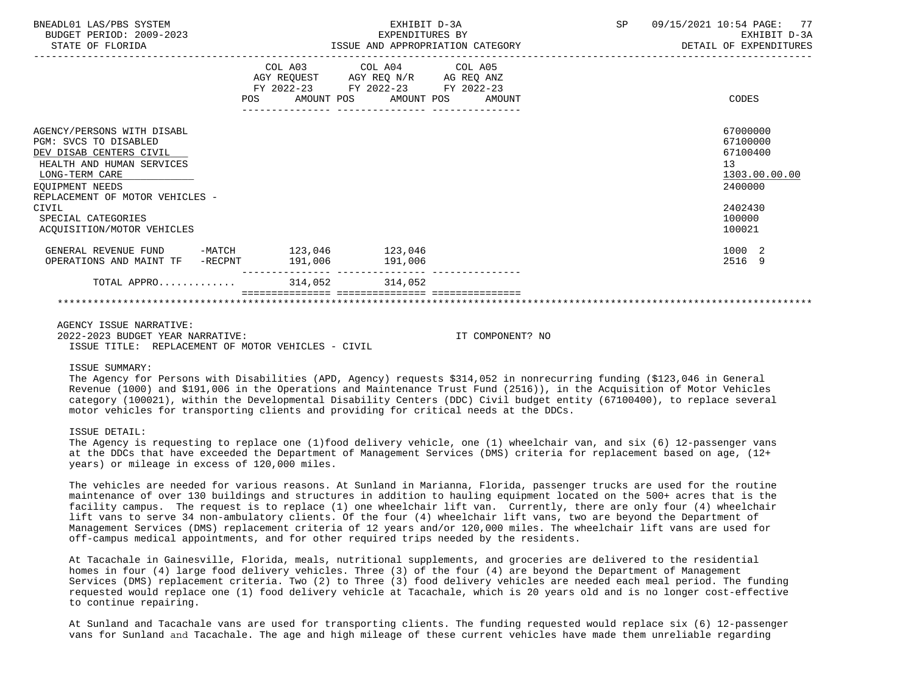| BNEADL01 LAS/PBS SYSTEM<br>BUDGET PERIOD: 2009-2023<br>STATE OF FLORIDA                                                                                                             | EXHIBIT D-3A<br>EXPENDITURES BY<br>ISSUE AND APPROPRIATION CATEGORY                                                                   | 09/15/2021 10:54 PAGE: 77<br>SP <sub>2</sub><br>EXHIBIT D-3A<br>DETAIL OF EXPENDITURES |
|-------------------------------------------------------------------------------------------------------------------------------------------------------------------------------------|---------------------------------------------------------------------------------------------------------------------------------------|----------------------------------------------------------------------------------------|
|                                                                                                                                                                                     | COL A03 COL A04 COL A05<br>AGY REQUEST AGY REQ N/R AG REQ ANZ<br>FY 2022-23 FY 2022-23 FY 2022-23<br>POS AMOUNT POS AMOUNT POS AMOUNT | CODES                                                                                  |
| AGENCY/PERSONS WITH DISABL<br>PGM: SVCS TO DISABLED<br>DEV DISAB CENTERS CIVIL<br>HEALTH AND HUMAN SERVICES<br>LONG-TERM CARE<br>EOUIPMENT NEEDS<br>REPLACEMENT OF MOTOR VEHICLES - |                                                                                                                                       | 67000000<br>67100000<br>67100400<br>13<br>1303.00.00.00<br>2400000                     |
| CIVIL<br>SPECIAL CATEGORIES<br>ACOUISITION/MOTOR VEHICLES                                                                                                                           |                                                                                                                                       | 2402430<br>100000<br>100021                                                            |
| GENERAL REVENUE FUND -MATCH 123,046 123,046<br>OPERATIONS AND MAINT TF -RECPNT 191,006 191,006                                                                                      |                                                                                                                                       | 1000 2<br>2516 9                                                                       |
| TOTAL APPRO 314,052 314,052                                                                                                                                                         |                                                                                                                                       |                                                                                        |
|                                                                                                                                                                                     |                                                                                                                                       |                                                                                        |

AGENCY ISSUE NARRATIVE: 2022-2023 BUDGET YEAR NARRATIVE: IT COMPONENT? NO ISSUE TITLE: REPLACEMENT OF MOTOR VEHICLES - CIVIL

ISSUE SUMMARY:

The Agency for Persons with Disabilities (APD, Agency) requests \$314,052 in nonrecurring funding (\$123,046 in General Revenue (1000) and \$191,006 in the Operations and Maintenance Trust Fund (2516)), in the Acquisition of Motor Vehicles category (100021), within the Developmental Disability Centers (DDC) Civil budget entity (67100400), to replace several motor vehicles for transporting clients and providing for critical needs at the DDCs.

# ISSUE DETAIL:

The Agency is requesting to replace one (1)food delivery vehicle, one (1) wheelchair van, and six (6) 12-passenger vans at the DDCs that have exceeded the Department of Management Services (DMS) criteria for replacement based on age, (12+ years) or mileage in excess of 120,000 miles.

The vehicles are needed for various reasons. At Sunland in Marianna, Florida, passenger trucks are used for the routine maintenance of over 130 buildings and structures in addition to hauling equipment located on the 500+ acres that is the facility campus. The request is to replace (1) one wheelchair lift van. Currently, there are only four (4) wheelchair lift vans to serve 34 non-ambulatory clients. Of the four (4) wheelchair lift vans, two are beyond the Department of Management Services (DMS) replacement criteria of 12 years and/or 120,000 miles. The wheelchair lift vans are used for off-campus medical appointments, and for other required trips needed by the residents.

At Tacachale in Gainesville, Florida, meals, nutritional supplements, and groceries are delivered to the residential homes in four (4) large food delivery vehicles. Three (3) of the four (4) are beyond the Department of Management Services (DMS) replacement criteria. Two (2) to Three (3) food delivery vehicles are needed each meal period. The funding requested would replace one (1) food delivery vehicle at Tacachale, which is 20 years old and is no longer cost-effective to continue repairing.

At Sunland and Tacachale vans are used for transporting clients. The funding requested would replace six (6) 12-passenger vans for Sunland and Tacachale. The age and high mileage of these current vehicles have made them unreliable regarding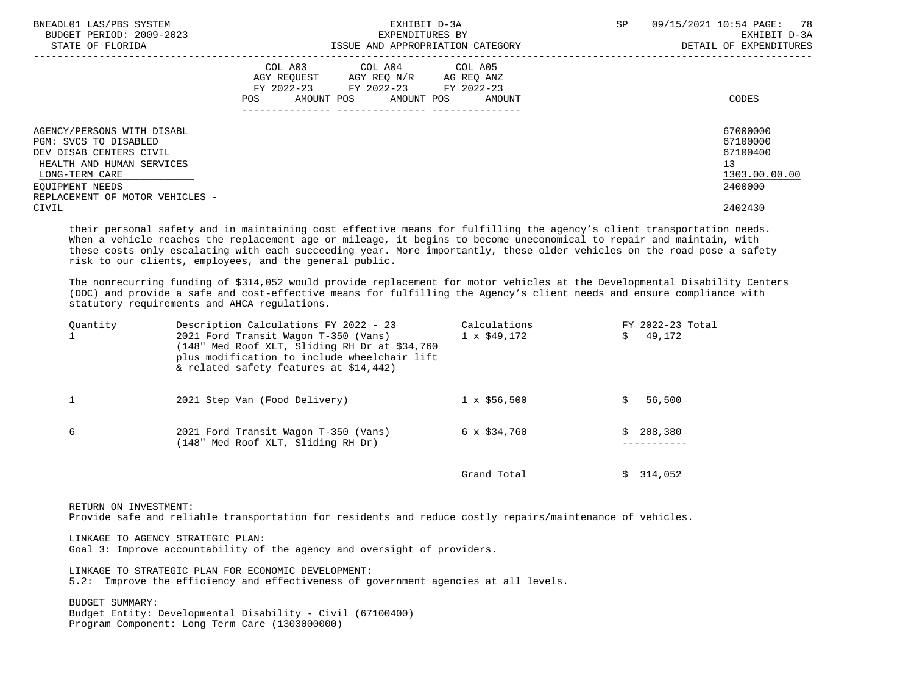| BNEADL01 LAS/PBS SYSTEM<br>BUDGET PERIOD: 2009-2023<br>STATE OF FLORIDA                                                                                                             | EXHIBIT D-3A<br>EXPENDITURES BY<br>ISSUE AND APPROPRIATION CATEGORY                                                                         | SP<br>09/15/2021 10:54 PAGE: 78<br>EXHIBIT D-3A<br>DETAIL OF EXPENDITURES |
|-------------------------------------------------------------------------------------------------------------------------------------------------------------------------------------|---------------------------------------------------------------------------------------------------------------------------------------------|---------------------------------------------------------------------------|
|                                                                                                                                                                                     | COL A03 COL A04 COL A05<br>AGY REOUEST AGY REO N/R AG REO ANZ<br>FY 2022-23 FY 2022-23 FY 2022-23<br>AMOUNT POS AMOUNT POS<br>POS<br>AMOUNT | CODES                                                                     |
| AGENCY/PERSONS WITH DISABL<br>PGM: SVCS TO DISABLED<br>DEV DISAB CENTERS CIVIL<br>HEALTH AND HUMAN SERVICES<br>LONG-TERM CARE<br>EOUIPMENT NEEDS<br>REPLACEMENT OF MOTOR VEHICLES - |                                                                                                                                             | 67000000<br>67100000<br>67100400<br>13<br>1303.00.00.00<br>2400000        |
| CIVIL                                                                                                                                                                               |                                                                                                                                             | 2402430                                                                   |

 their personal safety and in maintaining cost effective means for fulfilling the agency's client transportation needs. When a vehicle reaches the replacement age or mileage, it begins to become uneconomical to repair and maintain, with these costs only escalating with each succeeding year. More importantly, these older vehicles on the road pose a safety risk to our clients, employees, and the general public.

 The nonrecurring funding of \$314,052 would provide replacement for motor vehicles at the Developmental Disability Centers (DDC) and provide a safe and cost-effective means for fulfilling the Agency's client needs and ensure compliance with statutory requirements and AHCA regulations.

| Ouantity | Description Calculations FY 2022 - 23<br>2021 Ford Transit Wagon T-350 (Vans)<br>(148" Med Roof XLT, Sliding RH Dr at \$34,760)<br>plus modification to include wheelchair lift<br>& related safety features at \$14,442) | Calculations<br>$1 \times $49,172$ | FY 2022-23 Total<br>49,172 |
|----------|---------------------------------------------------------------------------------------------------------------------------------------------------------------------------------------------------------------------------|------------------------------------|----------------------------|
|          | 2021 Step Van (Food Delivery)                                                                                                                                                                                             | $1 \times $56,500$                 | 56,500                     |
| 6        | 2021 Ford Transit Wagon T-350 (Vans)<br>(148" Med Roof XLT, Sliding RH Dr)                                                                                                                                                | $6 \times $34,760$                 | 208,380<br>S.              |
|          |                                                                                                                                                                                                                           | Grand Total                        | \$314,052                  |

RETURN ON INVESTMENT:

Provide safe and reliable transportation for residents and reduce costly repairs/maintenance of vehicles.

LINKAGE TO AGENCY STRATEGIC PLAN:

Goal 3: Improve accountability of the agency and oversight of providers.

 LINKAGE TO STRATEGIC PLAN FOR ECONOMIC DEVELOPMENT: 5.2: Improve the efficiency and effectiveness of government agencies at all levels.

 BUDGET SUMMARY: Budget Entity: Developmental Disability - Civil (67100400) Program Component: Long Term Care (1303000000)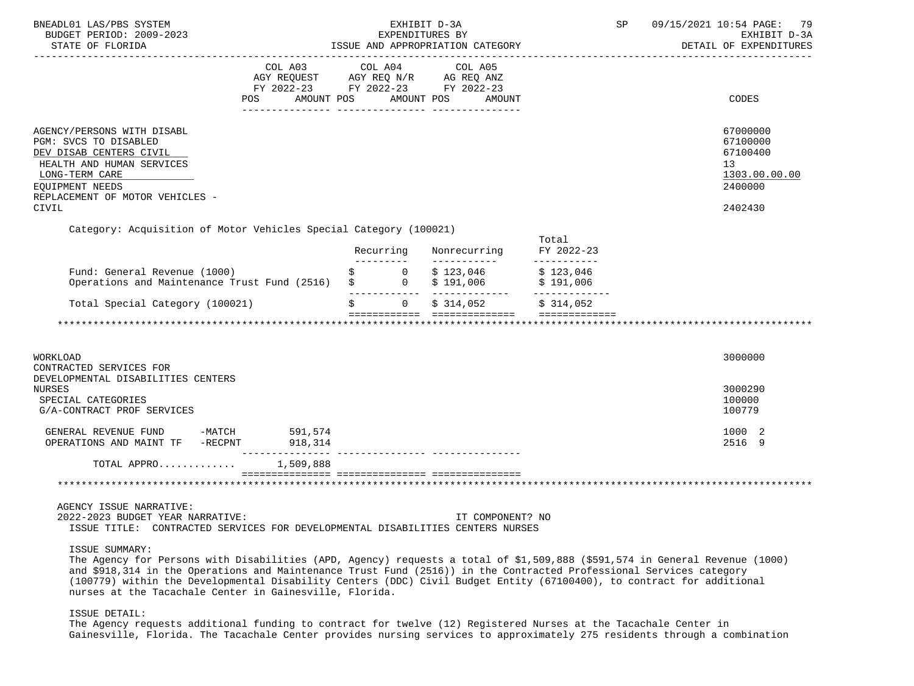| BNEADL01 LAS/PBS SYSTEM<br>BUDGET PERIOD: 2009-2023<br>STATE OF FLORIDA                                                                                                                                                                                                                                                                                                                                                                              |                                                | EXHIBIT D-3A<br>EXPENDITURES BY<br>ISSUE AND APPROPRIATION CATEGORY                                                                                                                                             | SP                                 | 09/15/2021 10:54 PAGE: 79<br>EXHIBIT D-3A<br>DETAIL OF EXPENDITURES           |
|------------------------------------------------------------------------------------------------------------------------------------------------------------------------------------------------------------------------------------------------------------------------------------------------------------------------------------------------------------------------------------------------------------------------------------------------------|------------------------------------------------|-----------------------------------------------------------------------------------------------------------------------------------------------------------------------------------------------------------------|------------------------------------|-------------------------------------------------------------------------------|
| COL A03 COL A04                                                                                                                                                                                                                                                                                                                                                                                                                                      |                                                | COL A05<br>$\begin{tabular}{lllllll} \bf AGY & \bf REQUEST & \bf AGY & \bf REQ & \bf N/R & \bf AG & \bf REQ & \bf ANZ \\ \end{tabular}$<br>FY 2022-23 FY 2022-23 FY 2022-23<br>POS AMOUNT POS AMOUNT POS AMOUNT |                                    | CODES                                                                         |
| AGENCY/PERSONS WITH DISABL<br>PGM: SVCS TO DISABLED<br>DEV DISAB CENTERS CIVIL<br>HEALTH AND HUMAN SERVICES<br>LONG-TERM CARE<br>EOUIPMENT NEEDS<br>REPLACEMENT OF MOTOR VEHICLES -<br>CIVIL                                                                                                                                                                                                                                                         |                                                |                                                                                                                                                                                                                 |                                    | 67000000<br>67100000<br>67100400<br>13<br>1303.00.00.00<br>2400000<br>2402430 |
| Category: Acquisition of Motor Vehicles Special Category (100021)                                                                                                                                                                                                                                                                                                                                                                                    | Recurring                                      | Nonrecurring<br>___________                                                                                                                                                                                     | Total<br>FY 2022-23<br>___________ |                                                                               |
| Fund: General Revenue (1000)<br>Operations and Maintenance Trust Fund (2516) $\qquad \qquad \, \mathfrak{h}$ 0                                                                                                                                                                                                                                                                                                                                       | $\begin{matrix} \xi & 0 \\ 0 & 0 \end{matrix}$ | $$123,046$ $$123,046$<br>$$191,006$ $$191,006$                                                                                                                                                                  |                                    |                                                                               |
| Total Special Category (100021)                                                                                                                                                                                                                                                                                                                                                                                                                      |                                                | $0$ $\frac{1}{5}$ 314,052 $\frac{1}{5}$ 314,052                                                                                                                                                                 |                                    |                                                                               |
|                                                                                                                                                                                                                                                                                                                                                                                                                                                      |                                                |                                                                                                                                                                                                                 |                                    |                                                                               |
| WORKLOAD<br>CONTRACTED SERVICES FOR                                                                                                                                                                                                                                                                                                                                                                                                                  |                                                |                                                                                                                                                                                                                 |                                    | 3000000                                                                       |
| DEVELOPMENTAL DISABILITIES CENTERS<br><b>NURSES</b><br>SPECIAL CATEGORIES<br>G/A-CONTRACT PROF SERVICES                                                                                                                                                                                                                                                                                                                                              |                                                |                                                                                                                                                                                                                 |                                    | 3000290<br>100000<br>100779                                                   |
| $\begin{tabular}{lllllllllll} \multicolumn{2}{c}{\textbf{GENERAL}} & \textbf{REVENUE} & \textbf{FUND} & & -\textbf{MATCH} & & 591,574 \\ \multicolumn{2}{c}{\textbf{OPERATIONS AND MAINT TF}} & -\textbf{RECPNT} & & 918,314 \\ \multicolumn{2}{c}{\textbf{D1B}} & & & \multicolumn{2}{c}{\textbf{D2B}} & \multicolumn{2}{c}{\textbf{D3B}} & \multicolumn{2}{c}{\textbf{D4B}} & \multicolumn{2}{c}{\textbf{D5B}} & \multicolumn{2}{c}{\textbf{D6B}}$ |                                                |                                                                                                                                                                                                                 |                                    | 1000 2<br>2516 9                                                              |
| TOTAL APPRO<br>1,509,888                                                                                                                                                                                                                                                                                                                                                                                                                             |                                                |                                                                                                                                                                                                                 |                                    |                                                                               |
|                                                                                                                                                                                                                                                                                                                                                                                                                                                      |                                                |                                                                                                                                                                                                                 |                                    |                                                                               |
| AGENCY ISSUE NARRATIVE:<br>2022-2023 BUDGET YEAR NARRATIVE:<br>ISSUE TITLE: CONTRACTED SERVICES FOR DEVELOPMENTAL DISABILITIES CENTERS NURSES                                                                                                                                                                                                                                                                                                        |                                                | IT COMPONENT? NO                                                                                                                                                                                                |                                    |                                                                               |

ISSUE SUMMARY:

 The Agency for Persons with Disabilities (APD, Agency) requests a total of \$1,509,888 (\$591,574 in General Revenue (1000) and \$918,314 in the Operations and Maintenance Trust Fund (2516)) in the Contracted Professional Services category (100779) within the Developmental Disability Centers (DDC) Civil Budget Entity (67100400), to contract for additional nurses at the Tacachale Center in Gainesville, Florida.

### ISSUE DETAIL:

 The Agency requests additional funding to contract for twelve (12) Registered Nurses at the Tacachale Center in Gainesville, Florida. The Tacachale Center provides nursing services to approximately 275 residents through a combination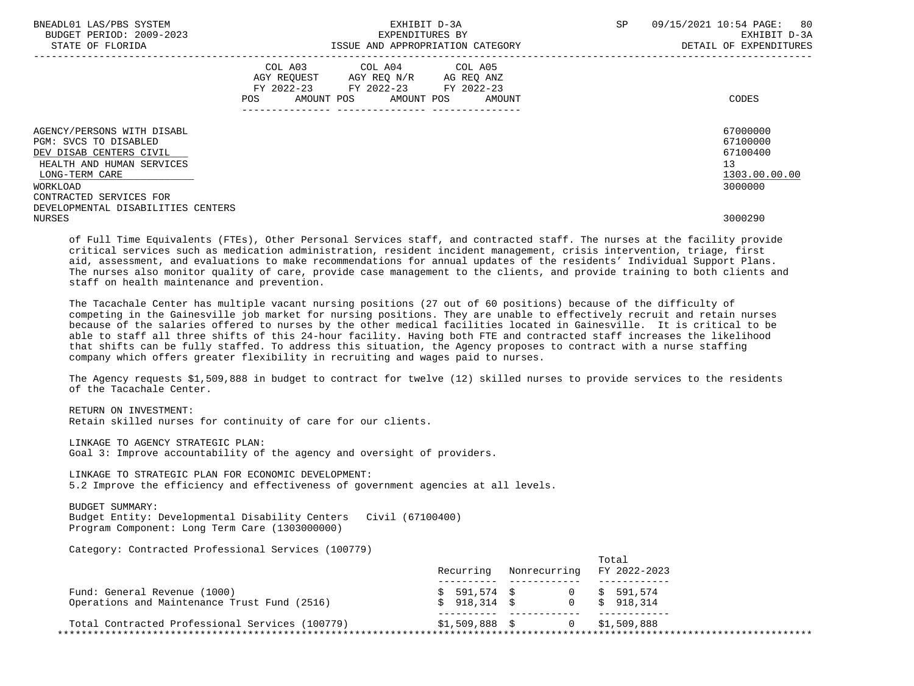| BNEADL01 LAS/PBS SYSTEM<br>BUDGET PERIOD: 2009-2023<br>STATE OF FLORIDA                                                                                                                                    |                    | EXHIBIT D-3A<br>EXPENDITURES BY<br>ISSUE AND APPROPRIATION CATEGORY        | SP                                         | 80<br>09/15/2021 10:54 PAGE:<br>EXHIBIT D-3A<br>DETAIL OF EXPENDITURES |                                                                    |
|------------------------------------------------------------------------------------------------------------------------------------------------------------------------------------------------------------|--------------------|----------------------------------------------------------------------------|--------------------------------------------|------------------------------------------------------------------------|--------------------------------------------------------------------|
|                                                                                                                                                                                                            | AGY REOUEST<br>POS | COL A03 COL A04 COL A05<br>AGY REO N/R<br>FY 2022-23 FY 2022-23 FY 2022-23 | AG REQ ANZ<br>AMOUNT POS AMOUNT POS AMOUNT |                                                                        | CODES                                                              |
| AGENCY/PERSONS WITH DISABL<br>PGM: SVCS TO DISABLED<br>DEV DISAB CENTERS CIVIL<br>HEALTH AND HUMAN SERVICES<br>LONG-TERM CARE<br>WORKLOAD<br>CONTRACTED SERVICES FOR<br>DEVELOPMENTAL DISABILITIES CENTERS |                    |                                                                            |                                            |                                                                        | 67000000<br>67100000<br>67100400<br>13<br>1303.00.00.00<br>3000000 |

 of Full Time Equivalents (FTEs), Other Personal Services staff, and contracted staff. The nurses at the facility provide critical services such as medication administration, resident incident management, crisis intervention, triage, first aid, assessment, and evaluations to make recommendations for annual updates of the residents' Individual Support Plans. The nurses also monitor quality of care, provide case management to the clients, and provide training to both clients and staff on health maintenance and prevention.

NURSES 3000290

 The Tacachale Center has multiple vacant nursing positions (27 out of 60 positions) because of the difficulty of competing in the Gainesville job market for nursing positions. They are unable to effectively recruit and retain nurses because of the salaries offered to nurses by the other medical facilities located in Gainesville. It is critical to be able to staff all three shifts of this 24-hour facility. Having both FTE and contracted staff increases the likelihood that shifts can be fully staffed. To address this situation, the Agency proposes to contract with a nurse staffing company which offers greater flexibility in recruiting and wages paid to nurses.

 The Agency requests \$1,509,888 in budget to contract for twelve (12) skilled nurses to provide services to the residents of the Tacachale Center.

 RETURN ON INVESTMENT: Retain skilled nurses for continuity of care for our clients.

 LINKAGE TO AGENCY STRATEGIC PLAN: Goal 3: Improve accountability of the agency and oversight of providers.

 LINKAGE TO STRATEGIC PLAN FOR ECONOMIC DEVELOPMENT: 5.2 Improve the efficiency and effectiveness of government agencies at all levels.

 BUDGET SUMMARY: Budget Entity: Developmental Disability Centers Civil (67100400) Program Component: Long Term Care (1303000000)

Category: Contracted Professional Services (100779)

|                                                                              | Recurring      | Nonrecurring | Total<br>FY 2022-2023                   |
|------------------------------------------------------------------------------|----------------|--------------|-----------------------------------------|
|                                                                              |                |              | $\frac{1}{5}$ 591,574 \$ 0 \$ 591,574   |
| Fund: General Revenue (1000)<br>Operations and Maintenance Trust Fund (2516) |                |              | $\frac{1}{2}$ 5 918.314 \$ 0 \$ 918.314 |
|                                                                              |                |              |                                         |
| Total Contracted Professional Services (100779)                              | \$1,509,888 \$ |              | 0 \$1,509,888                           |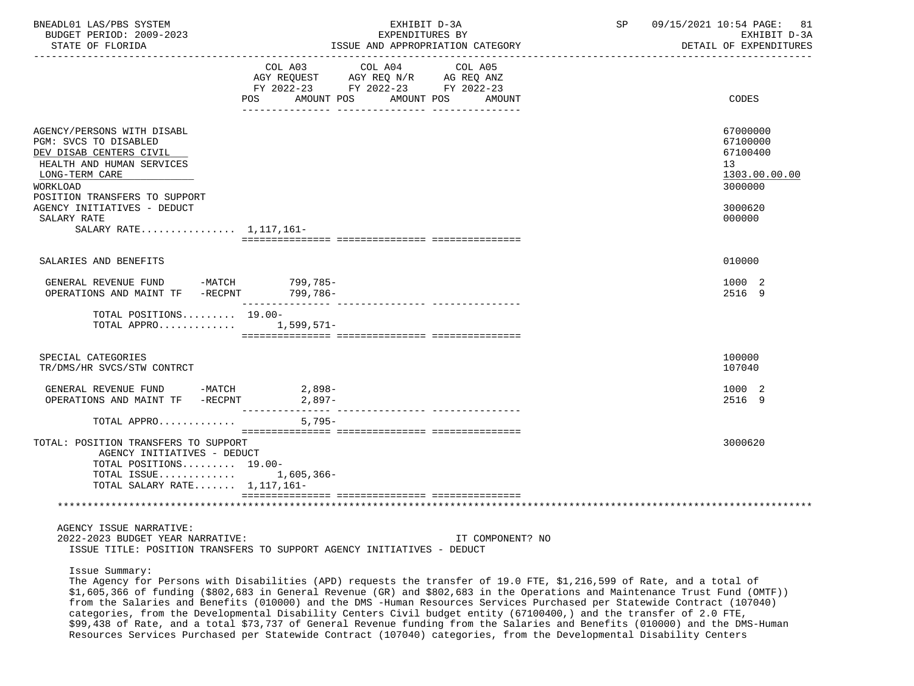| BNEADL01 LAS/PBS SYSTEM<br>BUDGET PERIOD: 2009-2023<br>STATE OF FLORIDA                                                                                                                                                  |                                                                                                                                                                                                                                                       | EXHIBIT D-3A<br>EXPENDITURES BY<br>ISSUE AND APPROPRIATION CATEGORY | SP | 09/15/2021 10:54 PAGE: 81<br>EXHIBIT D-3A<br>DETAIL OF EXPENDITURES                     |
|--------------------------------------------------------------------------------------------------------------------------------------------------------------------------------------------------------------------------|-------------------------------------------------------------------------------------------------------------------------------------------------------------------------------------------------------------------------------------------------------|---------------------------------------------------------------------|----|-----------------------------------------------------------------------------------------|
|                                                                                                                                                                                                                          | COL A03<br>COL A04 COL A05<br>AGY REQUEST AGY REQ N/R AG REQ ANZ<br>FY 2022-23 FY 2022-23 FY 2022-23<br>POS AMOUNT POS AMOUNT POS AMOUNT                                                                                                              |                                                                     |    | <b>CODES</b>                                                                            |
| AGENCY/PERSONS WITH DISABL<br>PGM: SVCS TO DISABLED<br>DEV DISAB CENTERS CIVIL<br>HEALTH AND HUMAN SERVICES<br>LONG-TERM CARE<br>WORKLOAD<br>POSITION TRANSFERS TO SUPPORT<br>AGENCY INITIATIVES - DEDUCT<br>SALARY RATE |                                                                                                                                                                                                                                                       |                                                                     |    | 67000000<br>67100000<br>67100400<br>13<br>1303.00.00.00<br>3000000<br>3000620<br>000000 |
| SALARY RATE 1,117,161-<br>SALARIES AND BENEFITS                                                                                                                                                                          |                                                                                                                                                                                                                                                       |                                                                     |    | 010000                                                                                  |
| GENERAL REVENUE FUND -MATCH 799,785-<br>OPERATIONS AND MAINT TF -RECPNT 799,786-                                                                                                                                         |                                                                                                                                                                                                                                                       |                                                                     |    | 1000 2<br>2516 9                                                                        |
| TOTAL POSITIONS 19.00-<br>TOTAL APPRO 1,599,571-                                                                                                                                                                         |                                                                                                                                                                                                                                                       |                                                                     |    |                                                                                         |
| SPECIAL CATEGORIES<br>TR/DMS/HR SVCS/STW CONTRCT                                                                                                                                                                         |                                                                                                                                                                                                                                                       |                                                                     |    | 100000<br>107040                                                                        |
| GENERAL REVENUE FUND -MATCH<br>OPERATIONS AND MAINT TF -RECPNT 2,897-                                                                                                                                                    | 2,898-                                                                                                                                                                                                                                                |                                                                     |    | 1000 2<br>2516 9                                                                        |
| TOTAL APPRO<br>TOTAL: POSITION TRANSFERS TO SUPPORT                                                                                                                                                                      | $5,795-$                                                                                                                                                                                                                                              |                                                                     |    | 3000620                                                                                 |
| AGENCY INITIATIVES - DEDUCT<br>TOTAL POSITIONS 19.00-<br>TOTAL ISSUE 1,605,366-<br>TOTAL SALARY RATE $1,117,161-$                                                                                                        |                                                                                                                                                                                                                                                       |                                                                     |    |                                                                                         |
| AGENCY ISSUE NARRATIVE:<br>2022-2023 BUDGET YEAR NARRATIVE:                                                                                                                                                              | ISSUE TITLE: POSITION TRANSFERS TO SUPPORT AGENCY INITIATIVES - DEDUCT                                                                                                                                                                                | IT COMPONENT? NO                                                    |    |                                                                                         |
| Issue Summary:                                                                                                                                                                                                           | The Agency for Persons with Disabilities (APD) requests the transfer of 19.0 FTE, \$1,216,599 of Rate, and a total of<br>\$1,605,366 of funding (\$802,683 in General Revenue (GR) and \$802,683 in the Operations and Maintenance Trust Fund (OMTE)) |                                                                     |    |                                                                                         |

 $_{15}$  (\$802,683 in General Revenue (GR) and \$802,683 in the Ope from the Salaries and Benefits (010000) and the DMS -Human Resources Services Purchased per Statewide Contract (107040) categories, from the Developmental Disability Centers Civil budget entity (67100400,) and the transfer of 2.0 FTE, \$99,438 of Rate, and a total \$73,737 of General Revenue funding from the Salaries and Benefits (010000) and the DMS-Human Resources Services Purchased per Statewide Contract (107040) categories, from the Developmental Disability Centers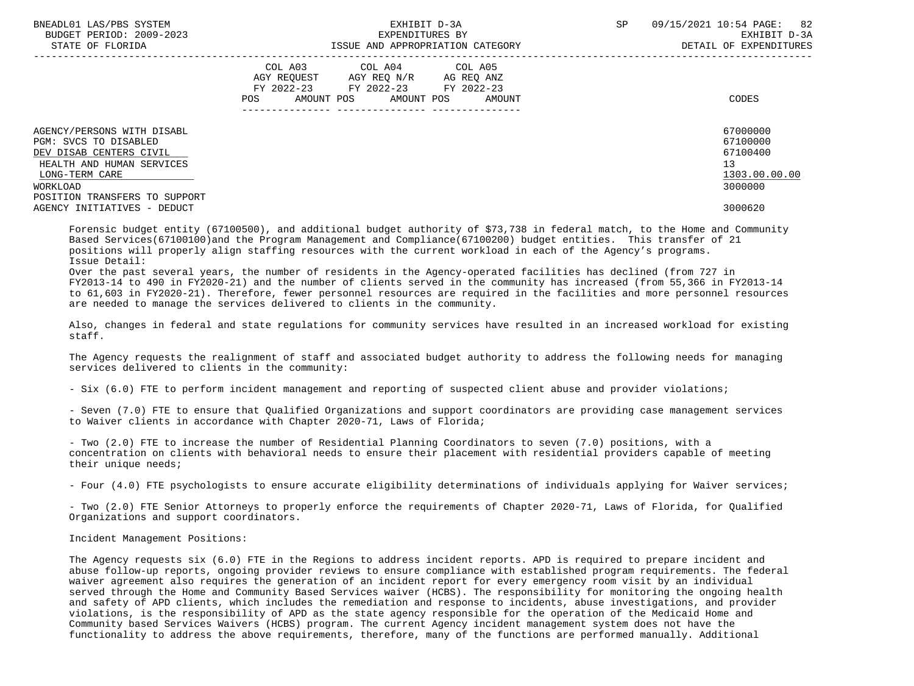| BNEADL01 LAS/PBS SYSTEM<br>BUDGET PERIOD: 2009-2023<br>STATE OF FLORIDA | EXHIBIT D-3A<br>EXPENDITURES BY<br>ISSUE AND APPROPRIATION CATEGORY                                                                            | 82<br>SP<br>09/15/2021 10:54 PAGE:<br>EXHIBIT D-3A<br>DETAIL OF EXPENDITURES |
|-------------------------------------------------------------------------|------------------------------------------------------------------------------------------------------------------------------------------------|------------------------------------------------------------------------------|
|                                                                         | COL A03 COL A04 COL A05<br>AGY REOUEST<br>AGY REO N/R<br>AG REQ ANZ<br>FY 2022-23 FY 2022-23 FY 2022-23<br>AMOUNT POS AMOUNT POS AMOUNT<br>POS | CODES                                                                        |
| AGENCY/PERSONS WITH DISABL<br>PGM: SVCS TO DISABLED                     |                                                                                                                                                | 67000000<br>67100000                                                         |
| DEV DISAB CENTERS CIVIL                                                 |                                                                                                                                                | 67100400                                                                     |
| HEALTH AND HUMAN SERVICES                                               |                                                                                                                                                | 13                                                                           |
| LONG-TERM CARE                                                          |                                                                                                                                                | 1303.00.00.00                                                                |
| WORKLOAD                                                                |                                                                                                                                                | 3000000                                                                      |
| POSITION TRANSFERS TO SUPPORT                                           |                                                                                                                                                |                                                                              |
| AGENCY INITIATIVES - DEDUCT                                             |                                                                                                                                                | 3000620                                                                      |

 Forensic budget entity (67100500), and additional budget authority of \$73,738 in federal match, to the Home and Community Based Services(67100100)and the Program Management and Compliance(67100200) budget entities. This transfer of 21 positions will properly align staffing resources with the current workload in each of the Agency's programs. Issue Detail:

 Over the past several years, the number of residents in the Agency-operated facilities has declined (from 727 in FY2013-14 to 490 in FY2020-21) and the number of clients served in the community has increased (from 55,366 in FY2013-14 to 61,603 in FY2020-21). Therefore, fewer personnel resources are required in the facilities and more personnel resources are needed to manage the services delivered to clients in the community.

 Also, changes in federal and state regulations for community services have resulted in an increased workload for existing staff.

 The Agency requests the realignment of staff and associated budget authority to address the following needs for managing services delivered to clients in the community:

- Six (6.0) FTE to perform incident management and reporting of suspected client abuse and provider violations;

 - Seven (7.0) FTE to ensure that Qualified Organizations and support coordinators are providing case management services to Waiver clients in accordance with Chapter 2020-71, Laws of Florida;

 - Two (2.0) FTE to increase the number of Residential Planning Coordinators to seven (7.0) positions, with a concentration on clients with behavioral needs to ensure their placement with residential providers capable of meeting their unique needs;

- Four (4.0) FTE psychologists to ensure accurate eligibility determinations of individuals applying for Waiver services;

 - Two (2.0) FTE Senior Attorneys to properly enforce the requirements of Chapter 2020-71, Laws of Florida, for Qualified Organizations and support coordinators.

#### Incident Management Positions:

 The Agency requests six (6.0) FTE in the Regions to address incident reports. APD is required to prepare incident and abuse follow-up reports, ongoing provider reviews to ensure compliance with established program requirements. The federal waiver agreement also requires the generation of an incident report for every emergency room visit by an individual served through the Home and Community Based Services waiver (HCBS). The responsibility for monitoring the ongoing health and safety of APD clients, which includes the remediation and response to incidents, abuse investigations, and provider violations, is the responsibility of APD as the state agency responsible for the operation of the Medicaid Home and Community based Services Waivers (HCBS) program. The current Agency incident management system does not have the functionality to address the above requirements, therefore, many of the functions are performed manually. Additional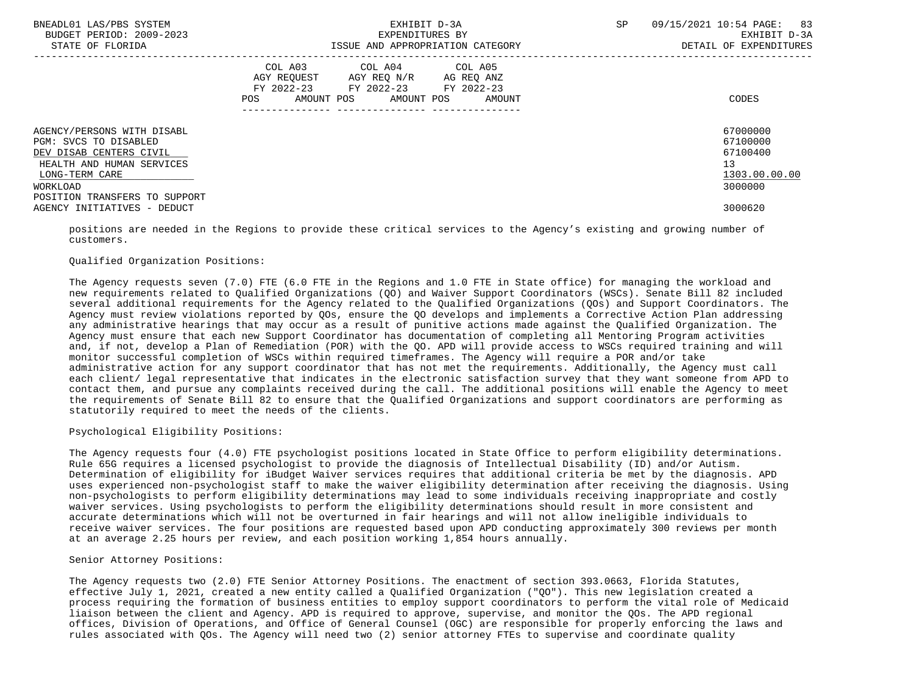| BNEADL01 LAS/PBS SYSTEM<br>BUDGET PERIOD: 2009-2023<br>STATE OF FLORIDA                                                                                                    | EXHIBIT D-3A<br>EXPENDITURES BY<br>ISSUE AND APPROPRIATION CATEGORY                                                                         | 09/15/2021 10:54 PAGE: 83<br>SP<br>EXHIBIT D-3A<br>DETAIL OF EXPENDITURES |
|----------------------------------------------------------------------------------------------------------------------------------------------------------------------------|---------------------------------------------------------------------------------------------------------------------------------------------|---------------------------------------------------------------------------|
|                                                                                                                                                                            | COL A03 COL A04 COL A05<br>AGY REQUEST AGY REQ N/R AG REQ ANZ<br>FY 2022-23 FY 2022-23 FY 2022-23<br>AMOUNT POS AMOUNT POS<br>POS<br>AMOUNT | CODES                                                                     |
| AGENCY/PERSONS WITH DISABL<br>PGM: SVCS TO DISABLED<br>DEV DISAB CENTERS CIVIL<br>HEALTH AND HUMAN SERVICES<br>LONG-TERM CARE<br>WORKLOAD<br>POSITION TRANSFERS TO SUPPORT |                                                                                                                                             | 67000000<br>67100000<br>67100400<br>13<br>1303.00.00.00<br>3000000        |
| AGENCY INITIATIVES - DEDUCT                                                                                                                                                |                                                                                                                                             | 3000620                                                                   |

 positions are needed in the Regions to provide these critical services to the Agency's existing and growing number of customers.

# Qualified Organization Positions:

 The Agency requests seven (7.0) FTE (6.0 FTE in the Regions and 1.0 FTE in State office) for managing the workload and new requirements related to Qualified Organizations (QO) and Waiver Support Coordinators (WSCs). Senate Bill 82 included several additional requirements for the Agency related to the Qualified Organizations (QOs) and Support Coordinators. The Agency must review violations reported by QOs, ensure the QO develops and implements a Corrective Action Plan addressing any administrative hearings that may occur as a result of punitive actions made against the Qualified Organization. The Agency must ensure that each new Support Coordinator has documentation of completing all Mentoring Program activities and, if not, develop a Plan of Remediation (POR) with the QO. APD will provide access to WSCs required training and will monitor successful completion of WSCs within required timeframes. The Agency will require a POR and/or take administrative action for any support coordinator that has not met the requirements. Additionally, the Agency must call each client/ legal representative that indicates in the electronic satisfaction survey that they want someone from APD to contact them, and pursue any complaints received during the call. The additional positions will enable the Agency to meet the requirements of Senate Bill 82 to ensure that the Qualified Organizations and support coordinators are performing as statutorily required to meet the needs of the clients.

Psychological Eligibility Positions:

 The Agency requests four (4.0) FTE psychologist positions located in State Office to perform eligibility determinations. Rule 65G requires a licensed psychologist to provide the diagnosis of Intellectual Disability (ID) and/or Autism. Determination of eligibility for iBudget Waiver services requires that additional criteria be met by the diagnosis. APD uses experienced non-psychologist staff to make the waiver eligibility determination after receiving the diagnosis. Using non-psychologists to perform eligibility determinations may lead to some individuals receiving inappropriate and costly waiver services. Using psychologists to perform the eligibility determinations should result in more consistent and accurate determinations which will not be overturned in fair hearings and will not allow ineligible individuals to receive waiver services. The four positions are requested based upon APD conducting approximately 300 reviews per month at an average 2.25 hours per review, and each position working 1,854 hours annually.

Senior Attorney Positions:

 The Agency requests two (2.0) FTE Senior Attorney Positions. The enactment of section 393.0663, Florida Statutes, effective July 1, 2021, created a new entity called a Qualified Organization ("QO"). This new legislation created a process requiring the formation of business entities to employ support coordinators to perform the vital role of Medicaid liaison between the client and Agency. APD is required to approve, supervise, and monitor the QOs. The APD regional offices, Division of Operations, and Office of General Counsel (OGC) are responsible for properly enforcing the laws and rules associated with QOs. The Agency will need two (2) senior attorney FTEs to supervise and coordinate quality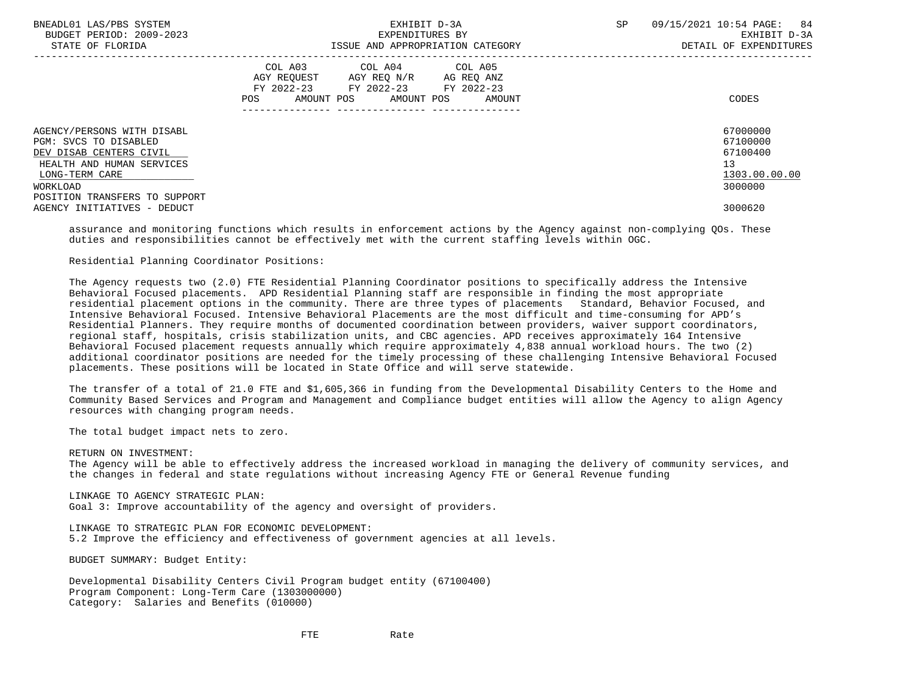| BNEADL01 LAS/PBS SYSTEM<br>BUDGET PERIOD: 2009-2023<br>STATE OF FLORIDA                                                                                                    | EXHIBIT D-3A<br>EXPENDITURES BY<br>ISSUE AND APPROPRIATION CATEGORY                                                                         | SP<br>09/15/2021 10:54 PAGE: 84<br>EXHIBIT D-3A<br>DETAIL OF EXPENDITURES |
|----------------------------------------------------------------------------------------------------------------------------------------------------------------------------|---------------------------------------------------------------------------------------------------------------------------------------------|---------------------------------------------------------------------------|
|                                                                                                                                                                            | COL A03 COL A04 COL A05<br>AGY REOUEST AGY REO N/R AG REO ANZ<br>FY 2022-23 FY 2022-23 FY 2022-23<br>AMOUNT POS AMOUNT POS<br>POS<br>AMOUNT | CODES                                                                     |
| AGENCY/PERSONS WITH DISABL<br>PGM: SVCS TO DISABLED<br>DEV DISAB CENTERS CIVIL<br>HEALTH AND HUMAN SERVICES<br>LONG-TERM CARE<br>WORKLOAD<br>POSITION TRANSFERS TO SUPPORT |                                                                                                                                             | 67000000<br>67100000<br>67100400<br>13<br>1303.00.00.00<br>3000000        |
| AGENCY INITIATIVES - DEDUCT                                                                                                                                                |                                                                                                                                             | 3000620                                                                   |

 assurance and monitoring functions which results in enforcement actions by the Agency against non-complying QOs. These duties and responsibilities cannot be effectively met with the current staffing levels within OGC.

Residential Planning Coordinator Positions:

 The Agency requests two (2.0) FTE Residential Planning Coordinator positions to specifically address the Intensive Behavioral Focused placements. APD Residential Planning staff are responsible in finding the most appropriate residential placement options in the community. There are three types of placements Standard, Behavior Focused, and Intensive Behavioral Focused. Intensive Behavioral Placements are the most difficult and time-consuming for APD's Residential Planners. They require months of documented coordination between providers, waiver support coordinators, regional staff, hospitals, crisis stabilization units, and CBC agencies. APD receives approximately 164 Intensive Behavioral Focused placement requests annually which require approximately 4,838 annual workload hours. The two (2) additional coordinator positions are needed for the timely processing of these challenging Intensive Behavioral Focused placements. These positions will be located in State Office and will serve statewide.

 The transfer of a total of 21.0 FTE and \$1,605,366 in funding from the Developmental Disability Centers to the Home and Community Based Services and Program and Management and Compliance budget entities will allow the Agency to align Agency resources with changing program needs.

The total budget impact nets to zero.

RETURN ON INVESTMENT:

 The Agency will be able to effectively address the increased workload in managing the delivery of community services, and the changes in federal and state regulations without increasing Agency FTE or General Revenue funding

 LINKAGE TO AGENCY STRATEGIC PLAN: Goal 3: Improve accountability of the agency and oversight of providers.

 LINKAGE TO STRATEGIC PLAN FOR ECONOMIC DEVELOPMENT: 5.2 Improve the efficiency and effectiveness of government agencies at all levels.

BUDGET SUMMARY: Budget Entity:

 Developmental Disability Centers Civil Program budget entity (67100400) Program Component: Long-Term Care (1303000000) Category: Salaries and Benefits (010000)

**FTE** Rate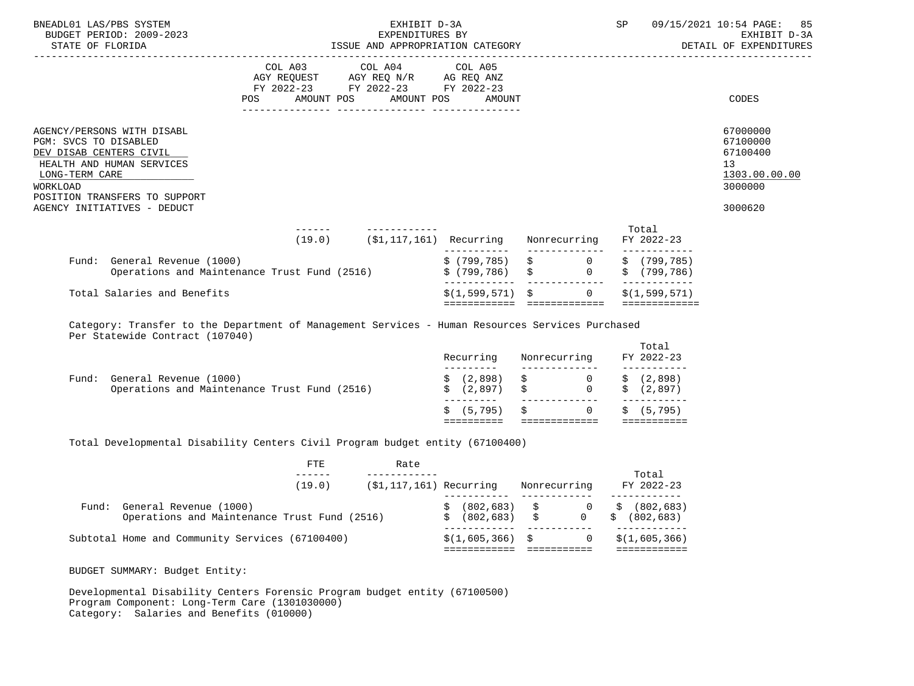| BNEADL01 LAS/PBS SYSTEM<br>BUDGET PERIOD: 2009-2023<br>STATE OF FLORIDA                                                                                                                                   |                                                                                                                                       | EXHIBIT D-3A<br>EXPENDITURES BY |                   |                                                                                                                                                | SP                                                               | 09/15/2021 10:54 PAGE: 85<br>EXHIBIT D-3A                                     |
|-----------------------------------------------------------------------------------------------------------------------------------------------------------------------------------------------------------|---------------------------------------------------------------------------------------------------------------------------------------|---------------------------------|-------------------|------------------------------------------------------------------------------------------------------------------------------------------------|------------------------------------------------------------------|-------------------------------------------------------------------------------|
|                                                                                                                                                                                                           | COL A03 COL A04 COL A05<br>AGY REQUEST AGY REQ N/R AG REQ ANZ<br>FY 2022-23 FY 2022-23 FY 2022-23<br>POS AMOUNT POS AMOUNT POS AMOUNT |                                 |                   |                                                                                                                                                |                                                                  | CODES                                                                         |
| AGENCY/PERSONS WITH DISABL<br>PGM: SVCS TO DISABLED<br>DEV DISAB CENTERS CIVIL<br>HEALTH AND HUMAN SERVICES<br>LONG-TERM CARE<br>WORKLOAD<br>POSITION TRANSFERS TO SUPPORT<br>AGENCY INITIATIVES - DEDUCT |                                                                                                                                       |                                 |                   |                                                                                                                                                |                                                                  | 67000000<br>67100000<br>67100400<br>13<br>1303.00.00.00<br>3000000<br>3000620 |
|                                                                                                                                                                                                           |                                                                                                                                       |                                 |                   | (19.0) (\$1,117,161) Recurring Nonrecurring FY 2022-23                                                                                         | Total                                                            |                                                                               |
| General Revenue (1000)<br>Operations and Maintenance Trust Fund (2516)<br>Fund: General Revenue (1000)                                                                                                    |                                                                                                                                       |                                 |                   |                                                                                                                                                | \$ (799,785) \$ 0 \$ (799,785)<br>\$ (799,786) \$ 0 \$ (799,786) |                                                                               |
| Total Salaries and Benefits                                                                                                                                                                               |                                                                                                                                       |                                 | $$(1,599,571)$ \$ | $\Omega$<br>============================                                                                                                       | ------------<br>\$(1.599.571)<br>=============                   |                                                                               |
| Category: Transfer to the Department of Management Services - Human Resources Services Purchased<br>Per Statewide Contract (107040)                                                                       |                                                                                                                                       |                                 |                   |                                                                                                                                                |                                                                  |                                                                               |
|                                                                                                                                                                                                           |                                                                                                                                       |                                 |                   | Recurring Nonrecurring FY 2022-23                                                                                                              | Total<br>------------                                            |                                                                               |
| Fund: General Revenue (1000)<br>Operations and Maintenance Trust Fund (2516)                                                                                                                              |                                                                                                                                       |                                 |                   | $\begin{array}{ccccccccc} \xi & (2,898) & \xi & & 0 & \xi & (2,898) \\ \xi & (2,897) & \xi & & 0 & \xi & (2,897) \end{array}$<br>_____________ |                                                                  |                                                                               |

 $\zeta$  (5,795)  $\zeta$  0  $\zeta$  (5,795) ========== ============= ===========

Total Developmental Disability Centers Civil Program budget entity (67100400)

|       | <b>FTE</b>                                                             | Rate                       |                                  |                       |              |                                                       |
|-------|------------------------------------------------------------------------|----------------------------|----------------------------------|-----------------------|--------------|-------------------------------------------------------|
|       | (19.0)                                                                 | $(51, 117, 161)$ Recurring |                                  |                       | Nonrecurring | Total<br>FY 2022-23                                   |
| Fund: | General Revenue (1000)<br>Operations and Maintenance Trust Fund (2516) |                            | $(802, 683)$ \$<br>\$ (802, 683) | $S$ is the set of $S$ | 0 \$         | $0 \qquad \frac{1}{5} \qquad (802,683)$<br>(802, 683) |
|       | Subtotal Home and Community Services (67100400)                        |                            | $$(1,605,366)$ \$                |                       |              | \$(1,605,366)                                         |

BUDGET SUMMARY: Budget Entity:

 Developmental Disability Centers Forensic Program budget entity (67100500) Program Component: Long-Term Care (1301030000) Category: Salaries and Benefits (010000)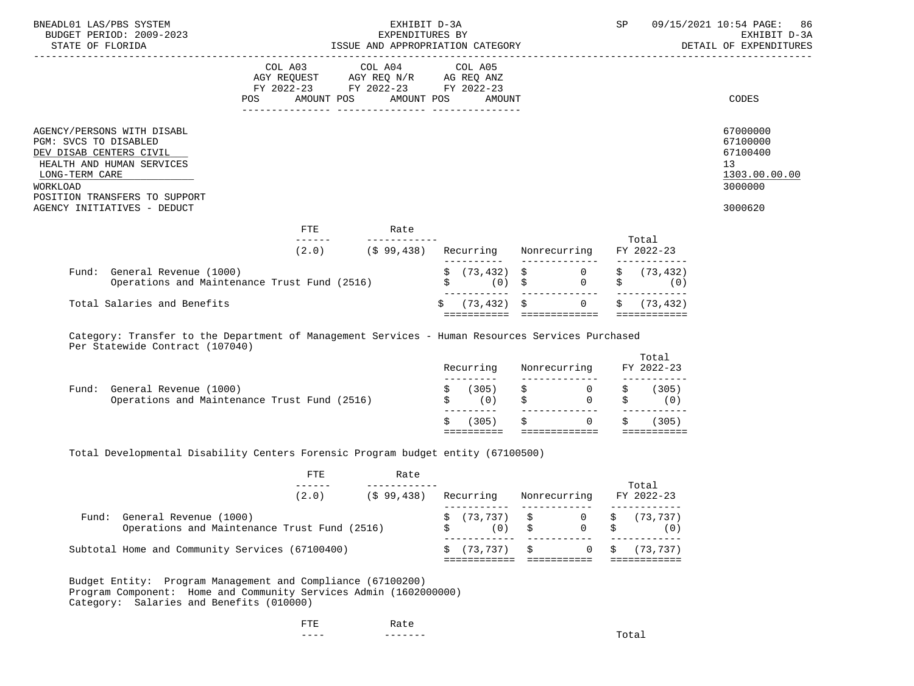| BNEADL01 LAS/PBS SYSTEM<br>BUDGET PERIOD: 2009-2023<br>STATE OF FLORIDA                                                                                                                                   | EXHIBIT D-3A<br>SP<br>EXPENDITURES BY<br>ISSUE AND APPROPRIATION CATEGORY                                       |  |                       |  |                               |    |                              |    |                           | 09/15/2021 10:54 PAGE: 86<br>EXHIBIT D-3A<br>DETAIL OF EXPENDITURES                        |  |
|-----------------------------------------------------------------------------------------------------------------------------------------------------------------------------------------------------------|-----------------------------------------------------------------------------------------------------------------|--|-----------------------|--|-------------------------------|----|------------------------------|----|---------------------------|--------------------------------------------------------------------------------------------|--|
|                                                                                                                                                                                                           | COL A03 COL A04 COL A05<br>AGY REQUEST AGY REQ N/R AG REQ ANZ<br>FY 2022-23 FY 2022-23 FY 2022-23<br><b>POS</b> |  | AMOUNT POS AMOUNT POS |  | AMOUNT                        |    |                              |    |                           | CODES                                                                                      |  |
| AGENCY/PERSONS WITH DISABL<br>PGM: SVCS TO DISABLED<br>DEV DISAB CENTERS CIVIL<br>HEALTH AND HUMAN SERVICES<br>LONG-TERM CARE<br>WORKLOAD<br>POSITION TRANSFERS TO SUPPORT<br>AGENCY INITIATIVES - DEDUCT |                                                                                                                 |  |                       |  |                               |    |                              |    |                           | 67000000<br>67100000<br>67100400<br>13 <sup>°</sup><br>1303.00.00.00<br>3000000<br>3000620 |  |
|                                                                                                                                                                                                           | FTE                                                                                                             |  | Rate                  |  |                               |    |                              |    |                           |                                                                                            |  |
|                                                                                                                                                                                                           | (2.0)                                                                                                           |  | (\$99,438)            |  | Recurring Nonrecurring        |    |                              |    | Total<br>FY 2022-23       |                                                                                            |  |
| Fund: General Revenue (1000)<br>Operations and Maintenance Trust Fund (2516)                                                                                                                              |                                                                                                                 |  |                       |  | (0)                           | \$ | $\sharp$ (73,432) $\sharp$ 0 | \$ | \$(73, 432)<br>(0)        |                                                                                            |  |
| Total Salaries and Benefits                                                                                                                                                                               |                                                                                                                 |  |                       |  | $(73, 432)$ \$<br>=========== |    | $\Omega$<br>=============    |    | (73, 432)<br>============ |                                                                                            |  |

 Category: Transfer to the Department of Management Services - Human Resources Services Purchased Per Statewide Contract (107040)

|       |                                                                        | (305)        | 0                          | (305)               |
|-------|------------------------------------------------------------------------|--------------|----------------------------|---------------------|
| Fund: | General Revenue (1000)<br>Operations and Maintenance Trust Fund (2516) | (305)<br>(0) | $\overline{0}$<br>$\Omega$ | (305)<br>0)         |
|       |                                                                        | Recurring    | Nonrecurring               | Total<br>FY 2022-23 |

Total Developmental Disability Centers Forensic Program budget entity (67100500)

|       |                                                                        | FTE   | Rate       |                                             |     |              | Total                 |
|-------|------------------------------------------------------------------------|-------|------------|---------------------------------------------|-----|--------------|-----------------------|
|       |                                                                        | (2.0) | (\$99,438) | Recurring                                   |     | Nonrecurring | FY 2022-23            |
| Fund: | General Revenue (1000)<br>Operations and Maintenance Trust Fund (2516) |       |            | $\sin 73.737$ $\sin 0$ $\sin 73.737$<br>(0) | 5 S | $0 \quad S$  | (0)                   |
|       | Subtotal Home and Community Services (67100400)                        |       |            | \$(73.737)                                  | S.  |              | $0 \quad$ \$ (73,737) |

 Budget Entity: Program Management and Compliance (67100200) Program Component: Home and Community Services Admin (1602000000) Category: Salaries and Benefits (010000)

| <b>TRITUE</b><br>-- | Ka Le    |  |
|---------------------|----------|--|
| $- - - -$           | -------- |  |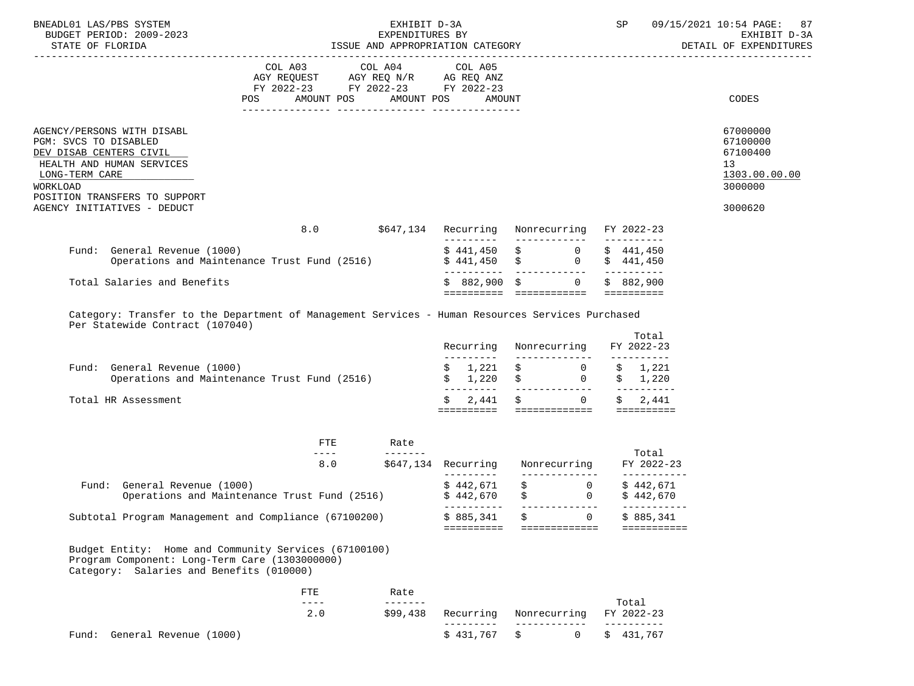| BNEADL01 LAS/PBS SYSTEM<br>BUDGET PERIOD: 2009-2023<br>STATE OF FLORIDA                                                                                                    | EXPENDITURES BY<br>ISSUE AND APPROPRIATION CATEGORY DETAIL OF EXPENDITURES | EXHIBIT D-3A              |                          | SP                                                                                                                                                         | 09/15/2021 10:54 PAGE:<br>87                                    |                                                                                 |
|----------------------------------------------------------------------------------------------------------------------------------------------------------------------------|----------------------------------------------------------------------------|---------------------------|--------------------------|------------------------------------------------------------------------------------------------------------------------------------------------------------|-----------------------------------------------------------------|---------------------------------------------------------------------------------|
|                                                                                                                                                                            | FY 2022-23 FY 2022-23 FY 2022-23<br>AMOUNT POS AMOUNT POS<br>POS FOR       |                           | AMOUNT                   |                                                                                                                                                            |                                                                 | CODES                                                                           |
| AGENCY/PERSONS WITH DISABL<br>PGM: SVCS TO DISABLED<br>DEV DISAB CENTERS CIVIL<br>HEALTH AND HUMAN SERVICES<br>LONG-TERM CARE<br>WORKLOAD<br>POSITION TRANSFERS TO SUPPORT |                                                                            |                           |                          |                                                                                                                                                            |                                                                 | 67000000<br>67100000<br>67100400<br>13 <sup>°</sup><br>1303.00.00.00<br>3000000 |
| AGENCY INITIATIVES - DEDUCT                                                                                                                                                |                                                                            |                           |                          |                                                                                                                                                            |                                                                 | 3000620                                                                         |
|                                                                                                                                                                            | 8.0                                                                        |                           |                          | \$647,134 Recurring Nonrecurring FY 2022-23                                                                                                                | ----------                                                      |                                                                                 |
| Fund: General Revenue (1000)                                                                                                                                               | Operations and Maintenance Trust Fund (2516)                               |                           |                          | $\begin{array}{ccc} \xi & 441,450 & \xi & 0 \\ \xi & 441,450 & \xi & 0 \end{array}$<br>____________                                                        | \$441,450<br>\$441,450<br>__________                            |                                                                                 |
| Total Salaries and Benefits                                                                                                                                                |                                                                            |                           | $$882,900$ \$            | $0 \qquad \qquad$                                                                                                                                          | \$882,900<br>==========                                         |                                                                                 |
| Fund: General Revenue (1000)<br>Total HR Assessment                                                                                                                        | Operations and Maintenance Trust Fund (2516)                               |                           | Recurring<br>Ŝ.<br>2,441 | Nonrecurring<br>$\begin{matrix} \xi & 1,221 & \xi & 0 & \xi & 1,221 \\ \xi & 1,220 & \xi & 0 & \xi & 1,220 \\ \hline \end{matrix}$<br>$\overline{0}$<br>\$ | Total<br>FY 2022-23<br>-----------<br>__________<br>2,441<br>\$ |                                                                                 |
|                                                                                                                                                                            |                                                                            |                           |                          |                                                                                                                                                            |                                                                 |                                                                                 |
|                                                                                                                                                                            | <b>FTE</b><br>$---$                                                        | Rate                      |                          |                                                                                                                                                            | Total                                                           |                                                                                 |
|                                                                                                                                                                            | 8.0                                                                        |                           | _________                | \$647,134 Recurring Nonrecurring<br>______________                                                                                                         | FY 2022-23<br>------------                                      |                                                                                 |
| Fund: General Revenue (1000)                                                                                                                                               | Operations and Maintenance Trust Fund (2516) \$442,670                     |                           | \$442,671                | $\begin{array}{ccc} \xi & 0 \\ \xi & 0 \end{array}$                                                                                                        | \$442,671<br>\$442,670                                          |                                                                                 |
|                                                                                                                                                                            | Subtotal Program Management and Compliance (67100200)                      |                           | \$885,341<br>==========  | $\Omega$<br>=============                                                                                                                                  | \$885,341<br>===========                                        |                                                                                 |
| Program Component: Long-Term Care (1303000000)<br>Category: Salaries and Benefits (010000)                                                                                 | Budget Entity: Home and Community Services (67100100)                      |                           |                          |                                                                                                                                                            |                                                                 |                                                                                 |
|                                                                                                                                                                            | <b>FTE</b><br>$- - - -$                                                    | Rate<br>$- - - - - - - -$ |                          |                                                                                                                                                            |                                                                 |                                                                                 |
|                                                                                                                                                                            | 2.0                                                                        | \$99,438                  | Recurring<br>---------   | Nonrecurring<br>$- - - -$                                                                                                                                  | Total<br>FY 2022-23<br>--------                                 |                                                                                 |
| Fund: General Revenue (1000)                                                                                                                                               |                                                                            |                           | \$431,767                | \$<br>0                                                                                                                                                    | 431,767<br>Ŝ.                                                   |                                                                                 |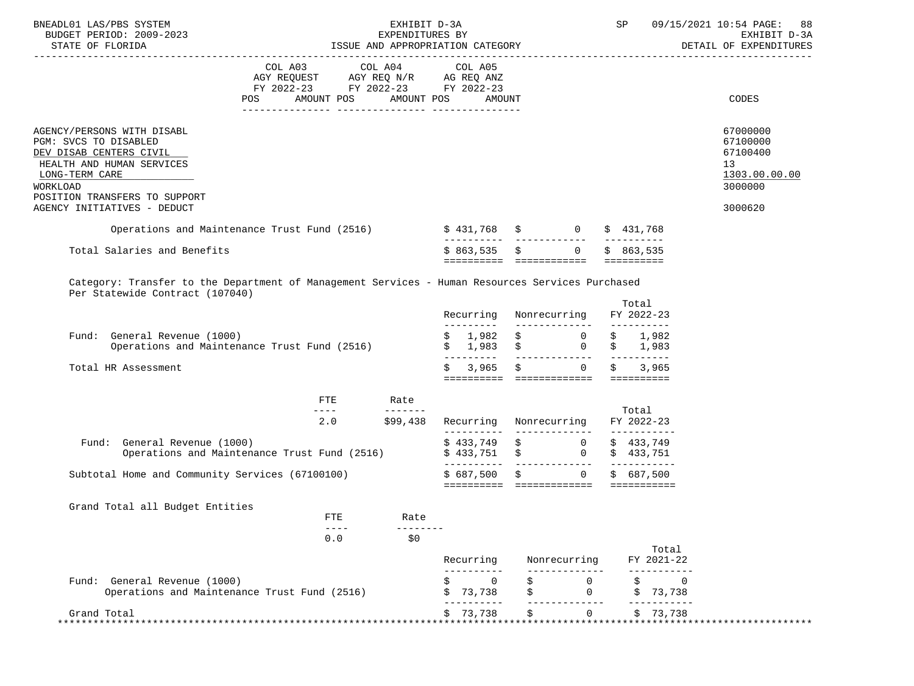| BNEADL01 LAS/PBS SYSTEM<br>BUDGET PERIOD: 2009-2023<br>STATE OF FLORIDA                                                                                                    | EXPENDITURES BY<br>ISSUE AND APPROPRIATION CATEGORY                                                                                                                                                                                              | EXHIBIT D-3A    | SP                      | 09/15/2021 10:54 PAGE:<br>88<br>EXHIBIT D-3A<br>DETAIL OF EXPENDITURES                                                                 |                                    |                                                                    |
|----------------------------------------------------------------------------------------------------------------------------------------------------------------------------|--------------------------------------------------------------------------------------------------------------------------------------------------------------------------------------------------------------------------------------------------|-----------------|-------------------------|----------------------------------------------------------------------------------------------------------------------------------------|------------------------------------|--------------------------------------------------------------------|
|                                                                                                                                                                            | COL A03 COL A04 COL A05<br>$\begin{tabular}{lllllll} AGY & \texttt{REQUEST} & & \texttt{AGY} & \texttt{REG} & \texttt{N/R} & & \texttt{AG} & \texttt{REQ} & \texttt{ANZ} \end{tabular}$<br>FY 2022-23 FY 2022-23 FY 2022-23<br>AMOUNT POS<br>POS | AMOUNT POS      | AMOUNT                  |                                                                                                                                        |                                    | CODES                                                              |
| AGENCY/PERSONS WITH DISABL<br>PGM: SVCS TO DISABLED<br>DEV DISAB CENTERS CIVIL<br>HEALTH AND HUMAN SERVICES<br>LONG-TERM CARE<br>WORKLOAD<br>POSITION TRANSFERS TO SUPPORT |                                                                                                                                                                                                                                                  |                 |                         |                                                                                                                                        |                                    | 67000000<br>67100000<br>67100400<br>13<br>1303.00.00.00<br>3000000 |
| AGENCY INITIATIVES - DEDUCT                                                                                                                                                |                                                                                                                                                                                                                                                  |                 |                         |                                                                                                                                        |                                    | 3000620                                                            |
| Operations and Maintenance Trust Fund (2516) $\qquad$ \$ 431,768 \$ 0 \$ 431,768                                                                                           |                                                                                                                                                                                                                                                  |                 |                         |                                                                                                                                        |                                    |                                                                    |
| Total Salaries and Benefits                                                                                                                                                |                                                                                                                                                                                                                                                  |                 | \$863,535               | $\sin 0$ $\sin 863,535$<br>========== ============  ==========                                                                         |                                    |                                                                    |
| Category: Transfer to the Department of Management Services - Human Resources Services Purchased<br>Per Statewide Contract (107040)                                        |                                                                                                                                                                                                                                                  |                 |                         |                                                                                                                                        | Total                              |                                                                    |
|                                                                                                                                                                            |                                                                                                                                                                                                                                                  |                 | Recurring<br>---------- | Nonrecurring                                                                                                                           | FY 2022-23                         |                                                                    |
| Fund: General Revenue (1000)<br>Operations and Maintenance Trust Fund (2516)                                                                                               |                                                                                                                                                                                                                                                  |                 |                         | $\begin{matrix} \xi & 1,982 & \xi & 0 & \xi & 1,982 \\ \xi & 1,983 & \xi & 0 & \xi & 1,983 \end{matrix}$                               |                                    |                                                                    |
| Total HR Assessment                                                                                                                                                        |                                                                                                                                                                                                                                                  |                 | 3,965<br>S              | $\ddot{\mathbf{S}}$ 0<br>========== ============== ==========                                                                          | Ŝ.<br>3,965                        |                                                                    |
|                                                                                                                                                                            | FTE                                                                                                                                                                                                                                              | Rate            |                         |                                                                                                                                        |                                    |                                                                    |
|                                                                                                                                                                            | $\frac{1}{2}$                                                                                                                                                                                                                                    | $2.0$ \$99,438  |                         | Recurring Nonrecurring                                                                                                                 | Total<br>FY 2022-23                |                                                                    |
| Fund: General Revenue (1000)<br>Operations and Maintenance Trust Fund (2516)                                                                                               |                                                                                                                                                                                                                                                  |                 |                         | $\begin{array}{cccccc} \xi & 433\,,749 & & \xi & & 0 & \xi & 433\,,749 \\ \xi & 433\,,751 & & \xi & & 0 & \xi & 433\,,751 \end{array}$ |                                    |                                                                    |
| Subtotal Home and Community Services (67100100)                                                                                                                            |                                                                                                                                                                                                                                                  |                 | \$687,500               | $\ddot{s}$<br>$0 \qquad \qquad$                                                                                                        | \$687,500                          |                                                                    |
| Grand Total all Budget Entities                                                                                                                                            | <b>FTE</b>                                                                                                                                                                                                                                       | Rate            |                         |                                                                                                                                        |                                    |                                                                    |
|                                                                                                                                                                            | $- - - -$<br>0.0                                                                                                                                                                                                                                 | --------<br>\$0 |                         |                                                                                                                                        |                                    |                                                                    |
|                                                                                                                                                                            |                                                                                                                                                                                                                                                  |                 | Recurring               | Nonrecurring                                                                                                                           | Total<br>FY 2021-22                |                                                                    |
| Fund: General Revenue (1000)<br>Operations and Maintenance Trust Fund (2516)                                                                                               |                                                                                                                                                                                                                                                  |                 | Ś<br>0<br>73,738<br>\$  | $\Omega$<br>$\Omega$                                                                                                                   | $\mathbf 0$<br>\$<br>73,738<br>\$  |                                                                    |
| Grand Total<br>**************                                                                                                                                              |                                                                                                                                                                                                                                                  |                 | 73,738                  | ------<br>$\Omega$                                                                                                                     | \$73,738<br>********************** |                                                                    |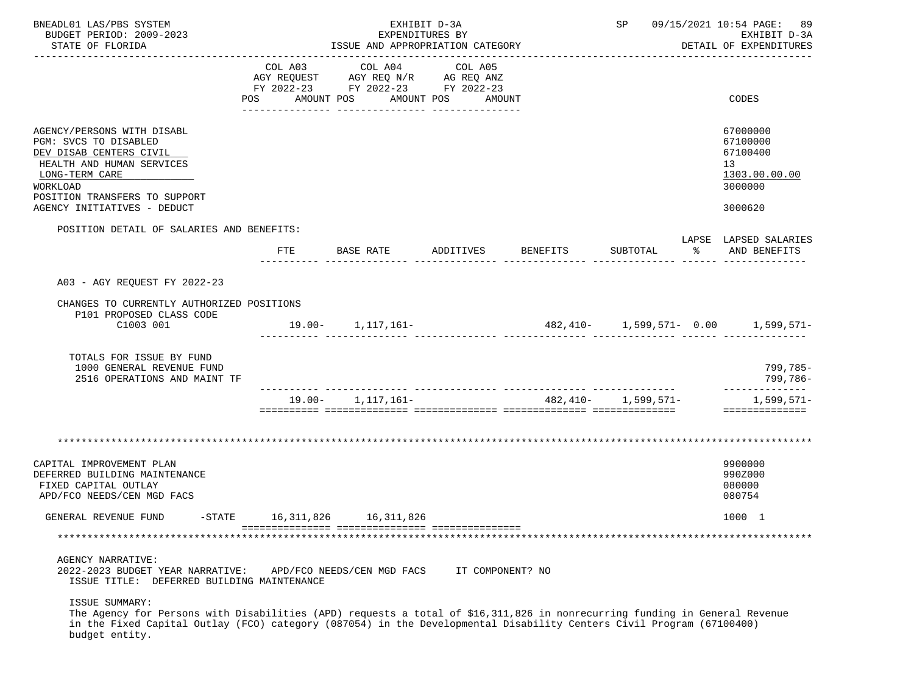| BNEADL01 LAS/PBS SYSTEM<br>BUDGET PERIOD: 2009-2023<br>STATE OF FLORIDA                                                                                                                                                                                                                |                              | ISSUE AND APPROPRIATION CATEGORY                                                  | EXHIBIT D-3A<br>EXPENDITURES BY |                    | 09/15/2021 10:54 PAGE: 89<br>SP<br>EXHIBIT D-3A<br>DETAIL OF EXPENDITURES |                      |                                                                               |  |  |
|----------------------------------------------------------------------------------------------------------------------------------------------------------------------------------------------------------------------------------------------------------------------------------------|------------------------------|-----------------------------------------------------------------------------------|---------------------------------|--------------------|---------------------------------------------------------------------------|----------------------|-------------------------------------------------------------------------------|--|--|
|                                                                                                                                                                                                                                                                                        | COL A03<br>POS<br>AMOUNT POS | COL A04<br>AGY REQUEST AGY REQ N/R AG REQ ANZ<br>FY 2022-23 FY 2022-23 FY 2022-23 | COL A05<br>AMOUNT POS<br>AMOUNT |                    |                                                                           |                      | CODES                                                                         |  |  |
| AGENCY/PERSONS WITH DISABL<br>PGM: SVCS TO DISABLED<br>DEV DISAB CENTERS CIVIL<br>HEALTH AND HUMAN SERVICES<br>LONG-TERM CARE<br>WORKLOAD<br>POSITION TRANSFERS TO SUPPORT<br>AGENCY INITIATIVES - DEDUCT                                                                              |                              |                                                                                   |                                 |                    |                                                                           |                      | 67000000<br>67100000<br>67100400<br>13<br>1303.00.00.00<br>3000000<br>3000620 |  |  |
| POSITION DETAIL OF SALARIES AND BENEFITS:                                                                                                                                                                                                                                              | FTE                          | BASE RATE                                                                         |                                 | ADDITIVES BENEFITS | SUBTOTAL                                                                  | $\sim$ $\sim$ $\sim$ | LAPSE LAPSED SALARIES<br>AND BENEFITS                                         |  |  |
| A03 - AGY REOUEST FY 2022-23                                                                                                                                                                                                                                                           |                              |                                                                                   |                                 |                    |                                                                           |                      |                                                                               |  |  |
| CHANGES TO CURRENTLY AUTHORIZED POSITIONS<br>P101 PROPOSED CLASS CODE<br>C1003 001                                                                                                                                                                                                     |                              | 19.00- 1,117,161-                                                                 |                                 |                    |                                                                           |                      | $482,410-1,599,571-0.00$ 1,599,571-                                           |  |  |
| TOTALS FOR ISSUE BY FUND<br>1000 GENERAL REVENUE FUND<br>2516 OPERATIONS AND MAINT TF                                                                                                                                                                                                  |                              |                                                                                   |                                 |                    |                                                                           |                      | 799,785-<br>799,786-                                                          |  |  |
|                                                                                                                                                                                                                                                                                        |                              | $19.00 - 1,117,161 -$                                                             |                                 |                    | 482, 410- 1, 599, 571-                                                    |                      | --------------<br>$1,599,571-$<br>==============                              |  |  |
|                                                                                                                                                                                                                                                                                        |                              |                                                                                   |                                 |                    |                                                                           |                      |                                                                               |  |  |
| CAPITAL IMPROVEMENT PLAN<br>DEFERRED BUILDING MAINTENANCE<br>FIXED CAPITAL OUTLAY<br>APD/FCO NEEDS/CEN MGD FACS                                                                                                                                                                        |                              |                                                                                   |                                 |                    |                                                                           |                      | 9900000<br>990Z000<br>080000<br>080754                                        |  |  |
| $-$ STATE<br>GENERAL REVENUE FUND                                                                                                                                                                                                                                                      | 16,311,826                   | 16,311,826                                                                        |                                 |                    |                                                                           |                      | 1000 1                                                                        |  |  |
|                                                                                                                                                                                                                                                                                        |                              |                                                                                   |                                 |                    |                                                                           |                      |                                                                               |  |  |
| AGENCY NARRATIVE:<br>2022-2023 BUDGET YEAR NARRATIVE:<br>ISSUE TITLE: DEFERRED BUILDING MAINTENANCE                                                                                                                                                                                    |                              | APD/FCO NEEDS/CEN MGD FACS                                                        | IT COMPONENT? NO                |                    |                                                                           |                      |                                                                               |  |  |
| ISSUE SUMMARY:<br>The Agency for Persons with Disabilities (APD) requests a total of \$16,311,826 in nonrecurring funding in General Revenue<br>in the Fixed Capital Outlay (FCO) category (087054) in the Developmental Disability Centers Civil Program (67100400)<br>budget entity. |                              |                                                                                   |                                 |                    |                                                                           |                      |                                                                               |  |  |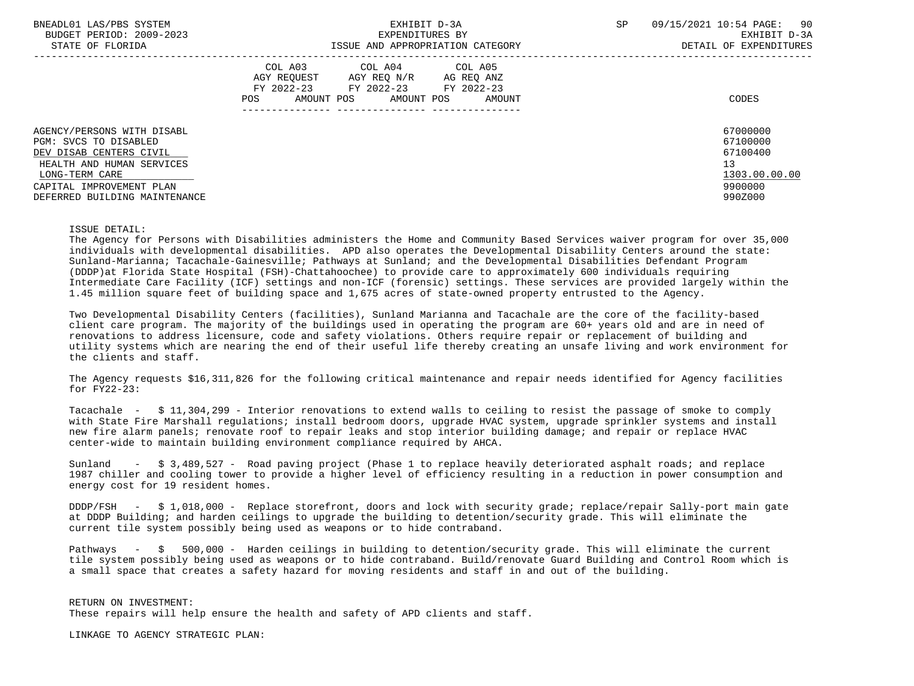| BNEADL01 LAS/PBS SYSTEM<br>BUDGET PERIOD: 2009-2023<br>STATE OF FLORIDA | EXHIBIT D-3A<br>EXPENDITURES BY<br>ISSUE AND APPROPRIATION CATEGORY                                                                                  | 90<br>09/15/2021 10:54 PAGE:<br><b>SP</b><br>EXHIBIT D-3A<br>DETAIL OF EXPENDITURES |
|-------------------------------------------------------------------------|------------------------------------------------------------------------------------------------------------------------------------------------------|-------------------------------------------------------------------------------------|
|                                                                         | COL A03 COL A04 COL A05<br>AGY REOUEST<br>AGY REO N/R<br>AG REO ANZ<br>FY 2022-23<br>FY 2022-23 FY 2022-23<br>AMOUNT POS AMOUNT POS<br>AMOUNT<br>POS | CODES                                                                               |
| AGENCY/PERSONS WITH DISABL<br>PGM: SVCS TO DISABLED                     |                                                                                                                                                      | 67000000<br>67100000                                                                |
| DEV DISAB CENTERS CIVIL                                                 |                                                                                                                                                      | 67100400                                                                            |
| HEALTH AND HUMAN SERVICES                                               |                                                                                                                                                      | 13                                                                                  |
| LONG-TERM CARE                                                          |                                                                                                                                                      | 1303.00.00.00                                                                       |
| CAPITAL IMPROVEMENT PLAN                                                |                                                                                                                                                      | 9900000                                                                             |
| DEFERRED BUILDING MAINTENANCE                                           |                                                                                                                                                      | 990Z000                                                                             |

### ISSUE DETAIL:

 The Agency for Persons with Disabilities administers the Home and Community Based Services waiver program for over 35,000 individuals with developmental disabilities. APD also operates the Developmental Disability Centers around the state: Sunland-Marianna; Tacachale-Gainesville; Pathways at Sunland; and the Developmental Disabilities Defendant Program (DDDP)at Florida State Hospital (FSH)-Chattahoochee) to provide care to approximately 600 individuals requiring Intermediate Care Facility (ICF) settings and non-ICF (forensic) settings. These services are provided largely within the 1.45 million square feet of building space and 1,675 acres of state-owned property entrusted to the Agency.

 Two Developmental Disability Centers (facilities), Sunland Marianna and Tacachale are the core of the facility-based client care program. The majority of the buildings used in operating the program are 60+ years old and are in need of renovations to address licensure, code and safety violations. Others require repair or replacement of building and utility systems which are nearing the end of their useful life thereby creating an unsafe living and work environment for the clients and staff.

 The Agency requests \$16,311,826 for the following critical maintenance and repair needs identified for Agency facilities for FY22-23:

 Tacachale - \$ 11,304,299 - Interior renovations to extend walls to ceiling to resist the passage of smoke to comply with State Fire Marshall regulations; install bedroom doors, upgrade HVAC system, upgrade sprinkler systems and install new fire alarm panels; renovate roof to repair leaks and stop interior building damage; and repair or replace HVAC center-wide to maintain building environment compliance required by AHCA.

Sunland - \$ 3,489,527 - Road paving project (Phase 1 to replace heavily deteriorated asphalt roads; and replace 1987 chiller and cooling tower to provide a higher level of efficiency resulting in a reduction in power consumption and energy cost for 19 resident homes.

 DDDP/FSH - \$ 1,018,000 - Replace storefront, doors and lock with security grade; replace/repair Sally-port main gate at DDDP Building; and harden ceilings to upgrade the building to detention/security grade. This will eliminate the current tile system possibly being used as weapons or to hide contraband.

 Pathways - \$ 500,000 - Harden ceilings in building to detention/security grade. This will eliminate the current tile system possibly being used as weapons or to hide contraband. Build/renovate Guard Building and Control Room which is a small space that creates a safety hazard for moving residents and staff in and out of the building.

 RETURN ON INVESTMENT: These repairs will help ensure the health and safety of APD clients and staff.

LINKAGE TO AGENCY STRATEGIC PLAN: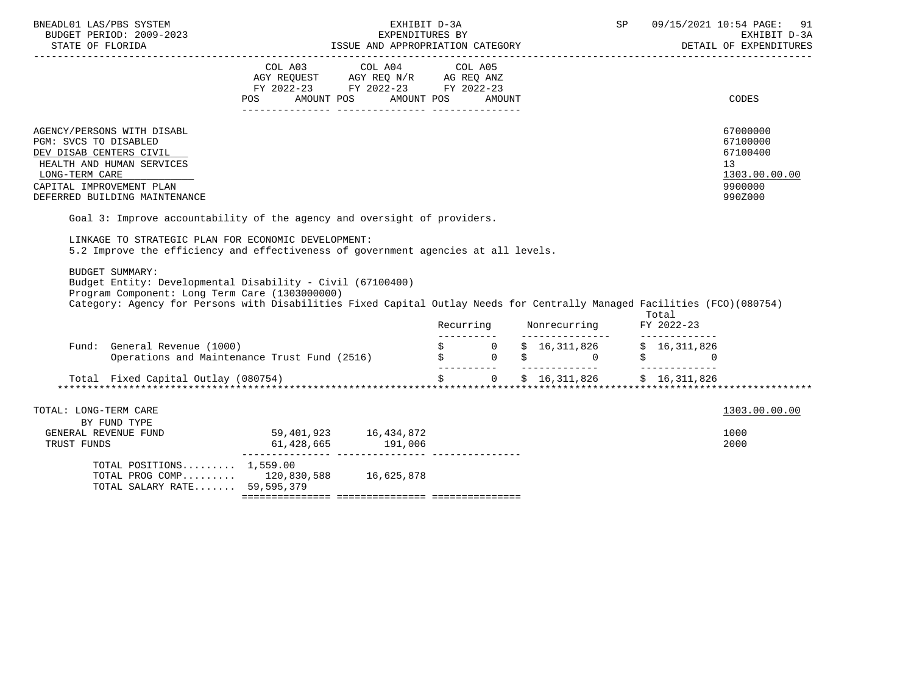| BNEADL01 LAS/PBS SYSTEM                                                                                                                                                                    |                                                                                                                                                                                                                                                                                                                                                          | EXHIBIT D-3A |                         | 09/15/2021 10:54 PAGE: 91<br>SP<br>BUDGET PERIOD: 2009–2023 EXPENDITURES BY EXPENDITURES BY EXHIBIT D-3A<br>STATE OF FLORIDA                                 ISSUE AND APPROPRIATION CATEGORY                         DETAIL OF EXPENDITURES |                                                                                            |  |
|--------------------------------------------------------------------------------------------------------------------------------------------------------------------------------------------|----------------------------------------------------------------------------------------------------------------------------------------------------------------------------------------------------------------------------------------------------------------------------------------------------------------------------------------------------------|--------------|-------------------------|----------------------------------------------------------------------------------------------------------------------------------------------------------------------------------------------------------------------------------------------|--------------------------------------------------------------------------------------------|--|
|                                                                                                                                                                                            | COL A03 COL A04 COL A05<br>AGY REQUEST AGY REQ N/R AG REQ ANZ<br>FY 2022-23 FY 2022-23 FY 2022-23<br>AMOUNT POS AMOUNT POS<br><b>POS</b>                                                                                                                                                                                                                 | AMOUNT       |                         |                                                                                                                                                                                                                                              | CODES                                                                                      |  |
| AGENCY/PERSONS WITH DISABL<br>PGM: SVCS TO DISABLED<br>DEV DISAB CENTERS CIVIL<br>HEALTH AND HUMAN SERVICES<br>LONG-TERM CARE<br>CAPITAL IMPROVEMENT PLAN<br>DEFERRED BUILDING MAINTENANCE |                                                                                                                                                                                                                                                                                                                                                          |              |                         |                                                                                                                                                                                                                                              | 67000000<br>67100000<br>67100400<br>13 <sup>7</sup><br>1303.00.00.00<br>9900000<br>990Z000 |  |
| LINKAGE TO STRATEGIC PLAN FOR ECONOMIC DEVELOPMENT:<br><b>BUDGET SUMMARY:</b><br>Program Component: Long Term Care (1303000000)                                                            | Goal 3: Improve accountability of the agency and oversight of providers.<br>5.2 Improve the efficiency and effectiveness of government agencies at all levels.<br>Budget Entity: Developmental Disability - Civil (67100400)<br>Category: Agency for Persons with Disabilities Fixed Capital Outlay Needs for Centrally Managed Facilities (FCO)(080754) | Recurring    | Nonrecurring FY 2022-23 | Total<br>-------------                                                                                                                                                                                                                       |                                                                                            |  |
| Fund: General Revenue (1000)                                                                                                                                                               | General Revenue (1000)<br>Operations and Maintenance Trust Fund (2516)<br>S 30 \$ 0 \$ 0 \$<br>0 \$                                                                                                                                                                                                                                                      |              |                         |                                                                                                                                                                                                                                              |                                                                                            |  |
|                                                                                                                                                                                            |                                                                                                                                                                                                                                                                                                                                                          | ___________  |                         |                                                                                                                                                                                                                                              |                                                                                            |  |
| TOTAL: LONG-TERM CARE<br>BY FUND TYPE                                                                                                                                                      |                                                                                                                                                                                                                                                                                                                                                          |              |                         |                                                                                                                                                                                                                                              | 1303.00.00.00                                                                              |  |
| GENERAL REVENUE FUND<br>TRUST FUNDS                                                                                                                                                        | 59,401,923 16,434,872<br>191,006<br>61,428,665                                                                                                                                                                                                                                                                                                           |              |                         |                                                                                                                                                                                                                                              | 1000<br>2000                                                                               |  |

| TOTAL POSITIONS $1,559.00$   |             |            |  |
|------------------------------|-------------|------------|--|
| TOTAL PROG COMP              | 120,830,588 | 16,625,878 |  |
| TOTAL SALARY RATE 59,595,379 |             |            |  |
|                              |             |            |  |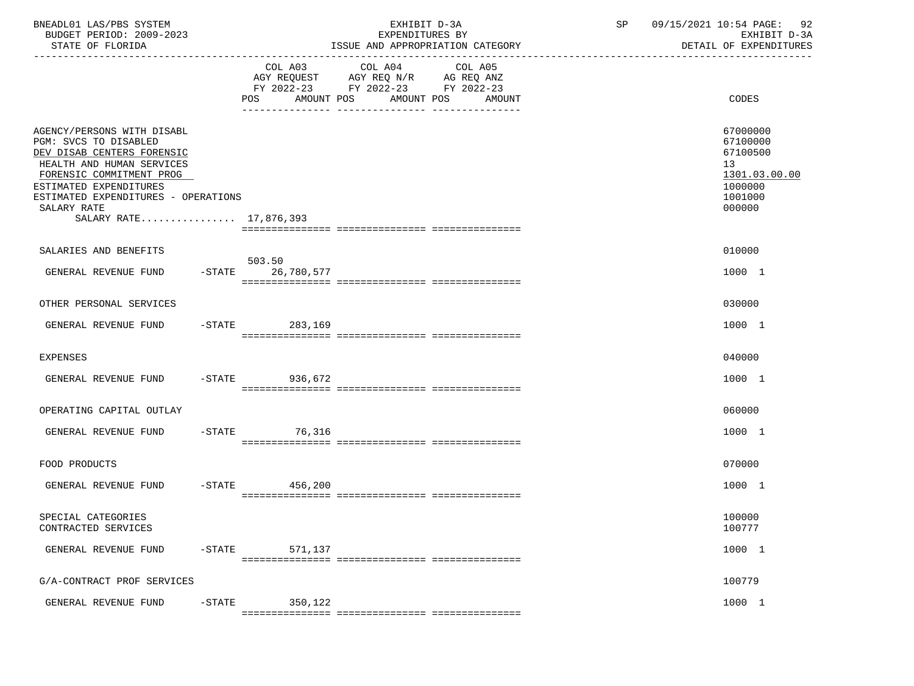| BNEADL01 LAS/PBS SYSTEM<br>BUDGET PERIOD: 2009-2023<br>STATE OF FLORIDA                                                                                                                                                                              |           |                              | EXHIBIT D-3A<br>EXPENDITURES BY<br>ISSUE AND APPROPRIATION CATEGORY                                                  | SP | 09/15/2021 10:54 PAGE: 92<br>EXHIBIT D-3A<br>DETAIL OF EXPENDITURES                     |
|------------------------------------------------------------------------------------------------------------------------------------------------------------------------------------------------------------------------------------------------------|-----------|------------------------------|----------------------------------------------------------------------------------------------------------------------|----|-----------------------------------------------------------------------------------------|
|                                                                                                                                                                                                                                                      |           | COL A03<br>AMOUNT POS<br>POS | COL A04<br>COL A05<br>AGY REQUEST AGY REQ N/R AG REQ ANZ<br>FY 2022-23 FY 2022-23 FY 2022-23<br>AMOUNT POS<br>AMOUNT |    | CODES                                                                                   |
| AGENCY/PERSONS WITH DISABL<br>PGM: SVCS TO DISABLED<br>DEV DISAB CENTERS FORENSIC<br>HEALTH AND HUMAN SERVICES<br>FORENSIC COMMITMENT PROG<br>ESTIMATED EXPENDITURES<br>ESTIMATED EXPENDITURES - OPERATIONS<br>SALARY RATE<br>SALARY RATE 17,876,393 |           |                              |                                                                                                                      |    | 67000000<br>67100000<br>67100500<br>13<br>1301.03.00.00<br>1000000<br>1001000<br>000000 |
| SALARIES AND BENEFITS                                                                                                                                                                                                                                |           |                              |                                                                                                                      |    | 010000                                                                                  |
| GENERAL REVENUE FUND                                                                                                                                                                                                                                 | $-$ STATE | 503.50<br>26,780,577         |                                                                                                                      |    | 1000 1                                                                                  |
| OTHER PERSONAL SERVICES                                                                                                                                                                                                                              |           |                              |                                                                                                                      |    | 030000                                                                                  |
| GENERAL REVENUE FUND                                                                                                                                                                                                                                 | $-$ STATE | 283,169                      |                                                                                                                      |    | 1000 1                                                                                  |
| <b>EXPENSES</b>                                                                                                                                                                                                                                      |           |                              |                                                                                                                      |    | 040000                                                                                  |
| GENERAL REVENUE FUND                                                                                                                                                                                                                                 | $-STATE$  | 936,672                      |                                                                                                                      |    | 1000 1                                                                                  |
| OPERATING CAPITAL OUTLAY                                                                                                                                                                                                                             |           |                              |                                                                                                                      |    | 060000                                                                                  |
| GENERAL REVENUE FUND                                                                                                                                                                                                                                 | $-$ STATE | 76,316                       |                                                                                                                      |    | 1000 1                                                                                  |
| FOOD PRODUCTS                                                                                                                                                                                                                                        |           |                              |                                                                                                                      |    | 070000                                                                                  |
| GENERAL REVENUE FUND                                                                                                                                                                                                                                 | $-$ STATE | 456,200                      |                                                                                                                      |    | 1000 1                                                                                  |
| SPECIAL CATEGORIES<br>CONTRACTED SERVICES                                                                                                                                                                                                            |           |                              |                                                                                                                      |    | 100000<br>100777                                                                        |
| GENERAL REVENUE FUND                                                                                                                                                                                                                                 | $-$ STATE | 571,137                      |                                                                                                                      |    | 1000 1                                                                                  |
| G/A-CONTRACT PROF SERVICES                                                                                                                                                                                                                           |           |                              |                                                                                                                      |    | 100779                                                                                  |
| GENERAL REVENUE FUND                                                                                                                                                                                                                                 | $-$ STATE | 350,122                      |                                                                                                                      |    | 1000 1                                                                                  |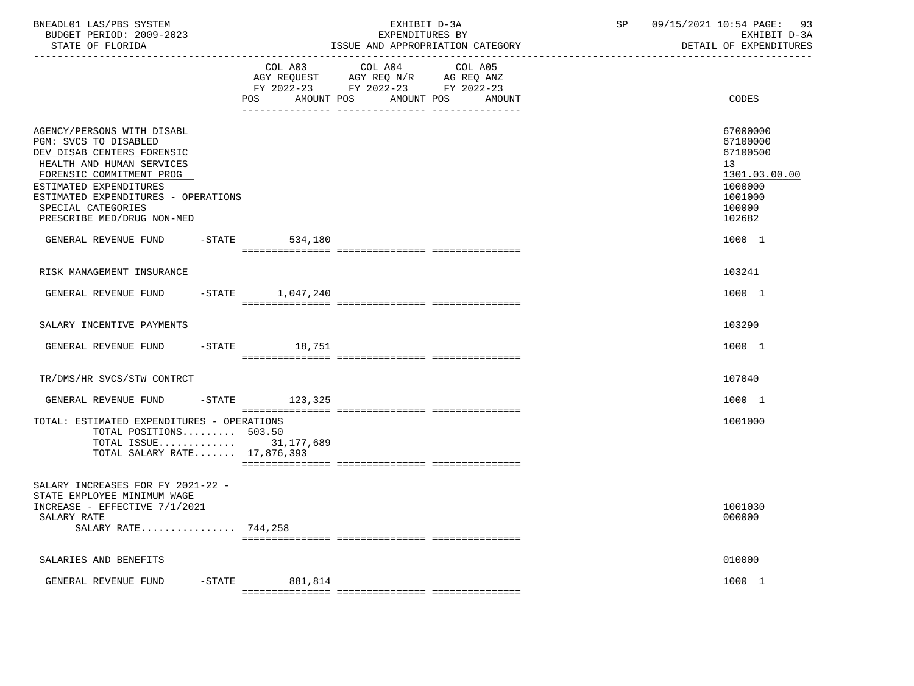| BNEADL01 LAS/PBS SYSTEM<br>BUDGET PERIOD: 2009-2023<br>STATE OF FLORIDA                                                                                                                                                                                         |                   | EXHIBIT D-3A<br>EXPENDITURES BY<br>ISSUE AND APPROPRIATION CATEGORY                                                                                                | SP | 09/15/2021 10:54 PAGE: 93<br>EXHIBIT D-3A<br>DETAIL OF EXPENDITURES                                            |
|-----------------------------------------------------------------------------------------------------------------------------------------------------------------------------------------------------------------------------------------------------------------|-------------------|--------------------------------------------------------------------------------------------------------------------------------------------------------------------|----|----------------------------------------------------------------------------------------------------------------|
|                                                                                                                                                                                                                                                                 | POS<br>AMOUNT POS | COL A03 COL A04<br>COL A05<br>AGY REQUEST AGY REQ N/R AG REQ ANZ<br>FY 2022-23 FY 2022-23 FY 2022-23<br>AMOUNT POS<br>AMOUNT<br>---------------<br>--------------- |    | CODES                                                                                                          |
| AGENCY/PERSONS WITH DISABL<br>PGM: SVCS TO DISABLED<br>DEV DISAB CENTERS FORENSIC<br>HEALTH AND HUMAN SERVICES<br>FORENSIC COMMITMENT PROG<br>ESTIMATED EXPENDITURES<br>ESTIMATED EXPENDITURES - OPERATIONS<br>SPECIAL CATEGORIES<br>PRESCRIBE MED/DRUG NON-MED |                   |                                                                                                                                                                    |    | 67000000<br>67100000<br>67100500<br>13 <sup>°</sup><br>1301.03.00.00<br>1000000<br>1001000<br>100000<br>102682 |
| GENERAL REVENUE FUND                                                                                                                                                                                                                                            | $-STATE$ 534,180  |                                                                                                                                                                    |    | 1000 1                                                                                                         |
| RISK MANAGEMENT INSURANCE                                                                                                                                                                                                                                       |                   |                                                                                                                                                                    |    | 103241                                                                                                         |
| GENERAL REVENUE FUND                                                                                                                                                                                                                                            | -STATE 1,047,240  |                                                                                                                                                                    |    | 1000 1                                                                                                         |
| SALARY INCENTIVE PAYMENTS                                                                                                                                                                                                                                       |                   |                                                                                                                                                                    |    | 103290                                                                                                         |
| GENERAL REVENUE FUND -STATE 18,751                                                                                                                                                                                                                              |                   |                                                                                                                                                                    |    | 1000 1                                                                                                         |
| TR/DMS/HR SVCS/STW CONTRCT                                                                                                                                                                                                                                      |                   |                                                                                                                                                                    |    | 107040                                                                                                         |
| GENERAL REVENUE FUND -STATE 123,325                                                                                                                                                                                                                             |                   |                                                                                                                                                                    |    | 1000 1                                                                                                         |
| TOTAL: ESTIMATED EXPENDITURES - OPERATIONS<br>TOTAL POSITIONS 503.50<br>TOTAL ISSUE 31,177,689<br>TOTAL SALARY RATE 17,876,393                                                                                                                                  |                   |                                                                                                                                                                    |    | 1001000                                                                                                        |
| SALARY INCREASES FOR FY 2021-22 -<br>STATE EMPLOYEE MINIMUM WAGE<br>INCREASE - EFFECTIVE 7/1/2021<br>SALARY RATE<br>SALARY RATE 744,258                                                                                                                         |                   |                                                                                                                                                                    |    | 1001030<br>000000                                                                                              |
| SALARIES AND BENEFITS                                                                                                                                                                                                                                           |                   |                                                                                                                                                                    |    | 010000                                                                                                         |
| $-$ STATE<br>GENERAL REVENUE FUND                                                                                                                                                                                                                               | 881,814           |                                                                                                                                                                    |    | 1000 1                                                                                                         |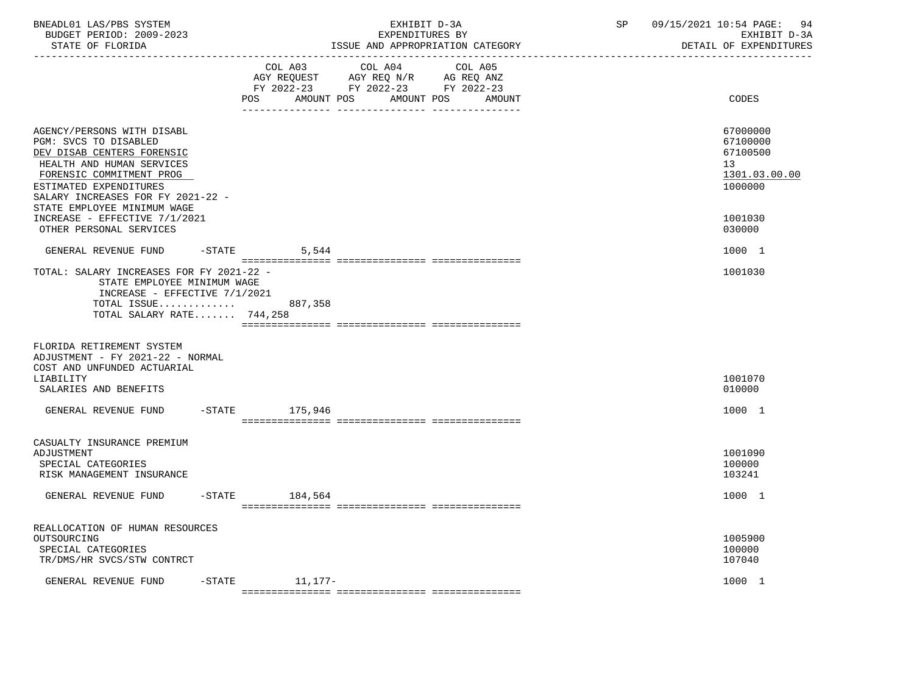| BNEADL01 LAS/PBS SYSTEM<br>BUDGET PERIOD: 2009-2023<br>STATE OF FLORIDA                                                                                                                                                                  |           | EXHIBIT D-3A<br>EXPENDITURES BY<br>ISSUE AND APPROPRIATION CATEGORY |                                                                                                 |                              | $\operatorname{SP}$ | 09/15/2021 10:54 PAGE:<br>94<br>EXHIBIT D-3A<br>DETAIL OF EXPENDITURES |
|------------------------------------------------------------------------------------------------------------------------------------------------------------------------------------------------------------------------------------------|-----------|---------------------------------------------------------------------|-------------------------------------------------------------------------------------------------|------------------------------|---------------------|------------------------------------------------------------------------|
|                                                                                                                                                                                                                                          |           | COL A03<br><b>POS</b>                                               | COL A04<br>AGY REQUEST AGY REQ N/R AG REQ ANZ<br>FY 2022-23 FY 2022-23 FY 2022-23<br>AMOUNT POS | COL A05<br>AMOUNT POS AMOUNT |                     | CODES                                                                  |
| AGENCY/PERSONS WITH DISABL<br>PGM: SVCS TO DISABLED<br>DEV DISAB CENTERS FORENSIC<br>HEALTH AND HUMAN SERVICES<br>FORENSIC COMMITMENT PROG<br>ESTIMATED EXPENDITURES<br>SALARY INCREASES FOR FY 2021-22 -<br>STATE EMPLOYEE MINIMUM WAGE |           |                                                                     |                                                                                                 |                              |                     | 67000000<br>67100000<br>67100500<br>13<br>1301.03.00.00<br>1000000     |
| INCREASE - EFFECTIVE 7/1/2021<br>OTHER PERSONAL SERVICES                                                                                                                                                                                 |           |                                                                     |                                                                                                 |                              |                     | 1001030<br>030000                                                      |
| GENERAL REVENUE FUND                                                                                                                                                                                                                     | $-$ STATE | 5,544                                                               |                                                                                                 |                              |                     | 1000 1                                                                 |
| TOTAL: SALARY INCREASES FOR FY 2021-22 -<br>STATE EMPLOYEE MINIMUM WAGE<br>INCREASE - EFFECTIVE 7/1/2021<br>TOTAL ISSUE 887,358<br>TOTAL SALARY RATE 744,258                                                                             |           |                                                                     |                                                                                                 |                              |                     | 1001030                                                                |
| FLORIDA RETIREMENT SYSTEM<br>ADJUSTMENT - FY 2021-22 - NORMAL<br>COST AND UNFUNDED ACTUARIAL<br>LIABILITY<br>SALARIES AND BENEFITS                                                                                                       |           |                                                                     |                                                                                                 |                              |                     | 1001070<br>010000                                                      |
| GENERAL REVENUE FUND -STATE 175,946                                                                                                                                                                                                      |           |                                                                     |                                                                                                 |                              |                     | 1000 1                                                                 |
| CASUALTY INSURANCE PREMIUM<br>ADJUSTMENT<br>SPECIAL CATEGORIES<br>RISK MANAGEMENT INSURANCE                                                                                                                                              |           |                                                                     |                                                                                                 |                              |                     | 1001090<br>100000<br>103241                                            |
| GENERAL REVENUE FUND                                                                                                                                                                                                                     | $-$ STATE | 184,564                                                             |                                                                                                 |                              |                     | 1000 1                                                                 |
| REALLOCATION OF HUMAN RESOURCES<br>OUTSOURCING<br>SPECIAL CATEGORIES<br>TR/DMS/HR SVCS/STW CONTRCT                                                                                                                                       |           |                                                                     |                                                                                                 |                              |                     | 1005900<br>100000<br>107040                                            |
| GENERAL REVENUE FUND                                                                                                                                                                                                                     | $-$ STATE | $11,177-$                                                           |                                                                                                 |                              |                     | 1000 1                                                                 |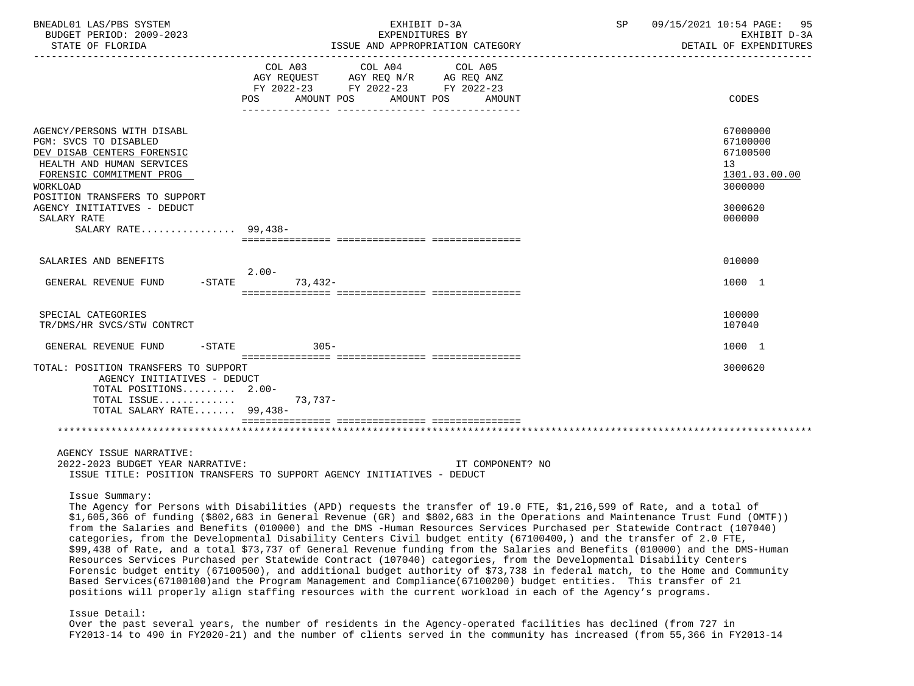| BNEADL01 LAS/PBS SYSTEM<br>BUDGET PERIOD: 2009-2023<br>STATE OF FLORIDA                                                                                                                                                               | EXHIBIT D-3A<br>EXPENDITURES BY<br>ISSUE AND APPROPRIATION CATEGORY                                                                                                                                                                                                                                                                                                                                                                                                                                                                                                                                                                                                                                                                                                                                                                                                                                                                                                                                                                                                                                                            |  | SP 09/15/2021 10:54 PAGE: 95<br>EXHIBIT D-3A<br>DETAIL OF EXPENDITURES                               |
|---------------------------------------------------------------------------------------------------------------------------------------------------------------------------------------------------------------------------------------|--------------------------------------------------------------------------------------------------------------------------------------------------------------------------------------------------------------------------------------------------------------------------------------------------------------------------------------------------------------------------------------------------------------------------------------------------------------------------------------------------------------------------------------------------------------------------------------------------------------------------------------------------------------------------------------------------------------------------------------------------------------------------------------------------------------------------------------------------------------------------------------------------------------------------------------------------------------------------------------------------------------------------------------------------------------------------------------------------------------------------------|--|------------------------------------------------------------------------------------------------------|
|                                                                                                                                                                                                                                       | COL A03 COL A04<br>COL A05<br>AGY REQUEST AGY REQ N/R AG REQ ANZ<br>FY 2022-23 FY 2022-23 FY 2022-23<br>POS<br>AMOUNT POS<br>AMOUNT POS<br>AMOUNT                                                                                                                                                                                                                                                                                                                                                                                                                                                                                                                                                                                                                                                                                                                                                                                                                                                                                                                                                                              |  | CODES                                                                                                |
| AGENCY/PERSONS WITH DISABL<br>PGM: SVCS TO DISABLED<br>DEV DISAB CENTERS FORENSIC<br>HEALTH AND HUMAN SERVICES<br>FORENSIC COMMITMENT PROG<br>WORKLOAD<br>POSITION TRANSFERS TO SUPPORT<br>AGENCY INITIATIVES - DEDUCT<br>SALARY RATE |                                                                                                                                                                                                                                                                                                                                                                                                                                                                                                                                                                                                                                                                                                                                                                                                                                                                                                                                                                                                                                                                                                                                |  | 67000000<br>67100000<br>67100500<br>13 <sup>°</sup><br>1301.03.00.00<br>3000000<br>3000620<br>000000 |
| SALARY RATE 99.438-                                                                                                                                                                                                                   |                                                                                                                                                                                                                                                                                                                                                                                                                                                                                                                                                                                                                                                                                                                                                                                                                                                                                                                                                                                                                                                                                                                                |  |                                                                                                      |
|                                                                                                                                                                                                                                       |                                                                                                                                                                                                                                                                                                                                                                                                                                                                                                                                                                                                                                                                                                                                                                                                                                                                                                                                                                                                                                                                                                                                |  |                                                                                                      |
| SALARIES AND BENEFITS                                                                                                                                                                                                                 | $2.00-$                                                                                                                                                                                                                                                                                                                                                                                                                                                                                                                                                                                                                                                                                                                                                                                                                                                                                                                                                                                                                                                                                                                        |  | 010000                                                                                               |
| GENERAL REVENUE FUND -STATE                                                                                                                                                                                                           | $73,432-$                                                                                                                                                                                                                                                                                                                                                                                                                                                                                                                                                                                                                                                                                                                                                                                                                                                                                                                                                                                                                                                                                                                      |  | 1000 1                                                                                               |
| SPECIAL CATEGORIES<br>TR/DMS/HR SVCS/STW CONTRCT                                                                                                                                                                                      |                                                                                                                                                                                                                                                                                                                                                                                                                                                                                                                                                                                                                                                                                                                                                                                                                                                                                                                                                                                                                                                                                                                                |  | 100000<br>107040                                                                                     |
| GENERAL REVENUE FUND<br>$-$ STATE                                                                                                                                                                                                     | $305 -$                                                                                                                                                                                                                                                                                                                                                                                                                                                                                                                                                                                                                                                                                                                                                                                                                                                                                                                                                                                                                                                                                                                        |  | 1000 1                                                                                               |
| TOTAL: POSITION TRANSFERS TO SUPPORT<br>AGENCY INITIATIVES - DEDUCT<br>TOTAL POSITIONS 2.00-<br>TOTAL ISSUE<br>TOTAL SALARY RATE 99,438-                                                                                              | 73,737-                                                                                                                                                                                                                                                                                                                                                                                                                                                                                                                                                                                                                                                                                                                                                                                                                                                                                                                                                                                                                                                                                                                        |  | 3000620                                                                                              |
|                                                                                                                                                                                                                                       |                                                                                                                                                                                                                                                                                                                                                                                                                                                                                                                                                                                                                                                                                                                                                                                                                                                                                                                                                                                                                                                                                                                                |  |                                                                                                      |
| AGENCY ISSUE NARRATIVE:<br>2022-2023 BUDGET YEAR NARRATIVE:                                                                                                                                                                           | IT COMPONENT? NO<br>ISSUE TITLE: POSITION TRANSFERS TO SUPPORT AGENCY INITIATIVES - DEDUCT                                                                                                                                                                                                                                                                                                                                                                                                                                                                                                                                                                                                                                                                                                                                                                                                                                                                                                                                                                                                                                     |  |                                                                                                      |
| Issue Summary:<br>Issue Detail:                                                                                                                                                                                                       | The Agency for Persons with Disabilities (APD) requests the transfer of 19.0 FTE, \$1,216,599 of Rate, and a total of<br>\$1,605,366 of funding (\$802,683 in General Revenue (GR) and \$802,683 in the Operations and Maintenance Trust Fund (OMTF))<br>from the Salaries and Benefits (010000) and the DMS -Human Resources Services Purchased per Statewide Contract (107040)<br>categories, from the Developmental Disability Centers Civil budget entity (67100400,) and the transfer of 2.0 FTE,<br>\$99,438 of Rate, and a total \$73,737 of General Revenue funding from the Salaries and Benefits (010000) and the DMS-Human<br>Resources Services Purchased per Statewide Contract (107040) categories, from the Developmental Disability Centers<br>Forensic budget entity (67100500), and additional budget authority of \$73,738 in federal match, to the Home and Community<br>Based Services(67100100) and the Program Management and Compliance(67100200) budget entities. This transfer of 21<br>positions will properly align staffing resources with the current workload in each of the Agency's programs. |  |                                                                                                      |

 Over the past several years, the number of residents in the Agency-operated facilities has declined (from 727 in FY2013-14 to 490 in FY2020-21) and the number of clients served in the community has increased (from 55,366 in FY2013-14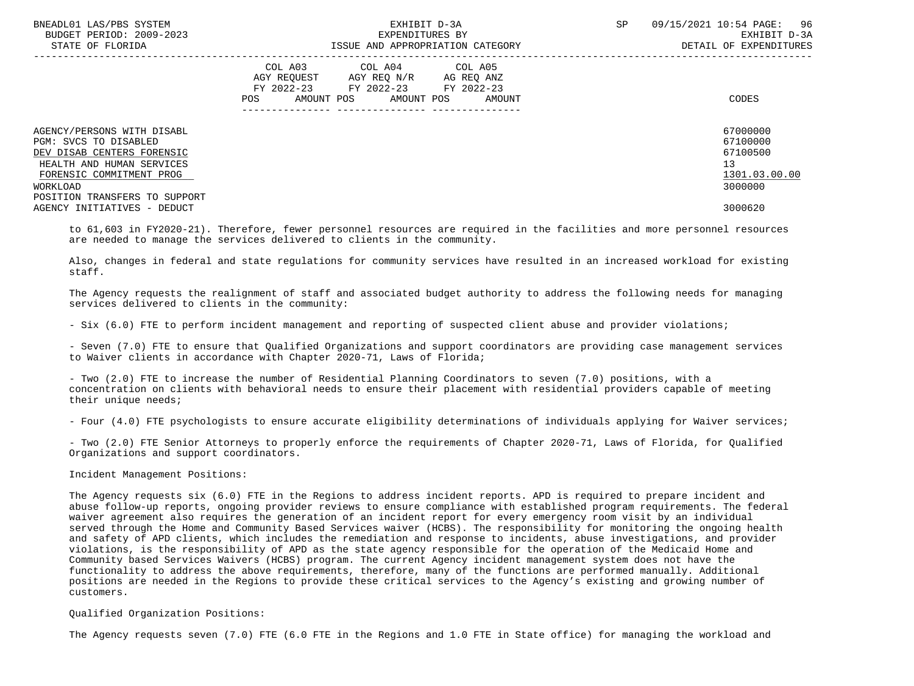| BNEADL01 LAS/PBS SYSTEM<br>BUDGET PERIOD: 2009-2023<br>STATE OF FLORIDA | EXHIBIT D-3A<br>EXPENDITURES BY<br>ISSUE AND APPROPRIATION CATEGORY                                                                         | 09/15/2021 10:54 PAGE: 96<br><b>SP</b><br>EXHIBIT D-3A<br>DETAIL OF EXPENDITURES |
|-------------------------------------------------------------------------|---------------------------------------------------------------------------------------------------------------------------------------------|----------------------------------------------------------------------------------|
|                                                                         | COL A03<br>COL A04 COL A05<br>AGY REQUEST AGY REQ N/R AG REQ ANZ<br>FY 2022-23 FY 2022-23 FY 2022-23<br>AMOUNT POS AMOUNT POS AMOUNT<br>POS | CODES                                                                            |
| AGENCY/PERSONS WITH DISABL                                              |                                                                                                                                             | 67000000<br>67100000                                                             |
| PGM: SVCS TO DISABLED<br>DEV DISAB CENTERS FORENSIC                     |                                                                                                                                             | 67100500                                                                         |
| HEALTH AND HUMAN SERVICES                                               |                                                                                                                                             | 13                                                                               |
| FORENSIC COMMITMENT PROG                                                |                                                                                                                                             | 1301.03.00.00                                                                    |
| WORKLOAD                                                                |                                                                                                                                             | 3000000                                                                          |
| POSITION TRANSFERS TO SUPPORT                                           |                                                                                                                                             |                                                                                  |
| AGENCY INITIATIVES - DEDUCT                                             |                                                                                                                                             | 3000620                                                                          |

 to 61,603 in FY2020-21). Therefore, fewer personnel resources are required in the facilities and more personnel resources are needed to manage the services delivered to clients in the community.

 Also, changes in federal and state regulations for community services have resulted in an increased workload for existing staff.

 The Agency requests the realignment of staff and associated budget authority to address the following needs for managing services delivered to clients in the community:

- Six (6.0) FTE to perform incident management and reporting of suspected client abuse and provider violations;

 - Seven (7.0) FTE to ensure that Qualified Organizations and support coordinators are providing case management services to Waiver clients in accordance with Chapter 2020-71, Laws of Florida;

 - Two (2.0) FTE to increase the number of Residential Planning Coordinators to seven (7.0) positions, with a concentration on clients with behavioral needs to ensure their placement with residential providers capable of meeting their unique needs;

- Four (4.0) FTE psychologists to ensure accurate eligibility determinations of individuals applying for Waiver services;

 - Two (2.0) FTE Senior Attorneys to properly enforce the requirements of Chapter 2020-71, Laws of Florida, for Qualified Organizations and support coordinators.

Incident Management Positions:

 The Agency requests six (6.0) FTE in the Regions to address incident reports. APD is required to prepare incident and abuse follow-up reports, ongoing provider reviews to ensure compliance with established program requirements. The federal waiver agreement also requires the generation of an incident report for every emergency room visit by an individual served through the Home and Community Based Services waiver (HCBS). The responsibility for monitoring the ongoing health and safety of APD clients, which includes the remediation and response to incidents, abuse investigations, and provider violations, is the responsibility of APD as the state agency responsible for the operation of the Medicaid Home and Community based Services Waivers (HCBS) program. The current Agency incident management system does not have the functionality to address the above requirements, therefore, many of the functions are performed manually. Additional positions are needed in the Regions to provide these critical services to the Agency's existing and growing number of customers.

# Qualified Organization Positions:

The Agency requests seven (7.0) FTE (6.0 FTE in the Regions and 1.0 FTE in State office) for managing the workload and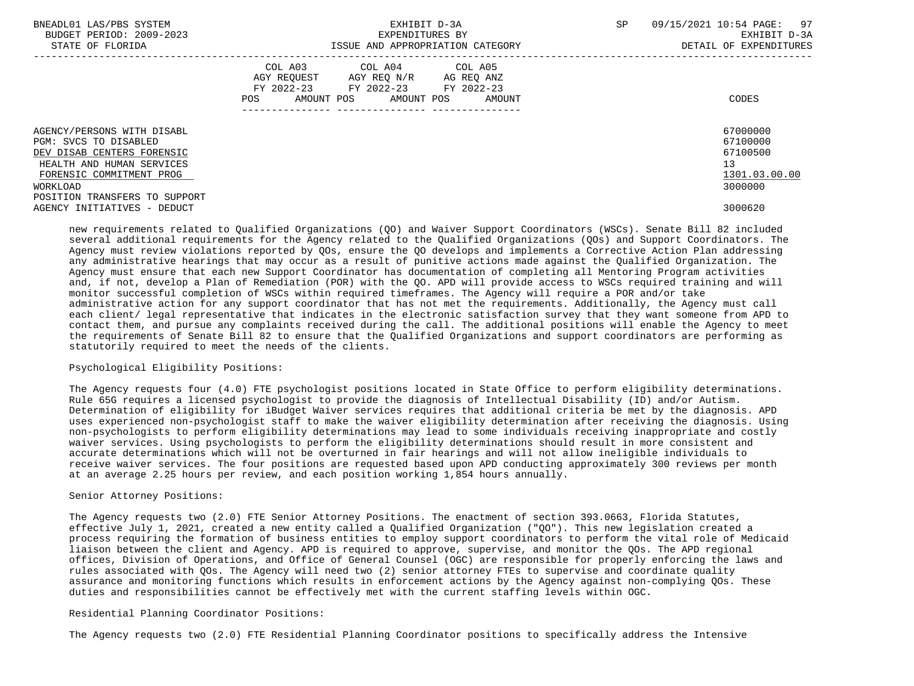| BNEADL01 LAS/PBS SYSTEM<br>BUDGET PERIOD: 2009-2023<br>STATE OF FLORIDA | EXHIBIT D-3A<br>EXPENDITURES BY<br>ISSUE AND APPROPRIATION CATEGORY                                                                      | 09/15/2021 10:54 PAGE: 97<br>SP<br>EXHIBIT D-3A<br>DETAIL OF EXPENDITURES |
|-------------------------------------------------------------------------|------------------------------------------------------------------------------------------------------------------------------------------|---------------------------------------------------------------------------|
|                                                                         | COL A03<br>COL A04 COL A05<br>AGY REQUEST AGY REQ N/R AG REQ ANZ<br>FY 2022-23 FY 2022-23 FY 2022-23<br>POS AMOUNT POS AMOUNT POS AMOUNT | CODES                                                                     |
| AGENCY/PERSONS WITH DISABL                                              |                                                                                                                                          | 67000000                                                                  |
| PGM: SVCS TO DISABLED                                                   |                                                                                                                                          | 67100000                                                                  |
| DEV DISAB CENTERS FORENSIC                                              |                                                                                                                                          | 67100500                                                                  |
| HEALTH AND HUMAN SERVICES                                               |                                                                                                                                          | 13                                                                        |
| FORENSIC COMMITMENT PROG                                                |                                                                                                                                          | 1301.03.00.00                                                             |
| WORKLOAD                                                                |                                                                                                                                          | 3000000                                                                   |
| POSITION TRANSFERS TO SUPPORT                                           |                                                                                                                                          |                                                                           |
| AGENCY INITIATIVES - DEDUCT                                             |                                                                                                                                          | 3000620                                                                   |

 new requirements related to Qualified Organizations (QO) and Waiver Support Coordinators (WSCs). Senate Bill 82 included several additional requirements for the Agency related to the Qualified Organizations (QOs) and Support Coordinators. The Agency must review violations reported by QOs, ensure the QO develops and implements a Corrective Action Plan addressing any administrative hearings that may occur as a result of punitive actions made against the Qualified Organization. The Agency must ensure that each new Support Coordinator has documentation of completing all Mentoring Program activities and, if not, develop a Plan of Remediation (POR) with the QO. APD will provide access to WSCs required training and will monitor successful completion of WSCs within required timeframes. The Agency will require a POR and/or take administrative action for any support coordinator that has not met the requirements. Additionally, the Agency must call each client/ legal representative that indicates in the electronic satisfaction survey that they want someone from APD to contact them, and pursue any complaints received during the call. The additional positions will enable the Agency to meet the requirements of Senate Bill 82 to ensure that the Qualified Organizations and support coordinators are performing as statutorily required to meet the needs of the clients.

# Psychological Eligibility Positions:

 The Agency requests four (4.0) FTE psychologist positions located in State Office to perform eligibility determinations. Rule 65G requires a licensed psychologist to provide the diagnosis of Intellectual Disability (ID) and/or Autism. Determination of eligibility for iBudget Waiver services requires that additional criteria be met by the diagnosis. APD uses experienced non-psychologist staff to make the waiver eligibility determination after receiving the diagnosis. Using non-psychologists to perform eligibility determinations may lead to some individuals receiving inappropriate and costly waiver services. Using psychologists to perform the eligibility determinations should result in more consistent and accurate determinations which will not be overturned in fair hearings and will not allow ineligible individuals to receive waiver services. The four positions are requested based upon APD conducting approximately 300 reviews per month at an average 2.25 hours per review, and each position working 1,854 hours annually.

#### Senior Attorney Positions:

 The Agency requests two (2.0) FTE Senior Attorney Positions. The enactment of section 393.0663, Florida Statutes, effective July 1, 2021, created a new entity called a Qualified Organization ("QO"). This new legislation created a process requiring the formation of business entities to employ support coordinators to perform the vital role of Medicaid liaison between the client and Agency. APD is required to approve, supervise, and monitor the QOs. The APD regional offices, Division of Operations, and Office of General Counsel (OGC) are responsible for properly enforcing the laws and rules associated with QOs. The Agency will need two (2) senior attorney FTEs to supervise and coordinate quality assurance and monitoring functions which results in enforcement actions by the Agency against non-complying QOs. These duties and responsibilities cannot be effectively met with the current staffing levels within OGC.

# Residential Planning Coordinator Positions:

The Agency requests two (2.0) FTE Residential Planning Coordinator positions to specifically address the Intensive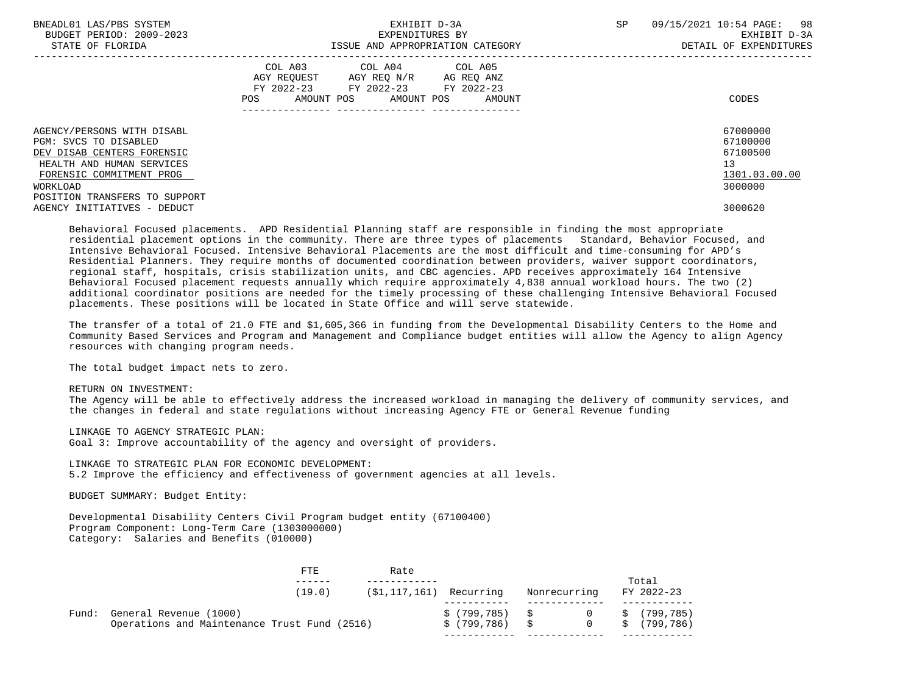| BNEADL01 LAS/PBS SYSTEM<br>BUDGET PERIOD: 2009-2023<br>STATE OF FLORIDA | EXHIBIT D-3A<br>EXPENDITURES BY<br>ISSUE AND APPROPRIATION CATEGORY                                                                                                                                                                                    | <b>SP</b> | 09/15/2021 10:54 PAGE: 98<br>EXHIBIT D-3A<br>DETAIL OF EXPENDITURES |
|-------------------------------------------------------------------------|--------------------------------------------------------------------------------------------------------------------------------------------------------------------------------------------------------------------------------------------------------|-----------|---------------------------------------------------------------------|
|                                                                         | COL A03 COL A04 COL A05<br>AGY REOUEST AGY REO N/R<br>AG REQ ANZ<br>FY 2022-23 FY 2022-23 FY 2022-23<br>AMOUNT POS AMOUNT POS AMOUNT<br>POS FOR THE POST OF THE STATE STATE STATE STATE STATE STATE STATE STATE STATE STATE STATE STATE STATE STATE ST |           | CODES                                                               |
| AGENCY/PERSONS WITH DISABL                                              |                                                                                                                                                                                                                                                        |           | 67000000                                                            |
| PGM: SVCS TO DISABLED                                                   |                                                                                                                                                                                                                                                        |           | 67100000                                                            |
| DEV DISAB CENTERS FORENSIC                                              |                                                                                                                                                                                                                                                        |           | 67100500                                                            |
| HEALTH AND HUMAN SERVICES                                               |                                                                                                                                                                                                                                                        |           | 13                                                                  |
| FORENSIC COMMITMENT PROG                                                |                                                                                                                                                                                                                                                        |           | 1301.03.00.00                                                       |
| WORKLOAD                                                                |                                                                                                                                                                                                                                                        |           | 3000000                                                             |
| POSITION TRANSFERS TO SUPPORT                                           |                                                                                                                                                                                                                                                        |           |                                                                     |
| AGENCY INITIATIVES - DEDUCT                                             |                                                                                                                                                                                                                                                        |           | 3000620                                                             |

 Behavioral Focused placements. APD Residential Planning staff are responsible in finding the most appropriate residential placement options in the community. There are three types of placements Standard, Behavior Focused, and Intensive Behavioral Focused. Intensive Behavioral Placements are the most difficult and time-consuming for APD's Residential Planners. They require months of documented coordination between providers, waiver support coordinators, regional staff, hospitals, crisis stabilization units, and CBC agencies. APD receives approximately 164 Intensive Behavioral Focused placement requests annually which require approximately 4,838 annual workload hours. The two (2) additional coordinator positions are needed for the timely processing of these challenging Intensive Behavioral Focused placements. These positions will be located in State Office and will serve statewide.

 The transfer of a total of 21.0 FTE and \$1,605,366 in funding from the Developmental Disability Centers to the Home and Community Based Services and Program and Management and Compliance budget entities will allow the Agency to align Agency resources with changing program needs.

The total budget impact nets to zero.

RETURN ON INVESTMENT:

 The Agency will be able to effectively address the increased workload in managing the delivery of community services, and the changes in federal and state regulations without increasing Agency FTE or General Revenue funding

 LINKAGE TO AGENCY STRATEGIC PLAN: Goal 3: Improve accountability of the agency and oversight of providers.

 LINKAGE TO STRATEGIC PLAN FOR ECONOMIC DEVELOPMENT: 5.2 Improve the efficiency and effectiveness of government agencies at all levels.

BUDGET SUMMARY: Budget Entity:

 Developmental Disability Centers Civil Program budget entity (67100400) Program Component: Long-Term Care (1303000000) Category: Salaries and Benefits (010000)

|       |                                                                        | FTE.   | Rate |                                |                       |    |                          |
|-------|------------------------------------------------------------------------|--------|------|--------------------------------|-----------------------|----|--------------------------|
|       |                                                                        | (19.0) |      | (\$1,117,161) Recurring        | Nonrecurring          |    | Total<br>FY 2022-23      |
| Fund: | General Revenue (1000)<br>Operations and Maintenance Trust Fund (2516) |        |      | \$(799,785) \$<br>\$ (799,786) | $\Omega$ and $\Omega$ | S. | \$(799.785)<br>(799,786) |
|       |                                                                        |        |      |                                |                       |    |                          |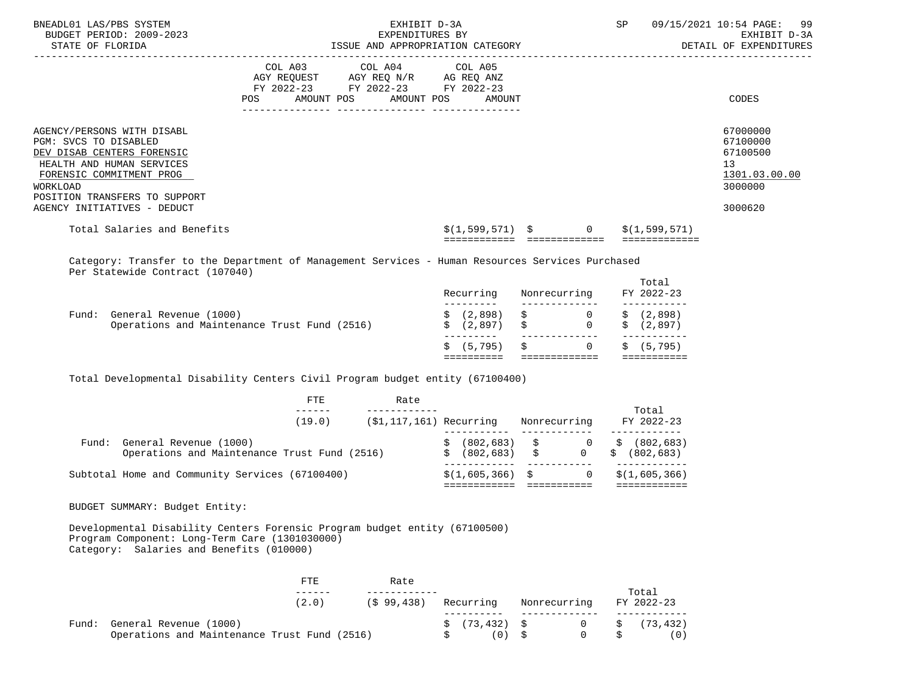| BNEADL01 LAS/PBS SYSTEM<br>BUDGET PERIOD: 2009-2023<br>STATE OF FLORIDA                                                                                                                                                | EXHIBIT D-3A<br>SP<br>EXPENDITURES BY<br>ISSUE AND APPROPRIATION CATEGORY |                                                                                                                                   |                                              |                |                                | 09/15/2021 10:54 PAGE: 99<br>EXHIBIT D-3A<br>DETAIL OF EXPENDITURES           |
|------------------------------------------------------------------------------------------------------------------------------------------------------------------------------------------------------------------------|---------------------------------------------------------------------------|-----------------------------------------------------------------------------------------------------------------------------------|----------------------------------------------|----------------|--------------------------------|-------------------------------------------------------------------------------|
|                                                                                                                                                                                                                        | POS                                                                       | COL A03 COL A04 COL A05<br>AGY REQUEST AGY REQ N/R AG REQ ANZ<br>FY 2022-23 FY 2022-23 FY 2022-23<br>AMOUNT POS AMOUNT POS AMOUNT |                                              |                |                                | CODES                                                                         |
| AGENCY/PERSONS WITH DISABL<br>PGM: SVCS TO DISABLED<br>DEV DISAB CENTERS FORENSIC<br>HEALTH AND HUMAN SERVICES<br>FORENSIC COMMITMENT PROG<br>WORKLOAD<br>POSITION TRANSFERS TO SUPPORT<br>AGENCY INITIATIVES - DEDUCT |                                                                           |                                                                                                                                   |                                              |                |                                | 67000000<br>67100000<br>67100500<br>13<br>1301.03.00.00<br>3000000<br>3000620 |
| Total Salaries and Benefits                                                                                                                                                                                            |                                                                           |                                                                                                                                   | $\zeta(1,599,571)$ $\zeta$ 0<br>============ | -------------- | \$(1,599,571)<br>============= |                                                                               |
|                                                                                                                                                                                                                        |                                                                           |                                                                                                                                   |                                              |                |                                |                                                                               |

 Category: Transfer to the Department of Management Services - Human Resources Services Purchased Per Statewide Contract (107040)

|                                                                                 | Recurring                                 | Nonrecurring         | Total<br>FY 2022-23     |
|---------------------------------------------------------------------------------|-------------------------------------------|----------------------|-------------------------|
| General Revenue (1000)<br>Fund:<br>Operations and Maintenance Trust Fund (2516) | $\sin(2,898)$ $\sin(2,898)$<br>\$ (2.897) | $\sim$ 0<br>0<br>- S | \$(2,898)<br>\$ (2,897) |
|                                                                                 | \$ (5,795) \$                             | 0                    | \$ (5, 795)             |

Total Developmental Disability Centers Civil Program budget entity (67100400)

| FTE<br>Rate                                                                     |                               |                                   |                                       |
|---------------------------------------------------------------------------------|-------------------------------|-----------------------------------|---------------------------------------|
| (19.0)<br>$(§1, 117, 161)$ Recurring                                            |                               | Nonrecurring                      | Total<br>FY 2022-23                   |
| General Revenue (1000)<br>Fund:<br>Operations and Maintenance Trust Fund (2516) | (802,683) \$<br>\$ (802, 683) | $\overline{0}$<br>$\Omega$<br>- S | (802, 683)<br>\$<br>- S<br>(802, 683) |
| Subtotal Home and Community Services (67100400)                                 | $$(1,605,366)$ \$             |                                   | \$(1,605,366)                         |

BUDGET SUMMARY: Budget Entity:

 Developmental Disability Centers Forensic Program budget entity (67100500) Program Component: Long-Term Care (1301030000) Category: Salaries and Benefits (010000)

|  | FTE                                          |  | Rate         |  |                |              |  |                  |
|--|----------------------------------------------|--|--------------|--|----------------|--------------|--|------------------|
|  |                                              |  |              |  |                | Total        |  |                  |
|  | (2.0)                                        |  | $(S$ 99.438) |  | Recurring      | Nonrecurring |  | FY 2022-23       |
|  |                                              |  |              |  |                |              |  |                  |
|  | Fund: General Revenue (1000)                 |  |              |  | \$ (73,432) \$ |              |  | 0 \$ $(73, 432)$ |
|  | Operations and Maintenance Trust Fund (2516) |  |              |  | $(0)$ \$       |              |  | (0)              |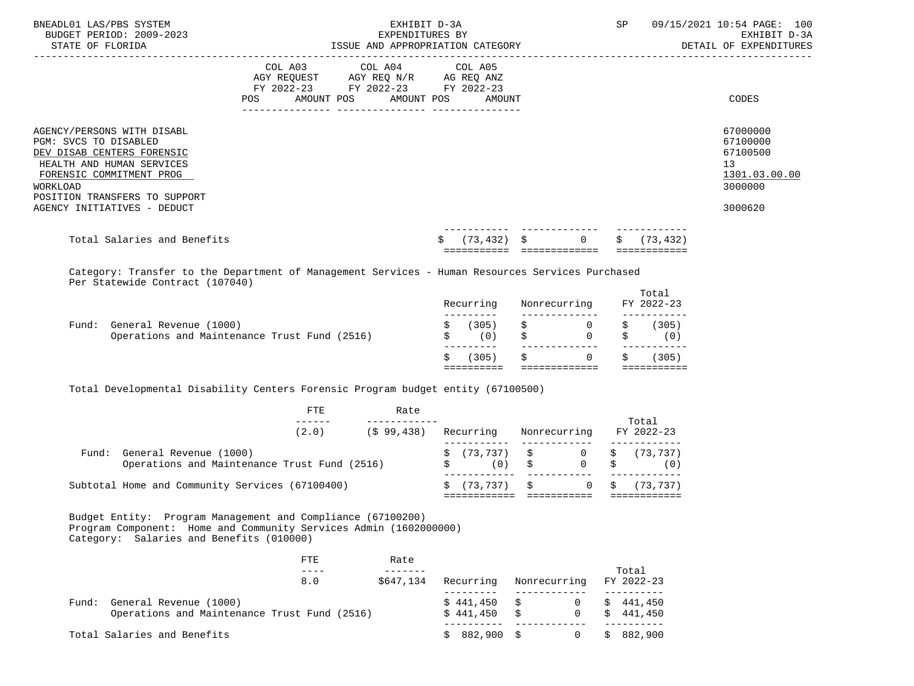| BNEADL01 LAS/PBS SYSTEM<br>BUDGET PERIOD: 2009-2023<br>STATE OF FLORIDA                                                                                                                                                       | ISSUE AND APPROPRIATION CATEGORY  | EXHIBIT D-3A<br>EXPENDITURES BY                                                                                                       | SP            | 09/15/2021 10:54 PAGE: 100<br>EXHIBIT D-3A<br>DETAIL OF EXPENDITURES |                                                                               |
|-------------------------------------------------------------------------------------------------------------------------------------------------------------------------------------------------------------------------------|-----------------------------------|---------------------------------------------------------------------------------------------------------------------------------------|---------------|----------------------------------------------------------------------|-------------------------------------------------------------------------------|
|                                                                                                                                                                                                                               | ---------------- ---------------- | COL A03 COL A04 COL A05<br>AGY REQUEST AGY REQ N/R AG REQ ANZ<br>FY 2022-23 FY 2022-23 FY 2022-23<br>POS AMOUNT POS AMOUNT POS AMOUNT |               |                                                                      | CODES                                                                         |
| AGENCY/PERSONS WITH DISABL<br>PGM: SVCS TO DISABLED<br>DEV DISAB CENTERS FORENSIC<br>HEALTH AND HUMAN SERVICES<br>FORENSIC COMMITMENT PROG<br><b>WORKLOAD</b><br>POSITION TRANSFERS TO SUPPORT<br>AGENCY INITIATIVES - DEDUCT |                                   |                                                                                                                                       |               |                                                                      | 67000000<br>67100000<br>67100500<br>13<br>1301.03.00.00<br>3000000<br>3000620 |
| Total Salaries and Benefits                                                                                                                                                                                                   |                                   | Ŝ.                                                                                                                                    | $(73.432)$ \$ | \$(73, 432)<br>$\Omega$                                              |                                                                               |
| Category: Transfer to the Department of Management Services - Human Resources Services Purchased<br>Per Statewide Contract (107040)                                                                                           |                                   |                                                                                                                                       |               | Total                                                                |                                                                               |

|                                              | (305)     |                                                                                                                                                                                                                               | (305)<br>S.         |
|----------------------------------------------|-----------|-------------------------------------------------------------------------------------------------------------------------------------------------------------------------------------------------------------------------------|---------------------|
| Operations and Maintenance Trust Fund (2516) | (0)<br>S. | $\Omega$                                                                                                                                                                                                                      | (0)<br>S.           |
| General Revenue (1000)<br>Fund:              | (305)     | $S$ and $S$ and $S$ and $S$ and $S$ and $S$ and $S$ and $S$ and $S$ and $S$ and $S$ and $S$ and $S$ and $S$ and $S$ and $S$ and $S$ and $S$ and $S$ and $S$ and $S$ and $S$ and $S$ and $S$ and $S$ and $S$ and $S$ and $S$ a | (305)<br>S.         |
|                                              | Recurring | Nonrecurring                                                                                                                                                                                                                  | TOLAT<br>FY 2022-23 |

Total Developmental Disability Centers Forensic Program budget entity (67100500)

|       |                                                                        | FTE   | Rate      |  |                                                       |              |              | Total                 |
|-------|------------------------------------------------------------------------|-------|-----------|--|-------------------------------------------------------|--------------|--------------|-----------------------|
|       |                                                                        | (2.0) | (599.438) |  | Recurring                                             |              | Nonrecurring | FY 2022-23            |
| Fund: | General Revenue (1000)<br>Operations and Maintenance Trust Fund (2516) |       |           |  | $\sharp$ (73,737) $\sharp$ 0 $\sharp$ (73,737)<br>(0) | $\mathbf{s}$ | 0 \$         | (0)                   |
|       | Subtotal Home and Community Services (67100400)                        |       |           |  | \$(73.737)                                            | S.           |              | $0 \quad$ \$ (73,737) |

 Budget Entity: Program Management and Compliance (67100200) Program Component: Home and Community Services Admin (1602000000) Category: Salaries and Benefits (010000)

|       |                                                                        | FTE.<br>8.0 | Rate<br>\$647.134 | Recurring              | Nonrecurring | Total<br>FY 2022-23    |
|-------|------------------------------------------------------------------------|-------------|-------------------|------------------------|--------------|------------------------|
| Fund: | General Revenue (1000)<br>Operations and Maintenance Trust Fund (2516) |             |                   | \$441,450<br>\$441,450 | Ŝ.           | \$441,450<br>\$441,450 |
|       | Total Salaries and Benefits                                            |             |                   | $$882,900$ \$          |              | \$882,900              |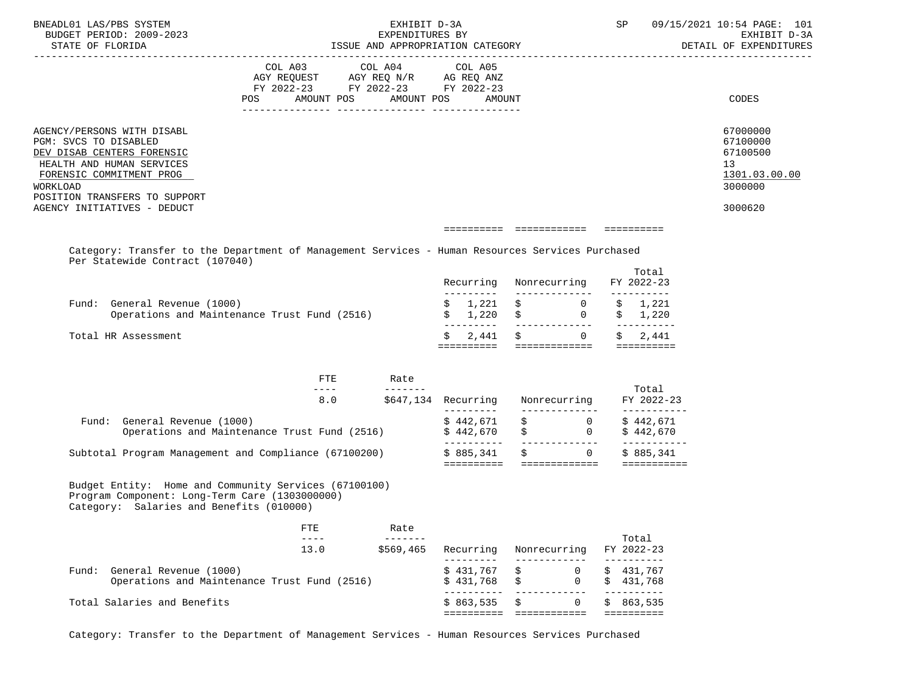|                       | BNEADL01 LAS/PBS SYSTEM                                                                    |                                                                                                                                                                                                                                                                                                                                                                                                                                                                                   | EXHIBIT D-3A                                    |                                                                                                                          |                                                    |                | SP                  |         | 09/15/2021 10:54 PAGE: 101             |
|-----------------------|--------------------------------------------------------------------------------------------|-----------------------------------------------------------------------------------------------------------------------------------------------------------------------------------------------------------------------------------------------------------------------------------------------------------------------------------------------------------------------------------------------------------------------------------------------------------------------------------|-------------------------------------------------|--------------------------------------------------------------------------------------------------------------------------|----------------------------------------------------|----------------|---------------------|---------|----------------------------------------|
| STATE OF FLORIDA      | BUDGET PERIOD: 2009-2023                                                                   | EXPENDITURES BY<br>ISSUE AND APPROPRIATION CATEGORY                                                                                                                                                                                                                                                                                                                                                                                                                               |                                                 |                                                                                                                          |                                                    |                |                     |         | EXHIBIT D-3A<br>DETAIL OF EXPENDITURES |
|                       |                                                                                            |                                                                                                                                                                                                                                                                                                                                                                                                                                                                                   |                                                 |                                                                                                                          |                                                    |                |                     |         |                                        |
|                       |                                                                                            | COL A03                                                                                                                                                                                                                                                                                                                                                                                                                                                                           | COL A04                                         | COL A05                                                                                                                  |                                                    |                |                     |         |                                        |
|                       |                                                                                            | AGY REQUEST AGY REQ N/R AG REQ ANZ                                                                                                                                                                                                                                                                                                                                                                                                                                                |                                                 |                                                                                                                          |                                                    |                |                     |         |                                        |
|                       |                                                                                            | FY 2022-23 FY 2022-23 FY 2022-23<br>POS AMOUNT POS AMOUNT POS AMOUNT                                                                                                                                                                                                                                                                                                                                                                                                              |                                                 |                                                                                                                          |                                                    |                |                     |         | CODES                                  |
|                       |                                                                                            |                                                                                                                                                                                                                                                                                                                                                                                                                                                                                   |                                                 |                                                                                                                          |                                                    |                |                     |         |                                        |
|                       |                                                                                            |                                                                                                                                                                                                                                                                                                                                                                                                                                                                                   |                                                 |                                                                                                                          |                                                    |                |                     |         |                                        |
| PGM: SVCS TO DISABLED | AGENCY/PERSONS WITH DISABL                                                                 |                                                                                                                                                                                                                                                                                                                                                                                                                                                                                   |                                                 |                                                                                                                          |                                                    |                |                     |         | 67000000<br>67100000                   |
|                       | DEV DISAB CENTERS FORENSIC                                                                 |                                                                                                                                                                                                                                                                                                                                                                                                                                                                                   |                                                 |                                                                                                                          |                                                    |                |                     |         | 67100500                               |
|                       | HEALTH AND HUMAN SERVICES                                                                  |                                                                                                                                                                                                                                                                                                                                                                                                                                                                                   |                                                 |                                                                                                                          |                                                    |                |                     |         | 13                                     |
|                       | FORENSIC COMMITMENT PROG                                                                   |                                                                                                                                                                                                                                                                                                                                                                                                                                                                                   |                                                 |                                                                                                                          |                                                    |                |                     |         | 1301.03.00.00                          |
| WORKLOAD              |                                                                                            |                                                                                                                                                                                                                                                                                                                                                                                                                                                                                   |                                                 |                                                                                                                          |                                                    |                |                     |         | 3000000                                |
|                       | POSITION TRANSFERS TO SUPPORT<br>AGENCY INITIATIVES - DEDUCT                               |                                                                                                                                                                                                                                                                                                                                                                                                                                                                                   |                                                 |                                                                                                                          |                                                    |                |                     |         | 3000620                                |
|                       |                                                                                            |                                                                                                                                                                                                                                                                                                                                                                                                                                                                                   |                                                 |                                                                                                                          |                                                    |                |                     |         |                                        |
|                       |                                                                                            |                                                                                                                                                                                                                                                                                                                                                                                                                                                                                   |                                                 |                                                                                                                          |                                                    |                |                     |         |                                        |
|                       |                                                                                            | Category: Transfer to the Department of Management Services - Human Resources Services Purchased                                                                                                                                                                                                                                                                                                                                                                                  |                                                 |                                                                                                                          |                                                    |                |                     |         |                                        |
|                       | Per Statewide Contract (107040)                                                            |                                                                                                                                                                                                                                                                                                                                                                                                                                                                                   |                                                 |                                                                                                                          |                                                    |                |                     | Total   |                                        |
|                       |                                                                                            |                                                                                                                                                                                                                                                                                                                                                                                                                                                                                   |                                                 | Recurring Nonrecurring FY 2022-23                                                                                        |                                                    |                |                     |         |                                        |
|                       |                                                                                            |                                                                                                                                                                                                                                                                                                                                                                                                                                                                                   |                                                 | ----------                                                                                                               |                                                    |                |                     |         |                                        |
|                       | Fund: General Revenue (1000)                                                               |                                                                                                                                                                                                                                                                                                                                                                                                                                                                                   |                                                 | $\begin{matrix} \xi & 1 \,, 221 & \xi & 0 & \xi & 1 \,, 221 \\ \xi & 1 \,, 220 & \xi & 0 & \xi & 1 \,, 220 \end{matrix}$ |                                                    |                |                     |         |                                        |
|                       |                                                                                            | Operations and Maintenance Trust Fund (2516)                                                                                                                                                                                                                                                                                                                                                                                                                                      |                                                 |                                                                                                                          |                                                    |                |                     |         |                                        |
| Total HR Assessment   |                                                                                            |                                                                                                                                                                                                                                                                                                                                                                                                                                                                                   |                                                 | Ŝ.                                                                                                                       | $2,441 \quad \xi \qquad 0 \qquad \xi \qquad 2,441$ |                |                     |         |                                        |
|                       |                                                                                            |                                                                                                                                                                                                                                                                                                                                                                                                                                                                                   |                                                 |                                                                                                                          |                                                    |                |                     |         |                                        |
|                       |                                                                                            |                                                                                                                                                                                                                                                                                                                                                                                                                                                                                   |                                                 |                                                                                                                          |                                                    |                |                     |         |                                        |
|                       |                                                                                            | ETE<br>$\frac{1}{2} \left( \frac{1}{2} \right) \left( \frac{1}{2} \right) \left( \frac{1}{2} \right) \left( \frac{1}{2} \right) \left( \frac{1}{2} \right) \left( \frac{1}{2} \right) \left( \frac{1}{2} \right) \left( \frac{1}{2} \right) \left( \frac{1}{2} \right) \left( \frac{1}{2} \right) \left( \frac{1}{2} \right) \left( \frac{1}{2} \right) \left( \frac{1}{2} \right) \left( \frac{1}{2} \right) \left( \frac{1}{2} \right) \left( \frac{1}{2} \right) \left( \frac$ | Rate<br>---                                     |                                                                                                                          |                                                    |                |                     | Total   |                                        |
|                       |                                                                                            |                                                                                                                                                                                                                                                                                                                                                                                                                                                                                   | 8.0 \$647,134 Recurring Nonrecurring FY 2022-23 |                                                                                                                          |                                                    |                |                     |         |                                        |
|                       |                                                                                            |                                                                                                                                                                                                                                                                                                                                                                                                                                                                                   |                                                 | _________                                                                                                                |                                                    |                |                     |         |                                        |
|                       | Fund: General Revenue (1000)                                                               | General Revenue (1000)<br>Operations and Maintenance Trust Fund (2516)<br>$\frac{1}{2}$ $\frac{1}{2}$ $\frac{1}{2}$ $\frac{1}{2}$ $\frac{1}{2}$ $\frac{1}{2}$ $\frac{1}{2}$ $\frac{1}{2}$ $\frac{1}{2}$ $\frac{1}{2}$ $\frac{1}{2}$ $\frac{1}{2}$ $\frac{1}{2}$ $\frac{1}{2}$ $\frac{1}{2}$                                                                                                                                                                                       |                                                 |                                                                                                                          |                                                    |                |                     |         |                                        |
|                       |                                                                                            |                                                                                                                                                                                                                                                                                                                                                                                                                                                                                   |                                                 |                                                                                                                          |                                                    |                |                     |         |                                        |
|                       |                                                                                            | Subtotal Program Management and Compliance (67100200) $\qquad$ \$ 885,341 \$ 0 \$ 885,341                                                                                                                                                                                                                                                                                                                                                                                         |                                                 |                                                                                                                          |                                                    |                |                     |         |                                        |
|                       |                                                                                            |                                                                                                                                                                                                                                                                                                                                                                                                                                                                                   |                                                 |                                                                                                                          |                                                    |                |                     |         |                                        |
|                       | Program Component: Long-Term Care (1303000000)<br>Category: Salaries and Benefits (010000) | Budget Entity: Home and Community Services (67100100)                                                                                                                                                                                                                                                                                                                                                                                                                             |                                                 |                                                                                                                          |                                                    |                |                     |         |                                        |
|                       |                                                                                            | FTE.                                                                                                                                                                                                                                                                                                                                                                                                                                                                              | Rate                                            |                                                                                                                          |                                                    |                |                     |         |                                        |
|                       |                                                                                            | $\qquad \qquad - - -$<br>13.0                                                                                                                                                                                                                                                                                                                                                                                                                                                     | $- - - - - - -$                                 |                                                                                                                          | Nonrecurring                                       |                | Total<br>FY 2022-23 |         |                                        |
|                       |                                                                                            |                                                                                                                                                                                                                                                                                                                                                                                                                                                                                   | \$569,465                                       | Recurring<br>$- - - -$                                                                                                   |                                                    |                | ----------          |         |                                        |
|                       | Fund: General Revenue (1000)                                                               |                                                                                                                                                                                                                                                                                                                                                                                                                                                                                   |                                                 | \$431,767                                                                                                                | \$                                                 | $\mathbf{0}$   | \$431,767           |         |                                        |
|                       |                                                                                            | Operations and Maintenance Trust Fund (2516)                                                                                                                                                                                                                                                                                                                                                                                                                                      |                                                 | \$431,768                                                                                                                | \$                                                 | $\Omega$       | \$431,768           |         |                                        |
|                       | Total Salaries and Benefits                                                                |                                                                                                                                                                                                                                                                                                                                                                                                                                                                                   |                                                 | \$863,535                                                                                                                | \$                                                 | $\overline{0}$ | ----------<br>S.    | 863,535 |                                        |
|                       |                                                                                            |                                                                                                                                                                                                                                                                                                                                                                                                                                                                                   |                                                 |                                                                                                                          |                                                    |                |                     |         |                                        |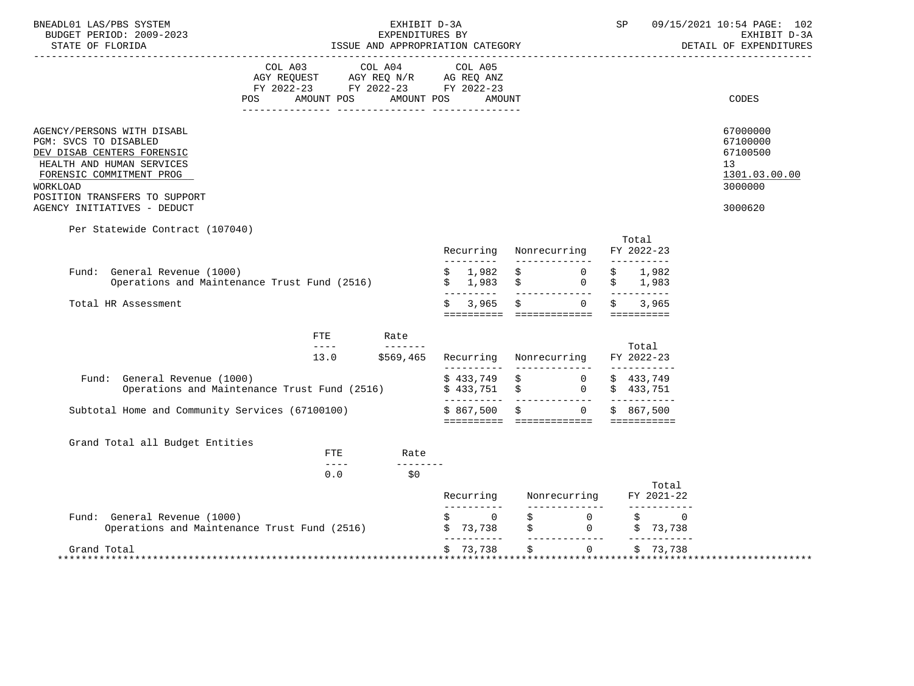| BNEADL01 LAS/PBS SYSTEM<br>BUDGET PERIOD: 2009-2023                                                                                                                                                                    |                                                                                                                                                                                                                                                                                                                                                                                              | SP                                                                                                              | 09/15/2021 10:54 PAGE: 102<br>EXHIBIT D-3A                 |                                                                                                                          |                                                 |                                                                               |
|------------------------------------------------------------------------------------------------------------------------------------------------------------------------------------------------------------------------|----------------------------------------------------------------------------------------------------------------------------------------------------------------------------------------------------------------------------------------------------------------------------------------------------------------------------------------------------------------------------------------------|-----------------------------------------------------------------------------------------------------------------|------------------------------------------------------------|--------------------------------------------------------------------------------------------------------------------------|-------------------------------------------------|-------------------------------------------------------------------------------|
| STATE OF FLORIDA                                                                                                                                                                                                       |                                                                                                                                                                                                                                                                                                                                                                                              | ISSUE AND APPROPRIATION CATEGORY                                                                                |                                                            | DETAIL OF EXPENDITURES                                                                                                   |                                                 |                                                                               |
| POS.                                                                                                                                                                                                                   | AMOUNT POS                                                                                                                                                                                                                                                                                                                                                                                   | COL A03 COL A04 COL A05<br>AGY REQUEST AGY REQ N/R AG REQ ANZ<br>FY 2022-23 FY 2022-23 FY 2022-23<br>AMOUNT POS | AMOUNT                                                     |                                                                                                                          |                                                 | CODES                                                                         |
| AGENCY/PERSONS WITH DISABL<br>PGM: SVCS TO DISABLED<br>DEV DISAB CENTERS FORENSIC<br>HEALTH AND HUMAN SERVICES<br>FORENSIC COMMITMENT PROG<br>WORKLOAD<br>POSITION TRANSFERS TO SUPPORT<br>AGENCY INITIATIVES - DEDUCT |                                                                                                                                                                                                                                                                                                                                                                                              |                                                                                                                 |                                                            |                                                                                                                          |                                                 | 67000000<br>67100000<br>67100500<br>13<br>1301.03.00.00<br>3000000<br>3000620 |
| Per Statewide Contract (107040)                                                                                                                                                                                        |                                                                                                                                                                                                                                                                                                                                                                                              |                                                                                                                 |                                                            | Recurring Nonrecurring                                                                                                   | Total<br>FY 2022-23                             |                                                                               |
| Fund: General Revenue (1000)<br>Operations and Maintenance Trust Fund (2516)                                                                                                                                           |                                                                                                                                                                                                                                                                                                                                                                                              |                                                                                                                 | <u>La La La La L</u><br>1,982<br>\$<br>1,983<br>---------- | $\ddot{\mathbf{S}}$ 0<br>$\ddot{\mathbf{S}}$ 0                                                                           | 1,982<br>\$<br>\$1,983<br>_____________________ |                                                                               |
| Total HR Assessment                                                                                                                                                                                                    |                                                                                                                                                                                                                                                                                                                                                                                              |                                                                                                                 | 3,965<br>Ŝ.                                                | $\Omega$                                                                                                                 | 3,965                                           |                                                                               |
|                                                                                                                                                                                                                        | FTE                                                                                                                                                                                                                                                                                                                                                                                          | Rate                                                                                                            |                                                            |                                                                                                                          |                                                 |                                                                               |
|                                                                                                                                                                                                                        | $\frac{1}{2} \frac{1}{2} \frac{1}{2} \frac{1}{2} \frac{1}{2} \frac{1}{2} \frac{1}{2} \frac{1}{2} \frac{1}{2} \frac{1}{2} \frac{1}{2} \frac{1}{2} \frac{1}{2} \frac{1}{2} \frac{1}{2} \frac{1}{2} \frac{1}{2} \frac{1}{2} \frac{1}{2} \frac{1}{2} \frac{1}{2} \frac{1}{2} \frac{1}{2} \frac{1}{2} \frac{1}{2} \frac{1}{2} \frac{1}{2} \frac{1}{2} \frac{1}{2} \frac{1}{2} \frac{1}{2} \frac{$ | ________<br>13.0 \$569,465                                                                                      |                                                            | Recurring Nonrecurring                                                                                                   | Total<br>FY 2022-23                             |                                                                               |
| Fund: General Revenue (1000)<br>Operations and Maintenance Trust Fund (2516)                                                                                                                                           |                                                                                                                                                                                                                                                                                                                                                                                              |                                                                                                                 |                                                            | $\begin{matrix} \xi & 433\,,749 & \xi & 0 & \xi & 433\,,749 \\ \xi & 433\,,751 & \xi & 0 & \xi & 433\,,751 \end{matrix}$ |                                                 |                                                                               |
| Subtotal Home and Community Services (67100100)                                                                                                                                                                        |                                                                                                                                                                                                                                                                                                                                                                                              |                                                                                                                 |                                                            | $$867,500 \t$$ 0<br>========== ============== ===========                                                                | \$867.500                                       |                                                                               |
| Grand Total all Budget Entities                                                                                                                                                                                        | ETE<br>$- - - - -$                                                                                                                                                                                                                                                                                                                                                                           | Rate                                                                                                            |                                                            |                                                                                                                          |                                                 |                                                                               |
|                                                                                                                                                                                                                        | 0.0                                                                                                                                                                                                                                                                                                                                                                                          | \$0                                                                                                             |                                                            | Recurring Nonrecurring                                                                                                   | Total<br>FY 2021-22                             |                                                                               |
| Fund: General Revenue (1000)<br>Operations and Maintenance Trust Fund (2516)                                                                                                                                           |                                                                                                                                                                                                                                                                                                                                                                                              |                                                                                                                 | $\overline{0}$<br>\$73,738<br>-----------                  | \$<br>$\overline{0}$<br>$\begin{array}{ccc}\n\stackrel{\rightarrow}{\mathbf{S}} & \mathbf{0}\n\end{array}$<br>---------  | $\dot{\mathbf{S}}$ 0<br>\$73,738<br>___________ |                                                                               |
| Grand Total                                                                                                                                                                                                            |                                                                                                                                                                                                                                                                                                                                                                                              |                                                                                                                 | \$73,738                                                   | $\ddot{s}$                                                                                                               | $\Omega$<br>\$73,738                            |                                                                               |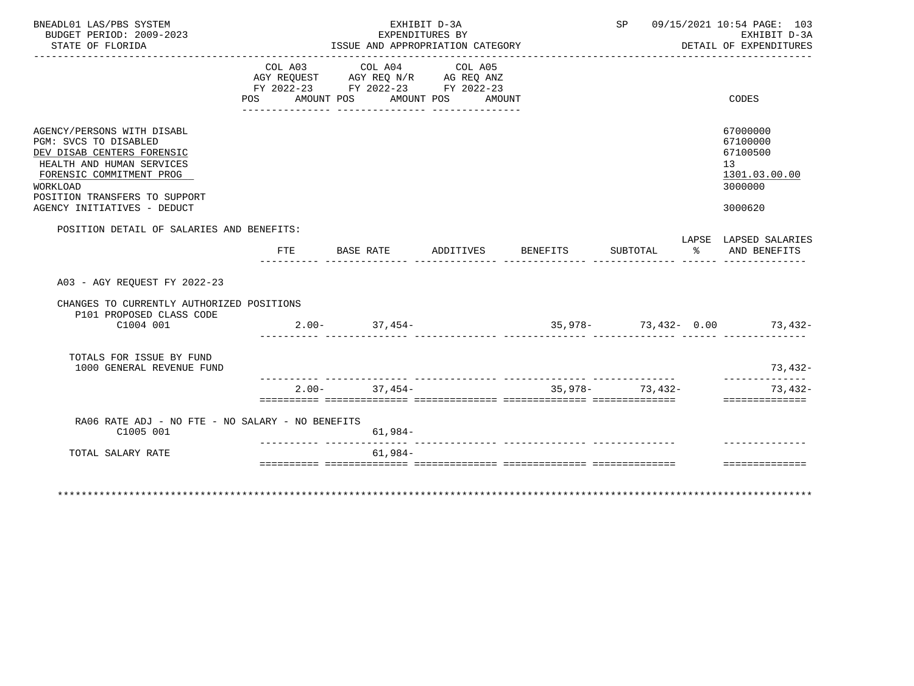| BNEADL01 LAS/PBS SYSTEM<br>BUDGET PERIOD: 2009-2023<br>STATE OF FLORIDA                                                                                                                                                |                   | EXHIBIT D-3A<br>EXPENDITURES BY<br>ISSUE AND APPROPRIATION CATEGORY                               |                    | SP 09/15/2021 10:54 PAGE: 103<br>EXHIBIT D-3A<br>DETAIL OF EXPENDITURES |          |                                                                               |
|------------------------------------------------------------------------------------------------------------------------------------------------------------------------------------------------------------------------|-------------------|---------------------------------------------------------------------------------------------------|--------------------|-------------------------------------------------------------------------|----------|-------------------------------------------------------------------------------|
|                                                                                                                                                                                                                        | AMOUNT POS<br>POS | COL A03 COL A04 COL A05<br>AGY REQUEST AGY REQ N/R AG REQ ANZ<br>FY 2022-23 FY 2022-23 FY 2022-23 | AMOUNT POS AMOUNT  |                                                                         |          | <b>CODES</b>                                                                  |
| AGENCY/PERSONS WITH DISABL<br>PGM: SVCS TO DISABLED<br>DEV DISAB CENTERS FORENSIC<br>HEALTH AND HUMAN SERVICES<br>FORENSIC COMMITMENT PROG<br>WORKLOAD<br>POSITION TRANSFERS TO SUPPORT<br>AGENCY INITIATIVES - DEDUCT |                   |                                                                                                   |                    |                                                                         |          | 67000000<br>67100000<br>67100500<br>13<br>1301.03.00.00<br>3000000<br>3000620 |
| POSITION DETAIL OF SALARIES AND BENEFITS:                                                                                                                                                                              | FTE               | BASE RATE                                                                                         | ADDITIVES BENEFITS | SUBTOTAL                                                                | - 20년 3월 | LAPSE LAPSED SALARIES<br>AND BENEFITS                                         |
|                                                                                                                                                                                                                        |                   |                                                                                                   |                    | ________ ______________ _____ _______                                   |          |                                                                               |
| A03 - AGY REOUEST FY 2022-23                                                                                                                                                                                           |                   |                                                                                                   |                    |                                                                         |          |                                                                               |
| CHANGES TO CURRENTLY AUTHORIZED POSITIONS<br>P101 PROPOSED CLASS CODE                                                                                                                                                  |                   |                                                                                                   |                    |                                                                         |          |                                                                               |
| C1004 001                                                                                                                                                                                                              |                   | $2.00 - 37,454 -$                                                                                 |                    |                                                                         |          | $35,978-73,432-0.00$ 73,432-                                                  |
| TOTALS FOR ISSUE BY FUND<br>1000 GENERAL REVENUE FUND                                                                                                                                                                  |                   |                                                                                                   |                    |                                                                         |          | 73,432-                                                                       |
|                                                                                                                                                                                                                        |                   | $2.00 - 37.454 -$                                                                                 |                    | $35.978 - 73.432 -$                                                     |          | ______________<br>$73,432-$<br>==============                                 |
|                                                                                                                                                                                                                        |                   |                                                                                                   |                    |                                                                         |          |                                                                               |
| RA06 RATE ADJ - NO FTE - NO SALARY - NO BENEFITS<br>C1005 001                                                                                                                                                          |                   | $61,984-$                                                                                         |                    |                                                                         |          |                                                                               |
| TOTAL SALARY RATE                                                                                                                                                                                                      |                   | $61,984-$                                                                                         |                    |                                                                         |          |                                                                               |
|                                                                                                                                                                                                                        |                   |                                                                                                   |                    |                                                                         |          | ---------------                                                               |
|                                                                                                                                                                                                                        |                   |                                                                                                   |                    |                                                                         |          | *************************************                                         |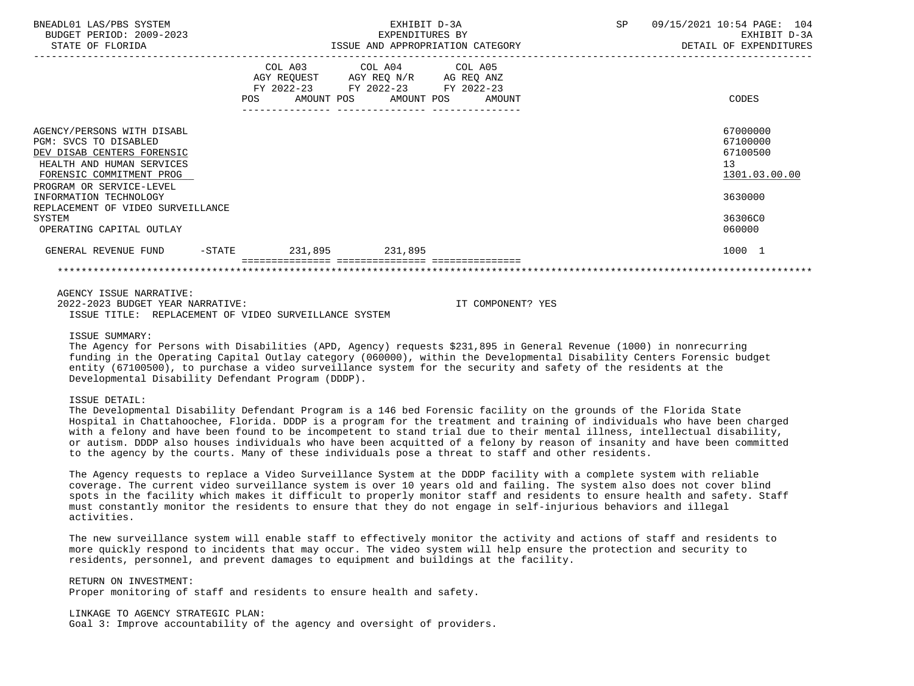| BNEADL01 LAS/PBS SYSTEM<br>BUDGET PERIOD: 2009-2023                                                                                                                    |                  | EXHIBIT D-3A<br>EXPENDITURES BY                                                                                                       | <b>SP</b> | 09/15/2021 10:54 PAGE: 104<br>EXHIBIT D-3A              |
|------------------------------------------------------------------------------------------------------------------------------------------------------------------------|------------------|---------------------------------------------------------------------------------------------------------------------------------------|-----------|---------------------------------------------------------|
| STATE OF FLORIDA                                                                                                                                                       |                  | ISSUE AND APPROPRIATION CATEGORY                                                                                                      |           | DETAIL OF EXPENDITURES                                  |
|                                                                                                                                                                        |                  | COL A03 COL A04 COL A05<br>AGY REQUEST AGY REO N/R AG REO ANZ<br>FY 2022-23 FY 2022-23 FY 2022-23<br>POS AMOUNT POS AMOUNT POS AMOUNT |           | CODES                                                   |
| AGENCY/PERSONS WITH DISABL<br>PGM: SVCS TO DISABLED<br>DEV DISAB CENTERS FORENSIC<br>HEALTH AND HUMAN SERVICES<br>FORENSIC COMMITMENT PROG<br>PROGRAM OR SERVICE-LEVEL |                  |                                                                                                                                       |           | 67000000<br>67100000<br>67100500<br>13<br>1301.03.00.00 |
| INFORMATION TECHNOLOGY                                                                                                                                                 |                  |                                                                                                                                       |           | 3630000                                                 |
| REPLACEMENT OF VIDEO SURVEILLANCE<br>SYSTEM<br>OPERATING CAPITAL OUTLAY                                                                                                |                  |                                                                                                                                       |           | 36306C0<br>060000                                       |
| GENERAL REVENUE FUND                                                                                                                                                   | $-STATE$ 231,895 | 231,895                                                                                                                               |           | 1000 1                                                  |
|                                                                                                                                                                        |                  |                                                                                                                                       |           |                                                         |

AGENCY ISSUE NARRATIVE:

 2022-2023 BUDGET YEAR NARRATIVE: IT COMPONENT? YES ISSUE TITLE: REPLACEMENT OF VIDEO SURVEILLANCE SYSTEM

ISSUE SUMMARY:

 The Agency for Persons with Disabilities (APD, Agency) requests \$231,895 in General Revenue (1000) in nonrecurring funding in the Operating Capital Outlay category (060000), within the Developmental Disability Centers Forensic budget entity (67100500), to purchase a video surveillance system for the security and safety of the residents at the Developmental Disability Defendant Program (DDDP).

#### ISSUE DETAIL:

 The Developmental Disability Defendant Program is a 146 bed Forensic facility on the grounds of the Florida State Hospital in Chattahoochee, Florida. DDDP is a program for the treatment and training of individuals who have been charged with a felony and have been found to be incompetent to stand trial due to their mental illness, intellectual disability, or autism. DDDP also houses individuals who have been acquitted of a felony by reason of insanity and have been committed to the agency by the courts. Many of these individuals pose a threat to staff and other residents.

 The Agency requests to replace a Video Surveillance System at the DDDP facility with a complete system with reliable coverage. The current video surveillance system is over 10 years old and failing. The system also does not cover blind spots in the facility which makes it difficult to properly monitor staff and residents to ensure health and safety. Staff must constantly monitor the residents to ensure that they do not engage in self-injurious behaviors and illegal activities.

 The new surveillance system will enable staff to effectively monitor the activity and actions of staff and residents to more quickly respond to incidents that may occur. The video system will help ensure the protection and security to residents, personnel, and prevent damages to equipment and buildings at the facility.

RETURN ON INVESTMENT:

Proper monitoring of staff and residents to ensure health and safety.

LINKAGE TO AGENCY STRATEGIC PLAN:

Goal 3: Improve accountability of the agency and oversight of providers.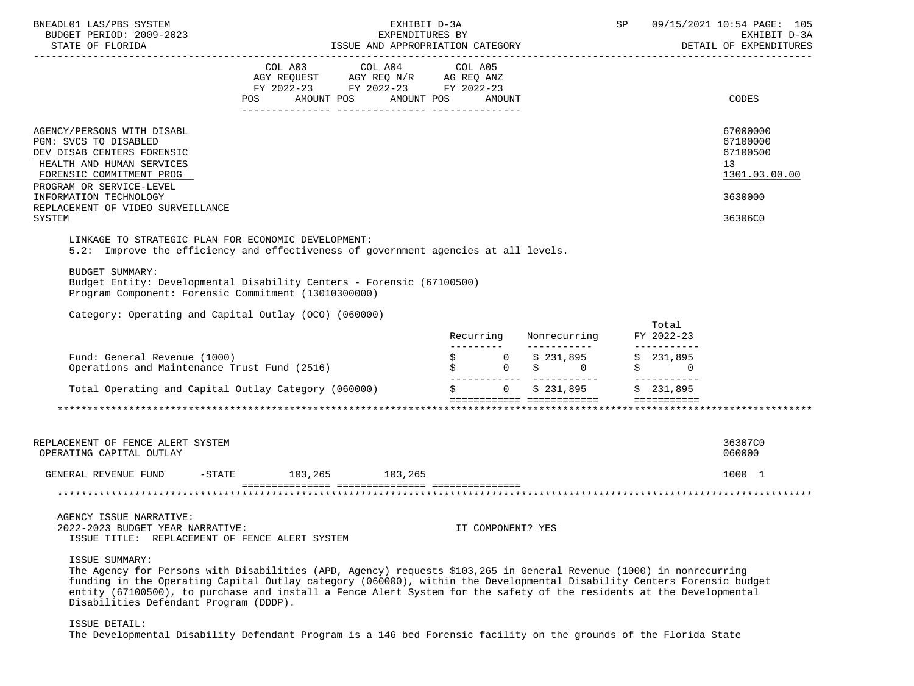| BNEADL01 LAS/PBS SYSTEM<br>BUDGET PERIOD: 2009-2023<br>STATE OF FLORIDA                                                                                                                                                                                                                                                                                                                                                           | EXHIBIT D-3A<br>EXPENDITURES BY<br>ISSUE AND APPROPRIATION CATEGORY                                                                   |  |  |  |  |                   |  |                                                                                                |  |                                                           | SP 09/15/2021 10:54 PAGE: 105<br>EXHIBIT D-3A<br>DETAIL OF EXPENDITURES |
|-----------------------------------------------------------------------------------------------------------------------------------------------------------------------------------------------------------------------------------------------------------------------------------------------------------------------------------------------------------------------------------------------------------------------------------|---------------------------------------------------------------------------------------------------------------------------------------|--|--|--|--|-------------------|--|------------------------------------------------------------------------------------------------|--|-----------------------------------------------------------|-------------------------------------------------------------------------|
|                                                                                                                                                                                                                                                                                                                                                                                                                                   | COL A03 COL A04 COL A05<br>AGY REQUEST AGY REQ N/R AG REQ ANZ<br>FY 2022-23 FY 2022-23 FY 2022-23<br>POS AMOUNT POS AMOUNT POS AMOUNT |  |  |  |  |                   |  |                                                                                                |  |                                                           | CODES                                                                   |
|                                                                                                                                                                                                                                                                                                                                                                                                                                   |                                                                                                                                       |  |  |  |  |                   |  |                                                                                                |  |                                                           |                                                                         |
| AGENCY/PERSONS WITH DISABL<br>PGM: SVCS TO DISABLED<br>DEV DISAB CENTERS FORENSIC<br>HEALTH AND HUMAN SERVICES<br>FORENSIC COMMITMENT PROG<br>PROGRAM OR SERVICE-LEVEL                                                                                                                                                                                                                                                            |                                                                                                                                       |  |  |  |  |                   |  |                                                                                                |  |                                                           | 67000000<br>67100000<br>67100500<br>13<br>1301.03.00.00                 |
| INFORMATION TECHNOLOGY<br>REPLACEMENT OF VIDEO SURVEILLANCE                                                                                                                                                                                                                                                                                                                                                                       |                                                                                                                                       |  |  |  |  |                   |  |                                                                                                |  |                                                           | 3630000                                                                 |
| SYSTEM                                                                                                                                                                                                                                                                                                                                                                                                                            |                                                                                                                                       |  |  |  |  |                   |  |                                                                                                |  |                                                           | 36306C0                                                                 |
| LINKAGE TO STRATEGIC PLAN FOR ECONOMIC DEVELOPMENT:                                                                                                                                                                                                                                                                                                                                                                               |                                                                                                                                       |  |  |  |  |                   |  |                                                                                                |  |                                                           |                                                                         |
| 5.2: Improve the efficiency and effectiveness of government agencies at all levels.                                                                                                                                                                                                                                                                                                                                               |                                                                                                                                       |  |  |  |  |                   |  |                                                                                                |  |                                                           |                                                                         |
| <b>BUDGET SUMMARY:</b><br>Budget Entity: Developmental Disability Centers - Forensic (67100500)<br>Program Component: Forensic Commitment (13010300000)                                                                                                                                                                                                                                                                           |                                                                                                                                       |  |  |  |  |                   |  |                                                                                                |  |                                                           |                                                                         |
| Category: Operating and Capital Outlay (OCO) (060000)                                                                                                                                                                                                                                                                                                                                                                             |                                                                                                                                       |  |  |  |  |                   |  |                                                                                                |  |                                                           |                                                                         |
|                                                                                                                                                                                                                                                                                                                                                                                                                                   |                                                                                                                                       |  |  |  |  |                   |  |                                                                                                |  | Total<br>Recurring Nonrecurring FY 2022-23<br>___________ |                                                                         |
| Fund: General Revenue (1000)<br>Operations and Maintenance Trust Fund (2516)                                                                                                                                                                                                                                                                                                                                                      |                                                                                                                                       |  |  |  |  |                   |  | $\begin{array}{ccccccc} \xi & & & 0 & & \xi & 231,895 \ \xi & & & 0 & & \xi & & 0 \end{array}$ |  | \$231,895<br>$\uparrow$ 0                                 |                                                                         |
| Total Operating and Capital Outlay Category (060000)                                                                                                                                                                                                                                                                                                                                                                              |                                                                                                                                       |  |  |  |  |                   |  |                                                                                                |  | <b>EEEEEEEEEE</b>                                         |                                                                         |
|                                                                                                                                                                                                                                                                                                                                                                                                                                   |                                                                                                                                       |  |  |  |  |                   |  |                                                                                                |  |                                                           |                                                                         |
|                                                                                                                                                                                                                                                                                                                                                                                                                                   |                                                                                                                                       |  |  |  |  |                   |  |                                                                                                |  |                                                           |                                                                         |
| REPLACEMENT OF FENCE ALERT SYSTEM<br>OPERATING CAPITAL OUTLAY                                                                                                                                                                                                                                                                                                                                                                     |                                                                                                                                       |  |  |  |  |                   |  |                                                                                                |  |                                                           | 36307C0<br>060000                                                       |
| GENERAL REVENUE FUND -STATE 103,265 103,265                                                                                                                                                                                                                                                                                                                                                                                       |                                                                                                                                       |  |  |  |  |                   |  |                                                                                                |  |                                                           | 1000 1                                                                  |
|                                                                                                                                                                                                                                                                                                                                                                                                                                   |                                                                                                                                       |  |  |  |  |                   |  |                                                                                                |  |                                                           |                                                                         |
| AGENCY ISSUE NARRATIVE:<br>2022-2023 BUDGET YEAR NARRATIVE:<br>ISSUE TITLE: REPLACEMENT OF FENCE ALERT SYSTEM                                                                                                                                                                                                                                                                                                                     |                                                                                                                                       |  |  |  |  | IT COMPONENT? YES |  |                                                                                                |  |                                                           |                                                                         |
| ISSUE SUMMARY:<br>The Agency for Persons with Disabilities (APD, Agency) requests \$103,265 in General Revenue (1000) in nonrecurring<br>funding in the Operating Capital Outlay category (060000), within the Developmental Disability Centers Forensic budget<br>entity (67100500), to purchase and install a Fence Alert System for the safety of the residents at the Developmental<br>Disabilities Defendant Program (DDDP). |                                                                                                                                       |  |  |  |  |                   |  |                                                                                                |  |                                                           |                                                                         |

ISSUE DETAIL:

The Developmental Disability Defendant Program is a 146 bed Forensic facility on the grounds of the Florida State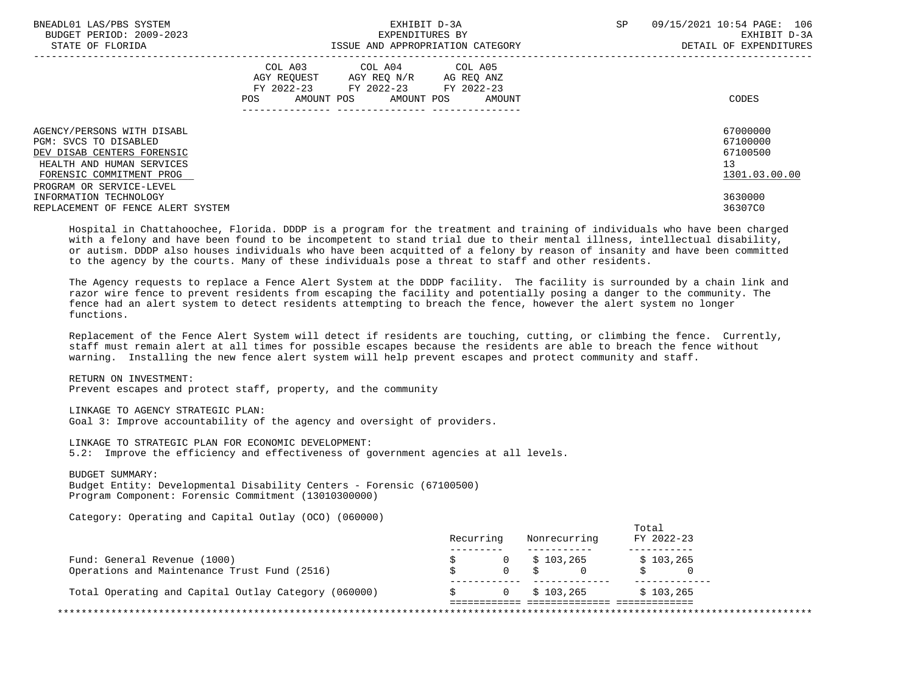| BNEADL01 LAS/PBS SYSTEM<br>BUDGET PERIOD: 2009-2023<br>STATE OF FLORIDA           |     | EXHIBIT D-3A<br>EXPENDITURES BY<br>ISSUE AND APPROPRIATION CATEGORY                                                        | SP.    | 09/15/2021 10:54 PAGE: 106<br>EXHIBIT D-3A<br>DETAIL OF EXPENDITURES |  |
|-----------------------------------------------------------------------------------|-----|----------------------------------------------------------------------------------------------------------------------------|--------|----------------------------------------------------------------------|--|
|                                                                                   | POS | COL A03 COL A04 COL A05<br>AGY REOUEST AGY REO N/R AG REO ANZ<br>FY 2022-23 FY 2022-23 FY 2022-23<br>AMOUNT POS AMOUNT POS | AMOUNT | CODES                                                                |  |
| AGENCY/PERSONS WITH DISABL<br>PGM: SVCS TO DISABLED                               |     |                                                                                                                            |        | 67000000<br>67100000                                                 |  |
| DEV DISAB CENTERS FORENSIC                                                        |     |                                                                                                                            |        | 67100500                                                             |  |
| HEALTH AND HUMAN SERVICES<br>FORENSIC COMMITMENT PROG<br>PROGRAM OR SERVICE-LEVEL |     |                                                                                                                            |        | 13<br>1301.03.00.00                                                  |  |
| INFORMATION TECHNOLOGY                                                            |     |                                                                                                                            |        | 3630000                                                              |  |
| REPLACEMENT OF FENCE ALERT SYSTEM                                                 |     |                                                                                                                            |        | 36307C0                                                              |  |
|                                                                                   |     |                                                                                                                            |        |                                                                      |  |

 Hospital in Chattahoochee, Florida. DDDP is a program for the treatment and training of individuals who have been charged with a felony and have been found to be incompetent to stand trial due to their mental illness, intellectual disability, or autism. DDDP also houses individuals who have been acquitted of a felony by reason of insanity and have been committed to the agency by the courts. Many of these individuals pose a threat to staff and other residents.

 The Agency requests to replace a Fence Alert System at the DDDP facility. The facility is surrounded by a chain link and razor wire fence to prevent residents from escaping the facility and potentially posing a danger to the community. The fence had an alert system to detect residents attempting to breach the fence, however the alert system no longer functions.

 Replacement of the Fence Alert System will detect if residents are touching, cutting, or climbing the fence. Currently, staff must remain alert at all times for possible escapes because the residents are able to breach the fence without warning. Installing the new fence alert system will help prevent escapes and protect community and staff.

 RETURN ON INVESTMENT: Prevent escapes and protect staff, property, and the community

 LINKAGE TO AGENCY STRATEGIC PLAN: Goal 3: Improve accountability of the agency and oversight of providers.

 LINKAGE TO STRATEGIC PLAN FOR ECONOMIC DEVELOPMENT: 5.2: Improve the efficiency and effectiveness of government agencies at all levels.

BUDGET SUMMARY:

 Budget Entity: Developmental Disability Centers - Forensic (67100500) Program Component: Forensic Commitment (13010300000)

Category: Operating and Capital Outlay (OCO) (060000)

|                                                      | Recurring |   | Nonrecurring        | FY 2022-23 |
|------------------------------------------------------|-----------|---|---------------------|------------|
| Fund: General Revenue (1000)                         |           |   | $0 \qquad $103,265$ | \$103,265  |
| Operations and Maintenance Trust Fund (2516)         |           |   | 0 \$                |            |
| Total Operating and Capital Outlay Category (060000) |           | 0 | \$103,265           | \$103.265  |
|                                                      |           |   |                     |            |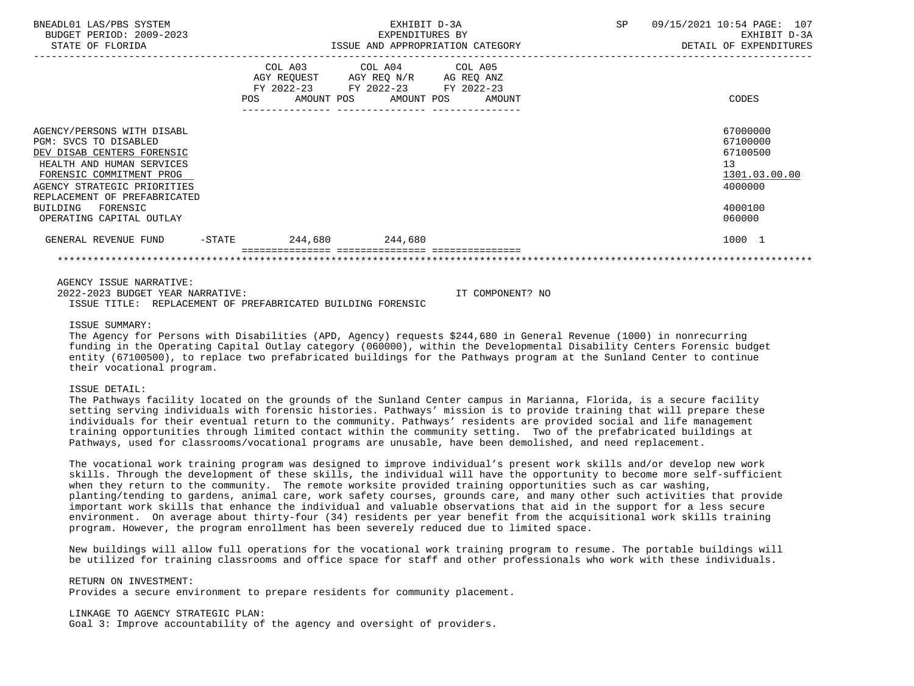| BNEADL01 LAS/PBS SYSTEM<br>BUDGET PERIOD: 2009-2023<br>STATE OF FLORIDA                                                                                                                                                                                       | EXHIBIT D-3A<br>EXPENDITURES BY<br>ISSUE AND APPROPRIATION CATEGORY |                                                                                                                                                                             |  |  |  | 09/15/2021 10:54 PAGE: 107<br>EXHIBIT D-3A<br>DETAIL OF EXPENDITURES                    |
|---------------------------------------------------------------------------------------------------------------------------------------------------------------------------------------------------------------------------------------------------------------|---------------------------------------------------------------------|-----------------------------------------------------------------------------------------------------------------------------------------------------------------------------|--|--|--|-----------------------------------------------------------------------------------------|
|                                                                                                                                                                                                                                                               |                                                                     | COL A03 COL A04 COL A05<br>AGY REQUEST AGY REQ N/R AG REQ ANZ<br>FY 2022-23 FY 2022-23 FY 2022-23<br>POS AMOUNT POS AMOUNT POS AMOUNT<br>---------------- ----------------- |  |  |  | <b>CODES</b>                                                                            |
| AGENCY/PERSONS WITH DISABL<br>PGM: SVCS TO DISABLED<br>DEV DISAB CENTERS FORENSIC<br>HEALTH AND HUMAN SERVICES<br>FORENSIC COMMITMENT PROG<br>AGENCY STRATEGIC PRIORITIES<br>REPLACEMENT OF PREFABRICATED<br>FORENSIC<br>BUILDING<br>OPERATING CAPITAL OUTLAY |                                                                     |                                                                                                                                                                             |  |  |  | 67000000<br>67100000<br>67100500<br>13<br>1301.03.00.00<br>4000000<br>4000100<br>060000 |
| GENERAL REVENUE FUND -STATE                                                                                                                                                                                                                                   |                                                                     | 244,680 244,680                                                                                                                                                             |  |  |  | 1000 1                                                                                  |
| AGENCY ISSUE NARRATIVE:                                                                                                                                                                                                                                       |                                                                     |                                                                                                                                                                             |  |  |  |                                                                                         |

 2022-2023 BUDGET YEAR NARRATIVE: IT COMPONENT? NO ISSUE TITLE: REPLACEMENT OF PREFABRICATED BUILDING FORENSIC

#### ISSUE SUMMARY:

 The Agency for Persons with Disabilities (APD, Agency) requests \$244,680 in General Revenue (1000) in nonrecurring funding in the Operating Capital Outlay category (060000), within the Developmental Disability Centers Forensic budget entity (67100500), to replace two prefabricated buildings for the Pathways program at the Sunland Center to continue their vocational program.

#### ISSUE DETAIL:

 The Pathways facility located on the grounds of the Sunland Center campus in Marianna, Florida, is a secure facility setting serving individuals with forensic histories. Pathways' mission is to provide training that will prepare these individuals for their eventual return to the community. Pathways' residents are provided social and life management training opportunities through limited contact within the community setting. Two of the prefabricated buildings at Pathways, used for classrooms/vocational programs are unusable, have been demolished, and need replacement.

 The vocational work training program was designed to improve individual's present work skills and/or develop new work skills. Through the development of these skills, the individual will have the opportunity to become more self-sufficient when they return to the community. The remote worksite provided training opportunities such as car washing, planting/tending to gardens, animal care, work safety courses, grounds care, and many other such activities that provide important work skills that enhance the individual and valuable observations that aid in the support for a less secure environment. On average about thirty-four (34) residents per year benefit from the acquisitional work skills training program. However, the program enrollment has been severely reduced due to limited space.

 New buildings will allow full operations for the vocational work training program to resume. The portable buildings will be utilized for training classrooms and office space for staff and other professionals who work with these individuals.

 RETURN ON INVESTMENT: Provides a secure environment to prepare residents for community placement.

 LINKAGE TO AGENCY STRATEGIC PLAN: Goal 3: Improve accountability of the agency and oversight of providers.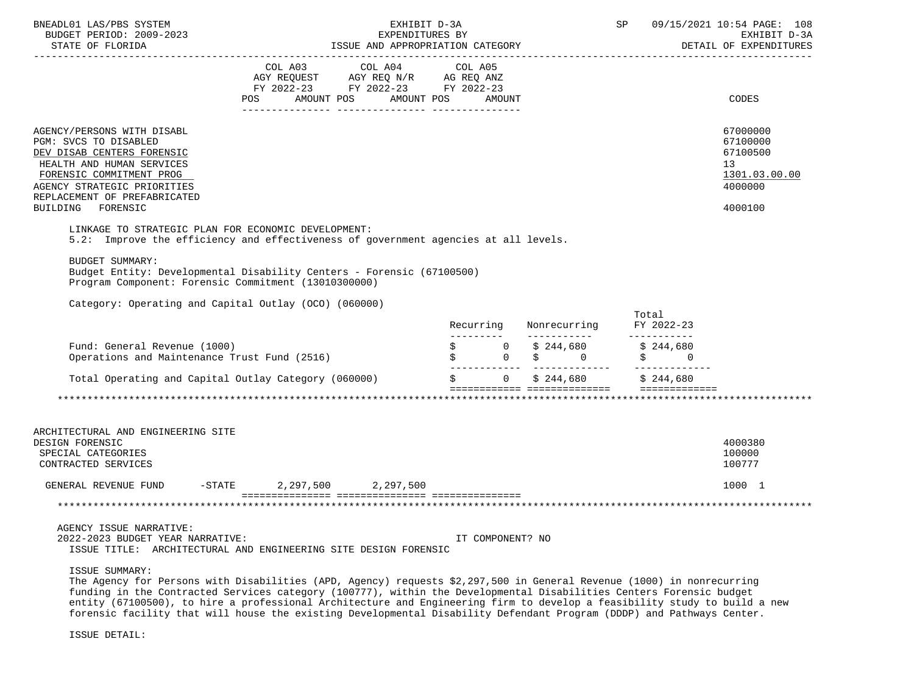| BNEADL01 LAS/PBS SYSTEM                               | EXHIBIT D-3A                                                                                                                                                                                                                                       | SP 09/15/2021 10:54 PAGE: 108 |                  |                                                                             |                                           |                                        |
|-------------------------------------------------------|----------------------------------------------------------------------------------------------------------------------------------------------------------------------------------------------------------------------------------------------------|-------------------------------|------------------|-----------------------------------------------------------------------------|-------------------------------------------|----------------------------------------|
| BUDGET PERIOD: 2009-2023                              | EXPENDITURES BY                                                                                                                                                                                                                                    |                               |                  |                                                                             |                                           | EXHIBIT D-3A<br>DETAIL OF EXPENDITURES |
|                                                       |                                                                                                                                                                                                                                                    |                               |                  |                                                                             |                                           |                                        |
|                                                       |                                                                                                                                                                                                                                                    |                               |                  |                                                                             |                                           |                                        |
|                                                       | FY 2022-23 FY 2022-23 FY 2022-23                                                                                                                                                                                                                   |                               |                  |                                                                             |                                           |                                        |
|                                                       | POS AMOUNT POS AMOUNT POS AMOUNT                                                                                                                                                                                                                   |                               |                  |                                                                             |                                           | CODES                                  |
|                                                       |                                                                                                                                                                                                                                                    |                               |                  |                                                                             |                                           |                                        |
| AGENCY/PERSONS WITH DISABL                            |                                                                                                                                                                                                                                                    |                               |                  |                                                                             |                                           | 67000000                               |
| PGM: SVCS TO DISABLED                                 |                                                                                                                                                                                                                                                    |                               |                  |                                                                             |                                           | 67100000                               |
| DEV DISAB CENTERS FORENSIC                            |                                                                                                                                                                                                                                                    |                               |                  |                                                                             |                                           | 67100500                               |
| HEALTH AND HUMAN SERVICES                             |                                                                                                                                                                                                                                                    |                               |                  |                                                                             |                                           | 13                                     |
| FORENSIC COMMITMENT PROG                              |                                                                                                                                                                                                                                                    |                               |                  |                                                                             |                                           | 1301.03.00.00                          |
| AGENCY STRATEGIC PRIORITIES                           |                                                                                                                                                                                                                                                    |                               |                  |                                                                             |                                           | 4000000                                |
| REPLACEMENT OF PREFABRICATED<br>FORENSIC<br>BUILDING  |                                                                                                                                                                                                                                                    |                               |                  |                                                                             |                                           | 4000100                                |
|                                                       |                                                                                                                                                                                                                                                    |                               |                  |                                                                             |                                           |                                        |
| LINKAGE TO STRATEGIC PLAN FOR ECONOMIC DEVELOPMENT:   |                                                                                                                                                                                                                                                    |                               |                  |                                                                             |                                           |                                        |
|                                                       | 5.2: Improve the efficiency and effectiveness of government agencies at all levels.                                                                                                                                                                |                               |                  |                                                                             |                                           |                                        |
| BUDGET SUMMARY:                                       |                                                                                                                                                                                                                                                    |                               |                  |                                                                             |                                           |                                        |
|                                                       | Budget Entity: Developmental Disability Centers - Forensic (67100500)                                                                                                                                                                              |                               |                  |                                                                             |                                           |                                        |
| Program Component: Forensic Commitment (13010300000)  |                                                                                                                                                                                                                                                    |                               |                  |                                                                             |                                           |                                        |
| Category: Operating and Capital Outlay (OCO) (060000) |                                                                                                                                                                                                                                                    |                               |                  |                                                                             |                                           |                                        |
|                                                       |                                                                                                                                                                                                                                                    |                               |                  |                                                                             | Total                                     |                                        |
|                                                       |                                                                                                                                                                                                                                                    |                               | Recurring        | Nonrecurring FY 2022-23                                                     | _____________                             |                                        |
| Fund: General Revenue (1000)                          |                                                                                                                                                                                                                                                    |                               |                  |                                                                             | $\zeta$ 0 $\zeta$ 244,680 $\zeta$ 244,680 |                                        |
| Operations and Maintenance Trust Fund (2516)          |                                                                                                                                                                                                                                                    |                               |                  | $\begin{array}{ccccc}\n\xi & 0 & \xi & 0 \\ \xi & 0 & \xi & 0\n\end{array}$ | $\ddot{S}$ 0                              |                                        |
|                                                       | Total Operating and Capital Outlay Category (060000) $\zeta$ 0 $\zeta$ 244,680 $\zeta$ 244,680                                                                                                                                                     |                               |                  |                                                                             |                                           |                                        |
|                                                       |                                                                                                                                                                                                                                                    |                               |                  |                                                                             |                                           |                                        |
|                                                       |                                                                                                                                                                                                                                                    |                               |                  |                                                                             |                                           |                                        |
|                                                       |                                                                                                                                                                                                                                                    |                               |                  |                                                                             |                                           |                                        |
| ARCHITECTURAL AND ENGINEERING SITE                    |                                                                                                                                                                                                                                                    |                               |                  |                                                                             |                                           |                                        |
| DESIGN FORENSIC                                       |                                                                                                                                                                                                                                                    |                               |                  |                                                                             |                                           | 4000380                                |
| SPECIAL CATEGORIES                                    |                                                                                                                                                                                                                                                    |                               |                  |                                                                             |                                           | 100000<br>100777                       |
| CONTRACTED SERVICES                                   |                                                                                                                                                                                                                                                    |                               |                  |                                                                             |                                           |                                        |
| GENERAL REVENUE FUND -STATE 2,297,500 2,297,500       |                                                                                                                                                                                                                                                    |                               |                  |                                                                             |                                           | 1000 1                                 |
|                                                       |                                                                                                                                                                                                                                                    |                               |                  |                                                                             |                                           |                                        |
|                                                       |                                                                                                                                                                                                                                                    |                               |                  |                                                                             |                                           |                                        |
| AGENCY ISSUE NARRATIVE:                               |                                                                                                                                                                                                                                                    |                               |                  |                                                                             |                                           |                                        |
| 2022-2023 BUDGET YEAR NARRATIVE:                      | ISSUE TITLE: ARCHITECTURAL AND ENGINEERING SITE DESIGN FORENSIC                                                                                                                                                                                    |                               | IT COMPONENT? NO |                                                                             |                                           |                                        |
| ISSUE SUMMARY:                                        |                                                                                                                                                                                                                                                    |                               |                  |                                                                             |                                           |                                        |
|                                                       | The Agency for Persons with Disabilities (APD, Agency) requests \$2,297,500 in General Revenue (1000) in nonrecurring                                                                                                                              |                               |                  |                                                                             |                                           |                                        |
|                                                       | funding in the Contracted Services category (100777), within the Developmental Disabilities Centers Forensic budget                                                                                                                                |                               |                  |                                                                             |                                           |                                        |
|                                                       | entity (67100500), to hire a professional Architecture and Engineering firm to develop a feasibility study to build a new<br>forensic facility that will house the existing Developmental Disability Defendant Program (DDDP) and Pathways Center. |                               |                  |                                                                             |                                           |                                        |
|                                                       |                                                                                                                                                                                                                                                    |                               |                  |                                                                             |                                           |                                        |
| ISSUE DETAIL:                                         |                                                                                                                                                                                                                                                    |                               |                  |                                                                             |                                           |                                        |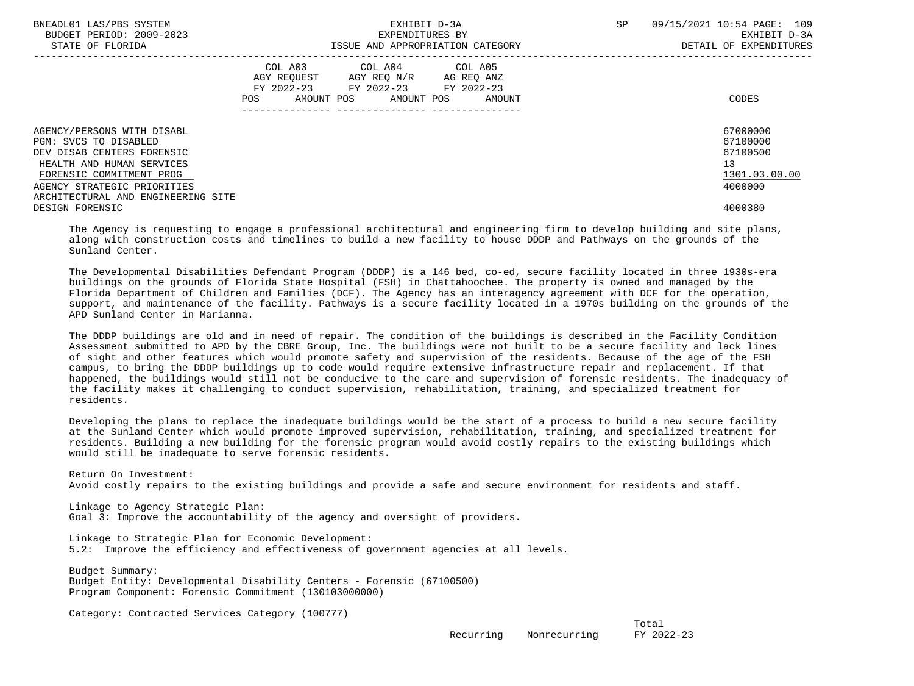| BNEADL01 LAS/PBS SYSTEM<br>BUDGET PERIOD: 2009-2023<br>STATE OF FLORIDA                                                                                                                                         | EXHIBIT D-3A<br>EXPENDITURES BY<br>ISSUE AND APPROPRIATION CATEGORY                                                                         | SP<br>09/15/2021 10:54 PAGE: 109<br>EXHIBIT D-3A<br>DETAIL OF EXPENDITURES |  |  |
|-----------------------------------------------------------------------------------------------------------------------------------------------------------------------------------------------------------------|---------------------------------------------------------------------------------------------------------------------------------------------|----------------------------------------------------------------------------|--|--|
|                                                                                                                                                                                                                 | COL A03 COL A04 COL A05<br>AGY REQUEST AGY REQ N/R AG REQ ANZ<br>FY 2022-23 FY 2022-23 FY 2022-23<br>AMOUNT POS AMOUNT POS<br>POS<br>AMOUNT | CODES                                                                      |  |  |
| AGENCY/PERSONS WITH DISABL<br>PGM: SVCS TO DISABLED<br>DEV DISAB CENTERS FORENSIC<br>HEALTH AND HUMAN SERVICES<br>FORENSIC COMMITMENT PROG<br>AGENCY STRATEGIC PRIORITIES<br>ARCHITECTURAL AND ENGINEERING SITE |                                                                                                                                             | 67000000<br>67100000<br>67100500<br>13<br>1301.03.00.00<br>4000000         |  |  |
| DESIGN FORENSIC                                                                                                                                                                                                 |                                                                                                                                             | 4000380                                                                    |  |  |

 The Agency is requesting to engage a professional architectural and engineering firm to develop building and site plans, along with construction costs and timelines to build a new facility to house DDDP and Pathways on the grounds of the Sunland Center.

 The Developmental Disabilities Defendant Program (DDDP) is a 146 bed, co-ed, secure facility located in three 1930s-era buildings on the grounds of Florida State Hospital (FSH) in Chattahoochee. The property is owned and managed by the Florida Department of Children and Families (DCF). The Agency has an interagency agreement with DCF for the operation, support, and maintenance of the facility. Pathways is a secure facility located in a 1970s building on the grounds of the APD Sunland Center in Marianna.

 The DDDP buildings are old and in need of repair. The condition of the buildings is described in the Facility Condition Assessment submitted to APD by the CBRE Group, Inc. The buildings were not built to be a secure facility and lack lines of sight and other features which would promote safety and supervision of the residents. Because of the age of the FSH campus, to bring the DDDP buildings up to code would require extensive infrastructure repair and replacement. If that happened, the buildings would still not be conducive to the care and supervision of forensic residents. The inadequacy of the facility makes it challenging to conduct supervision, rehabilitation, training, and specialized treatment for residents.

 Developing the plans to replace the inadequate buildings would be the start of a process to build a new secure facility at the Sunland Center which would promote improved supervision, rehabilitation, training, and specialized treatment for residents. Building a new building for the forensic program would avoid costly repairs to the existing buildings which would still be inadequate to serve forensic residents.

 Return On Investment: Avoid costly repairs to the existing buildings and provide a safe and secure environment for residents and staff.

 Linkage to Agency Strategic Plan: Goal 3: Improve the accountability of the agency and oversight of providers.

 Linkage to Strategic Plan for Economic Development: 5.2: Improve the efficiency and effectiveness of government agencies at all levels.

 Budget Summary: Budget Entity: Developmental Disability Centers - Forensic (67100500) Program Component: Forensic Commitment (130103000000)

Category: Contracted Services Category (100777)

the contract of the contract of the contract of the contract of the contract of the contract of the contract of the contract of the contract of the contract of the contract of the contract of the contract of the contract o Recurring Nonrecurring FY 2022-23